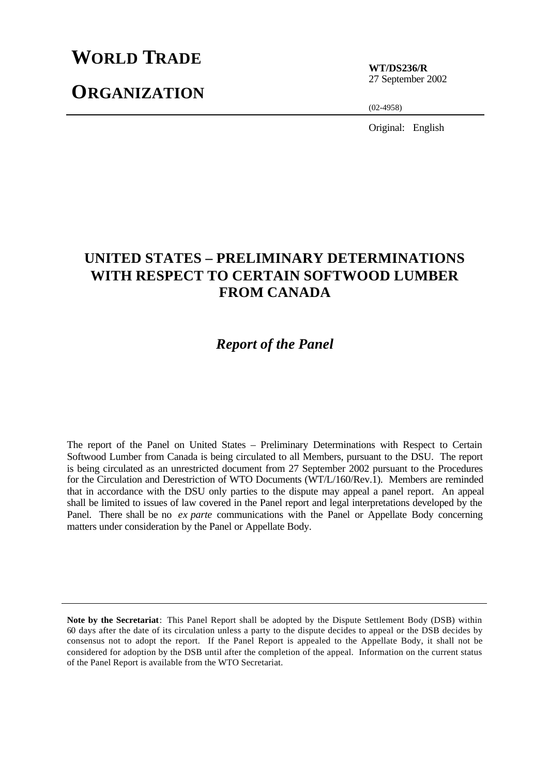# **WORLD TRADE**

# **ORGANIZATION**

**WT/DS236/R** 27 September 2002

(02-4958)

Original: English

# **UNITED STATES – PRELIMINARY DETERMINATIONS WITH RESPECT TO CERTAIN SOFTWOOD LUMBER FROM CANADA**

# *Report of the Panel*

The report of the Panel on United States – Preliminary Determinations with Respect to Certain Softwood Lumber from Canada is being circulated to all Members, pursuant to the DSU. The report is being circulated as an unrestricted document from 27 September 2002 pursuant to the Procedures for the Circulation and Derestriction of WTO Documents (WT/L/160/Rev.1). Members are reminded that in accordance with the DSU only parties to the dispute may appeal a panel report. An appeal shall be limited to issues of law covered in the Panel report and legal interpretations developed by the Panel. There shall be no *ex parte* communications with the Panel or Appellate Body concerning matters under consideration by the Panel or Appellate Body.

**Note by the Secretariat**: This Panel Report shall be adopted by the Dispute Settlement Body (DSB) within 60 days after the date of its circulation unless a party to the dispute decides to appeal or the DSB decides by consensus not to adopt the report. If the Panel Report is appealed to the Appellate Body, it shall not be considered for adoption by the DSB until after the completion of the appeal. Information on the current status of the Panel Report is available from the WTO Secretariat.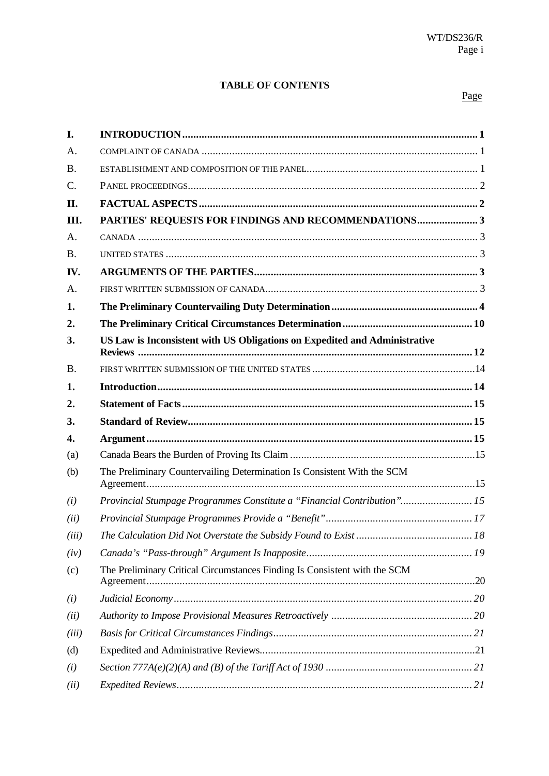## **TABLE OF CONTENTS**

#### Page

| I.                 |                                                                            |  |
|--------------------|----------------------------------------------------------------------------|--|
| A.                 |                                                                            |  |
| <b>B.</b>          |                                                                            |  |
| C.                 |                                                                            |  |
| II.                |                                                                            |  |
| III.               | PARTIES' REQUESTS FOR FINDINGS AND RECOMMENDATIONS3                        |  |
| A.                 |                                                                            |  |
| <b>B.</b>          |                                                                            |  |
| IV.                |                                                                            |  |
| A.                 |                                                                            |  |
| 1.                 |                                                                            |  |
| 2.                 |                                                                            |  |
| 3.                 | US Law is Inconsistent with US Obligations on Expedited and Administrative |  |
| <b>B.</b>          |                                                                            |  |
| 1.                 |                                                                            |  |
| 2.                 |                                                                            |  |
| 3.                 |                                                                            |  |
| $\boldsymbol{4}$ . |                                                                            |  |
| (a)                |                                                                            |  |
| (b)                | The Preliminary Countervailing Determination Is Consistent With the SCM    |  |
| (i)                | Provincial Stumpage Programmes Constitute a "Financial Contribution" 15    |  |
| (ii)               |                                                                            |  |
| (iii)              |                                                                            |  |
| (iv)               |                                                                            |  |
| (c)                | The Preliminary Critical Circumstances Finding Is Consistent with the SCM  |  |
| (i)                |                                                                            |  |
| (ii)               |                                                                            |  |
| (iii)              |                                                                            |  |
| (d)                |                                                                            |  |
| (i)                |                                                                            |  |
| (ii)               |                                                                            |  |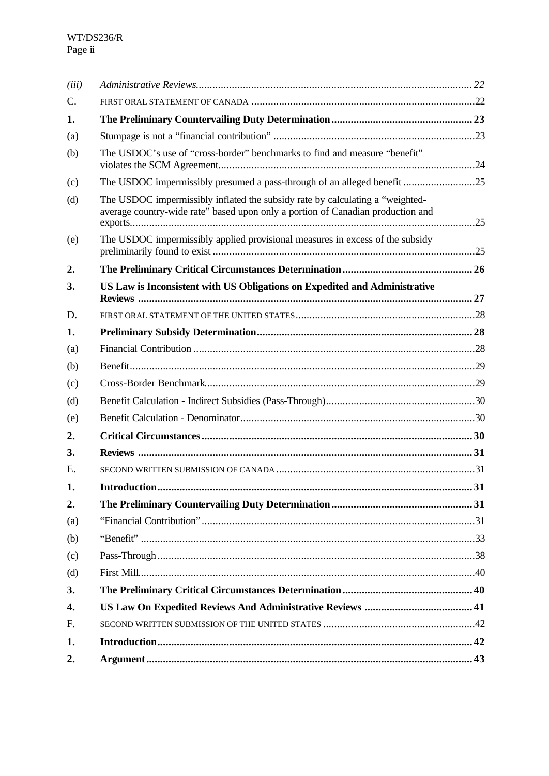| (iii) |                                                                                                                                                                  |  |  |
|-------|------------------------------------------------------------------------------------------------------------------------------------------------------------------|--|--|
| C.    |                                                                                                                                                                  |  |  |
| 1.    |                                                                                                                                                                  |  |  |
| (a)   |                                                                                                                                                                  |  |  |
| (b)   | The USDOC's use of "cross-border" benchmarks to find and measure "benefit"                                                                                       |  |  |
| (c)   | The USDOC impermissibly presumed a pass-through of an alleged benefit25                                                                                          |  |  |
| (d)   | The USDOC impermissibly inflated the subsidy rate by calculating a "weighted-<br>average country-wide rate" based upon only a portion of Canadian production and |  |  |
| (e)   | The USDOC impermissibly applied provisional measures in excess of the subsidy                                                                                    |  |  |
| 2.    |                                                                                                                                                                  |  |  |
| 3.    | US Law is Inconsistent with US Obligations on Expedited and Administrative                                                                                       |  |  |
| D.    |                                                                                                                                                                  |  |  |
| 1.    |                                                                                                                                                                  |  |  |
| (a)   |                                                                                                                                                                  |  |  |
| (b)   |                                                                                                                                                                  |  |  |
| (c)   |                                                                                                                                                                  |  |  |
| (d)   |                                                                                                                                                                  |  |  |
| (e)   |                                                                                                                                                                  |  |  |
| 2.    |                                                                                                                                                                  |  |  |
| 3.    |                                                                                                                                                                  |  |  |
| E.    |                                                                                                                                                                  |  |  |
| 1.    |                                                                                                                                                                  |  |  |
| 2.    |                                                                                                                                                                  |  |  |
| (a)   |                                                                                                                                                                  |  |  |
| (b)   |                                                                                                                                                                  |  |  |
| (c)   |                                                                                                                                                                  |  |  |
| (d)   |                                                                                                                                                                  |  |  |
| 3.    |                                                                                                                                                                  |  |  |
| 4.    |                                                                                                                                                                  |  |  |
| F.    |                                                                                                                                                                  |  |  |
| 1.    |                                                                                                                                                                  |  |  |
| 2.    |                                                                                                                                                                  |  |  |
|       |                                                                                                                                                                  |  |  |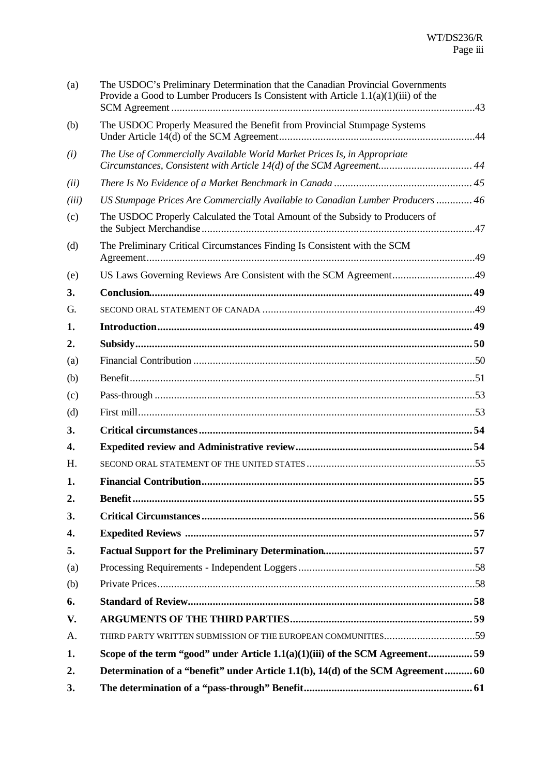| (a)   | The USDOC's Preliminary Determination that the Canadian Provincial Governments<br>Provide a Good to Lumber Producers Is Consistent with Article $1.1(a)(1)(iii)$ of the |  |
|-------|-------------------------------------------------------------------------------------------------------------------------------------------------------------------------|--|
| (b)   | The USDOC Properly Measured the Benefit from Provincial Stumpage Systems                                                                                                |  |
| (i)   | The Use of Commercially Available World Market Prices Is, in Appropriate<br>Circumstances, Consistent with Article 14(d) of the SCM Agreement 44                        |  |
| (ii)  |                                                                                                                                                                         |  |
| (iii) | US Stumpage Prices Are Commercially Available to Canadian Lumber Producers 46                                                                                           |  |
| (c)   | The USDOC Properly Calculated the Total Amount of the Subsidy to Producers of                                                                                           |  |
| (d)   | The Preliminary Critical Circumstances Finding Is Consistent with the SCM                                                                                               |  |
| (e)   | US Laws Governing Reviews Are Consistent with the SCM Agreement49                                                                                                       |  |
| 3.    |                                                                                                                                                                         |  |
| G.    |                                                                                                                                                                         |  |
| 1.    |                                                                                                                                                                         |  |
| 2.    |                                                                                                                                                                         |  |
| (a)   |                                                                                                                                                                         |  |
| (b)   |                                                                                                                                                                         |  |
| (c)   |                                                                                                                                                                         |  |
| (d)   |                                                                                                                                                                         |  |
| 3.    |                                                                                                                                                                         |  |
| 4.    |                                                                                                                                                                         |  |
| H.    |                                                                                                                                                                         |  |
| 1.    |                                                                                                                                                                         |  |
| 2.    |                                                                                                                                                                         |  |
| 3.    |                                                                                                                                                                         |  |
| 4.    |                                                                                                                                                                         |  |
| 5.    |                                                                                                                                                                         |  |
| (a)   |                                                                                                                                                                         |  |
| (b)   |                                                                                                                                                                         |  |
| 6.    |                                                                                                                                                                         |  |
| V.    |                                                                                                                                                                         |  |
| A.    |                                                                                                                                                                         |  |
| 1.    | Scope of the term "good" under Article $1.1(a)(1)(iii)$ of the SCM Agreement59                                                                                          |  |
| 2.    | Determination of a "benefit" under Article 1.1(b), 14(d) of the SCM Agreement 60                                                                                        |  |
| 3.    |                                                                                                                                                                         |  |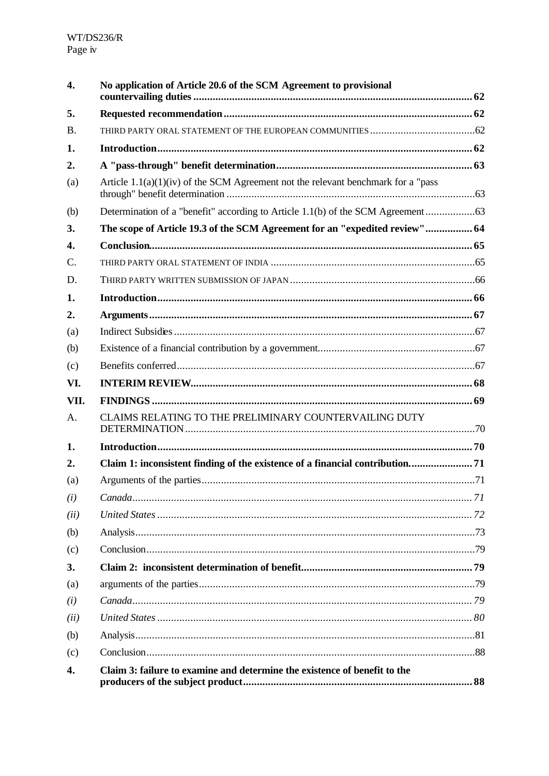| 4.               | No application of Article 20.6 of the SCM Agreement to provisional                   |  |
|------------------|--------------------------------------------------------------------------------------|--|
| 5.               |                                                                                      |  |
| <b>B.</b>        |                                                                                      |  |
| 1.               |                                                                                      |  |
| 2.               |                                                                                      |  |
| (a)              | Article $1.1(a)(1)(iv)$ of the SCM Agreement not the relevant benchmark for a "pass" |  |
| (b)              | Determination of a "benefit" according to Article 1.1(b) of the SCM Agreement        |  |
| 3.               | The scope of Article 19.3 of the SCM Agreement for an "expedited review" 64          |  |
| $\overline{4}$ . |                                                                                      |  |
| C.               |                                                                                      |  |
| D.               |                                                                                      |  |
| 1.               |                                                                                      |  |
| 2.               |                                                                                      |  |
| (a)              |                                                                                      |  |
| (b)              |                                                                                      |  |
| (c)              |                                                                                      |  |
| VI.              |                                                                                      |  |
| VII.             |                                                                                      |  |
| A.               | CLAIMS RELATING TO THE PRELIMINARY COUNTERVAILING DUTY                               |  |
| 1.               |                                                                                      |  |
| 2.               |                                                                                      |  |
| (a)              |                                                                                      |  |
| (i)              |                                                                                      |  |
| (ii)             |                                                                                      |  |
| (b)              |                                                                                      |  |
| (c)              |                                                                                      |  |
| 3.               |                                                                                      |  |
| (a)              |                                                                                      |  |
| (i)              |                                                                                      |  |
| (ii)             |                                                                                      |  |
| (b)              |                                                                                      |  |
| (c)              |                                                                                      |  |
| 4.               | Claim 3: failure to examine and determine the existence of benefit to the            |  |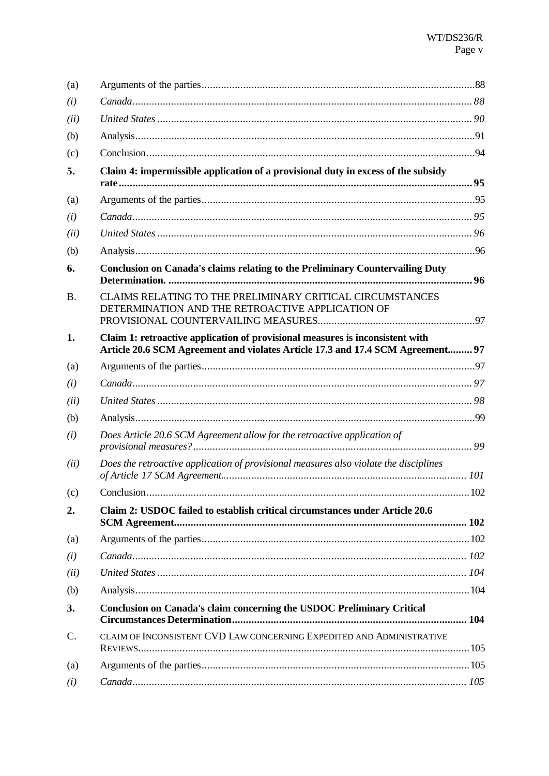| (a)             |                                                                                                                                                                 |  |
|-----------------|-----------------------------------------------------------------------------------------------------------------------------------------------------------------|--|
| (i)             |                                                                                                                                                                 |  |
| (ii)            |                                                                                                                                                                 |  |
| (b)             |                                                                                                                                                                 |  |
| (c)             |                                                                                                                                                                 |  |
| 5.              | Claim 4: impermissible application of a provisional duty in excess of the subsidy                                                                               |  |
| (a)             |                                                                                                                                                                 |  |
| (i)             |                                                                                                                                                                 |  |
| (ii)            |                                                                                                                                                                 |  |
| (b)             |                                                                                                                                                                 |  |
| 6.              | Conclusion on Canada's claims relating to the Preliminary Countervailing Duty                                                                                   |  |
| <b>B.</b>       | CLAIMS RELATING TO THE PRELIMINARY CRITICAL CIRCUMSTANCES<br>DETERMINATION AND THE RETROACTIVE APPLICATION OF                                                   |  |
| 1.              | Claim 1: retroactive application of provisional measures is inconsistent with<br>Article 20.6 SCM Agreement and violates Article 17.3 and 17.4 SCM Agreement 97 |  |
| (a)             |                                                                                                                                                                 |  |
| (i)             |                                                                                                                                                                 |  |
| (ii)            |                                                                                                                                                                 |  |
| (b)             |                                                                                                                                                                 |  |
| (i)             | Does Article 20.6 SCM Agreement allow for the retroactive application of                                                                                        |  |
| (ii)            | Does the retroactive application of provisional measures also violate the disciplines                                                                           |  |
| (c)             |                                                                                                                                                                 |  |
| 2.              | Claim 2: USDOC failed to establish critical circumstances under Article 20.6                                                                                    |  |
| (a)             |                                                                                                                                                                 |  |
| (i)             |                                                                                                                                                                 |  |
| (ii)            |                                                                                                                                                                 |  |
| (b)             |                                                                                                                                                                 |  |
| 3.              | Conclusion on Canada's claim concerning the USDOC Preliminary Critical                                                                                          |  |
| $\mathcal{C}$ . | CLAIM OF INCONSISTENT CVD LAW CONCERNING EXPEDITED AND ADMINISTRATIVE                                                                                           |  |
|                 |                                                                                                                                                                 |  |
| (a)             |                                                                                                                                                                 |  |
| (i)             |                                                                                                                                                                 |  |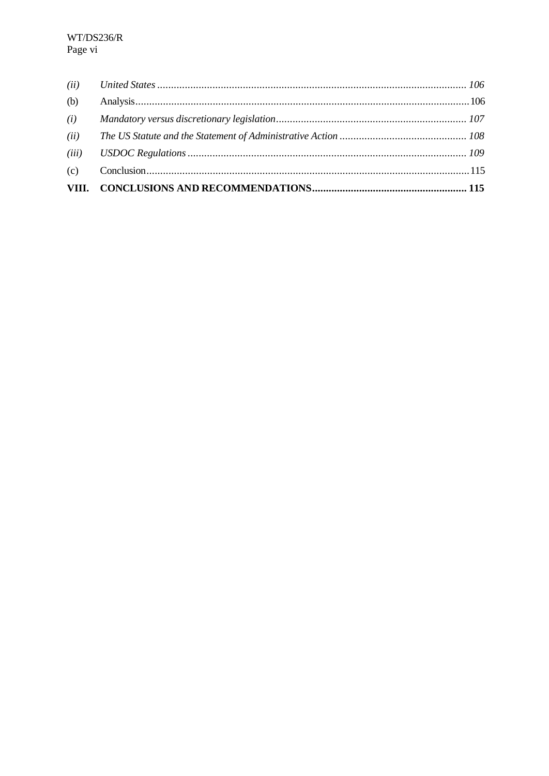| (ii) |  |
|------|--|
| (i)  |  |
| (b)  |  |
|      |  |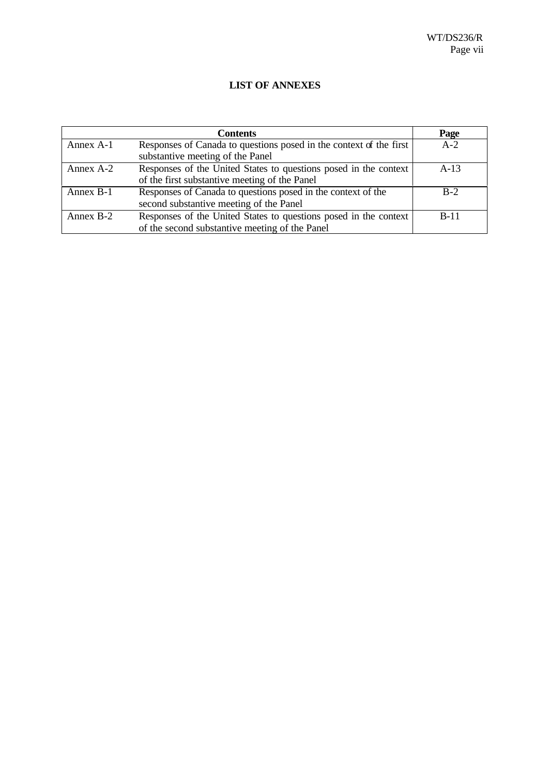### **LIST OF ANNEXES**

|                                                                           | Contents                                                                                               | Page   |  |
|---------------------------------------------------------------------------|--------------------------------------------------------------------------------------------------------|--------|--|
| Annex A-1                                                                 | Responses of Canada to questions posed in the context of the first<br>substantive meeting of the Panel | $A-2$  |  |
| Annex A-2                                                                 | Responses of the United States to questions posed in the context                                       | $A-13$ |  |
|                                                                           | of the first substantive meeting of the Panel                                                          |        |  |
| Responses of Canada to questions posed in the context of the<br>Annex B-1 |                                                                                                        | $B-2$  |  |
|                                                                           | second substantive meeting of the Panel                                                                |        |  |
| Annex $B-2$                                                               | Responses of the United States to questions posed in the context                                       | $R-11$ |  |
|                                                                           | of the second substantive meeting of the Panel                                                         |        |  |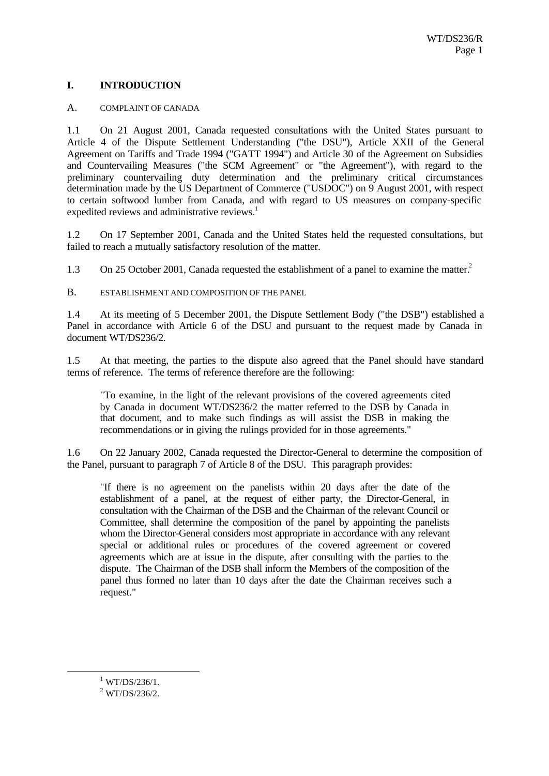### **I. INTRODUCTION**

#### A. COMPLAINT OF CANADA

1.1 On 21 August 2001, Canada requested consultations with the United States pursuant to Article 4 of the Dispute Settlement Understanding ("the DSU"), Article XXII of the General Agreement on Tariffs and Trade 1994 ("GATT 1994") and Article 30 of the Agreement on Subsidies and Countervailing Measures ("the SCM Agreement" or "the Agreement"), with regard to the preliminary countervailing duty determination and the preliminary critical circumstances determination made by the US Department of Commerce ("USDOC") on 9 August 2001, with respect to certain softwood lumber from Canada, and with regard to US measures on company-specific expedited reviews and administrative reviews.<sup>1</sup>

1.2 On 17 September 2001, Canada and the United States held the requested consultations, but failed to reach a mutually satisfactory resolution of the matter.

1.3 On 25 October 2001, Canada requested the establishment of a panel to examine the matter.<sup>2</sup>

B. ESTABLISHMENT AND COMPOSITION OF THE PANEL

1.4 At its meeting of 5 December 2001, the Dispute Settlement Body ("the DSB") established a Panel in accordance with Article 6 of the DSU and pursuant to the request made by Canada in document WT/DS236/2.

1.5 At that meeting, the parties to the dispute also agreed that the Panel should have standard terms of reference. The terms of reference therefore are the following:

"To examine, in the light of the relevant provisions of the covered agreements cited by Canada in document WT/DS236/2 the matter referred to the DSB by Canada in that document, and to make such findings as will assist the DSB in making the recommendations or in giving the rulings provided for in those agreements."

1.6 On 22 January 2002, Canada requested the Director-General to determine the composition of the Panel, pursuant to paragraph 7 of Article 8 of the DSU. This paragraph provides:

"If there is no agreement on the panelists within 20 days after the date of the establishment of a panel, at the request of either party, the Director-General, in consultation with the Chairman of the DSB and the Chairman of the relevant Council or Committee, shall determine the composition of the panel by appointing the panelists whom the Director-General considers most appropriate in accordance with any relevant special or additional rules or procedures of the covered agreement or covered agreements which are at issue in the dispute, after consulting with the parties to the dispute. The Chairman of the DSB shall inform the Members of the composition of the panel thus formed no later than 10 days after the date the Chairman receives such a request."

l

 $1$  WT/DS/236/1.

 $2$  WT/DS/236/2.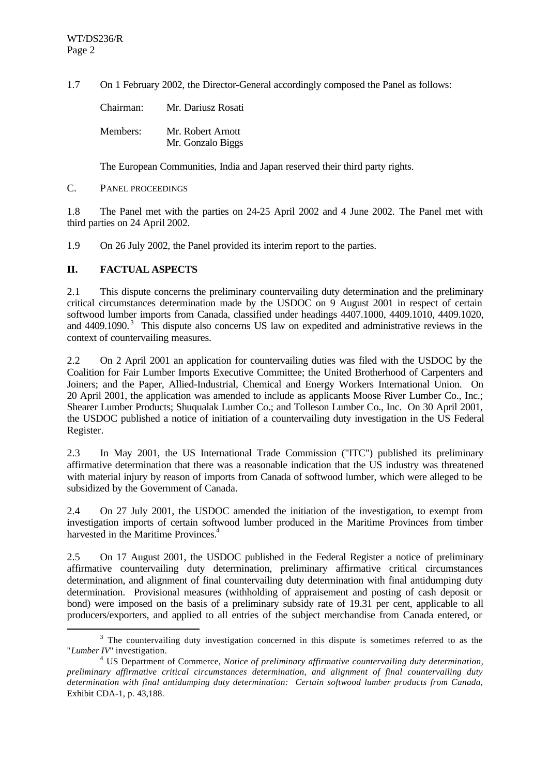1.7 On 1 February 2002, the Director-General accordingly composed the Panel as follows:

| Chairman: | Mr. Dariusz Rosati                     |
|-----------|----------------------------------------|
| Members:  | Mr. Robert Arnott<br>Mr. Gonzalo Biggs |

The European Communities, India and Japan reserved their third party rights.

C. PANEL PROCEEDINGS

1.8 The Panel met with the parties on 24-25 April 2002 and 4 June 2002. The Panel met with third parties on 24 April 2002.

1.9 On 26 July 2002, the Panel provided its interim report to the parties.

#### **II. FACTUAL ASPECTS**

l

2.1 This dispute concerns the preliminary countervailing duty determination and the preliminary critical circumstances determination made by the USDOC on 9 August 2001 in respect of certain softwood lumber imports from Canada, classified under headings 4407.1000, 4409.1010, 4409.1020, and 4409.1090.<sup>3</sup> This dispute also concerns US law on expedited and administrative reviews in the context of countervailing measures.

2.2 On 2 April 2001 an application for countervailing duties was filed with the USDOC by the Coalition for Fair Lumber Imports Executive Committee; the United Brotherhood of Carpenters and Joiners; and the Paper, Allied-Industrial, Chemical and Energy Workers International Union. On 20 April 2001, the application was amended to include as applicants Moose River Lumber Co., Inc.; Shearer Lumber Products; Shuqualak Lumber Co.; and Tolleson Lumber Co., Inc. On 30 April 2001, the USDOC published a notice of initiation of a countervailing duty investigation in the US Federal Register.

2.3 In May 2001, the US International Trade Commission ("ITC") published its preliminary affirmative determination that there was a reasonable indication that the US industry was threatened with material injury by reason of imports from Canada of softwood lumber, which were alleged to be subsidized by the Government of Canada.

2.4 On 27 July 2001, the USDOC amended the initiation of the investigation, to exempt from investigation imports of certain softwood lumber produced in the Maritime Provinces from timber harvested in the Maritime Provinces.<sup>4</sup>

2.5 On 17 August 2001, the USDOC published in the Federal Register a notice of preliminary affirmative countervailing duty determination, preliminary affirmative critical circumstances determination, and alignment of final countervailing duty determination with final antidumping duty determination. Provisional measures (withholding of appraisement and posting of cash deposit or bond) were imposed on the basis of a preliminary subsidy rate of 19.31 per cent, applicable to all producers/exporters, and applied to all entries of the subject merchandise from Canada entered, or

 $3$  The countervailing duty investigation concerned in this dispute is sometimes referred to as the "*Lumber IV*" investigation.

<sup>4</sup> US Department of Commerce, *Notice of preliminary affirmative countervailing duty determination, preliminary affirmative critical circumstances determination, and alignment of final countervailing duty determination with final antidumping duty determination: Certain softwood lumber products from Canada*, Exhibit CDA-1, p. 43,188.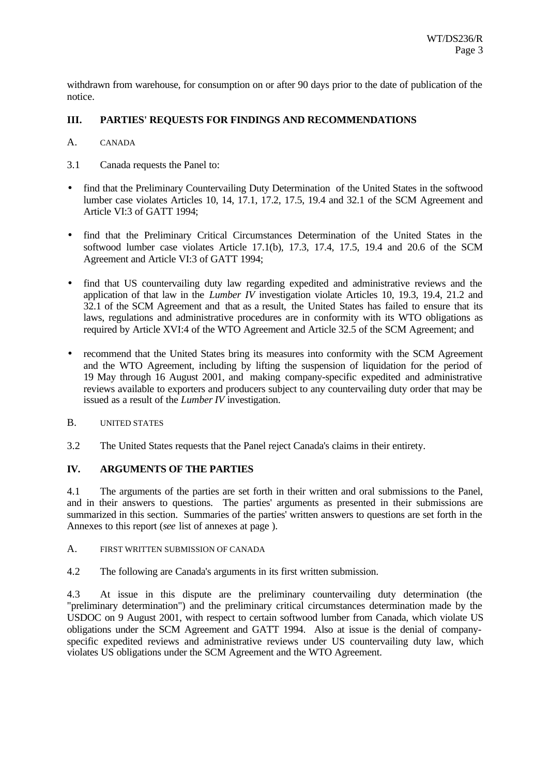withdrawn from warehouse, for consumption on or after 90 days prior to the date of publication of the notice.

#### **III. PARTIES' REQUESTS FOR FINDINGS AND RECOMMENDATIONS**

#### A. CANADA

- 3.1 Canada requests the Panel to:
- find that the Preliminary Countervailing Duty Determination of the United States in the softwood lumber case violates Articles 10, 14, 17.1, 17.2, 17.5, 19.4 and 32.1 of the SCM Agreement and Article VI:3 of GATT 1994;
- find that the Preliminary Critical Circumstances Determination of the United States in the softwood lumber case violates Article 17.1(b), 17.3, 17.4, 17.5, 19.4 and 20.6 of the SCM Agreement and Article VI:3 of GATT 1994;
- find that US countervailing duty law regarding expedited and administrative reviews and the application of that law in the *Lumber IV* investigation violate Articles 10, 19.3, 19.4, 21.2 and 32.1 of the SCM Agreement and that as a result, the United States has failed to ensure that its laws, regulations and administrative procedures are in conformity with its WTO obligations as required by Article XVI:4 of the WTO Agreement and Article 32.5 of the SCM Agreement; and
- recommend that the United States bring its measures into conformity with the SCM Agreement and the WTO Agreement, including by lifting the suspension of liquidation for the period of 19 May through 16 August 2001, and making company-specific expedited and administrative reviews available to exporters and producers subject to any countervailing duty order that may be issued as a result of the *Lumber IV* investigation.
- B. UNITED STATES
- 3.2 The United States requests that the Panel reject Canada's claims in their entirety.

#### **IV. ARGUMENTS OF THE PARTIES**

4.1 The arguments of the parties are set forth in their written and oral submissions to the Panel, and in their answers to questions. The parties' arguments as presented in their submissions are summarized in this section. Summaries of the parties' written answers to questions are set forth in the Annexes to this report (*see* list of annexes at page ).

- A. FIRST WRITTEN SUBMISSION OF CANADA
- 4.2 The following are Canada's arguments in its first written submission.

4.3 At issue in this dispute are the preliminary countervailing duty determination (the "preliminary determination") and the preliminary critical circumstances determination made by the USDOC on 9 August 2001, with respect to certain softwood lumber from Canada, which violate US obligations under the SCM Agreement and GATT 1994. Also at issue is the denial of companyspecific expedited reviews and administrative reviews under US countervailing duty law, which violates US obligations under the SCM Agreement and the WTO Agreement.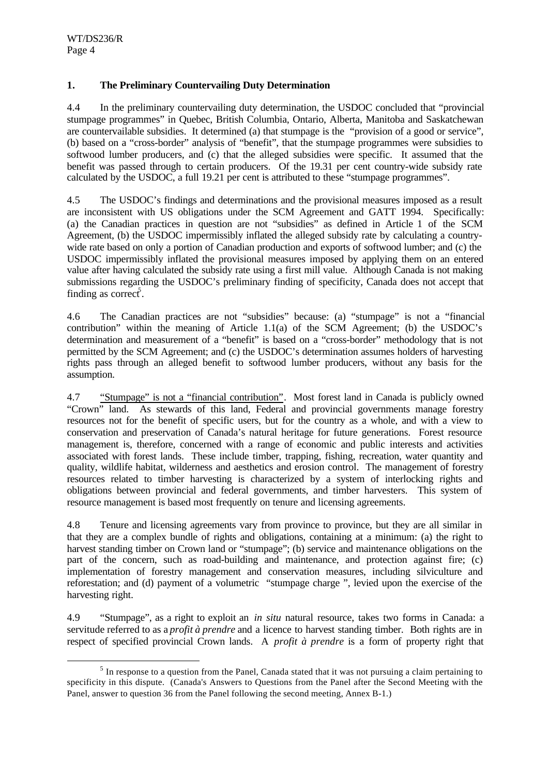l

#### **1. The Preliminary Countervailing Duty Determination**

4.4 In the preliminary countervailing duty determination, the USDOC concluded that "provincial stumpage programmes" in Quebec, British Columbia, Ontario, Alberta, Manitoba and Saskatchewan are countervailable subsidies. It determined (a) that stumpage is the "provision of a good or service", (b) based on a "cross-border" analysis of "benefit", that the stumpage programmes were subsidies to softwood lumber producers, and (c) that the alleged subsidies were specific. It assumed that the benefit was passed through to certain producers. Of the 19.31 per cent country-wide subsidy rate calculated by the USDOC, a full 19.21 per cent is attributed to these "stumpage programmes".

4.5 The USDOC's findings and determinations and the provisional measures imposed as a result are inconsistent with US obligations under the SCM Agreement and GATT 1994. Specifically: (a) the Canadian practices in question are not "subsidies" as defined in Article 1 of the SCM Agreement, (b) the USDOC impermissibly inflated the alleged subsidy rate by calculating a countrywide rate based on only a portion of Canadian production and exports of softwood lumber; and (c) the USDOC impermissibly inflated the provisional measures imposed by applying them on an entered value after having calculated the subsidy rate using a first mill value. Although Canada is not making submissions regarding the USDOC's preliminary finding of specificity, Canada does not accept that finding as correct.

4.6 The Canadian practices are not "subsidies" because: (a) "stumpage" is not a "financial contribution" within the meaning of Article 1.1(a) of the SCM Agreement; (b) the USDOC's determination and measurement of a "benefit" is based on a "cross-border" methodology that is not permitted by the SCM Agreement; and (c) the USDOC's determination assumes holders of harvesting rights pass through an alleged benefit to softwood lumber producers, without any basis for the assumption.

4.7 "Stumpage" is not a "financial contribution". Most forest land in Canada is publicly owned "Crown" land. As stewards of this land, Federal and provincial governments manage forestry resources not for the benefit of specific users, but for the country as a whole, and with a view to conservation and preservation of Canada's natural heritage for future generations. Forest resource management is, therefore, concerned with a range of economic and public interests and activities associated with forest lands. These include timber, trapping, fishing, recreation, water quantity and quality, wildlife habitat, wilderness and aesthetics and erosion control. The management of forestry resources related to timber harvesting is characterized by a system of interlocking rights and obligations between provincial and federal governments, and timber harvesters. This system of resource management is based most frequently on tenure and licensing agreements.

4.8 Tenure and licensing agreements vary from province to province, but they are all similar in that they are a complex bundle of rights and obligations, containing at a minimum: (a) the right to harvest standing timber on Crown land or "stumpage"; (b) service and maintenance obligations on the part of the concern, such as road-building and maintenance, and protection against fire; (c) implementation of forestry management and conservation measures, including silviculture and reforestation; and (d) payment of a volumetric "stumpage charge ", levied upon the exercise of the harvesting right.

4.9 "Stumpage", as a right to exploit an *in situ* natural resource, takes two forms in Canada: a servitude referred to as a *profit à prendre* and a licence to harvest standing timber. Both rights are in respect of specified provincial Crown lands. A *profit à prendre* is a form of property right that

 $<sup>5</sup>$  In response to a question from the Panel, Canada stated that it was not pursuing a claim pertaining to</sup> specificity in this dispute. (Canada's Answers to Questions from the Panel after the Second Meeting with the Panel, answer to question 36 from the Panel following the second meeting, Annex B-1.)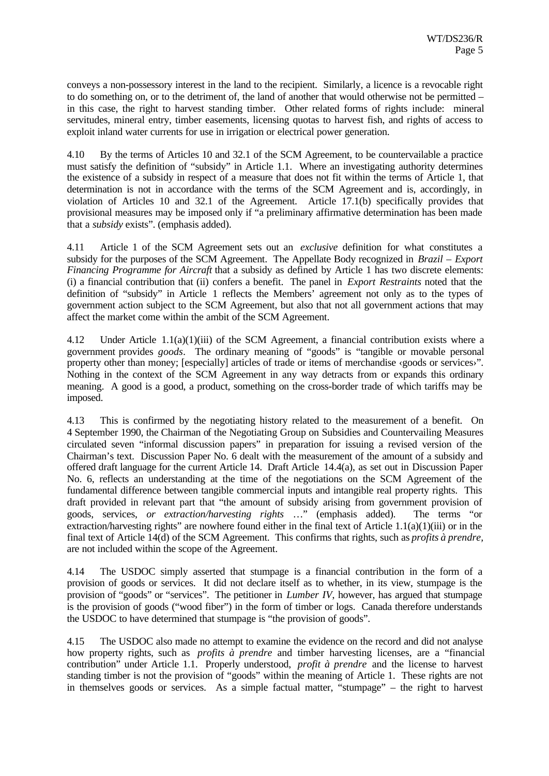conveys a non-possessory interest in the land to the recipient. Similarly, a licence is a revocable right to do something on, or to the detriment of, the land of another that would otherwise not be permitted – in this case, the right to harvest standing timber. Other related forms of rights include: mineral servitudes, mineral entry, timber easements, licensing quotas to harvest fish, and rights of access to exploit inland water currents for use in irrigation or electrical power generation.

4.10 By the terms of Articles 10 and 32.1 of the SCM Agreement, to be countervailable a practice must satisfy the definition of "subsidy" in Article 1.1. Where an investigating authority determines the existence of a subsidy in respect of a measure that does not fit within the terms of Article 1, that determination is not in accordance with the terms of the SCM Agreement and is, accordingly, in violation of Articles 10 and 32.1 of the Agreement. Article 17.1(b) specifically provides that provisional measures may be imposed only if "a preliminary affirmative determination has been made that a *subsidy* exists". (emphasis added).

4.11 Article 1 of the SCM Agreement sets out an *exclusive* definition for what constitutes a subsidy for the purposes of the SCM Agreement. The Appellate Body recognized in *Brazil – Export Financing Programme for Aircraft* that a subsidy as defined by Article 1 has two discrete elements: (i) a financial contribution that (ii) confers a benefit. The panel in *Export Restraints* noted that the definition of "subsidy" in Article 1 reflects the Members' agreement not only as to the types of government action subject to the SCM Agreement, but also that not all government actions that may affect the market come within the ambit of the SCM Agreement.

4.12 Under Article 1.1(a)(1)(iii) of the SCM Agreement, a financial contribution exists where a government provides *goods*. The ordinary meaning of "goods" is "tangible or movable personal property other than money; [especially] articles of trade or items of merchandise *«goods or services»*". Nothing in the context of the SCM Agreement in any way detracts from or expands this ordinary meaning. A good is a good, a product, something on the cross-border trade of which tariffs may be imposed.

4.13 This is confirmed by the negotiating history related to the measurement of a benefit. On 4 September 1990, the Chairman of the Negotiating Group on Subsidies and Countervailing Measures circulated seven "informal discussion papers" in preparation for issuing a revised version of the Chairman's text. Discussion Paper No. 6 dealt with the measurement of the amount of a subsidy and offered draft language for the current Article 14. Draft Article 14.4(a), as set out in Discussion Paper No. 6, reflects an understanding at the time of the negotiations on the SCM Agreement of the fundamental difference between tangible commercial inputs and intangible real property rights. This draft provided in relevant part that "the amount of subsidy arising from government provision of goods, services, *or extraction/harvesting rights* …" (emphasis added). The terms "or extraction/harvesting rights" are nowhere found either in the final text of Article  $1.1(a)(1)(iii)$  or in the final text of Article 14(d) of the SCM Agreement. This confirms that rights, such as *profits à prendre,* are not included within the scope of the Agreement.

4.14 The USDOC simply asserted that stumpage is a financial contribution in the form of a provision of goods or services. It did not declare itself as to whether, in its view, stumpage is the provision of "goods" or "services". The petitioner in *Lumber IV*, however, has argued that stumpage is the provision of goods ("wood fiber") in the form of timber or logs. Canada therefore understands the USDOC to have determined that stumpage is "the provision of goods".

4.15 The USDOC also made no attempt to examine the evidence on the record and did not analyse how property rights, such as *profits à prendre* and timber harvesting licenses, are a "financial contribution" under Article 1.1. Properly understood, *profit à prendre* and the license to harvest standing timber is not the provision of "goods" within the meaning of Article 1. These rights are not in themselves goods or services. As a simple factual matter, "stumpage" – the right to harvest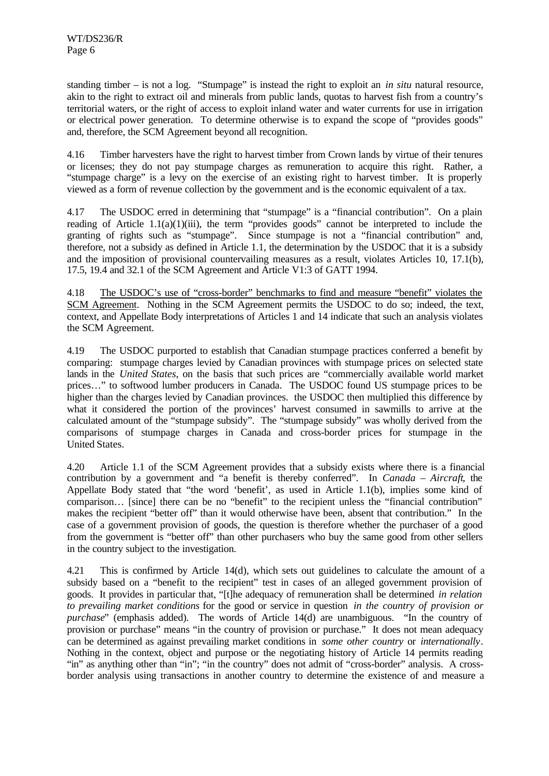standing timber – is not a log. "Stumpage" is instead the right to exploit an *in situ* natural resource, akin to the right to extract oil and minerals from public lands, quotas to harvest fish from a country's territorial waters, or the right of access to exploit inland water and water currents for use in irrigation or electrical power generation. To determine otherwise is to expand the scope of "provides goods" and, therefore, the SCM Agreement beyond all recognition.

4.16 Timber harvesters have the right to harvest timber from Crown lands by virtue of their tenures or licenses; they do not pay stumpage charges as remuneration to acquire this right. Rather, a "stumpage charge" is a levy on the exercise of an existing right to harvest timber. It is properly viewed as a form of revenue collection by the government and is the economic equivalent of a tax.

4.17 The USDOC erred in determining that "stumpage" is a "financial contribution". On a plain reading of Article 1.1(a)(1)(iii), the term "provides goods" cannot be interpreted to include the granting of rights such as "stumpage". Since stumpage is not a "financial contribution" and, therefore, not a subsidy as defined in Article 1.1, the determination by the USDOC that it is a subsidy and the imposition of provisional countervailing measures as a result, violates Articles 10, 17.1(b), 17.5, 19.4 and 32.1 of the SCM Agreement and Article V1:3 of GATT 1994.

4.18 The USDOC's use of "cross-border" benchmarks to find and measure "benefit" violates the SCM Agreement. Nothing in the SCM Agreement permits the USDOC to do so; indeed, the text, context, and Appellate Body interpretations of Articles 1 and 14 indicate that such an analysis violates the SCM Agreement.

4.19 The USDOC purported to establish that Canadian stumpage practices conferred a benefit by comparing: stumpage charges levied by Canadian provinces with stumpage prices on selected state lands in the *United States*, on the basis that such prices are "commercially available world market prices…" to softwood lumber producers in Canada. The USDOC found US stumpage prices to be higher than the charges levied by Canadian provinces. the USDOC then multiplied this difference by what it considered the portion of the provinces' harvest consumed in sawmills to arrive at the calculated amount of the "stumpage subsidy". The "stumpage subsidy" was wholly derived from the comparisons of stumpage charges in Canada and cross-border prices for stumpage in the United States.

4.20 Article 1.1 of the SCM Agreement provides that a subsidy exists where there is a financial contribution by a government and "a benefit is thereby conferred". In *Canada – Aircraft*, the Appellate Body stated that "the word 'benefit', as used in Article 1.1(b), implies some kind of comparison… [since] there can be no "benefit" to the recipient unless the "financial contribution" makes the recipient "better off" than it would otherwise have been, absent that contribution." In the case of a government provision of goods, the question is therefore whether the purchaser of a good from the government is "better off" than other purchasers who buy the same good from other sellers in the country subject to the investigation.

4.21 This is confirmed by Article 14(d), which sets out guidelines to calculate the amount of a subsidy based on a "benefit to the recipient" test in cases of an alleged government provision of goods. It provides in particular that, "[t]he adequacy of remuneration shall be determined *in relation to prevailing market conditions* for the good or service in question *in the country of provision or purchase*" (emphasis added). The words of Article 14(d) are unambiguous. "In the country of provision or purchase" means "in the country of provision or purchase." It does not mean adequacy can be determined as against prevailing market conditions in *some other country* or *internationally*. Nothing in the context, object and purpose or the negotiating history of Article 14 permits reading "in" as anything other than "in"; "in the country" does not admit of "cross-border" analysis. A crossborder analysis using transactions in another country to determine the existence of and measure a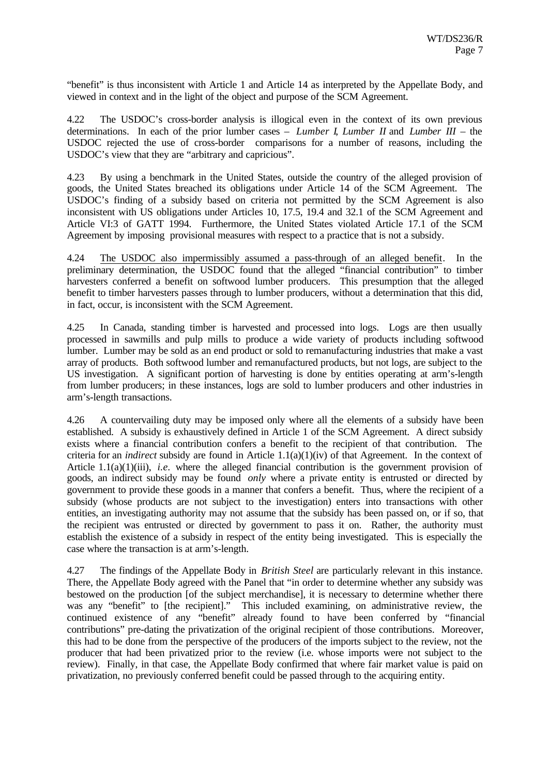"benefit" is thus inconsistent with Article 1 and Article 14 as interpreted by the Appellate Body, and viewed in context and in the light of the object and purpose of the SCM Agreement.

4.22 The USDOC's cross-border analysis is illogical even in the context of its own previous determinations. In each of the prior lumber cases – *Lumber I*, *Lumber II* and *Lumber III* – the USDOC rejected the use of cross-border comparisons for a number of reasons, including the USDOC's view that they are "arbitrary and capricious".

4.23 By using a benchmark in the United States, outside the country of the alleged provision of goods, the United States breached its obligations under Article 14 of the SCM Agreement. The USDOC's finding of a subsidy based on criteria not permitted by the SCM Agreement is also inconsistent with US obligations under Articles 10, 17.5, 19.4 and 32.1 of the SCM Agreement and Article VI:3 of GATT 1994. Furthermore, the United States violated Article 17.1 of the SCM Agreement by imposing provisional measures with respect to a practice that is not a subsidy.

4.24 The USDOC also impermissibly assumed a pass-through of an alleged benefit. In the preliminary determination, the USDOC found that the alleged "financial contribution" to timber harvesters conferred a benefit on softwood lumber producers. This presumption that the alleged benefit to timber harvesters passes through to lumber producers, without a determination that this did, in fact, occur, is inconsistent with the SCM Agreement.

4.25 In Canada, standing timber is harvested and processed into logs. Logs are then usually processed in sawmills and pulp mills to produce a wide variety of products including softwood lumber. Lumber may be sold as an end product or sold to remanufacturing industries that make a vast array of products. Both softwood lumber and remanufactured products, but not logs, are subject to the US investigation. A significant portion of harvesting is done by entities operating at arm's-length from lumber producers; in these instances, logs are sold to lumber producers and other industries in arm's-length transactions.

4.26 A countervailing duty may be imposed only where all the elements of a subsidy have been established. A subsidy is exhaustively defined in Article 1 of the SCM Agreement. A direct subsidy exists where a financial contribution confers a benefit to the recipient of that contribution. The criteria for an *indirect* subsidy are found in Article 1.1(a)(1)(iv) of that Agreement. In the context of Article 1.1(a)(1)(iii), *i.e.* where the alleged financial contribution is the government provision of goods, an indirect subsidy may be found *only* where a private entity is entrusted or directed by government to provide these goods in a manner that confers a benefit. Thus, where the recipient of a subsidy (whose products are not subject to the investigation) enters into transactions with other entities, an investigating authority may not assume that the subsidy has been passed on, or if so, that the recipient was entrusted or directed by government to pass it on. Rather, the authority must establish the existence of a subsidy in respect of the entity being investigated. This is especially the case where the transaction is at arm's-length.

4.27 The findings of the Appellate Body in *British Steel* are particularly relevant in this instance. There, the Appellate Body agreed with the Panel that "in order to determine whether any subsidy was bestowed on the production [of the subject merchandise], it is necessary to determine whether there was any "benefit" to [the recipient]." This included examining, on administrative review, the continued existence of any "benefit" already found to have been conferred by "financial contributions" pre-dating the privatization of the original recipient of those contributions. Moreover, this had to be done from the perspective of the producers of the imports subject to the review, not the producer that had been privatized prior to the review (i.e. whose imports were not subject to the review). Finally, in that case, the Appellate Body confirmed that where fair market value is paid on privatization, no previously conferred benefit could be passed through to the acquiring entity.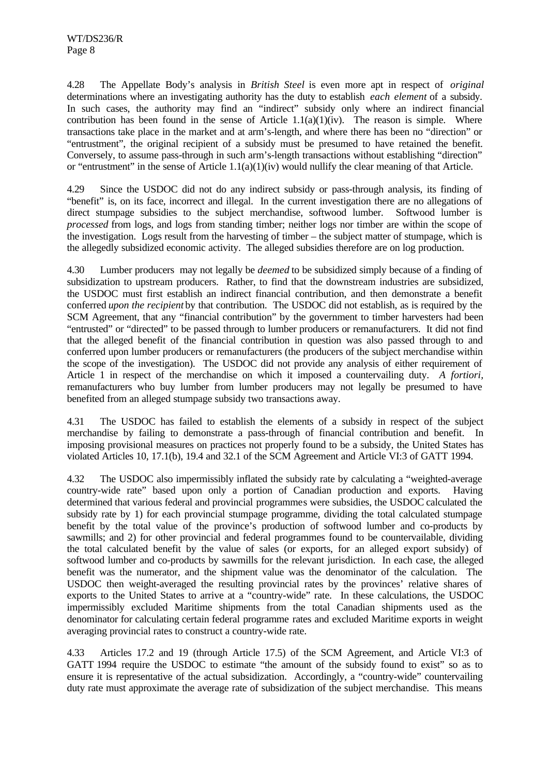4.28 The Appellate Body's analysis in *British Steel* is even more apt in respect of *original* determinations where an investigating authority has the duty to establish *each element* of a subsidy. In such cases, the authority may find an "indirect" subsidy only where an indirect financial contribution has been found in the sense of Article  $1.1(a)(1)(iv)$ . The reason is simple. Where transactions take place in the market and at arm's-length, and where there has been no "direction" or "entrustment", the original recipient of a subsidy must be presumed to have retained the benefit. Conversely, to assume pass-through in such arm's-length transactions without establishing "direction" or "entrustment" in the sense of Article 1.1(a)(1)(iv) would nullify the clear meaning of that Article.

4.29 Since the USDOC did not do any indirect subsidy or pass-through analysis, its finding of "benefit" is, on its face, incorrect and illegal. In the current investigation there are no allegations of direct stumpage subsidies to the subject merchandise, softwood lumber. Softwood lumber is *processed* from logs, and logs from standing timber; neither logs nor timber are within the scope of the investigation. Logs result from the harvesting of timber – the subject matter of stumpage, which is the allegedly subsidized economic activity. The alleged subsidies therefore are on log production.

4.30 Lumber producers may not legally be *deemed* to be subsidized simply because of a finding of subsidization to upstream producers. Rather, to find that the downstream industries are subsidized, the USDOC must first establish an indirect financial contribution, and then demonstrate a benefit conferred *upon the recipient* by that contribution. The USDOC did not establish, as is required by the SCM Agreement, that any "financial contribution" by the government to timber harvesters had been "entrusted" or "directed" to be passed through to lumber producers or remanufacturers. It did not find that the alleged benefit of the financial contribution in question was also passed through to and conferred upon lumber producers or remanufacturers (the producers of the subject merchandise within the scope of the investigation). The USDOC did not provide any analysis of either requirement of Article 1 in respect of the merchandise on which it imposed a countervailing duty. *A fortiori,* remanufacturers who buy lumber from lumber producers may not legally be presumed to have benefited from an alleged stumpage subsidy two transactions away.

4.31 The USDOC has failed to establish the elements of a subsidy in respect of the subject merchandise by failing to demonstrate a pass-through of financial contribution and benefit. In imposing provisional measures on practices not properly found to be a subsidy, the United States has violated Articles 10, 17.1(b), 19.4 and 32.1 of the SCM Agreement and Article VI:3 of GATT 1994.

4.32 The USDOC also impermissibly inflated the subsidy rate by calculating a "weighted-average country-wide rate" based upon only a portion of Canadian production and exports. Having determined that various federal and provincial programmes were subsidies, the USDOC calculated the subsidy rate by 1) for each provincial stumpage programme, dividing the total calculated stumpage benefit by the total value of the province's production of softwood lumber and co-products by sawmills; and 2) for other provincial and federal programmes found to be countervailable, dividing the total calculated benefit by the value of sales (or exports, for an alleged export subsidy) of softwood lumber and co-products by sawmills for the relevant jurisdiction. In each case, the alleged benefit was the numerator, and the shipment value was the denominator of the calculation. The USDOC then weight-averaged the resulting provincial rates by the provinces' relative shares of exports to the United States to arrive at a "country-wide" rate. In these calculations, the USDOC impermissibly excluded Maritime shipments from the total Canadian shipments used as the denominator for calculating certain federal programme rates and excluded Maritime exports in weight averaging provincial rates to construct a country-wide rate.

4.33 Articles 17.2 and 19 (through Article 17.5) of the SCM Agreement, and Article VI:3 of GATT 1994 require the USDOC to estimate "the amount of the subsidy found to exist" so as to ensure it is representative of the actual subsidization. Accordingly, a "country-wide" countervailing duty rate must approximate the average rate of subsidization of the subject merchandise. This means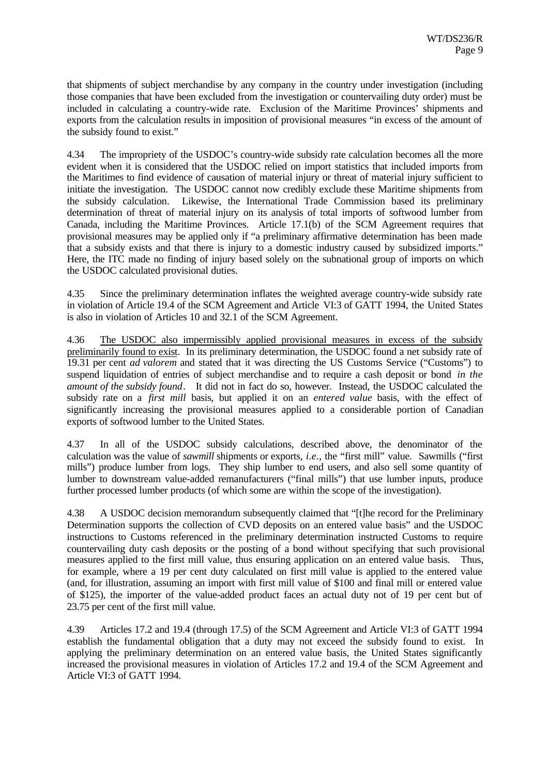that shipments of subject merchandise by any company in the country under investigation (including those companies that have been excluded from the investigation or countervailing duty order) must be included in calculating a country-wide rate. Exclusion of the Maritime Provinces' shipments and exports from the calculation results in imposition of provisional measures "in excess of the amount of the subsidy found to exist."

4.34 The impropriety of the USDOC's country-wide subsidy rate calculation becomes all the more evident when it is considered that the USDOC relied on import statistics that included imports from the Maritimes to find evidence of causation of material injury or threat of material injury sufficient to initiate the investigation. The USDOC cannot now credibly exclude these Maritime shipments from the subsidy calculation. Likewise, the International Trade Commission based its preliminary determination of threat of material injury on its analysis of total imports of softwood lumber from Canada, including the Maritime Provinces. Article 17.1(b) of the SCM Agreement requires that provisional measures may be applied only if "a preliminary affirmative determination has been made that a subsidy exists and that there is injury to a domestic industry caused by subsidized imports." Here, the ITC made no finding of injury based solely on the subnational group of imports on which the USDOC calculated provisional duties.

4.35 Since the preliminary determination inflates the weighted average country-wide subsidy rate in violation of Article 19.4 of the SCM Agreement and Article VI:3 of GATT 1994, the United States is also in violation of Articles 10 and 32.1 of the SCM Agreement.

4.36 The USDOC also impermissibly applied provisional measures in excess of the subsidy preliminarily found to exist. In its preliminary determination, the USDOC found a net subsidy rate of 19.31 per cent *ad valorem* and stated that it was directing the US Customs Service ("Customs") to suspend liquidation of entries of subject merchandise and to require a cash deposit or bond *in the amount of the subsidy found*. It did not in fact do so, however. Instead, the USDOC calculated the subsidy rate on a *first mill* basis, but applied it on an *entered value* basis, with the effect of significantly increasing the provisional measures applied to a considerable portion of Canadian exports of softwood lumber to the United States.

4.37 In all of the USDOC subsidy calculations, described above, the denominator of the calculation was the value of *sawmill* shipments or exports, *i.e.*, the "first mill" value. Sawmills ("first mills") produce lumber from logs. They ship lumber to end users, and also sell some quantity of lumber to downstream value-added remanufacturers ("final mills") that use lumber inputs, produce further processed lumber products (of which some are within the scope of the investigation).

4.38 A USDOC decision memorandum subsequently claimed that "[t]he record for the Preliminary Determination supports the collection of CVD deposits on an entered value basis" and the USDOC instructions to Customs referenced in the preliminary determination instructed Customs to require countervailing duty cash deposits or the posting of a bond without specifying that such provisional measures applied to the first mill value, thus ensuring application on an entered value basis. Thus, for example, where a 19 per cent duty calculated on first mill value is applied to the entered value (and, for illustration, assuming an import with first mill value of \$100 and final mill or entered value of \$125), the importer of the value-added product faces an actual duty not of 19 per cent but of 23.75 per cent of the first mill value.

4.39 Articles 17.2 and 19.4 (through 17.5) of the SCM Agreement and Article VI:3 of GATT 1994 establish the fundamental obligation that a duty may not exceed the subsidy found to exist. In applying the preliminary determination on an entered value basis, the United States significantly increased the provisional measures in violation of Articles 17.2 and 19.4 of the SCM Agreement and Article VI:3 of GATT 1994.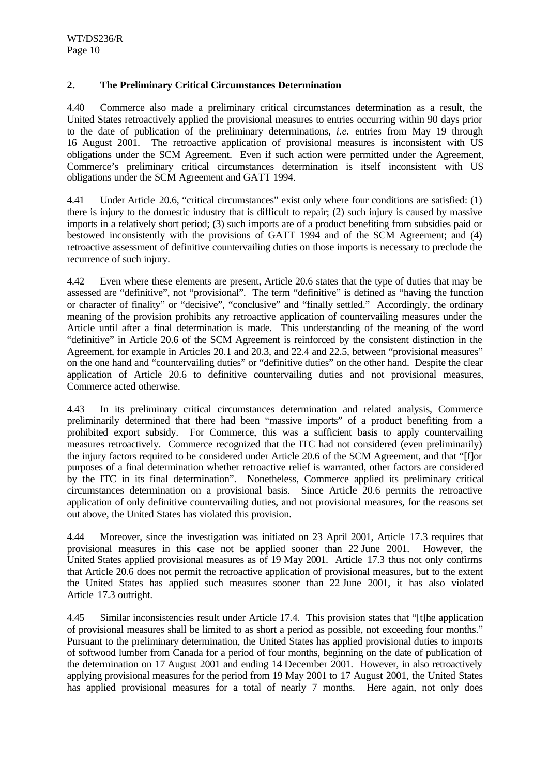#### **2. The Preliminary Critical Circumstances Determination**

4.40 Commerce also made a preliminary critical circumstances determination as a result, the United States retroactively applied the provisional measures to entries occurring within 90 days prior to the date of publication of the preliminary determinations, *i.e.* entries from May 19 through 16 August 2001. The retroactive application of provisional measures is inconsistent with US obligations under the SCM Agreement. Even if such action were permitted under the Agreement, Commerce's preliminary critical circumstances determination is itself inconsistent with US obligations under the SCM Agreement and GATT 1994.

4.41 Under Article 20.6, "critical circumstances" exist only where four conditions are satisfied: (1) there is injury to the domestic industry that is difficult to repair; (2) such injury is caused by massive imports in a relatively short period; (3) such imports are of a product benefiting from subsidies paid or bestowed inconsistently with the provisions of GATT 1994 and of the SCM Agreement; and (4) retroactive assessment of definitive countervailing duties on those imports is necessary to preclude the recurrence of such injury.

4.42 Even where these elements are present, Article 20.6 states that the type of duties that may be assessed are "definitive", not "provisional". The term "definitive" is defined as "having the function or character of finality" or "decisive", "conclusive" and "finally settled." Accordingly, the ordinary meaning of the provision prohibits any retroactive application of countervailing measures under the Article until after a final determination is made. This understanding of the meaning of the word "definitive" in Article 20.6 of the SCM Agreement is reinforced by the consistent distinction in the Agreement, for example in Articles 20.1 and 20.3, and 22.4 and 22.5, between "provisional measures" on the one hand and "countervailing duties" or "definitive duties" on the other hand. Despite the clear application of Article 20.6 to definitive countervailing duties and not provisional measures, Commerce acted otherwise.

4.43 In its preliminary critical circumstances determination and related analysis, Commerce preliminarily determined that there had been "massive imports" of a product benefiting from a prohibited export subsidy. For Commerce, this was a sufficient basis to apply countervailing measures retroactively. Commerce recognized that the ITC had not considered (even preliminarily) the injury factors required to be considered under Article 20.6 of the SCM Agreement, and that "[f]or purposes of a final determination whether retroactive relief is warranted, other factors are considered by the ITC in its final determination". Nonetheless, Commerce applied its preliminary critical circumstances determination on a provisional basis. Since Article 20.6 permits the retroactive application of only definitive countervailing duties, and not provisional measures, for the reasons set out above, the United States has violated this provision.

4.44 Moreover, since the investigation was initiated on 23 April 2001, Article 17.3 requires that provisional measures in this case not be applied sooner than 22 June 2001. However, the United States applied provisional measures as  $\hat{f}$  19 May 2001. Article 17.3 thus not only confirms that Article 20.6 does not permit the retroactive application of provisional measures, but to the extent the United States has applied such measures sooner than 22 June 2001, it has also violated Article 17.3 outright.

4.45 Similar inconsistencies result under Article 17.4. This provision states that "[t]he application of provisional measures shall be limited to as short a period as possible, not exceeding four months." Pursuant to the preliminary determination, the United States has applied provisional duties to imports of softwood lumber from Canada for a period of four months, beginning on the date of publication of the determination on 17 August 2001 and ending 14 December 2001. However, in also retroactively applying provisional measures for the period from 19 May 2001 to 17 August 2001, the United States has applied provisional measures for a total of nearly 7 months. Here again, not only does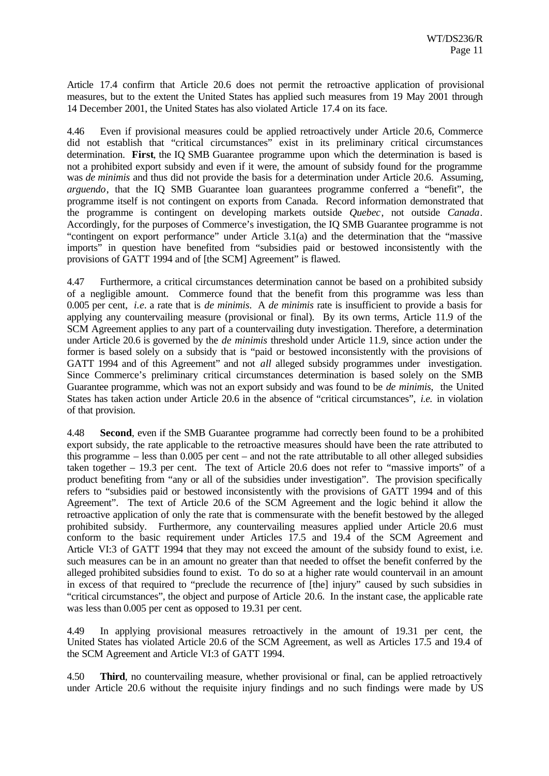Article 17.4 confirm that Article 20.6 does not permit the retroactive application of provisional measures, but to the extent the United States has applied such measures from 19 May 2001 through 14 December 2001, the United States has also violated Article 17.4 on its face.

4.46 Even if provisional measures could be applied retroactively under Article 20.6, Commerce did not establish that "critical circumstances" exist in its preliminary critical circumstances determination. **First**, the IQ SMB Guarantee programme upon which the determination is based is not a prohibited export subsidy and even if it were, the amount of subsidy found for the programme was *de minimis* and thus did not provide the basis for a determination under Article 20.6. Assuming, *arguendo*, that the IQ SMB Guarantee loan guarantees programme conferred a "benefit", the programme itself is not contingent on exports from Canada. Record information demonstrated that the programme is contingent on developing markets outside *Quebec*, not outside *Canada*. Accordingly, for the purposes of Commerce's investigation, the IQ SMB Guarantee programme is not "contingent on export performance" under Article 3.1(a) and the determination that the "massive imports" in question have benefited from "subsidies paid or bestowed inconsistently with the provisions of GATT 1994 and of [the SCM] Agreement" is flawed.

4.47 Furthermore, a critical circumstances determination cannot be based on a prohibited subsidy of a negligible amount. Commerce found that the benefit from this programme was less than 0.005 per cent, *i.e.* a rate that is *de minimis*. A *de minimis* rate is insufficient to provide a basis for applying any countervailing measure (provisional or final). By its own terms, Article 11.9 of the SCM Agreement applies to any part of a countervailing duty investigation. Therefore, a determination under Article 20.6 is governed by the *de minimis* threshold under Article 11.9, since action under the former is based solely on a subsidy that is "paid or bestowed inconsistently with the provisions of GATT 1994 and of this Agreement" and not *all* alleged subsidy programmes under investigation. Since Commerce's preliminary critical circumstances determination is based solely on the SMB Guarantee programme, which was not an export subsidy and was found to be *de minimis*, the United States has taken action under Article 20.6 in the absence of "critical circumstances", *i.e.* in violation of that provision.

4.48 **Second**, even if the SMB Guarantee programme had correctly been found to be a prohibited export subsidy, the rate applicable to the retroactive measures should have been the rate attributed to this programme – less than 0.005 per cent – and not the rate attributable to all other alleged subsidies taken together – 19.3 per cent. The text of Article 20.6 does not refer to "massive imports" of a product benefiting from "any or all of the subsidies under investigation". The provision specifically refers to "subsidies paid or bestowed inconsistently with the provisions of GATT 1994 and of this Agreement". The text of Article 20.6 of the SCM Agreement and the logic behind it allow the retroactive application of only the rate that is commensurate with the benefit bestowed by the alleged prohibited subsidy. Furthermore, any countervailing measures applied under Article 20.6 must conform to the basic requirement under Articles 17.5 and 19.4 of the SCM Agreement and Article VI:3 of GATT 1994 that they may not exceed the amount of the subsidy found to exist, i.e. such measures can be in an amount no greater than that needed to offset the benefit conferred by the alleged prohibited subsidies found to exist. To do so at a higher rate would countervail in an amount in excess of that required to "preclude the recurrence of [the] injury" caused by such subsidies in "critical circumstances", the object and purpose of Article 20.6. In the instant case, the applicable rate was less than 0.005 per cent as opposed to 19.31 per cent.

4.49 In applying provisional measures retroactively in the amount of 19.31 per cent, the United States has violated Article 20.6 of the SCM Agreement, as well as Articles 17.5 and 19.4 of the SCM Agreement and Article VI:3 of GATT 1994.

4.50 **Third**, no countervailing measure, whether provisional or final, can be applied retroactively under Article 20.6 without the requisite injury findings and no such findings were made by US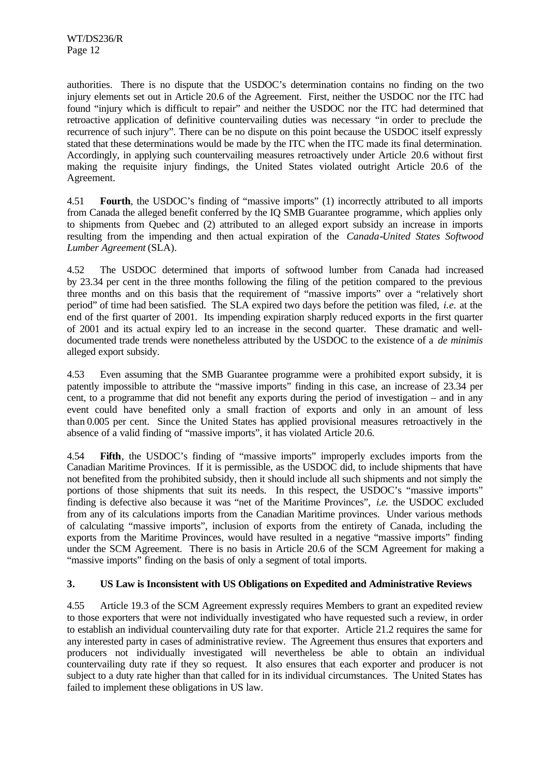authorities. There is no dispute that the USDOC's determination contains no finding on the two injury elements set out in Article 20.6 of the Agreement. First, neither the USDOC nor the ITC had found "injury which is difficult to repair" and neither the USDOC nor the ITC had determined that retroactive application of definitive countervailing duties was necessary "in order to preclude the recurrence of such injury". There can be no dispute on this point because the USDOC itself expressly stated that these determinations would be made by the ITC when the ITC made its final determination. Accordingly, in applying such countervailing measures retroactively under Article 20.6 without first making the requisite injury findings, the United States violated outright Article 20.6 of the Agreement.

4.51 **Fourth**, the USDOC's finding of "massive imports" (1) incorrectly attributed to all imports from Canada the alleged benefit conferred by the IQ SMB Guarantee programme, which applies only to shipments from Quebec and (2) attributed to an alleged export subsidy an increase in imports resulting from the impending and then actual expiration of the *Canada-United States Softwood Lumber Agreement* (SLA).

4.52 The USDOC determined that imports of softwood lumber from Canada had increased by 23.34 per cent in the three months following the filing of the petition compared to the previous three months and on this basis that the requirement of "massive imports" over a "relatively short period" of time had been satisfied. The SLA expired two days before the petition was filed, *i.e.* at the end of the first quarter of 2001. Its impending expiration sharply reduced exports in the first quarter of 2001 and its actual expiry led to an increase in the second quarter. These dramatic and welldocumented trade trends were nonetheless attributed by the USDOC to the existence of a *de minimis* alleged export subsidy.

4.53 Even assuming that the SMB Guarantee programme were a prohibited export subsidy, it is patently impossible to attribute the "massive imports" finding in this case, an increase of 23.34 per cent, to a programme that did not benefit any exports during the period of investigation – and in any event could have benefited only a small fraction of exports and only in an amount of less than 0.005 per cent. Since the United States has applied provisional measures retroactively in the absence of a valid finding of "massive imports", it has violated Article 20.6.

4.54 **Fifth**, the USDOC's finding of "massive imports" improperly excludes imports from the Canadian Maritime Provinces. If it is permissible, as the USDOC did, to include shipments that have not benefited from the prohibited subsidy, then it should include all such shipments and not simply the portions of those shipments that suit its needs. In this respect, the USDOC's "massive imports" finding is defective also because it was "net of the Maritime Provinces", *i.e.* the USDOC excluded from any of its calculations imports from the Canadian Maritime provinces. Under various methods of calculating "massive imports", inclusion of exports from the entirety of Canada, including the exports from the Maritime Provinces, would have resulted in a negative "massive imports" finding under the SCM Agreement. There is no basis in Article 20.6 of the SCM Agreement for making a "massive imports" finding on the basis of only a segment of total imports.

#### **3. US Law is Inconsistent with US Obligations on Expedited and Administrative Reviews**

4.55 Article 19.3 of the SCM Agreement expressly requires Members to grant an expedited review to those exporters that were not individually investigated who have requested such a review, in order to establish an individual countervailing duty rate for that exporter. Article 21.2 requires the same for any interested party in cases of administrative review. The Agreement thus ensures that exporters and producers not individually investigated will nevertheless be able to obtain an individual countervailing duty rate if they so request. It also ensures that each exporter and producer is not subject to a duty rate higher than that called for in its individual circumstances. The United States has failed to implement these obligations in US law.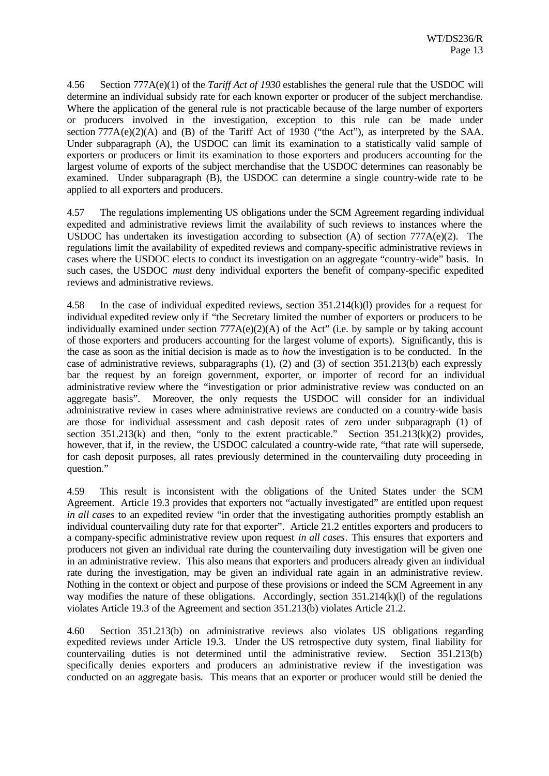4.56 Section 777A(e)(1) of the *Tariff Act of 1930* establishes the general rule that the USDOC will determine an individual subsidy rate for each known exporter or producer of the subject merchandise. Where the application of the general rule is not practicable because of the large number of exporters or producers involved in the investigation, exception to this rule can be made under section  $777A(e)(2)(A)$  and (B) of the Tariff Act of 1930 ("the Act"), as interpreted by the SAA. Under subparagraph (A), the USDOC can limit its examination to a statistically valid sample of exporters or producers or limit its examination to those exporters and producers accounting for the largest volume of exports of the subject merchandise that the USDOC determines can reasonably be examined. Under subparagraph (B), the USDOC can determine a single country-wide rate to be applied to all exporters and producers.

4.57 The regulations implementing US obligations under the SCM Agreement regarding individual expedited and administrative reviews limit the availability of such reviews to instances where the USDOC has undertaken its investigation according to subsection (A) of section 777A(e)(2). The regulations limit the availability of expedited reviews and company-specific administrative reviews in cases where the USDOC elects to conduct its investigation on an aggregate "country-wide" basis. In such cases, the USDOC *must* deny individual exporters the benefit of company-specific expedited reviews and administrative reviews.

4.58 In the case of individual expedited reviews, section 351.214(k)(l) provides for a request for individual expedited review only if "the Secretary limited the number of exporters or producers to be individually examined under section  $777A(e)(2)(A)$  of the Act" (i.e. by sample or by taking account of those exporters and producers accounting for the largest volume of exports). Significantly, this is the case as soon as the initial decision is made as to *how* the investigation is to be conducted. In the case of administrative reviews, subparagraphs (1), (2) and (3) of section 351.213(b) each expressly bar the request by an foreign government, exporter, or importer of record for an individual administrative review where the "investigation or prior administrative review was conducted on an aggregate basis". Moreover, the only requests the USDOC will consider for an individual administrative review in cases where administrative reviews are conducted on a country-wide basis are those for individual assessment and cash deposit rates of zero under subparagraph (1) of section 351.213(k) and then, "only to the extent practicable." Section 351.213(k)(2) provides, however, that if, in the review, the USDOC calculated a country-wide rate, "that rate will supersede, for cash deposit purposes, all rates previously determined in the countervailing duty proceeding in question."

4.59 This result is inconsistent with the obligations of the United States under the SCM Agreement. Article 19.3 provides that exporters not "actually investigated" are entitled upon request *in all cases* to an expedited review "in order that the investigating authorities promptly establish an individual countervailing duty rate for that exporter". Article 21.2 entitles exporters and producers to a company-specific administrative review upon request *in all cases*. This ensures that exporters and producers not given an individual rate during the countervailing duty investigation will be given one in an administrative review. This also means that exporters and producers already given an individual rate during the investigation, may be given an individual rate again in an administrative review. Nothing in the context or object and purpose of these provisions or indeed the SCM Agreement in any way modifies the nature of these obligations. Accordingly, section 351.214(k)(l) of the regulations violates Article 19.3 of the Agreement and section 351.213(b) violates Article 21.2.

4.60 Section 351.213(b) on administrative reviews also violates US obligations regarding expedited reviews under Article 19.3. Under the US retrospective duty system, final liability for countervailing duties is not determined until the administrative review. Section 351.213(b) specifically denies exporters and producers an administrative review if the investigation was conducted on an aggregate basis. This means that an exporter or producer would still be denied the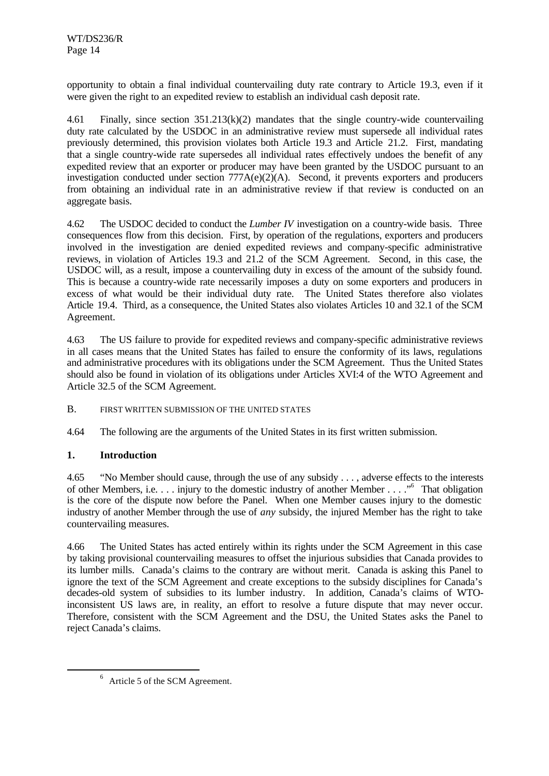opportunity to obtain a final individual countervailing duty rate contrary to Article 19.3, even if it were given the right to an expedited review to establish an individual cash deposit rate.

4.61 Finally, since section  $351.213(k)(2)$  mandates that the single country-wide countervailing duty rate calculated by the USDOC in an administrative review must supersede all individual rates previously determined, this provision violates both Article 19.3 and Article 21.2. First, mandating that a single country-wide rate supersedes all individual rates effectively undoes the benefit of any expedited review that an exporter or producer may have been granted by the USDOC pursuant to an investigation conducted under section 777A(e)(2)(A). Second, it prevents exporters and producers from obtaining an individual rate in an administrative review if that review is conducted on an aggregate basis.

4.62 The USDOC decided to conduct the *Lumber IV* investigation on a country-wide basis. Three consequences flow from this decision. First, by operation of the regulations, exporters and producers involved in the investigation are denied expedited reviews and company-specific administrative reviews, in violation of Articles 19.3 and 21.2 of the SCM Agreement. Second, in this case, the USDOC will, as a result, impose a countervailing duty in excess of the amount of the subsidy found. This is because a country-wide rate necessarily imposes a duty on some exporters and producers in excess of what would be their individual duty rate. The United States therefore also violates Article 19.4. Third, as a consequence, the United States also violates Articles 10 and 32.1 of the SCM Agreement.

4.63 The US failure to provide for expedited reviews and company-specific administrative reviews in all cases means that the United States has failed to ensure the conformity of its laws, regulations and administrative procedures with its obligations under the SCM Agreement. Thus the United States should also be found in violation of its obligations under Articles XVI:4 of the WTO Agreement and Article 32.5 of the SCM Agreement.

B. FIRST WRITTEN SUBMISSION OF THE UNITED STATES

4.64 The following are the arguments of the United States in its first written submission.

#### **1. Introduction**

l

4.65 "No Member should cause, through the use of any subsidy . . . , adverse effects to the interests of other Members, i.e. . . . injury to the domestic industry of another Member . . . . "<sup>6</sup> That obligation is the core of the dispute now before the Panel. When one Member causes injury to the domestic industry of another Member through the use of *any* subsidy, the injured Member has the right to take countervailing measures.

4.66 The United States has acted entirely within its rights under the SCM Agreement in this case by taking provisional countervailing measures to offset the injurious subsidies that Canada provides to its lumber mills. Canada's claims to the contrary are without merit. Canada is asking this Panel to ignore the text of the SCM Agreement and create exceptions to the subsidy disciplines for Canada's decades-old system of subsidies to its lumber industry. In addition, Canada's claims of WTOinconsistent US laws are, in reality, an effort to resolve a future dispute that may never occur. Therefore, consistent with the SCM Agreement and the DSU, the United States asks the Panel to reject Canada's claims.

<sup>&</sup>lt;sup>6</sup> Article 5 of the SCM Agreement.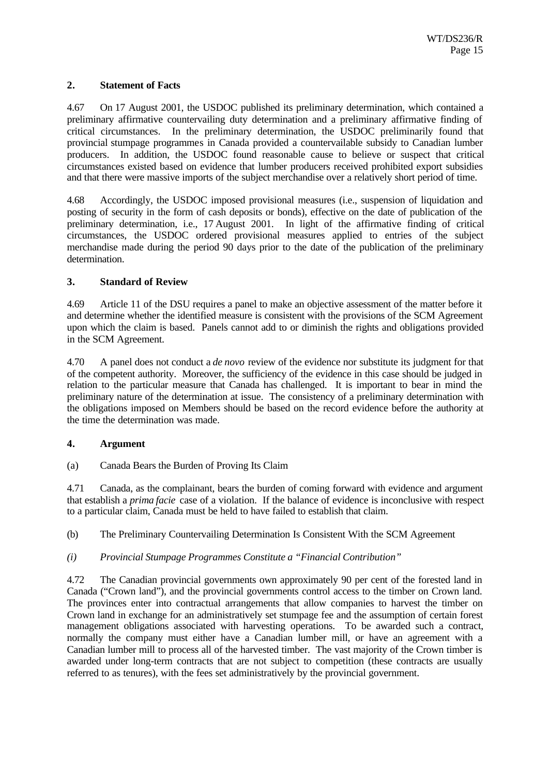#### **2. Statement of Facts**

4.67 On 17 August 2001, the USDOC published its preliminary determination, which contained a preliminary affirmative countervailing duty determination and a preliminary affirmative finding of critical circumstances. In the preliminary determination, the USDOC preliminarily found that provincial stumpage programmes in Canada provided a countervailable subsidy to Canadian lumber producers. In addition, the USDOC found reasonable cause to believe or suspect that critical circumstances existed based on evidence that lumber producers received prohibited export subsidies and that there were massive imports of the subject merchandise over a relatively short period of time.

4.68 Accordingly, the USDOC imposed provisional measures (i.e., suspension of liquidation and posting of security in the form of cash deposits or bonds), effective on the date of publication of the preliminary determination, i.e., 17 August 2001. In light of the affirmative finding of critical circumstances, the USDOC ordered provisional measures applied to entries of the subject merchandise made during the period 90 days prior to the date of the publication of the preliminary determination.

#### **3. Standard of Review**

4.69 Article 11 of the DSU requires a panel to make an objective assessment of the matter before it and determine whether the identified measure is consistent with the provisions of the SCM Agreement upon which the claim is based. Panels cannot add to or diminish the rights and obligations provided in the SCM Agreement.

4.70 A panel does not conduct a *de novo* review of the evidence nor substitute its judgment for that of the competent authority. Moreover, the sufficiency of the evidence in this case should be judged in relation to the particular measure that Canada has challenged. It is important to bear in mind the preliminary nature of the determination at issue. The consistency of a preliminary determination with the obligations imposed on Members should be based on the record evidence before the authority at the time the determination was made.

#### **4. Argument**

(a) Canada Bears the Burden of Proving Its Claim

4.71 Canada, as the complainant, bears the burden of coming forward with evidence and argument that establish a *prima facie* case of a violation. If the balance of evidence is inconclusive with respect to a particular claim, Canada must be held to have failed to establish that claim.

(b) The Preliminary Countervailing Determination Is Consistent With the SCM Agreement

#### *(i) Provincial Stumpage Programmes Constitute a "Financial Contribution"*

4.72 The Canadian provincial governments own approximately 90 per cent of the forested land in Canada ("Crown land"), and the provincial governments control access to the timber on Crown land. The provinces enter into contractual arrangements that allow companies to harvest the timber on Crown land in exchange for an administratively set stumpage fee and the assumption of certain forest management obligations associated with harvesting operations. To be awarded such a contract, normally the company must either have a Canadian lumber mill, or have an agreement with a Canadian lumber mill to process all of the harvested timber. The vast majority of the Crown timber is awarded under long-term contracts that are not subject to competition (these contracts are usually referred to as tenures), with the fees set administratively by the provincial government.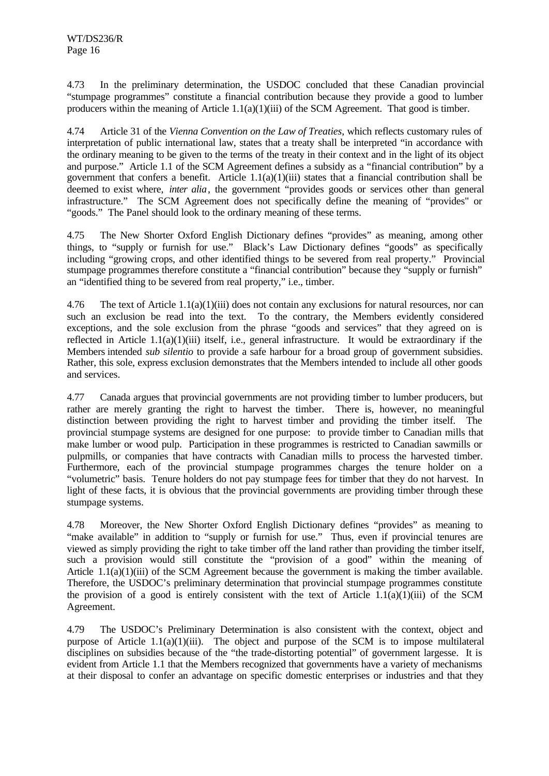4.73 In the preliminary determination, the USDOC concluded that these Canadian provincial "stumpage programmes" constitute a financial contribution because they provide a good to lumber producers within the meaning of Article  $1.1(a)(1)(iii)$  of the SCM Agreement. That good is timber.

4.74 Article 31 of the *Vienna Convention on the Law of Treaties*, which reflects customary rules of interpretation of public international law, states that a treaty shall be interpreted "in accordance with the ordinary meaning to be given to the terms of the treaty in their context and in the light of its object and purpose." Article 1.1 of the SCM Agreement defines a subsidy as a "financial contribution" by a government that confers a benefit. Article  $1.1(a)(1)(iii)$  states that a financial contribution shall be deemed to exist where, *inter alia*, the government "provides goods or services other than general infrastructure." The SCM Agreement does not specifically define the meaning of "provides" or "goods." The Panel should look to the ordinary meaning of these terms.

4.75 The New Shorter Oxford English Dictionary defines "provides" as meaning, among other things, to "supply or furnish for use." Black's Law Dictionary defines "goods" as specifically including "growing crops, and other identified things to be severed from real property." Provincial stumpage programmes therefore constitute a "financial contribution" because they "supply or furnish" an "identified thing to be severed from real property," i.e., timber.

4.76 The text of Article 1.1(a)(1)(iii) does not contain any exclusions for natural resources, nor can such an exclusion be read into the text. To the contrary, the Members evidently considered exceptions, and the sole exclusion from the phrase "goods and services" that they agreed on is reflected in Article 1.1(a)(1)(iii) itself, i.e., general infrastructure. It would be extraordinary if the Members intended *sub silentio* to provide a safe harbour for a broad group of government subsidies. Rather, this sole, express exclusion demonstrates that the Members intended to include all other goods and services.

4.77 Canada argues that provincial governments are not providing timber to lumber producers, but rather are merely granting the right to harvest the timber. There is, however, no meaningful distinction between providing the right to harvest timber and providing the timber itself. The provincial stumpage systems are designed for one purpose: to provide timber to Canadian mills that make lumber or wood pulp. Participation in these programmes is restricted to Canadian sawmills or pulpmills, or companies that have contracts with Canadian mills to process the harvested timber. Furthermore, each of the provincial stumpage programmes charges the tenure holder on a "volumetric" basis. Tenure holders do not pay stumpage fees for timber that they do not harvest. In light of these facts, it is obvious that the provincial governments are providing timber through these stumpage systems.

4.78 Moreover, the New Shorter Oxford English Dictionary defines "provides" as meaning to "make available" in addition to "supply or furnish for use." Thus, even if provincial tenures are viewed as simply providing the right to take timber off the land rather than providing the timber itself, such a provision would still constitute the "provision of a good" within the meaning of Article  $1.1(a)(1)(iii)$  of the SCM Agreement because the government is making the timber available. Therefore, the USDOC's preliminary determination that provincial stumpage programmes constitute the provision of a good is entirely consistent with the text of Article 1.1(a)(1)(iii) of the SCM Agreement.

4.79 The USDOC's Preliminary Determination is also consistent with the context, object and purpose of Article 1.1(a)(1)(iii). The object and purpose of the SCM is to impose multilateral disciplines on subsidies because of the "the trade-distorting potential" of government largesse. It is evident from Article 1.1 that the Members recognized that governments have a variety of mechanisms at their disposal to confer an advantage on specific domestic enterprises or industries and that they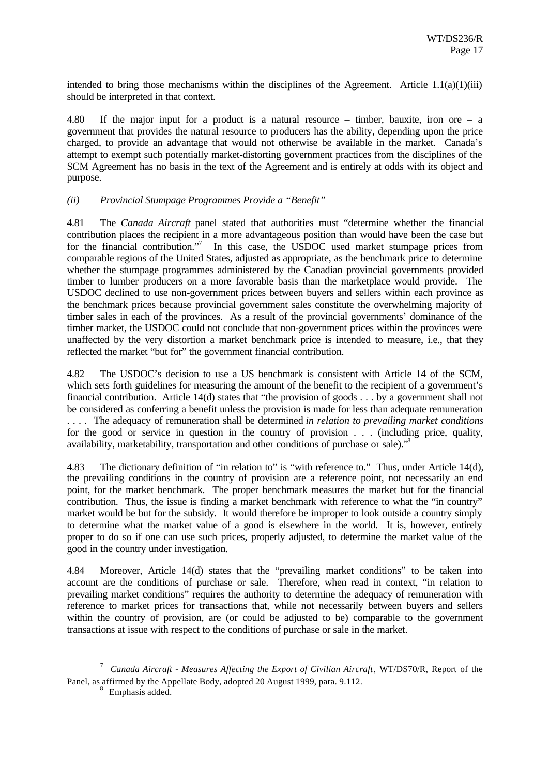intended to bring those mechanisms within the disciplines of the Agreement. Article 1.1(a)(1)(iii) should be interpreted in that context.

4.80 If the major input for a product is a natural resource – timber, bauxite, iron ore – a government that provides the natural resource to producers has the ability, depending upon the price charged, to provide an advantage that would not otherwise be available in the market. Canada's attempt to exempt such potentially market-distorting government practices from the disciplines of the SCM Agreement has no basis in the text of the Agreement and is entirely at odds with its object and purpose.

#### *(ii) Provincial Stumpage Programmes Provide a "Benefit"*

4.81 The *Canada Aircraft* panel stated that authorities must "determine whether the financial contribution places the recipient in a more advantageous position than would have been the case but for the financial contribution."<sup>7</sup> In this case, the USDOC used market stumpage prices from comparable regions of the United States, adjusted as appropriate, as the benchmark price to determine whether the stumpage programmes administered by the Canadian provincial governments provided timber to lumber producers on a more favorable basis than the marketplace would provide. The USDOC declined to use non-government prices between buyers and sellers within each province as the benchmark prices because provincial government sales constitute the overwhelming majority of timber sales in each of the provinces. As a result of the provincial governments' dominance of the timber market, the USDOC could not conclude that non-government prices within the provinces were unaffected by the very distortion a market benchmark price is intended to measure, i.e., that they reflected the market "but for" the government financial contribution.

4.82 The USDOC's decision to use a US benchmark is consistent with Article 14 of the SCM, which sets forth guidelines for measuring the amount of the benefit to the recipient of a government's financial contribution. Article 14(d) states that "the provision of goods . . . by a government shall not be considered as conferring a benefit unless the provision is made for less than adequate remuneration . . . . The adequacy of remuneration shall be determined *in relation to prevailing market conditions* for the good or service in question in the country of provision . . . (including price, quality, availability, marketability, transportation and other conditions of purchase or sale)."<sup>8</sup>

4.83 The dictionary definition of "in relation to" is "with reference to." Thus, under Article 14(d), the prevailing conditions in the country of provision are a reference point, not necessarily an end point, for the market benchmark. The proper benchmark measures the market but for the financial contribution. Thus, the issue is finding a market benchmark with reference to what the "in country" market would be but for the subsidy. It would therefore be improper to look outside a country simply to determine what the market value of a good is elsewhere in the world. It is, however, entirely proper to do so if one can use such prices, properly adjusted, to determine the market value of the good in the country under investigation.

4.84 Moreover, Article 14(d) states that the "prevailing market conditions" to be taken into account are the conditions of purchase or sale. Therefore, when read in context, "in relation to prevailing market conditions" requires the authority to determine the adequacy of remuneration with reference to market prices for transactions that, while not necessarily between buyers and sellers within the country of provision, are (or could be adjusted to be) comparable to the government transactions at issue with respect to the conditions of purchase or sale in the market.

l

<sup>&</sup>lt;sup>7</sup> Canada Aircraft - Measures Affecting the Export of Civilian Aircraft, WT/DS70/R, Report of the Panel, as affirmed by the Appellate Body, adopted 20 August 1999, para. 9.112.

<sup>8</sup> Emphasis added.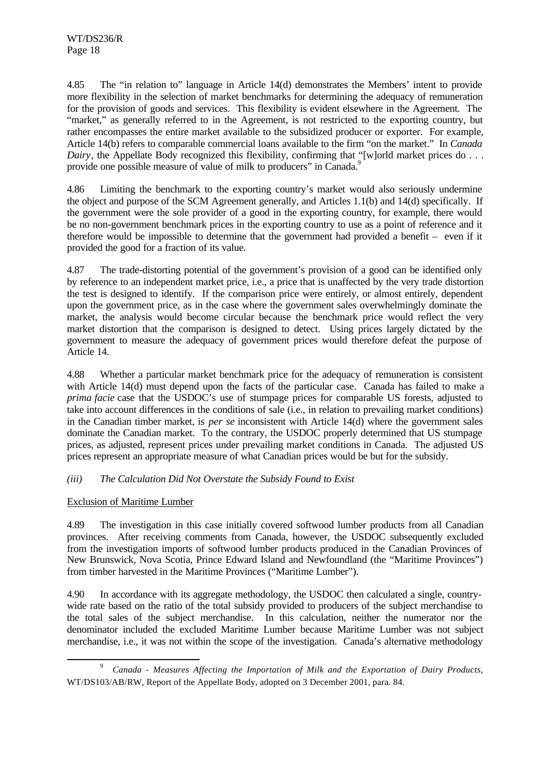4.85 The "in relation to" language in Article 14(d) demonstrates the Members' intent to provide more flexibility in the selection of market benchmarks for determining the adequacy of remuneration for the provision of goods and services. This flexibility is evident elsewhere in the Agreement. The "market," as generally referred to in the Agreement, is not restricted to the exporting country, but rather encompasses the entire market available to the subsidized producer or exporter. For example, Article 14(b) refers to comparable commercial loans available to the firm "on the market." In *Canada Dairy*, the Appellate Body recognized this flexibility, confirming that "[w]orld market prices do . . . provide one possible measure of value of milk to producers" in Canada.<sup>9</sup>

4.86 Limiting the benchmark to the exporting country's market would also seriously undermine the object and purpose of the SCM Agreement generally, and Articles 1.1(b) and 14(d) specifically. If the government were the sole provider of a good in the exporting country, for example, there would be no non-government benchmark prices in the exporting country to use as a point of reference and it therefore would be impossible to determine that the government had provided a benefit – even if it provided the good for a fraction of its value.

4.87 The trade-distorting potential of the government's provision of a good can be identified only by reference to an independent market price, i.e., a price that is unaffected by the very trade distortion the test is designed to identify. If the comparison price were entirely, or almost entirely, dependent upon the government price, as in the case where the government sales overwhelmingly dominate the market, the analysis would become circular because the benchmark price would reflect the very market distortion that the comparison is designed to detect. Using prices largely dictated by the government to measure the adequacy of government prices would therefore defeat the purpose of Article 14.

4.88 Whether a particular market benchmark price for the adequacy of remuneration is consistent with Article 14(d) must depend upon the facts of the particular case. Canada has failed to make a *prima facie* case that the USDOC's use of stumpage prices for comparable US forests, adjusted to take into account differences in the conditions of sale (i.e., in relation to prevailing market conditions) in the Canadian timber market, is *per se* inconsistent with Article 14(d) where the government sales dominate the Canadian market. To the contrary, the USDOC properly determined that US stumpage prices, as adjusted, represent prices under prevailing market conditions in Canada. The adjusted US prices represent an appropriate measure of what Canadian prices would be but for the subsidy.

#### *(iii) The Calculation Did Not Overstate the Subsidy Found to Exist*

#### Exclusion of Maritime Lumber

4.89 The investigation in this case initially covered softwood lumber products from all Canadian provinces. After receiving comments from Canada, however, the USDOC subsequently excluded from the investigation imports of softwood lumber products produced in the Canadian Provinces of New Brunswick, Nova Scotia, Prince Edward Island and Newfoundland (the "Maritime Provinces") from timber harvested in the Maritime Provinces ("Maritime Lumber").

4.90 In accordance with its aggregate methodology, the USDOC then calculated a single, countrywide rate based on the ratio of the total subsidy provided to producers of the subject merchandise to the total sales of the subject merchandise. In this calculation, neither the numerator nor the denominator included the excluded Maritime Lumber because Maritime Lumber was not subject merchandise, i.e., it was not within the scope of the investigation. Canada's alternative methodology

l 9 *Canada - Measures Affecting the Importation of Milk and the Exportation of Dairy Products*, WT/DS103/AB/RW, Report of the Appellate Body, adopted on 3 December 2001, para. 84.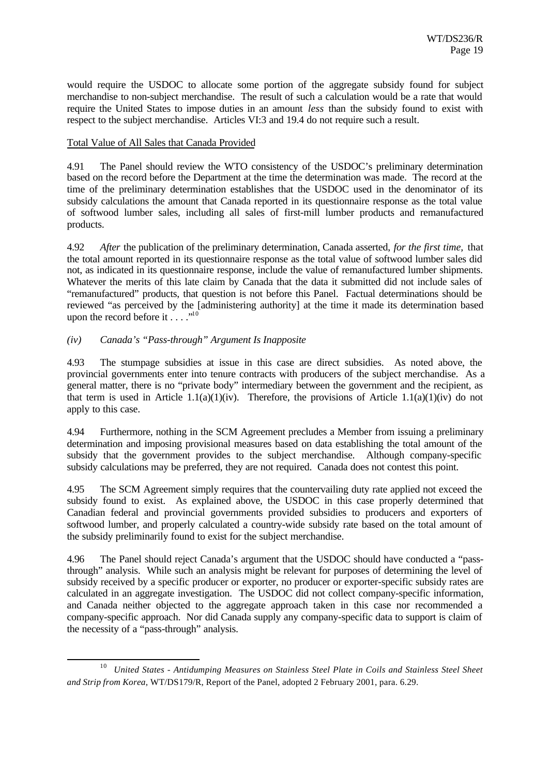would require the USDOC to allocate some portion of the aggregate subsidy found for subject merchandise to non-subject merchandise. The result of such a calculation would be a rate that would require the United States to impose duties in an amount *less* than the subsidy found to exist with respect to the subject merchandise. Articles VI:3 and 19.4 do not require such a result.

#### Total Value of All Sales that Canada Provided

4.91 The Panel should review the WTO consistency of the USDOC's preliminary determination based on the record before the Department at the time the determination was made. The record at the time of the preliminary determination establishes that the USDOC used in the denominator of its subsidy calculations the amount that Canada reported in its questionnaire response as the total value of softwood lumber sales, including all sales of first-mill lumber products and remanufactured products.

4.92 *After* the publication of the preliminary determination, Canada asserted, *for the first time,* that the total amount reported in its questionnaire response as the total value of softwood lumber sales did not, as indicated in its questionnaire response, include the value of remanufactured lumber shipments. Whatever the merits of this late claim by Canada that the data it submitted did not include sales of "remanufactured" products, that question is not before this Panel. Factual determinations should be reviewed "as perceived by the [administering authority] at the time it made its determination based upon the record before it  $\dots$ ."

#### *(iv) Canada's "Pass-through" Argument Is Inapposite*

l

4.93 The stumpage subsidies at issue in this case are direct subsidies. As noted above, the provincial governments enter into tenure contracts with producers of the subject merchandise. As a general matter, there is no "private body" intermediary between the government and the recipient, as that term is used in Article 1.1(a)(1)(iv). Therefore, the provisions of Article 1.1(a)(1)(iv) do not apply to this case.

4.94 Furthermore, nothing in the SCM Agreement precludes a Member from issuing a preliminary determination and imposing provisional measures based on data establishing the total amount of the subsidy that the government provides to the subject merchandise. Although company-specific subsidy calculations may be preferred, they are not required. Canada does not contest this point.

4.95 The SCM Agreement simply requires that the countervailing duty rate applied not exceed the subsidy found to exist. As explained above, the USDOC in this case properly determined that Canadian federal and provincial governments provided subsidies to producers and exporters of softwood lumber, and properly calculated a country-wide subsidy rate based on the total amount of the subsidy preliminarily found to exist for the subject merchandise.

4.96 The Panel should reject Canada's argument that the USDOC should have conducted a "passthrough" analysis. While such an analysis might be relevant for purposes of determining the level of subsidy received by a specific producer or exporter, no producer or exporter-specific subsidy rates are calculated in an aggregate investigation. The USDOC did not collect company-specific information, and Canada neither objected to the aggregate approach taken in this case nor recommended a company-specific approach. Nor did Canada supply any company-specific data to support is claim of the necessity of a "pass-through" analysis.

<sup>10</sup> *United States - Antidumping Measures on Stainless Steel Plate in Coils and Stainless Steel Sheet and Strip from Korea*, WT/DS179/R, Report of the Panel, adopted 2 February 2001, para. 6.29.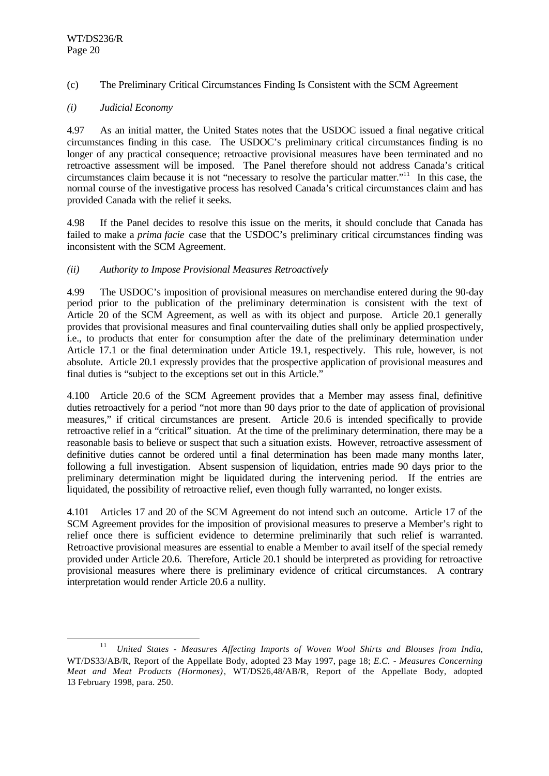l

#### (c) The Preliminary Critical Circumstances Finding Is Consistent with the SCM Agreement

#### *(i) Judicial Economy*

4.97 As an initial matter, the United States notes that the USDOC issued a final negative critical circumstances finding in this case. The USDOC's preliminary critical circumstances finding is no longer of any practical consequence; retroactive provisional measures have been terminated and no retroactive assessment will be imposed. The Panel therefore should not address Canada's critical circumstances claim because it is not "necessary to resolve the particular matter."<sup>11</sup> In this case, the normal course of the investigative process has resolved Canada's critical circumstances claim and has provided Canada with the relief it seeks.

4.98 If the Panel decides to resolve this issue on the merits, it should conclude that Canada has failed to make a *prima facie* case that the USDOC's preliminary critical circumstances finding was inconsistent with the SCM Agreement.

#### *(ii) Authority to Impose Provisional Measures Retroactively*

4.99 The USDOC's imposition of provisional measures on merchandise entered during the 90-day period prior to the publication of the preliminary determination is consistent with the text of Article 20 of the SCM Agreement, as well as with its object and purpose. Article 20.1 generally provides that provisional measures and final countervailing duties shall only be applied prospectively, i.e., to products that enter for consumption after the date of the preliminary determination under Article 17.1 or the final determination under Article 19.1, respectively. This rule, however, is not absolute. Article 20.1 expressly provides that the prospective application of provisional measures and final duties is "subject to the exceptions set out in this Article."

4.100 Article 20.6 of the SCM Agreement provides that a Member may assess final, definitive duties retroactively for a period "not more than 90 days prior to the date of application of provisional measures," if critical circumstances are present. Article 20.6 is intended specifically to provide retroactive relief in a "critical" situation. At the time of the preliminary determination, there may be a reasonable basis to believe or suspect that such a situation exists. However, retroactive assessment of definitive duties cannot be ordered until a final determination has been made many months later, following a full investigation. Absent suspension of liquidation, entries made 90 days prior to the preliminary determination might be liquidated during the intervening period. If the entries are liquidated, the possibility of retroactive relief, even though fully warranted, no longer exists.

4.101 Articles 17 and 20 of the SCM Agreement do not intend such an outcome. Article 17 of the SCM Agreement provides for the imposition of provisional measures to preserve a Member's right to relief once there is sufficient evidence to determine preliminarily that such relief is warranted. Retroactive provisional measures are essential to enable a Member to avail itself of the special remedy provided under Article 20.6. Therefore, Article 20.1 should be interpreted as providing for retroactive provisional measures where there is preliminary evidence of critical circumstances. A contrary interpretation would render Article 20.6 a nullity.

<sup>11</sup> *United States - Measures Affecting Imports of Woven Wool Shirts and Blouses from India*, WT/DS33/AB/R, Report of the Appellate Body, adopted 23 May 1997, page 18; *E.C. - Measures Concerning Meat and Meat Products (Hormones)*, WT/DS26,48/AB/R, Report of the Appellate Body, adopted 13 February 1998, para. 250.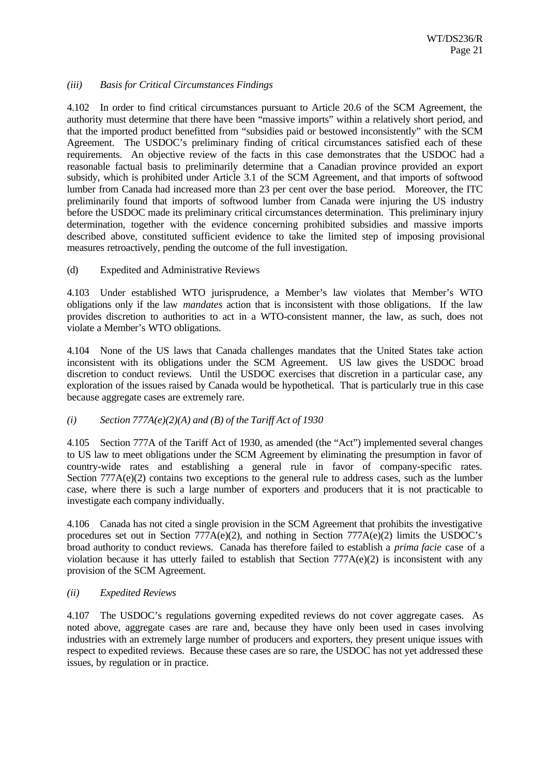#### *(iii) Basis for Critical Circumstances Findings*

4.102 In order to find critical circumstances pursuant to Article 20.6 of the SCM Agreement, the authority must determine that there have been "massive imports" within a relatively short period, and that the imported product benefitted from "subsidies paid or bestowed inconsistently" with the SCM Agreement. The USDOC's preliminary finding of critical circumstances satisfied each of these requirements. An objective review of the facts in this case demonstrates that the USDOC had a reasonable factual basis to preliminarily determine that a Canadian province provided an export subsidy, which is prohibited under Article 3.1 of the SCM Agreement, and that imports of softwood lumber from Canada had increased more than 23 per cent over the base period. Moreover, the ITC preliminarily found that imports of softwood lumber from Canada were injuring the US industry before the USDOC made its preliminary critical circumstances determination. This preliminary injury determination, together with the evidence concerning prohibited subsidies and massive imports described above, constituted sufficient evidence to take the limited step of imposing provisional measures retroactively, pending the outcome of the full investigation.

#### (d) Expedited and Administrative Reviews

4.103 Under established WTO jurisprudence, a Member's law violates that Member's WTO obligations only if the law *mandates* action that is inconsistent with those obligations. If the law provides discretion to authorities to act in a WTO-consistent manner, the law, as such, does not violate a Member's WTO obligations.

4.104 None of the US laws that Canada challenges mandates that the United States take action inconsistent with its obligations under the SCM Agreement. US law gives the USDOC broad discretion to conduct reviews. Until the USDOC exercises that discretion in a particular case, any exploration of the issues raised by Canada would be hypothetical. That is particularly true in this case because aggregate cases are extremely rare.

#### *(i) Section 777A(e)(2)(A) and (B) of the Tariff Act of 1930*

4.105 Section 777A of the Tariff Act of 1930, as amended (the "Act") implemented several changes to US law to meet obligations under the SCM Agreement by eliminating the presumption in favor of country-wide rates and establishing a general rule in favor of company-specific rates. Section  $777A(e)(2)$  contains two exceptions to the general rule to address cases, such as the lumber case, where there is such a large number of exporters and producers that it is not practicable to investigate each company individually.

4.106 Canada has not cited a single provision in the SCM Agreement that prohibits the investigative procedures set out in Section 777 $A(e)(2)$ , and nothing in Section 777 $A(e)(2)$  limits the USDOC's broad authority to conduct reviews. Canada has therefore failed to establish a *prima facie* case of a violation because it has utterly failed to establish that Section 777A(e)(2) is inconsistent with any provision of the SCM Agreement.

#### *(ii) Expedited Reviews*

4.107 The USDOC's regulations governing expedited reviews do not cover aggregate cases. As noted above, aggregate cases are rare and, because they have only been used in cases involving industries with an extremely large number of producers and exporters, they present unique issues with respect to expedited reviews. Because these cases are so rare, the USDOC has not yet addressed these issues, by regulation or in practice.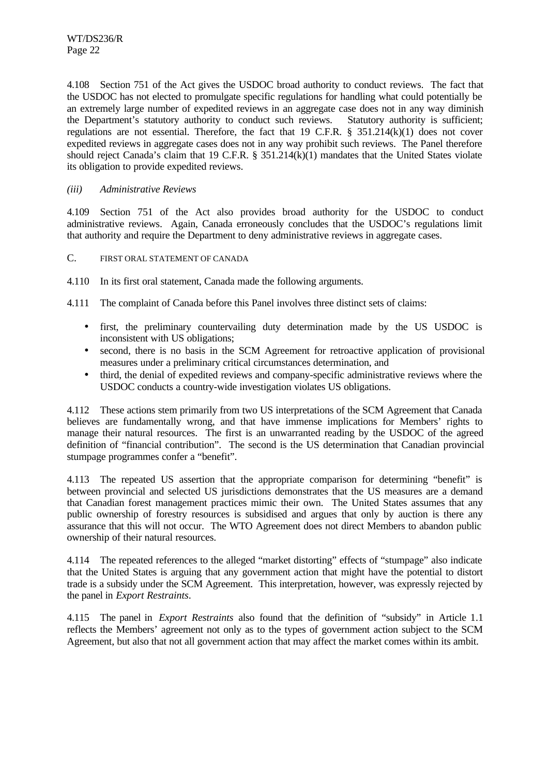4.108 Section 751 of the Act gives the USDOC broad authority to conduct reviews. The fact that the USDOC has not elected to promulgate specific regulations for handling what could potentially be an extremely large number of expedited reviews in an aggregate case does not in any way diminish the Department's statutory authority to conduct such reviews. Statutory authority is sufficient; regulations are not essential. Therefore, the fact that 19 C.F.R. § 351.214(k)(1) does not cover expedited reviews in aggregate cases does not in any way prohibit such reviews. The Panel therefore should reject Canada's claim that 19 C.F.R. § 351.214(k)(1) mandates that the United States violate its obligation to provide expedited reviews.

#### *(iii) Administrative Reviews*

4.109 Section 751 of the Act also provides broad authority for the USDOC to conduct administrative reviews. Again, Canada erroneously concludes that the USDOC's regulations limit that authority and require the Department to deny administrative reviews in aggregate cases.

### C. FIRST ORAL STATEMENT OF CANADA

4.110 In its first oral statement, Canada made the following arguments.

4.111 The complaint of Canada before this Panel involves three distinct sets of claims:

- first, the preliminary countervailing duty determination made by the US USDOC is inconsistent with US obligations;
- second, there is no basis in the SCM Agreement for retroactive application of provisional measures under a preliminary critical circumstances determination, and
- third, the denial of expedited reviews and company-specific administrative reviews where the USDOC conducts a country-wide investigation violates US obligations.

4.112 These actions stem primarily from two US interpretations of the SCM Agreement that Canada believes are fundamentally wrong, and that have immense implications for Members' rights to manage their natural resources. The first is an unwarranted reading by the USDOC of the agreed definition of "financial contribution". The second is the US determination that Canadian provincial stumpage programmes confer a "benefit".

4.113 The repeated US assertion that the appropriate comparison for determining "benefit" is between provincial and selected US jurisdictions demonstrates that the US measures are a demand that Canadian forest management practices mimic their own. The United States assumes that any public ownership of forestry resources is subsidised and argues that only by auction is there any assurance that this will not occur. The WTO Agreement does not direct Members to abandon public ownership of their natural resources.

4.114 The repeated references to the alleged "market distorting" effects of "stumpage" also indicate that the United States is arguing that any government action that might have the potential to distort trade is a subsidy under the SCM Agreement. This interpretation, however, was expressly rejected by the panel in *Export Restraints*.

4.115 The panel in *Export Restraints* also found that the definition of "subsidy" in Article 1.1 reflects the Members' agreement not only as to the types of government action subject to the SCM Agreement, but also that not all government action that may affect the market comes within its ambit.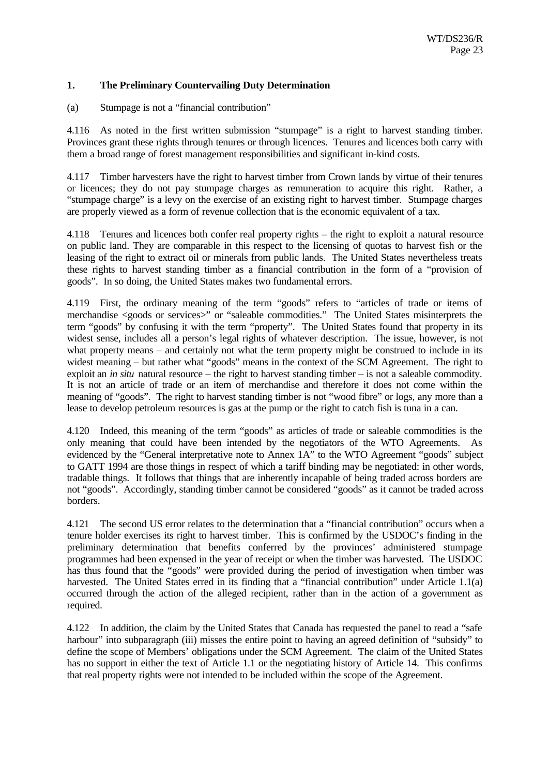#### **1. The Preliminary Countervailing Duty Determination**

#### (a) Stumpage is not a "financial contribution"

4.116 As noted in the first written submission "stumpage" is a right to harvest standing timber. Provinces grant these rights through tenures or through licences. Tenures and licences both carry with them a broad range of forest management responsibilities and significant in-kind costs.

4.117 Timber harvesters have the right to harvest timber from Crown lands by virtue of their tenures or licences; they do not pay stumpage charges as remuneration to acquire this right. Rather, a "stumpage charge" is a levy on the exercise of an existing right to harvest timber. Stumpage charges are properly viewed as a form of revenue collection that is the economic equivalent of a tax.

4.118 Tenures and licences both confer real property rights – the right to exploit a natural resource on public land. They are comparable in this respect to the licensing of quotas to harvest fish or the leasing of the right to extract oil or minerals from public lands. The United States nevertheless treats these rights to harvest standing timber as a financial contribution in the form of a "provision of goods". In so doing, the United States makes two fundamental errors.

4.119 First, the ordinary meaning of the term "goods" refers to "articles of trade or items of merchandise <goods or services>" or "saleable commodities." The United States misinterprets the term "goods" by confusing it with the term "property". The United States found that property in its widest sense, includes all a person's legal rights of whatever description. The issue, however, is not what property means – and certainly not what the term property might be construed to include in its widest meaning – but rather what "goods" means in the context of the SCM Agreement. The right to exploit an *in situ* natural resource – the right to harvest standing timber – is not a saleable commodity. It is not an article of trade or an item of merchandise and therefore it does not come within the meaning of "goods". The right to harvest standing timber is not "wood fibre" or logs, any more than a lease to develop petroleum resources is gas at the pump or the right to catch fish is tuna in a can.

4.120 Indeed, this meaning of the term "goods" as articles of trade or saleable commodities is the only meaning that could have been intended by the negotiators of the WTO Agreements. As evidenced by the "General interpretative note to Annex 1A" to the WTO Agreement "goods" subject to GATT 1994 are those things in respect of which a tariff binding may be negotiated: in other words, tradable things. It follows that things that are inherently incapable of being traded across borders are not "goods". Accordingly, standing timber cannot be considered "goods" as it cannot be traded across borders.

4.121 The second US error relates to the determination that a "financial contribution" occurs when a tenure holder exercises its right to harvest timber. This is confirmed by the USDOC's finding in the preliminary determination that benefits conferred by the provinces' administered stumpage programmes had been expensed in the year of receipt or when the timber was harvested. The USDOC has thus found that the "goods" were provided during the period of investigation when timber was harvested. The United States erred in its finding that a "financial contribution" under Article 1.1(a) occurred through the action of the alleged recipient, rather than in the action of a government as required.

4.122 In addition, the claim by the United States that Canada has requested the panel to read a "safe harbour" into subparagraph (iii) misses the entire point to having an agreed definition of "subsidy" to define the scope of Members' obligations under the SCM Agreement. The claim of the United States has no support in either the text of Article 1.1 or the negotiating history of Article 14. This confirms that real property rights were not intended to be included within the scope of the Agreement.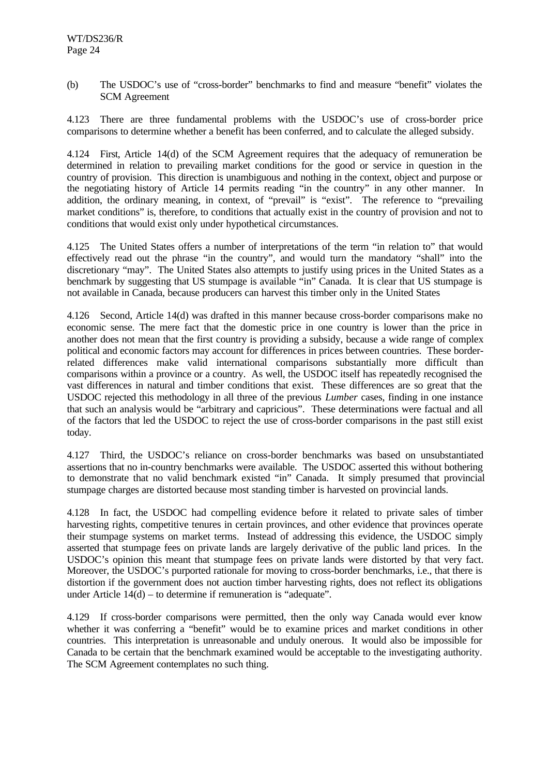(b) The USDOC's use of "cross-border" benchmarks to find and measure "benefit" violates the SCM Agreement

4.123 There are three fundamental problems with the USDOC's use of cross-border price comparisons to determine whether a benefit has been conferred, and to calculate the alleged subsidy.

4.124 First, Article 14(d) of the SCM Agreement requires that the adequacy of remuneration be determined in relation to prevailing market conditions for the good or service in question in the country of provision. This direction is unambiguous and nothing in the context, object and purpose or the negotiating history of Article 14 permits reading "in the country" in any other manner. In addition, the ordinary meaning, in context, of "prevail" is "exist". The reference to "prevailing market conditions" is, therefore, to conditions that actually exist in the country of provision and not to conditions that would exist only under hypothetical circumstances.

4.125 The United States offers a number of interpretations of the term "in relation to" that would effectively read out the phrase "in the country", and would turn the mandatory "shall" into the discretionary "may". The United States also attempts to justify using prices in the United States as a benchmark by suggesting that US stumpage is available "in" Canada. It is clear that US stumpage is not available in Canada, because producers can harvest this timber only in the United States

4.126 Second, Article 14(d) was drafted in this manner because cross-border comparisons make no economic sense. The mere fact that the domestic price in one country is lower than the price in another does not mean that the first country is providing a subsidy, because a wide range of complex political and economic factors may account for differences in prices between countries. These borderrelated differences make valid international comparisons substantially more difficult than comparisons within a province or a country. As well, the USDOC itself has repeatedly recognised the vast differences in natural and timber conditions that exist. These differences are so great that the USDOC rejected this methodology in all three of the previous *Lumber* cases, finding in one instance that such an analysis would be "arbitrary and capricious". These determinations were factual and all of the factors that led the USDOC to reject the use of cross-border comparisons in the past still exist today.

4.127 Third, the USDOC's reliance on cross-border benchmarks was based on unsubstantiated assertions that no in-country benchmarks were available. The USDOC asserted this without bothering to demonstrate that no valid benchmark existed "in" Canada. It simply presumed that provincial stumpage charges are distorted because most standing timber is harvested on provincial lands.

4.128 In fact, the USDOC had compelling evidence before it related to private sales of timber harvesting rights, competitive tenures in certain provinces, and other evidence that provinces operate their stumpage systems on market terms. Instead of addressing this evidence, the USDOC simply asserted that stumpage fees on private lands are largely derivative of the public land prices. In the USDOC's opinion this meant that stumpage fees on private lands were distorted by that very fact. Moreover, the USDOC's purported rationale for moving to cross-border benchmarks, i.e., that there is distortion if the government does not auction timber harvesting rights, does not reflect its obligations under Article 14(d) – to determine if remuneration is "adequate".

4.129 If cross-border comparisons were permitted, then the only way Canada would ever know whether it was conferring a "benefit" would be to examine prices and market conditions in other countries. This interpretation is unreasonable and unduly onerous. It would also be impossible for Canada to be certain that the benchmark examined would be acceptable to the investigating authority. The SCM Agreement contemplates no such thing.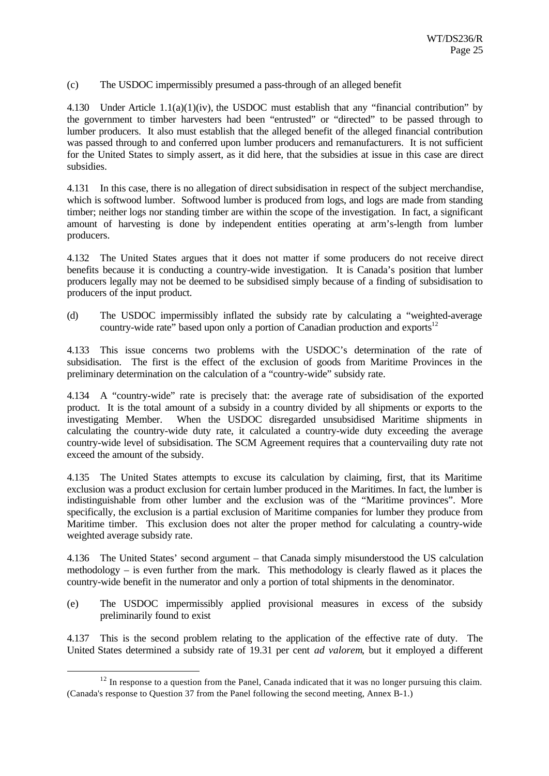#### (c) The USDOC impermissibly presumed a pass-through of an alleged benefit

4.130 Under Article 1.1(a)(1)(iv), the USDOC must establish that any "financial contribution" by the government to timber harvesters had been "entrusted" or "directed" to be passed through to lumber producers. It also must establish that the alleged benefit of the alleged financial contribution was passed through to and conferred upon lumber producers and remanufacturers. It is not sufficient for the United States to simply assert, as it did here, that the subsidies at issue in this case are direct subsidies.

4.131 In this case, there is no allegation of direct subsidisation in respect of the subject merchandise, which is softwood lumber. Softwood lumber is produced from logs, and logs are made from standing timber; neither logs nor standing timber are within the scope of the investigation. In fact, a significant amount of harvesting is done by independent entities operating at arm's-length from lumber producers.

4.132 The United States argues that it does not matter if some producers do not receive direct benefits because it is conducting a country-wide investigation. It is Canada's position that lumber producers legally may not be deemed to be subsidised simply because of a finding of subsidisation to producers of the input product.

(d) The USDOC impermissibly inflated the subsidy rate by calculating a "weighted-average country-wide rate" based upon only a portion of Canadian production and exports $12$ 

4.133 This issue concerns two problems with the USDOC's determination of the rate of subsidisation. The first is the effect of the exclusion of goods from Maritime Provinces in the preliminary determination on the calculation of a "country-wide" subsidy rate.

4.134 A "country-wide" rate is precisely that: the average rate of subsidisation of the exported product. It is the total amount of a subsidy in a country divided by all shipments or exports to the investigating Member. When the USDOC disregarded unsubsidised Maritime shipments in calculating the country-wide duty rate, it calculated a country-wide duty exceeding the average country-wide level of subsidisation. The SCM Agreement requires that a countervailing duty rate not exceed the amount of the subsidy.

4.135 The United States attempts to excuse its calculation by claiming, first, that its Maritime exclusion was a product exclusion for certain lumber produced in the Maritimes. In fact, the lumber is indistinguishable from other lumber and the exclusion was of the "Maritime provinces". More specifically, the exclusion is a partial exclusion of Maritime companies for lumber they produce from Maritime timber. This exclusion does not alter the proper method for calculating a country-wide weighted average subsidy rate.

4.136 The United States' second argument – that Canada simply misunderstood the US calculation methodology – is even further from the mark. This methodology is clearly flawed as it places the country-wide benefit in the numerator and only a portion of total shipments in the denominator.

(e) The USDOC impermissibly applied provisional measures in excess of the subsidy preliminarily found to exist

4.137 This is the second problem relating to the application of the effective rate of duty. The United States determined a subsidy rate of 19.31 per cent *ad valorem*, but it employed a different

l

 $12$  In response to a question from the Panel, Canada indicated that it was no longer pursuing this claim. (Canada's response to Question 37 from the Panel following the second meeting, Annex B-1.)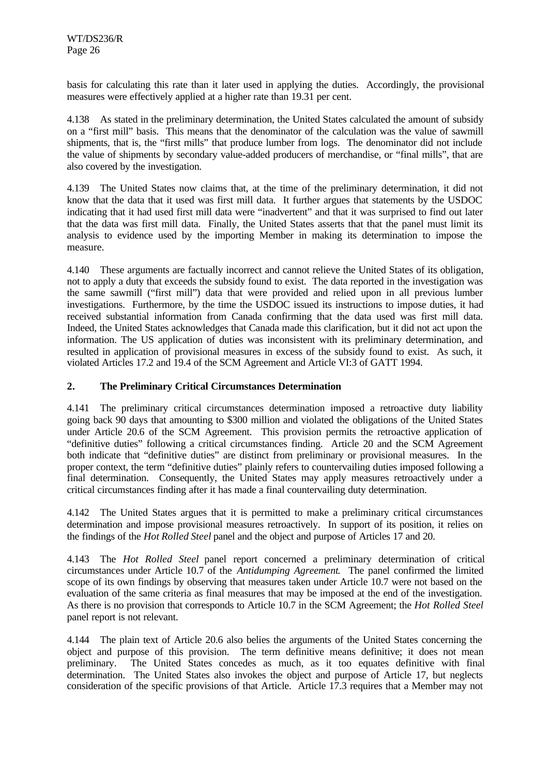basis for calculating this rate than it later used in applying the duties. Accordingly, the provisional measures were effectively applied at a higher rate than 19.31 per cent.

4.138 As stated in the preliminary determination, the United States calculated the amount of subsidy on a "first mill" basis. This means that the denominator of the calculation was the value of sawmill shipments, that is, the "first mills" that produce lumber from logs. The denominator did not include the value of shipments by secondary value-added producers of merchandise, or "final mills", that are also covered by the investigation.

4.139 The United States now claims that, at the time of the preliminary determination, it did not know that the data that it used was first mill data. It further argues that statements by the USDOC indicating that it had used first mill data were "inadvertent" and that it was surprised to find out later that the data was first mill data. Finally, the United States asserts that that the panel must limit its analysis to evidence used by the importing Member in making its determination to impose the measure.

4.140 These arguments are factually incorrect and cannot relieve the United States of its obligation, not to apply a duty that exceeds the subsidy found to exist. The data reported in the investigation was the same sawmill ("first mill") data that were provided and relied upon in all previous lumber investigations. Furthermore, by the time the USDOC issued its instructions to impose duties, it had received substantial information from Canada confirming that the data used was first mill data. Indeed, the United States acknowledges that Canada made this clarification, but it did not act upon the information. The US application of duties was inconsistent with its preliminary determination, and resulted in application of provisional measures in excess of the subsidy found to exist. As such, it violated Articles 17.2 and 19.4 of the SCM Agreement and Article VI:3 of GATT 1994.

#### **2. The Preliminary Critical Circumstances Determination**

4.141 The preliminary critical circumstances determination imposed a retroactive duty liability going back 90 days that amounting to \$300 million and violated the obligations of the United States under Article 20.6 of the SCM Agreement. This provision permits the retroactive application of "definitive duties" following a critical circumstances finding. Article 20 and the SCM Agreement both indicate that "definitive duties" are distinct from preliminary or provisional measures. In the proper context, the term "definitive duties" plainly refers to countervailing duties imposed following a final determination. Consequently, the United States may apply measures retroactively under a critical circumstances finding after it has made a final countervailing duty determination.

4.142 The United States argues that it is permitted to make a preliminary critical circumstances determination and impose provisional measures retroactively. In support of its position, it relies on the findings of the *Hot Rolled Steel* panel and the object and purpose of Articles 17 and 20.

4.143 The *Hot Rolled Steel* panel report concerned a preliminary determination of critical circumstances under Article 10.7 of the *Antidumping Agreement*. The panel confirmed the limited scope of its own findings by observing that measures taken under Article 10.7 were not based on the evaluation of the same criteria as final measures that may be imposed at the end of the investigation. As there is no provision that corresponds to Article 10.7 in the SCM Agreement; the *Hot Rolled Steel* panel report is not relevant.

4.144 The plain text of Article 20.6 also belies the arguments of the United States concerning the object and purpose of this provision. The term definitive means definitive; it does not mean preliminary. The United States concedes as much, as it too equates definitive with final determination. The United States also invokes the object and purpose of Article 17, but neglects consideration of the specific provisions of that Article. Article 17.3 requires that a Member may not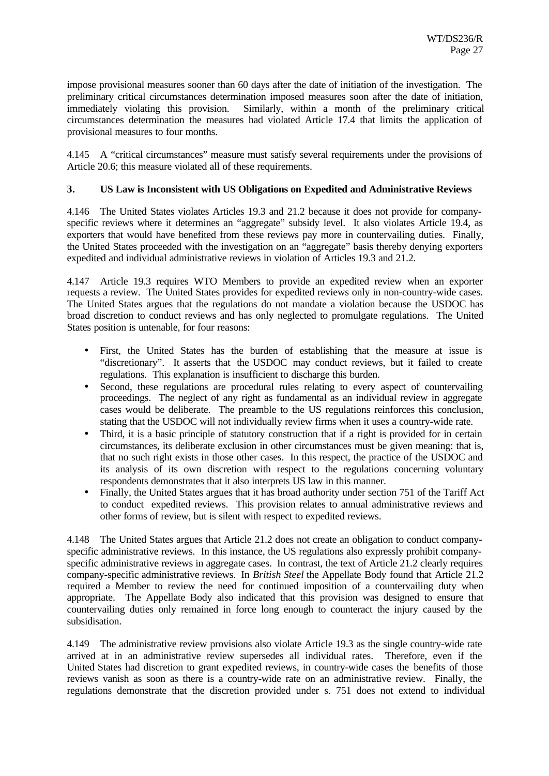impose provisional measures sooner than 60 days after the date of initiation of the investigation. The preliminary critical circumstances determination imposed measures soon after the date of initiation, immediately violating this provision. Similarly, within a month of the preliminary critical circumstances determination the measures had violated Article 17.4 that limits the application of provisional measures to four months.

4.145 A "critical circumstances" measure must satisfy several requirements under the provisions of Article 20.6; this measure violated all of these requirements.

## **3. US Law is Inconsistent with US Obligations on Expedited and Administrative Reviews**

4.146 The United States violates Articles 19.3 and 21.2 because it does not provide for companyspecific reviews where it determines an "aggregate" subsidy level. It also violates Article 19.4, as exporters that would have benefited from these reviews pay more in countervailing duties. Finally, the United States proceeded with the investigation on an "aggregate" basis thereby denying exporters expedited and individual administrative reviews in violation of Articles 19.3 and 21.2.

4.147 Article 19.3 requires WTO Members to provide an expedited review when an exporter requests a review. The United States provides for expedited reviews only in non-country-wide cases. The United States argues that the regulations do not mandate a violation because the USDOC has broad discretion to conduct reviews and has only neglected to promulgate regulations. The United States position is untenable, for four reasons:

- First, the United States has the burden of establishing that the measure at issue is "discretionary". It asserts that the USDOC may conduct reviews, but it failed to create regulations. This explanation is insufficient to discharge this burden.
- Second, these regulations are procedural rules relating to every aspect of countervailing proceedings. The neglect of any right as fundamental as an individual review in aggregate cases would be deliberate. The preamble to the US regulations reinforces this conclusion, stating that the USDOC will not individually review firms when it uses a country-wide rate.
- Third, it is a basic principle of statutory construction that if a right is provided for in certain circumstances, its deliberate exclusion in other circumstances must be given meaning: that is, that no such right exists in those other cases. In this respect, the practice of the USDOC and its analysis of its own discretion with respect to the regulations concerning voluntary respondents demonstrates that it also interprets US law in this manner.
- Finally, the United States argues that it has broad authority under section 751 of the Tariff Act to conduct expedited reviews. This provision relates to annual administrative reviews and other forms of review, but is silent with respect to expedited reviews.

4.148 The United States argues that Article 21.2 does not create an obligation to conduct companyspecific administrative reviews. In this instance, the US regulations also expressly prohibit companyspecific administrative reviews in aggregate cases. In contrast, the text of Article 21.2 clearly requires company-specific administrative reviews. In *British Steel* the Appellate Body found that Article 21.2 required a Member to review the need for continued imposition of a countervailing duty when appropriate. The Appellate Body also indicated that this provision was designed to ensure that countervailing duties only remained in force long enough to counteract the injury caused by the subsidisation.

4.149 The administrative review provisions also violate Article 19.3 as the single country-wide rate arrived at in an administrative review supersedes all individual rates. Therefore, even if the United States had discretion to grant expedited reviews, in country-wide cases the benefits of those reviews vanish as soon as there is a country-wide rate on an administrative review. Finally, the regulations demonstrate that the discretion provided under s. 751 does not extend to individual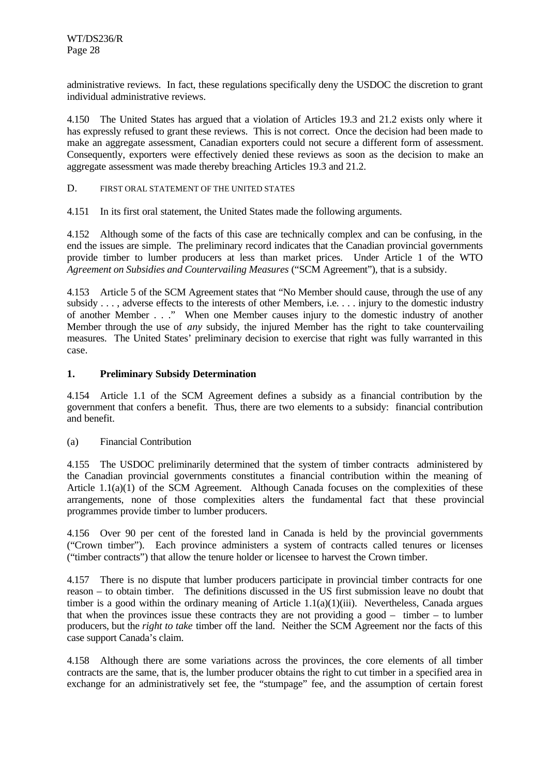administrative reviews. In fact, these regulations specifically deny the USDOC the discretion to grant individual administrative reviews.

4.150 The United States has argued that a violation of Articles 19.3 and 21.2 exists only where it has expressly refused to grant these reviews. This is not correct. Once the decision had been made to make an aggregate assessment, Canadian exporters could not secure a different form of assessment. Consequently, exporters were effectively denied these reviews as soon as the decision to make an aggregate assessment was made thereby breaching Articles 19.3 and 21.2.

### D. FIRST ORAL STATEMENT OF THE UNITED STATES

4.151 In its first oral statement, the United States made the following arguments.

4.152 Although some of the facts of this case are technically complex and can be confusing, in the end the issues are simple. The preliminary record indicates that the Canadian provincial governments provide timber to lumber producers at less than market prices. Under Article 1 of the WTO *Agreement on Subsidies and Countervailing Measures* ("SCM Agreement"), that is a subsidy.

4.153 Article 5 of the SCM Agreement states that "No Member should cause, through the use of any subsidy . . . , adverse effects to the interests of other Members, i.e. . . . injury to the domestic industry of another Member . . ." When one Member causes injury to the domestic industry of another Member through the use of *any* subsidy, the injured Member has the right to take countervailing measures. The United States' preliminary decision to exercise that right was fully warranted in this case.

## **1. Preliminary Subsidy Determination**

4.154 Article 1.1 of the SCM Agreement defines a subsidy as a financial contribution by the government that confers a benefit. Thus, there are two elements to a subsidy: financial contribution and benefit.

(a) Financial Contribution

4.155 The USDOC preliminarily determined that the system of timber contracts administered by the Canadian provincial governments constitutes a financial contribution within the meaning of Article  $1.1(a)(1)$  of the SCM Agreement. Although Canada focuses on the complexities of these arrangements, none of those complexities alters the fundamental fact that these provincial programmes provide timber to lumber producers.

4.156 Over 90 per cent of the forested land in Canada is held by the provincial governments ("Crown timber"). Each province administers a system of contracts called tenures or licenses ("timber contracts") that allow the tenure holder or licensee to harvest the Crown timber.

4.157 There is no dispute that lumber producers participate in provincial timber contracts for one reason – to obtain timber. The definitions discussed in the US first submission leave no doubt that timber is a good within the ordinary meaning of Article  $1.1(a)(1)(iii)$ . Nevertheless, Canada argues that when the provinces issue these contracts they are not providing a good – timber – to lumber producers, but the *right to take* timber off the land. Neither the SCM Agreement nor the facts of this case support Canada's claim.

4.158 Although there are some variations across the provinces, the core elements of all timber contracts are the same, that is, the lumber producer obtains the right to cut timber in a specified area in exchange for an administratively set fee, the "stumpage" fee, and the assumption of certain forest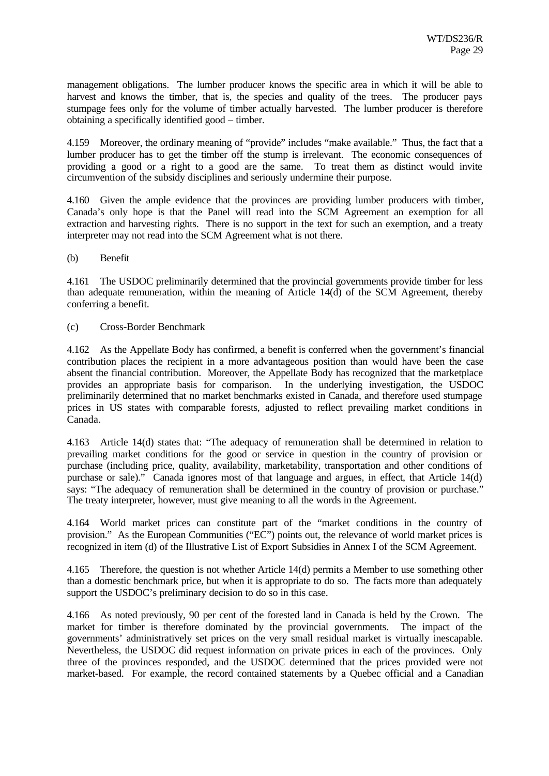management obligations. The lumber producer knows the specific area in which it will be able to harvest and knows the timber, that is, the species and quality of the trees. The producer pays stumpage fees only for the volume of timber actually harvested. The lumber producer is therefore obtaining a specifically identified good – timber.

4.159 Moreover, the ordinary meaning of "provide" includes "make available." Thus, the fact that a lumber producer has to get the timber off the stump is irrelevant. The economic consequences of providing a good or a right to a good are the same. To treat them as distinct would invite circumvention of the subsidy disciplines and seriously undermine their purpose.

4.160 Given the ample evidence that the provinces are providing lumber producers with timber, Canada's only hope is that the Panel will read into the SCM Agreement an exemption for all extraction and harvesting rights. There is no support in the text for such an exemption, and a treaty interpreter may not read into the SCM Agreement what is not there.

(b) Benefit

4.161 The USDOC preliminarily determined that the provincial governments provide timber for less than adequate remuneration, within the meaning of Article 14(d) of the SCM Agreement, thereby conferring a benefit.

(c) Cross-Border Benchmark

4.162 As the Appellate Body has confirmed, a benefit is conferred when the government's financial contribution places the recipient in a more advantageous position than would have been the case absent the financial contribution. Moreover, the Appellate Body has recognized that the marketplace provides an appropriate basis for comparison. In the underlying investigation, the USDOC preliminarily determined that no market benchmarks existed in Canada, and therefore used stumpage prices in US states with comparable forests, adjusted to reflect prevailing market conditions in Canada.

4.163 Article 14(d) states that: "The adequacy of remuneration shall be determined in relation to prevailing market conditions for the good or service in question in the country of provision or purchase (including price, quality, availability, marketability, transportation and other conditions of purchase or sale)." Canada ignores most of that language and argues, in effect, that Article 14(d) says: "The adequacy of remuneration shall be determined in the country of provision or purchase." The treaty interpreter, however, must give meaning to all the words in the Agreement.

4.164 World market prices can constitute part of the "market conditions in the country of provision." As the European Communities ("EC") points out, the relevance of world market prices is recognized in item (d) of the Illustrative List of Export Subsidies in Annex I of the SCM Agreement.

4.165 Therefore, the question is not whether Article 14(d) permits a Member to use something other than a domestic benchmark price, but when it is appropriate to do so. The facts more than adequately support the USDOC's preliminary decision to do so in this case.

4.166 As noted previously, 90 per cent of the forested land in Canada is held by the Crown. The market for timber is therefore dominated by the provincial governments. The impact of the governments' administratively set prices on the very small residual market is virtually inescapable. Nevertheless, the USDOC did request information on private prices in each of the provinces. Only three of the provinces responded, and the USDOC determined that the prices provided were not market-based. For example, the record contained statements by a Quebec official and a Canadian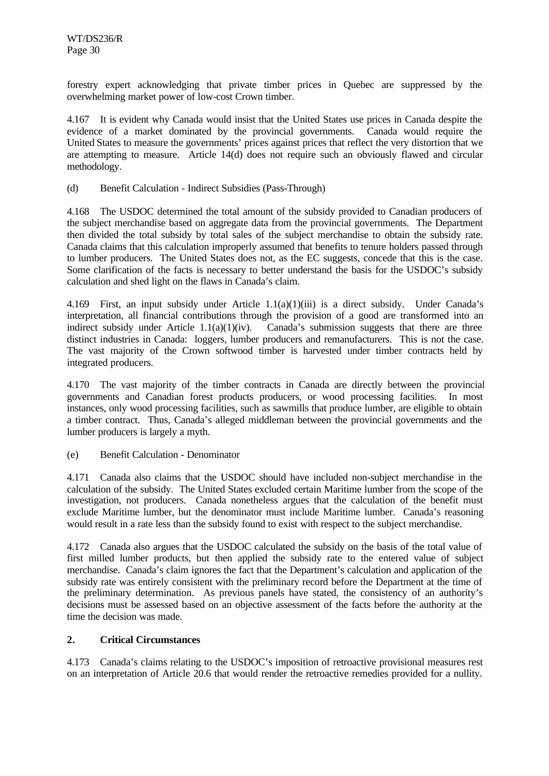forestry expert acknowledging that private timber prices in Quebec are suppressed by the overwhelming market power of low-cost Crown timber.

4.167 It is evident why Canada would insist that the United States use prices in Canada despite the evidence of a market dominated by the provincial governments. Canada would require the United States to measure the governments' prices against prices that reflect the very distortion that we are attempting to measure. Article 14(d) does not require such an obviously flawed and circular methodology.

(d) Benefit Calculation - Indirect Subsidies (Pass-Through)

4.168 The USDOC determined the total amount of the subsidy provided to Canadian producers of the subject merchandise based on aggregate data from the provincial governments. The Department then divided the total subsidy by total sales of the subject merchandise to obtain the subsidy rate. Canada claims that this calculation improperly assumed that benefits to tenure holders passed through to lumber producers. The United States does not, as the EC suggests, concede that this is the case. Some clarification of the facts is necessary to better understand the basis for the USDOC's subsidy calculation and shed light on the flaws in Canada's claim.

4.169 First, an input subsidy under Article  $1.1(a)(1)(iii)$  is a direct subsidy. Under Canada's interpretation, all financial contributions through the provision of a good are transformed into an indirect subsidy under Article  $1.1(a)(1)(iv)$ . Canada's submission suggests that there are three distinct industries in Canada: loggers, lumber producers and remanufacturers. This is not the case. The vast majority of the Crown softwood timber is harvested under timber contracts held by integrated producers.

4.170 The vast majority of the timber contracts in Canada are directly between the provincial governments and Canadian forest products producers, or wood processing facilities. In most instances, only wood processing facilities, such as sawmills that produce lumber, are eligible to obtain a timber contract. Thus, Canada's alleged middleman between the provincial governments and the lumber producers is largely a myth.

(e) Benefit Calculation - Denominator

4.171 Canada also claims that the USDOC should have included non-subject merchandise in the calculation of the subsidy. The United States excluded certain Maritime lumber from the scope of the investigation, not producers. Canada nonetheless argues that the calculation of the benefit must exclude Maritime lumber, but the denominator must include Maritime lumber. Canada's reasoning would result in a rate less than the subsidy found to exist with respect to the subject merchandise.

4.172 Canada also argues that the USDOC calculated the subsidy on the basis of the total value of first milled lumber products, but then applied the subsidy rate to the entered value of subject merchandise. Canada's claim ignores the fact that the Department's calculation and application of the subsidy rate was entirely consistent with the preliminary record before the Department at the time of the preliminary determination. As previous panels have stated, the consistency of an authority's decisions must be assessed based on an objective assessment of the facts before the authority at the time the decision was made.

# **2. Critical Circumstances**

4.173 Canada's claims relating to the USDOC's imposition of retroactive provisional measures rest on an interpretation of Article 20.6 that would render the retroactive remedies provided for a nullity.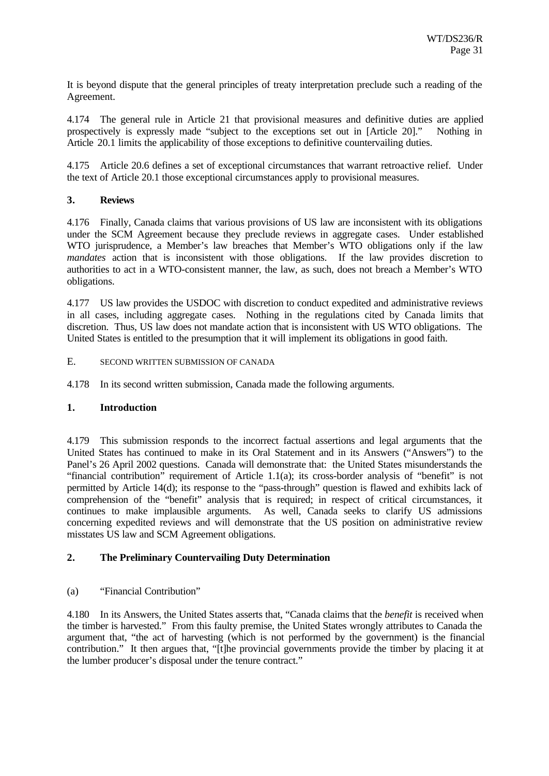It is beyond dispute that the general principles of treaty interpretation preclude such a reading of the Agreement.

4.174 The general rule in Article 21 that provisional measures and definitive duties are applied prospectively is expressly made "subject to the exceptions set out in [Article 20]." Nothing in Article 20.1 limits the applicability of those exceptions to definitive countervailing duties.

4.175 Article 20.6 defines a set of exceptional circumstances that warrant retroactive relief. Under the text of Article 20.1 those exceptional circumstances apply to provisional measures.

## **3. Reviews**

4.176 Finally, Canada claims that various provisions of US law are inconsistent with its obligations under the SCM Agreement because they preclude reviews in aggregate cases. Under established WTO jurisprudence, a Member's law breaches that Member's WTO obligations only if the law *mandates* action that is inconsistent with those obligations. If the law provides discretion to authorities to act in a WTO-consistent manner, the law, as such, does not breach a Member's WTO obligations.

4.177 US law provides the USDOC with discretion to conduct expedited and administrative reviews in all cases, including aggregate cases. Nothing in the regulations cited by Canada limits that discretion. Thus, US law does not mandate action that is inconsistent with US WTO obligations. The United States is entitled to the presumption that it will implement its obligations in good faith.

- E. SECOND WRITTEN SUBMISSION OF CANADA
- 4.178 In its second written submission, Canada made the following arguments.

# **1. Introduction**

4.179 This submission responds to the incorrect factual assertions and legal arguments that the United States has continued to make in its Oral Statement and in its Answers ("Answers") to the Panel's 26 April 2002 questions. Canada will demonstrate that: the United States misunderstands the "financial contribution" requirement of Article 1.1(a); its cross-border analysis of "benefit" is not permitted by Article 14(d); its response to the "pass-through" question is flawed and exhibits lack of comprehension of the "benefit" analysis that is required; in respect of critical circumstances, it continues to make implausible arguments. As well, Canada seeks to clarify US admissions concerning expedited reviews and will demonstrate that the US position on administrative review misstates US law and SCM Agreement obligations.

### **2. The Preliminary Countervailing Duty Determination**

### (a) "Financial Contribution"

4.180 In its Answers, the United States asserts that, "Canada claims that the *benefit* is received when the timber is harvested." From this faulty premise, the United States wrongly attributes to Canada the argument that, "the act of harvesting (which is not performed by the government) is the financial contribution." It then argues that, "[t]he provincial governments provide the timber by placing it at the lumber producer's disposal under the tenure contract."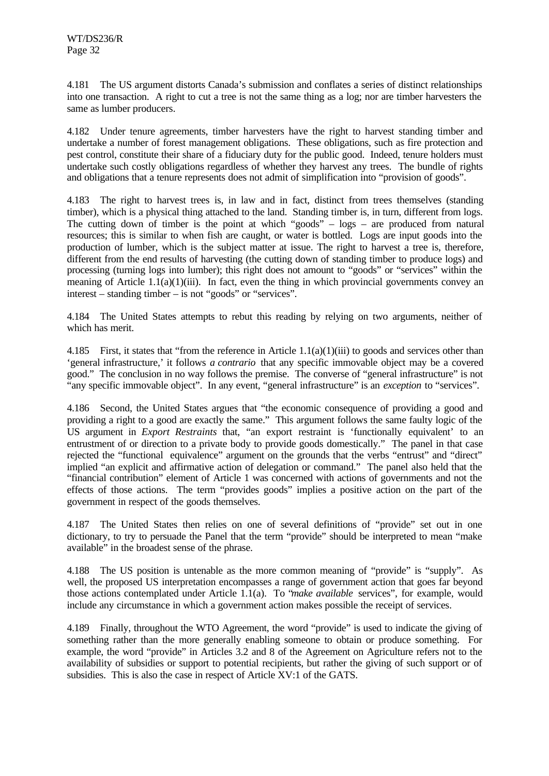4.181 The US argument distorts Canada's submission and conflates a series of distinct relationships into one transaction. A right to cut a tree is not the same thing as a log; nor are timber harvesters the same as lumber producers.

4.182 Under tenure agreements, timber harvesters have the right to harvest standing timber and undertake a number of forest management obligations. These obligations, such as fire protection and pest control, constitute their share of a fiduciary duty for the public good. Indeed, tenure holders must undertake such costly obligations regardless of whether they harvest any trees. The bundle of rights and obligations that a tenure represents does not admit of simplification into "provision of goods".

4.183 The right to harvest trees is, in law and in fact, distinct from trees themselves (standing timber), which is a physical thing attached to the land. Standing timber is, in turn, different from logs. The cutting down of timber is the point at which "goods" – logs – are produced from natural resources; this is similar to when fish are caught, or water is bottled. Logs are input goods into the production of lumber, which is the subject matter at issue. The right to harvest a tree is, therefore, different from the end results of harvesting (the cutting down of standing timber to produce logs) and processing (turning logs into lumber); this right does not amount to "goods" or "services" within the meaning of Article  $1.1(a)(1)(iii)$ . In fact, even the thing in which provincial governments convey an interest – standing timber – is not "goods" or "services".

4.184 The United States attempts to rebut this reading by relying on two arguments, neither of which has merit.

4.185 First, it states that "from the reference in Article 1.1(a)(1)(iii) to goods and services other than 'general infrastructure,' it follows *a contrario* that any specific immovable object may be a covered good." The conclusion in no way follows the premise. The converse of "general infrastructure" is not "any specific immovable object". In any event, "general infrastructure" is an *exception* to "services".

4.186 Second, the United States argues that "the economic consequence of providing a good and providing a right to a good are exactly the same." This argument follows the same faulty logic of the US argument in *Export Restraints* that, "an export restraint is 'functionally equivalent' to an entrustment of or direction to a private body to provide goods domestically." The panel in that case rejected the "functional equivalence" argument on the grounds that the verbs "entrust" and "direct" implied "an explicit and affirmative action of delegation or command." The panel also held that the "financial contribution" element of Article 1 was concerned with actions of governments and not the effects of those actions. The term "provides goods" implies a positive action on the part of the government in respect of the goods themselves.

4.187 The United States then relies on one of several definitions of "provide" set out in one dictionary, to try to persuade the Panel that the term "provide" should be interpreted to mean "make available" in the broadest sense of the phrase.

4.188 The US position is untenable as the more common meaning of "provide" is "supply". As well, the proposed US interpretation encompasses a range of government action that goes far beyond those actions contemplated under Article 1.1(a). To "*make available* services", for example, would include any circumstance in which a government action makes possible the receipt of services.

4.189 Finally, throughout the WTO Agreement, the word "provide" is used to indicate the giving of something rather than the more generally enabling someone to obtain or produce something. For example, the word "provide" in Articles 3.2 and 8 of the Agreement on Agriculture refers not to the availability of subsidies or support to potential recipients, but rather the giving of such support or of subsidies. This is also the case in respect of Article XV:1 of the GATS.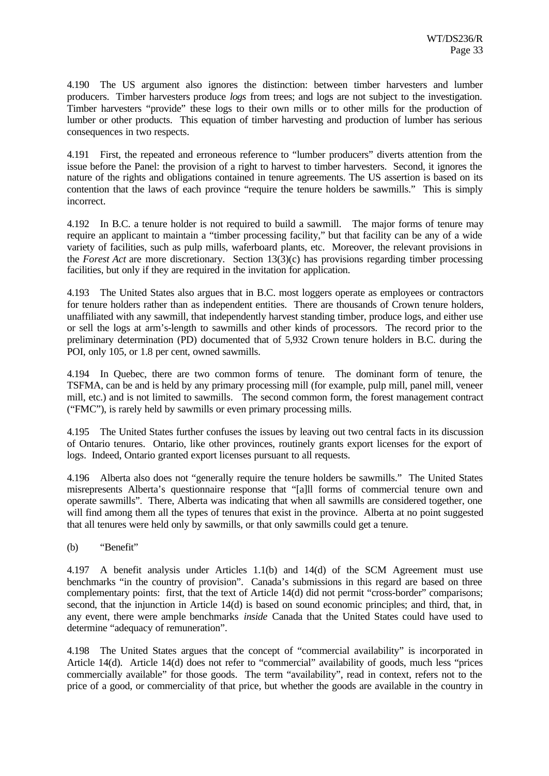4.190 The US argument also ignores the distinction: between timber harvesters and lumber producers. Timber harvesters produce *logs* from trees; and logs are not subject to the investigation. Timber harvesters "provide" these logs to their own mills or to other mills for the production of lumber or other products. This equation of timber harvesting and production of lumber has serious consequences in two respects.

4.191 First, the repeated and erroneous reference to "lumber producers" diverts attention from the issue before the Panel: the provision of a right to harvest to timber harvesters. Second, it ignores the nature of the rights and obligations contained in tenure agreements. The US assertion is based on its contention that the laws of each province "require the tenure holders be sawmills." This is simply incorrect.

4.192 In B.C. a tenure holder is not required to build a sawmill. The major forms of tenure may require an applicant to maintain a "timber processing facility," but that facility can be any of a wide variety of facilities, such as pulp mills, waferboard plants, etc. Moreover, the relevant provisions in the *Forest Act* are more discretionary. Section 13(3)(c) has provisions regarding timber processing facilities, but only if they are required in the invitation for application.

4.193 The United States also argues that in B.C. most loggers operate as employees or contractors for tenure holders rather than as independent entities. There are thousands of Crown tenure holders, unaffiliated with any sawmill, that independently harvest standing timber, produce logs, and either use or sell the logs at arm's-length to sawmills and other kinds of processors. The record prior to the preliminary determination (PD) documented that of 5,932 Crown tenure holders in B.C. during the POI, only 105, or 1.8 per cent, owned sawmills.

4.194 In Quebec, there are two common forms of tenure. The dominant form of tenure, the TSFMA, can be and is held by any primary processing mill (for example, pulp mill, panel mill, veneer mill, etc.) and is not limited to sawmills. The second common form, the forest management contract ("FMC"), is rarely held by sawmills or even primary processing mills.

4.195 The United States further confuses the issues by leaving out two central facts in its discussion of Ontario tenures. Ontario, like other provinces, routinely grants export licenses for the export of logs. Indeed, Ontario granted export licenses pursuant to all requests.

4.196 Alberta also does not "generally require the tenure holders be sawmills." The United States misrepresents Alberta's questionnaire response that "[a]ll forms of commercial tenure own and operate sawmills". There, Alberta was indicating that when all sawmills are considered together, one will find among them all the types of tenures that exist in the province. Alberta at no point suggested that all tenures were held only by sawmills, or that only sawmills could get a tenure.

(b) "Benefit"

4.197 A benefit analysis under Articles 1.1(b) and 14(d) of the SCM Agreement must use benchmarks "in the country of provision". Canada's submissions in this regard are based on three complementary points: first, that the text of Article 14(d) did not permit "cross-border" comparisons; second, that the injunction in Article 14(d) is based on sound economic principles; and third, that, in any event, there were ample benchmarks *inside* Canada that the United States could have used to determine "adequacy of remuneration".

4.198 The United States argues that the concept of "commercial availability" is incorporated in Article 14(d). Article 14(d) does not refer to "commercial" availability of goods, much less "prices commercially available" for those goods. The term "availability", read in context, refers not to the price of a good, or commerciality of that price, but whether the goods are available in the country in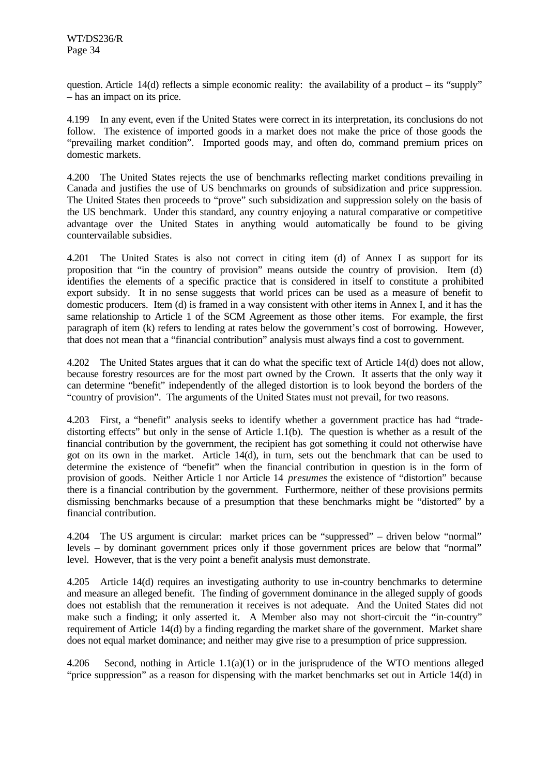question. Article 14(d) reflects a simple economic reality: the availability of a product – its "supply" – has an impact on its price.

4.199 In any event, even if the United States were correct in its interpretation, its conclusions do not follow. The existence of imported goods in a market does not make the price of those goods the "prevailing market condition". Imported goods may, and often do, command premium prices on domestic markets.

4.200 The United States rejects the use of benchmarks reflecting market conditions prevailing in Canada and justifies the use of US benchmarks on grounds of subsidization and price suppression. The United States then proceeds to "prove" such subsidization and suppression solely on the basis of the US benchmark. Under this standard, any country enjoying a natural comparative or competitive advantage over the United States in anything would automatically be found to be giving countervailable subsidies.

4.201 The United States is also not correct in citing item (d) of Annex I as support for its proposition that "in the country of provision" means outside the country of provision. Item (d) identifies the elements of a specific practice that is considered in itself to constitute a prohibited export subsidy. It in no sense suggests that world prices can be used as a measure of benefit to domestic producers. Item (d) is framed in a way consistent with other items in Annex I, and it has the same relationship to Article 1 of the SCM Agreement as those other items. For example, the first paragraph of item (k) refers to lending at rates below the government's cost of borrowing. However, that does not mean that a "financial contribution" analysis must always find a cost to government.

4.202 The United States argues that it can do what the specific text of Article 14(d) does not allow, because forestry resources are for the most part owned by the Crown. It asserts that the only way it can determine "benefit" independently of the alleged distortion is to look beyond the borders of the "country of provision". The arguments of the United States must not prevail, for two reasons.

4.203 First, a "benefit" analysis seeks to identify whether a government practice has had "tradedistorting effects" but only in the sense of Article 1.1(b). The question is whether as a result of the financial contribution by the government, the recipient has got something it could not otherwise have got on its own in the market. Article 14(d), in turn, sets out the benchmark that can be used to determine the existence of "benefit" when the financial contribution in question is in the form of provision of goods. Neither Article 1 nor Article 14 *presumes* the existence of "distortion" because there is a financial contribution by the government. Furthermore, neither of these provisions permits dismissing benchmarks because of a presumption that these benchmarks might be "distorted" by a financial contribution.

4.204 The US argument is circular: market prices can be "suppressed" – driven below "normal" levels – by dominant government prices only if those government prices are below that "normal" level. However, that is the very point a benefit analysis must demonstrate.

4.205 Article 14(d) requires an investigating authority to use in-country benchmarks to determine and measure an alleged benefit. The finding of government dominance in the alleged supply of goods does not establish that the remuneration it receives is not adequate. And the United States did not make such a finding; it only asserted it. A Member also may not short-circuit the "in-country" requirement of Article 14(d) by a finding regarding the market share of the government. Market share does not equal market dominance; and neither may give rise to a presumption of price suppression.

4.206 Second, nothing in Article 1.1(a)(1) or in the jurisprudence of the WTO mentions alleged "price suppression" as a reason for dispensing with the market benchmarks set out in Article 14(d) in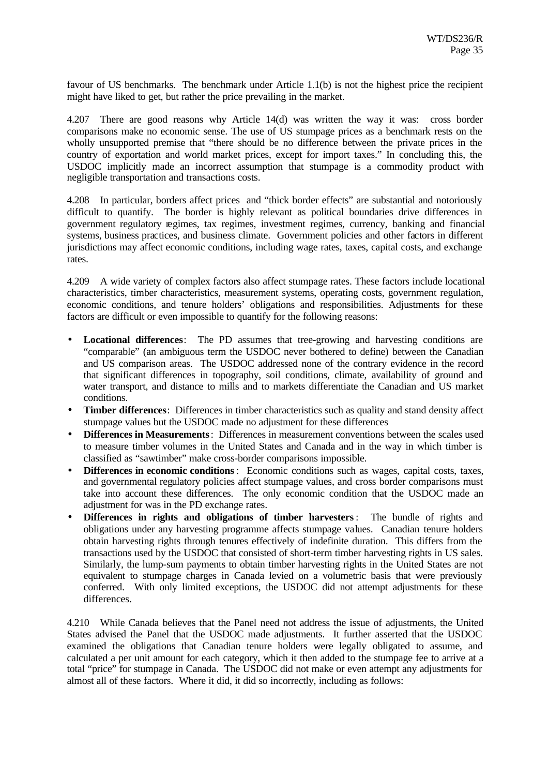favour of US benchmarks. The benchmark under Article 1.1(b) is not the highest price the recipient might have liked to get, but rather the price prevailing in the market.

4.207 There are good reasons why Article 14(d) was written the way it was: cross border comparisons make no economic sense. The use of US stumpage prices as a benchmark rests on the wholly unsupported premise that "there should be no difference between the private prices in the country of exportation and world market prices, except for import taxes." In concluding this, the USDOC implicitly made an incorrect assumption that stumpage is a commodity product with negligible transportation and transactions costs.

4.208 In particular, borders affect prices and "thick border effects" are substantial and notoriously difficult to quantify. The border is highly relevant as political boundaries drive differences in government regulatory regimes, tax regimes, investment regimes, currency, banking and financial systems, business practices, and business climate. Government policies and other factors in different jurisdictions may affect economic conditions, including wage rates, taxes, capital costs, and exchange rates.

4.209 A wide variety of complex factors also affect stumpage rates. These factors include locational characteristics, timber characteristics, measurement systems, operating costs, government regulation, economic conditions, and tenure holders' obligations and responsibilities. Adjustments for these factors are difficult or even impossible to quantify for the following reasons:

- **Locational differences**: The PD assumes that tree-growing and harvesting conditions are "comparable" (an ambiguous term the USDOC never bothered to define) between the Canadian and US comparison areas. The USDOC addressed none of the contrary evidence in the record that significant differences in topography, soil conditions, climate, availability of ground and water transport, and distance to mills and to markets differentiate the Canadian and US market conditions.
- **Timber differences**: Differences in timber characteristics such as quality and stand density affect stumpage values but the USDOC made no adjustment for these differences
- **Differences in Measurements**: Differences in measurement conventions between the scales used to measure timber volumes in the United States and Canada and in the way in which timber is classified as "sawtimber" make cross-border comparisons impossible.
- **Differences in economic conditions**: Economic conditions such as wages, capital costs, taxes, and governmental regulatory policies affect stumpage values, and cross border comparisons must take into account these differences. The only economic condition that the USDOC made an adjustment for was in the PD exchange rates.
- **Differences in rights and obligations of timber harvesters**: The bundle of rights and obligations under any harvesting programme affects stumpage values. Canadian tenure holders obtain harvesting rights through tenures effectively of indefinite duration. This differs from the transactions used by the USDOC that consisted of short-term timber harvesting rights in US sales. Similarly, the lump-sum payments to obtain timber harvesting rights in the United States are not equivalent to stumpage charges in Canada levied on a volumetric basis that were previously conferred. With only limited exceptions, the USDOC did not attempt adjustments for these differences.

4.210 While Canada believes that the Panel need not address the issue of adjustments, the United States advised the Panel that the USDOC made adjustments. It further asserted that the USDOC examined the obligations that Canadian tenure holders were legally obligated to assume, and calculated a per unit amount for each category, which it then added to the stumpage fee to arrive at a total "price" for stumpage in Canada. The USDOC did not make or even attempt any adjustments for almost all of these factors. Where it did, it did so incorrectly, including as follows: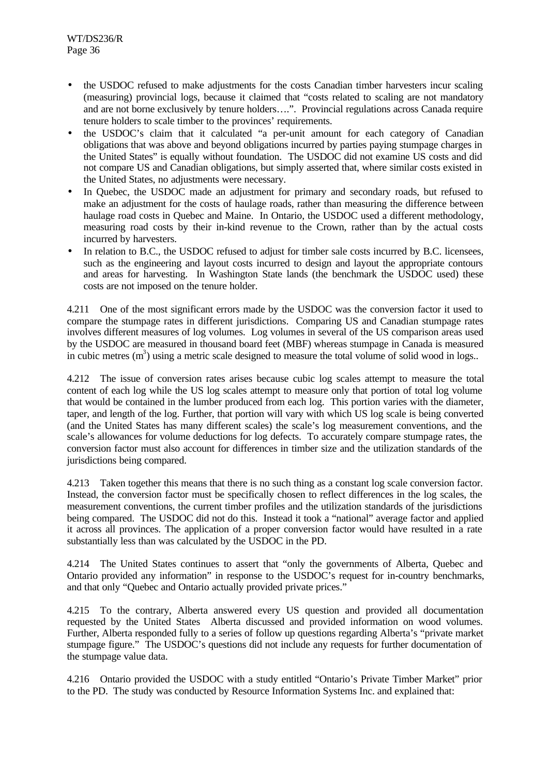- the USDOC refused to make adjustments for the costs Canadian timber harvesters incur scaling (measuring) provincial logs, because it claimed that "costs related to scaling are not mandatory and are not borne exclusively by tenure holders….". Provincial regulations across Canada require tenure holders to scale timber to the provinces' requirements.
- the USDOC's claim that it calculated "a per-unit amount for each category of Canadian obligations that was above and beyond obligations incurred by parties paying stumpage charges in the United States" is equally without foundation. The USDOC did not examine US costs and did not compare US and Canadian obligations, but simply asserted that, where similar costs existed in the United States, no adjustments were necessary.
- In Quebec, the USDOC made an adjustment for primary and secondary roads, but refused to make an adjustment for the costs of haulage roads, rather than measuring the difference between haulage road costs in Quebec and Maine. In Ontario, the USDOC used a different methodology, measuring road costs by their in-kind revenue to the Crown, rather than by the actual costs incurred by harvesters.
- In relation to B.C., the USDOC refused to adjust for timber sale costs incurred by B.C. licensees, such as the engineering and layout costs incurred to design and layout the appropriate contours and areas for harvesting. In Washington State lands (the benchmark the USDOC used) these costs are not imposed on the tenure holder.

4.211 One of the most significant errors made by the USDOC was the conversion factor it used to compare the stumpage rates in different jurisdictions. Comparing US and Canadian stumpage rates involves different measures of log volumes. Log volumes in several of the US comparison areas used by the USDOC are measured in thousand board feet (MBF) whereas stumpage in Canada is measured in cubic metres  $(m<sup>3</sup>)$  using a metric scale designed to measure the total volume of solid wood in logs..

4.212 The issue of conversion rates arises because cubic log scales attempt to measure the total content of each log while the US log scales attempt to measure only that portion of total log volume that would be contained in the lumber produced from each log. This portion varies with the diameter, taper, and length of the log. Further, that portion will vary with which US log scale is being converted (and the United States has many different scales) the scale's log measurement conventions, and the scale's allowances for volume deductions for log defects. To accurately compare stumpage rates, the conversion factor must also account for differences in timber size and the utilization standards of the jurisdictions being compared.

4.213 Taken together this means that there is no such thing as a constant log scale conversion factor. Instead, the conversion factor must be specifically chosen to reflect differences in the log scales, the measurement conventions, the current timber profiles and the utilization standards of the jurisdictions being compared. The USDOC did not do this. Instead it took a "national" average factor and applied it across all provinces. The application of a proper conversion factor would have resulted in a rate substantially less than was calculated by the USDOC in the PD.

4.214 The United States continues to assert that "only the governments of Alberta, Quebec and Ontario provided any information" in response to the USDOC's request for in-country benchmarks, and that only "Quebec and Ontario actually provided private prices."

4.215 To the contrary, Alberta answered every US question and provided all documentation requested by the United States Alberta discussed and provided information on wood volumes. Further, Alberta responded fully to a series of follow up questions regarding Alberta's "private market stumpage figure." The USDOC's questions did not include any requests for further documentation of the stumpage value data.

4.216 Ontario provided the USDOC with a study entitled "Ontario's Private Timber Market" prior to the PD. The study was conducted by Resource Information Systems Inc. and explained that: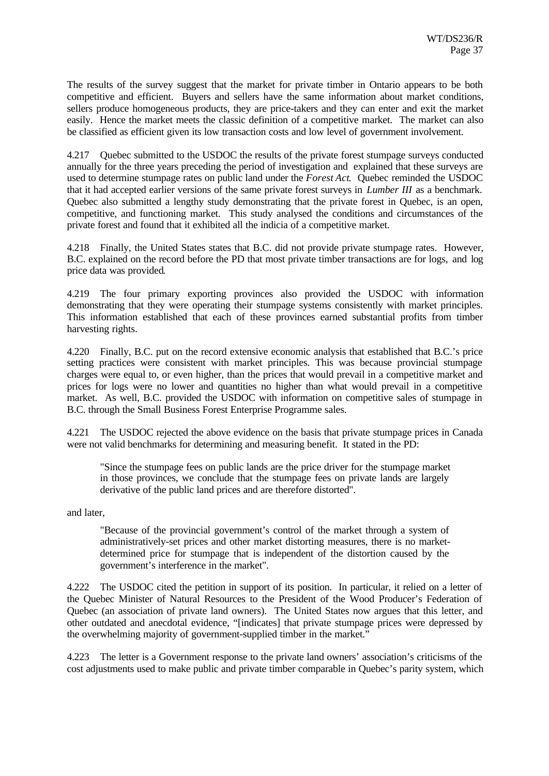The results of the survey suggest that the market for private timber in Ontario appears to be both competitive and efficient. Buyers and sellers have the same information about market conditions, sellers produce homogeneous products, they are price-takers and they can enter and exit the market easily. Hence the market meets the classic definition of a competitive market. The market can also be classified as efficient given its low transaction costs and low level of government involvement.

4.217 Quebec submitted to the USDOC the results of the private forest stumpage surveys conducted annually for the three years preceding the period of investigation and explained that these surveys are used to determine stumpage rates on public land under the *Forest Act*. Quebec reminded the USDOC that it had accepted earlier versions of the same private forest surveys in *Lumber III* as a benchmark. Quebec also submitted a lengthy study demonstrating that the private forest in Quebec, is an open, competitive, and functioning market. This study analysed the conditions and circumstances of the private forest and found that it exhibited all the indicia of a competitive market.

4.218 Finally, the United States states that B.C. did not provide private stumpage rates. However, B.C. explained on the record before the PD that most private timber transactions are for logs, and log price data was provided.

4.219 The four primary exporting provinces also provided the USDOC with information demonstrating that they were operating their stumpage systems consistently with market principles. This information established that each of these provinces earned substantial profits from timber harvesting rights.

4.220 Finally, B.C. put on the record extensive economic analysis that established that B.C.'s price setting practices were consistent with market principles. This was because provincial stumpage charges were equal to, or even higher, than the prices that would prevail in a competitive market and prices for logs were no lower and quantities no higher than what would prevail in a competitive market. As well, B.C. provided the USDOC with information on competitive sales of stumpage in B.C. through the Small Business Forest Enterprise Programme sales.

4.221 The USDOC rejected the above evidence on the basis that private stumpage prices in Canada were not valid benchmarks for determining and measuring benefit. It stated in the PD:

"Since the stumpage fees on public lands are the price driver for the stumpage market in those provinces, we conclude that the stumpage fees on private lands are largely derivative of the public land prices and are therefore distorted".

and later,

"Because of the provincial government's control of the market through a system of administratively-set prices and other market distorting measures, there is no marketdetermined price for stumpage that is independent of the distortion caused by the government's interference in the market".

4.222 The USDOC cited the petition in support of its position. In particular, it relied on a letter of the Quebec Minister of Natural Resources to the President of the Wood Producer's Federation of Quebec (an association of private land owners). The United States now argues that this letter, and other outdated and anecdotal evidence, "[indicates] that private stumpage prices were depressed by the overwhelming majority of government-supplied timber in the market."

4.223 The letter is a Government response to the private land owners' association's criticisms of the cost adjustments used to make public and private timber comparable in Quebec's parity system, which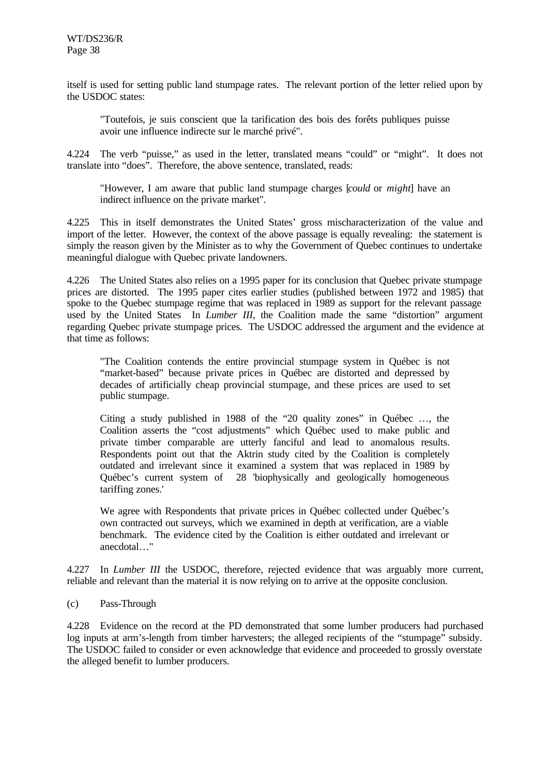itself is used for setting public land stumpage rates. The relevant portion of the letter relied upon by the USDOC states:

"Toutefois, je suis conscient que la tarification des bois des forêts publiques puisse avoir une influence indirecte sur le marché privé".

4.224 The verb "puisse," as used in the letter, translated means "could" or "might". It does not translate into "does". Therefore, the above sentence, translated, reads:

"However, I am aware that public land stumpage charges [*could* or *might*] have an indirect influence on the private market".

4.225 This in itself demonstrates the United States' gross mischaracterization of the value and import of the letter. However, the context of the above passage is equally revealing: the statement is simply the reason given by the Minister as to why the Government of Quebec continues to undertake meaningful dialogue with Quebec private landowners.

4.226 The United States also relies on a 1995 paper for its conclusion that Quebec private stumpage prices are distorted. The 1995 paper cites earlier studies (published between 1972 and 1985) that spoke to the Quebec stumpage regime that was replaced in 1989 as support for the relevant passage used by the United States In *Lumber III*, the Coalition made the same "distortion" argument regarding Quebec private stumpage prices. The USDOC addressed the argument and the evidence at that time as follows:

"The Coalition contends the entire provincial stumpage system in Québec is not "market-based" because private prices in Québec are distorted and depressed by decades of artificially cheap provincial stumpage, and these prices are used to set public stumpage.

Citing a study published in 1988 of the "20 quality zones" in Québec …, the Coalition asserts the "cost adjustments" which Québec used to make public and private timber comparable are utterly fanciful and lead to anomalous results. Respondents point out that the Aktrin study cited by the Coalition is completely outdated and irrelevant since it examined a system that was replaced in 1989 by Québec's current system of 28 'biophysically and geologically homogeneous tariffing zones.'

We agree with Respondents that private prices in Québec collected under Québec's own contracted out surveys, which we examined in depth at verification, are a viable benchmark. The evidence cited by the Coalition is either outdated and irrelevant or anecdotal…"

4.227 In *Lumber III* the USDOC, therefore, rejected evidence that was arguably more current, reliable and relevant than the material it is now relying on to arrive at the opposite conclusion.

(c) Pass-Through

4.228 Evidence on the record at the PD demonstrated that some lumber producers had purchased log inputs at arm's-length from timber harvesters; the alleged recipients of the "stumpage" subsidy. The USDOC failed to consider or even acknowledge that evidence and proceeded to grossly overstate the alleged benefit to lumber producers.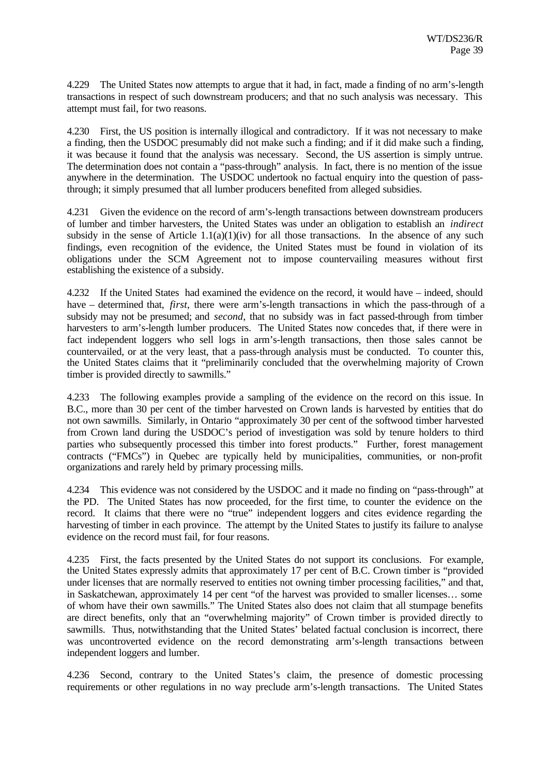4.229 The United States now attempts to argue that it had, in fact, made a finding of no arm's-length transactions in respect of such downstream producers; and that no such analysis was necessary. This attempt must fail, for two reasons.

4.230 First, the US position is internally illogical and contradictory. If it was not necessary to make a finding, then the USDOC presumably did not make such a finding; and if it did make such a finding, it was because it found that the analysis was necessary. Second, the US assertion is simply untrue. The determination does not contain a "pass-through" analysis. In fact, there is no mention of the issue anywhere in the determination. The USDOC undertook no factual enquiry into the question of passthrough; it simply presumed that all lumber producers benefited from alleged subsidies.

4.231 Given the evidence on the record of arm's-length transactions between downstream producers of lumber and timber harvesters, the United States was under an obligation to establish an *indirect* subsidy in the sense of Article  $1.1(a)(1)(iv)$  for all those transactions. In the absence of any such findings, even recognition of the evidence, the United States must be found in violation of its obligations under the SCM Agreement not to impose countervailing measures without first establishing the existence of a subsidy.

4.232 If the United States had examined the evidence on the record, it would have – indeed, should have – determined that, *first*, there were arm's-length transactions in which the pass-through of a subsidy may not be presumed; and *second*, that no subsidy was in fact passed-through from timber harvesters to arm's-length lumber producers. The United States now concedes that, if there were in fact independent loggers who sell logs in arm's-length transactions, then those sales cannot be countervailed, or at the very least, that a pass-through analysis must be conducted. To counter this, the United States claims that it "preliminarily concluded that the overwhelming majority of Crown timber is provided directly to sawmills."

4.233 The following examples provide a sampling of the evidence on the record on this issue. In B.C., more than 30 per cent of the timber harvested on Crown lands is harvested by entities that do not own sawmills. Similarly, in Ontario "approximately 30 per cent of the softwood timber harvested from Crown land during the USDOC's period of investigation was sold by tenure holders to third parties who subsequently processed this timber into forest products."Further, forest management contracts ("FMCs") in Quebec are typically held by municipalities, communities, or non-profit organizations and rarely held by primary processing mills.

4.234 This evidence was not considered by the USDOC and it made no finding on "pass-through" at the PD. The United States has now proceeded, for the first time, to counter the evidence on the record. It claims that there were no "true" independent loggers and cites evidence regarding the harvesting of timber in each province. The attempt by the United States to justify its failure to analyse evidence on the record must fail, for four reasons.

4.235 First, the facts presented by the United States do not support its conclusions. For example, the United States expressly admits that approximately 17 per cent of B.C. Crown timber is "provided under licenses that are normally reserved to entities not owning timber processing facilities," and that, in Saskatchewan, approximately 14 per cent "of the harvest was provided to smaller licenses… some of whom have their own sawmills." The United States also does not claim that all stumpage benefits are direct benefits, only that an "overwhelming majority" of Crown timber is provided directly to sawmills. Thus, notwithstanding that the United States' belated factual conclusion is incorrect, there was uncontroverted evidence on the record demonstrating arm's-length transactions between independent loggers and lumber.

4.236 Second, contrary to the United States's claim, the presence of domestic processing requirements or other regulations in no way preclude arm's-length transactions. The United States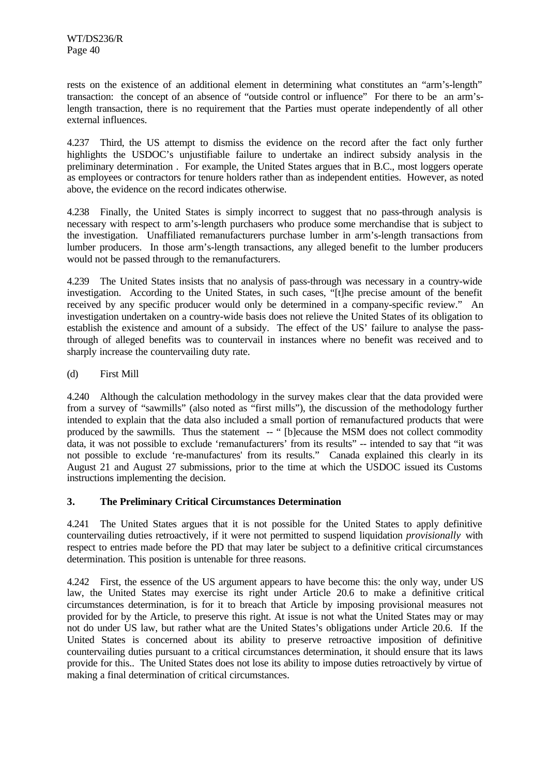rests on the existence of an additional element in determining what constitutes an "arm's-length" transaction: the concept of an absence of "outside control or influence" For there to be an arm'slength transaction, there is no requirement that the Parties must operate independently of all other external influences.

4.237 Third, the US attempt to dismiss the evidence on the record after the fact only further highlights the USDOC's unjustifiable failure to undertake an indirect subsidy analysis in the preliminary determination . For example, the United States argues that in B.C., most loggers operate as employees or contractors for tenure holders rather than as independent entities. However, as noted above, the evidence on the record indicates otherwise.

4.238 Finally, the United States is simply incorrect to suggest that no pass-through analysis is necessary with respect to arm's-length purchasers who produce some merchandise that is subject to the investigation. Unaffiliated remanufacturers purchase lumber in arm's-length transactions from lumber producers. In those arm's-length transactions, any alleged benefit to the lumber producers would not be passed through to the remanufacturers.

4.239 The United States insists that no analysis of pass-through was necessary in a country-wide investigation. According to the United States, in such cases, "[t]he precise amount of the benefit received by any specific producer would only be determined in a company-specific review." An investigation undertaken on a country-wide basis does not relieve the United States of its obligation to establish the existence and amount of a subsidy. The effect of the US' failure to analyse the passthrough of alleged benefits was to countervail in instances where no benefit was received and to sharply increase the countervailing duty rate.

(d) First Mill

4.240 Although the calculation methodology in the survey makes clear that the data provided were from a survey of "sawmills" (also noted as "first mills"), the discussion of the methodology further intended to explain that the data also included a small portion of remanufactured products that were produced by the sawmills. Thus the statement -- " [b]ecause the MSM does not collect commodity data, it was not possible to exclude 'remanufacturers' from its results" -- intended to say that "it was not possible to exclude 're-manufactures' from its results." Canada explained this clearly in its August 21 and August 27 submissions, prior to the time at which the USDOC issued its Customs instructions implementing the decision.

# **3. The Preliminary Critical Circumstances Determination**

4.241 The United States argues that it is not possible for the United States to apply definitive countervailing duties retroactively, if it were not permitted to suspend liquidation *provisionally* with respect to entries made before the PD that may later be subject to a definitive critical circumstances determination. This position is untenable for three reasons.

4.242 First, the essence of the US argument appears to have become this: the only way, under US law, the United States may exercise its right under Article 20.6 to make a definitive critical circumstances determination, is for it to breach that Article by imposing provisional measures not provided for by the Article, to preserve this right. At issue is not what the United States may or may not do under US law, but rather what are the United States's obligations under Article 20.6. If the United States is concerned about its ability to preserve retroactive imposition of definitive countervailing duties pursuant to a critical circumstances determination, it should ensure that its laws provide for this.. The United States does not lose its ability to impose duties retroactively by virtue of making a final determination of critical circumstances.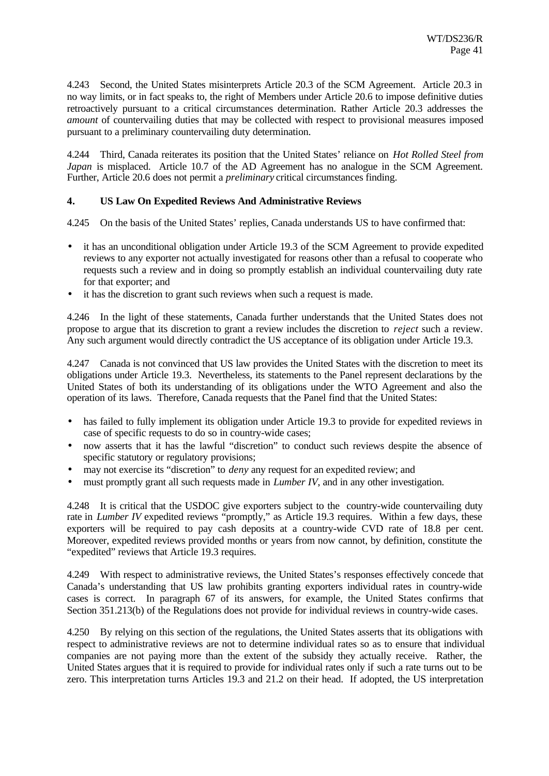4.243 Second, the United States misinterprets Article 20.3 of the SCM Agreement. Article 20.3 in no way limits, or in fact speaks to, the right of Members under Article 20.6 to impose definitive duties retroactively pursuant to a critical circumstances determination. Rather Article 20.3 addresses the *amount* of countervailing duties that may be collected with respect to provisional measures imposed pursuant to a preliminary countervailing duty determination.

4.244 Third, Canada reiterates its position that the United States' reliance on *Hot Rolled Steel from Japan* is misplaced. Article 10.7 of the AD Agreement has no analogue in the SCM Agreement. Further, Article 20.6 does not permit a *preliminary* critical circumstances finding.

# **4. US Law On Expedited Reviews And Administrative Reviews**

4.245 On the basis of the United States' replies, Canada understands US to have confirmed that:

- it has an unconditional obligation under Article 19.3 of the SCM Agreement to provide expedited reviews to any exporter not actually investigated for reasons other than a refusal to cooperate who requests such a review and in doing so promptly establish an individual countervailing duty rate for that exporter; and
- it has the discretion to grant such reviews when such a request is made.

4.246 In the light of these statements, Canada further understands that the United States does not propose to argue that its discretion to grant a review includes the discretion to *reject* such a review. Any such argument would directly contradict the US acceptance of its obligation under Article 19.3.

4.247 Canada is not convinced that US law provides the United States with the discretion to meet its obligations under Article 19.3. Nevertheless, its statements to the Panel represent declarations by the United States of both its understanding of its obligations under the WTO Agreement and also the operation of its laws. Therefore, Canada requests that the Panel find that the United States:

- has failed to fully implement its obligation under Article 19.3 to provide for expedited reviews in case of specific requests to do so in country-wide cases;
- now asserts that it has the lawful "discretion" to conduct such reviews despite the absence of specific statutory or regulatory provisions;
- may not exercise its "discretion" to *deny* any request for an expedited review; and
- must promptly grant all such requests made in *Lumber IV*, and in any other investigation.

4.248 It is critical that the USDOC give exporters subject to the country-wide countervailing duty rate in *Lumber IV* expedited reviews "promptly," as Article 19.3 requires. Within a few days, these exporters will be required to pay cash deposits at a country-wide CVD rate of 18.8 per cent. Moreover, expedited reviews provided months or years from now cannot, by definition, constitute the "expedited" reviews that Article 19.3 requires.

4.249 With respect to administrative reviews, the United States's responses effectively concede that Canada's understanding that US law prohibits granting exporters individual rates in country-wide cases is correct. In paragraph 67 of its answers, for example, the United States confirms that Section 351.213(b) of the Regulations does not provide for individual reviews in country-wide cases.

4.250 By relying on this section of the regulations, the United States asserts that its obligations with respect to administrative reviews are not to determine individual rates so as to ensure that individual companies are not paying more than the extent of the subsidy they actually receive. Rather, the United States argues that it is required to provide for individual rates only if such a rate turns out to be zero. This interpretation turns Articles 19.3 and 21.2 on their head. If adopted, the US interpretation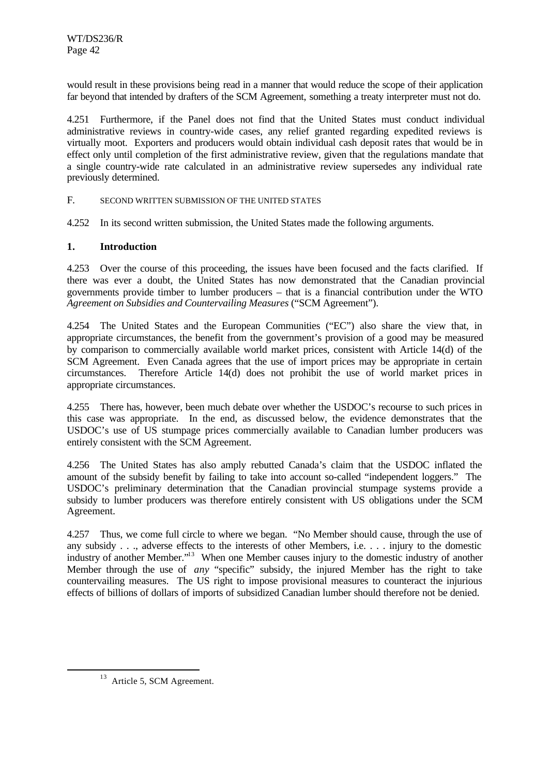would result in these provisions being read in a manner that would reduce the scope of their application far beyond that intended by drafters of the SCM Agreement, something a treaty interpreter must not do.

4.251 Furthermore, if the Panel does not find that the United States must conduct individual administrative reviews in country-wide cases, any relief granted regarding expedited reviews is virtually moot. Exporters and producers would obtain individual cash deposit rates that would be in effect only until completion of the first administrative review, given that the regulations mandate that a single country-wide rate calculated in an administrative review supersedes any individual rate previously determined.

### F. SECOND WRITTEN SUBMISSION OF THE UNITED STATES

4.252 In its second written submission, the United States made the following arguments.

# **1. Introduction**

4.253 Over the course of this proceeding, the issues have been focused and the facts clarified. If there was ever a doubt, the United States has now demonstrated that the Canadian provincial governments provide timber to lumber producers – that is a financial contribution under the WTO *Agreement on Subsidies and Countervailing Measures* ("SCM Agreement").

4.254 The United States and the European Communities ("EC") also share the view that, in appropriate circumstances, the benefit from the government's provision of a good may be measured by comparison to commercially available world market prices, consistent with Article 14(d) of the SCM Agreement. Even Canada agrees that the use of import prices may be appropriate in certain circumstances. Therefore Article 14(d) does not prohibit the use of world market prices in appropriate circumstances.

4.255 There has, however, been much debate over whether the USDOC's recourse to such prices in this case was appropriate. In the end, as discussed below, the evidence demonstrates that the USDOC's use of US stumpage prices commercially available to Canadian lumber producers was entirely consistent with the SCM Agreement.

4.256 The United States has also amply rebutted Canada's claim that the USDOC inflated the amount of the subsidy benefit by failing to take into account so-called "independent loggers." The USDOC's preliminary determination that the Canadian provincial stumpage systems provide a subsidy to lumber producers was therefore entirely consistent with US obligations under the SCM Agreement.

4.257 Thus, we come full circle to where we began. "No Member should cause, through the use of any subsidy . . ., adverse effects to the interests of other Members, i.e. . . . injury to the domestic industry of another Member."<sup>13</sup> When one Member causes injury to the domestic industry of another Member through the use of *any* "specific" subsidy, the injured Member has the right to take countervailing measures. The US right to impose provisional measures to counteract the injurious effects of billions of dollars of imports of subsidized Canadian lumber should therefore not be denied.

l

<sup>&</sup>lt;sup>13</sup> Article 5, SCM Agreement.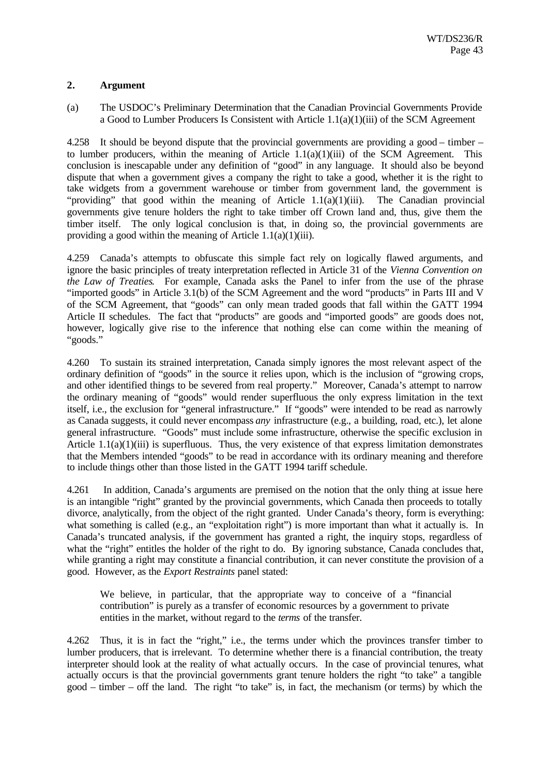## **2. Argument**

(a) The USDOC's Preliminary Determination that the Canadian Provincial Governments Provide a Good to Lumber Producers Is Consistent with Article  $1.1(a)(1)(iii)$  of the SCM Agreement

4.258 It should be beyond dispute that the provincial governments are providing a good – timber – to lumber producers, within the meaning of Article  $1.1(a)(1)(iii)$  of the SCM Agreement. This conclusion is inescapable under any definition of "good" in any language. It should also be beyond dispute that when a government gives a company the right to take a good, whether it is the right to take widgets from a government warehouse or timber from government land, the government is "providing" that good within the meaning of Article 1.1(a)(1)(iii). The Canadian provincial governments give tenure holders the right to take timber off Crown land and, thus, give them the timber itself. The only logical conclusion is that, in doing so, the provincial governments are providing a good within the meaning of Article  $1.1(a)(1)(iii)$ .

4.259 Canada's attempts to obfuscate this simple fact rely on logically flawed arguments, and ignore the basic principles of treaty interpretation reflected in Article 31 of the *Vienna Convention on the Law of Treaties*. For example, Canada asks the Panel to infer from the use of the phrase "imported goods" in Article 3.1(b) of the SCM Agreement and the word "products" in Parts III and V of the SCM Agreement, that "goods" can only mean traded goods that fall within the GATT 1994 Article II schedules. The fact that "products" are goods and "imported goods" are goods does not, however, logically give rise to the inference that nothing else can come within the meaning of "goods."

4.260 To sustain its strained interpretation, Canada simply ignores the most relevant aspect of the ordinary definition of "goods" in the source it relies upon, which is the inclusion of "growing crops, and other identified things to be severed from real property." Moreover, Canada's attempt to narrow the ordinary meaning of "goods" would render superfluous the only express limitation in the text itself, i.e., the exclusion for "general infrastructure." If "goods" were intended to be read as narrowly as Canada suggests, it could never encompass *any* infrastructure (e.g., a building, road, etc.), let alone general infrastructure. "Goods" must include some infrastructure, otherwise the specific exclusion in Article  $1.1(a)(1)(iii)$  is superfluous. Thus, the very existence of that express limitation demonstrates that the Members intended "goods" to be read in accordance with its ordinary meaning and therefore to include things other than those listed in the GATT 1994 tariff schedule.

4.261 In addition, Canada's arguments are premised on the notion that the only thing at issue here is an intangible "right" granted by the provincial governments, which Canada then proceeds to totally divorce, analytically, from the object of the right granted. Under Canada's theory, form is everything: what something is called (e.g., an "exploitation right") is more important than what it actually is. In Canada's truncated analysis, if the government has granted a right, the inquiry stops, regardless of what the "right" entitles the holder of the right to do. By ignoring substance, Canada concludes that, while granting a right may constitute a financial contribution, it can never constitute the provision of a good. However, as the *Export Restraints* panel stated:

We believe, in particular, that the appropriate way to conceive of a "financial contribution" is purely as a transfer of economic resources by a government to private entities in the market, without regard to the *terms* of the transfer.

4.262 Thus, it is in fact the "right," i.e., the terms under which the provinces transfer timber to lumber producers, that is irrelevant. To determine whether there is a financial contribution, the treaty interpreter should look at the reality of what actually occurs. In the case of provincial tenures, what actually occurs is that the provincial governments grant tenure holders the right "to take" a tangible good – timber – off the land. The right "to take" is, in fact, the mechanism (or terms) by which the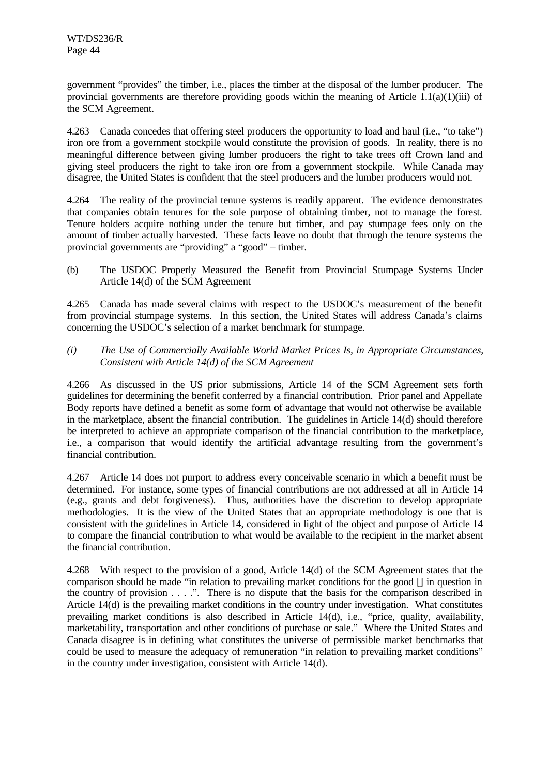government "provides" the timber, i.e., places the timber at the disposal of the lumber producer. The provincial governments are therefore providing goods within the meaning of Article 1.1(a)(1)(iii) of the SCM Agreement.

4.263 Canada concedes that offering steel producers the opportunity to load and haul (i.e., "to take") iron ore from a government stockpile would constitute the provision of goods. In reality, there is no meaningful difference between giving lumber producers the right to take trees off Crown land and giving steel producers the right to take iron ore from a government stockpile. While Canada may disagree, the United States is confident that the steel producers and the lumber producers would not.

4.264 The reality of the provincial tenure systems is readily apparent. The evidence demonstrates that companies obtain tenures for the sole purpose of obtaining timber, not to manage the forest. Tenure holders acquire nothing under the tenure but timber, and pay stumpage fees only on the amount of timber actually harvested. These facts leave no doubt that through the tenure systems the provincial governments are "providing" a "good" – timber.

(b) The USDOC Properly Measured the Benefit from Provincial Stumpage Systems Under Article 14(d) of the SCM Agreement

4.265 Canada has made several claims with respect to the USDOC's measurement of the benefit from provincial stumpage systems. In this section, the United States will address Canada's claims concerning the USDOC's selection of a market benchmark for stumpage.

## *(i) The Use of Commercially Available World Market Prices Is, in Appropriate Circumstances, Consistent with Article 14(d) of the SCM Agreement*

4.266 As discussed in the US prior submissions, Article 14 of the SCM Agreement sets forth guidelines for determining the benefit conferred by a financial contribution. Prior panel and Appellate Body reports have defined a benefit as some form of advantage that would not otherwise be available in the marketplace, absent the financial contribution. The guidelines in Article 14(d) should therefore be interpreted to achieve an appropriate comparison of the financial contribution to the marketplace, i.e., a comparison that would identify the artificial advantage resulting from the government's financial contribution.

4.267 Article 14 does not purport to address every conceivable scenario in which a benefit must be determined. For instance, some types of financial contributions are not addressed at all in Article 14 (e.g., grants and debt forgiveness). Thus, authorities have the discretion to develop appropriate methodologies. It is the view of the United States that an appropriate methodology is one that is consistent with the guidelines in Article 14, considered in light of the object and purpose of Article 14 to compare the financial contribution to what would be available to the recipient in the market absent the financial contribution.

4.268 With respect to the provision of a good, Article 14(d) of the SCM Agreement states that the comparison should be made "in relation to prevailing market conditions for the good [] in question in the country of provision . . . .". There is no dispute that the basis for the comparison described in Article 14(d) is the prevailing market conditions in the country under investigation. What constitutes prevailing market conditions is also described in Article 14(d), i.e., "price, quality, availability, marketability, transportation and other conditions of purchase or sale." Where the United States and Canada disagree is in defining what constitutes the universe of permissible market benchmarks that could be used to measure the adequacy of remuneration "in relation to prevailing market conditions" in the country under investigation, consistent with Article 14(d).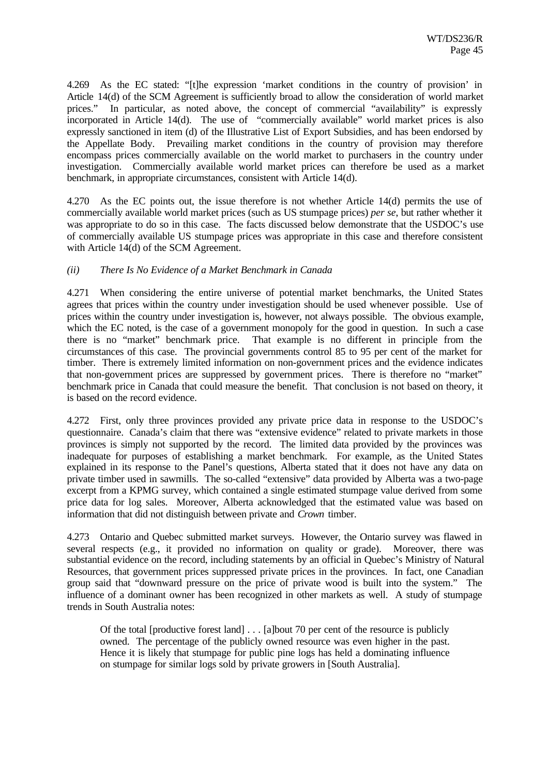4.269 As the EC stated: "[t]he expression 'market conditions in the country of provision' in Article 14(d) of the SCM Agreement is sufficiently broad to allow the consideration of world market prices." In particular, as noted above, the concept of commercial "availability" is expressly incorporated in Article 14(d). The use of "commercially available" world market prices is also expressly sanctioned in item (d) of the Illustrative List of Export Subsidies, and has been endorsed by the Appellate Body. Prevailing market conditions in the country of provision may therefore encompass prices commercially available on the world market to purchasers in the country under investigation. Commercially available world market prices can therefore be used as a market benchmark, in appropriate circumstances, consistent with Article 14(d).

4.270 As the EC points out, the issue therefore is not whether Article 14(d) permits the use of commercially available world market prices (such as US stumpage prices) *per se*, but rather whether it was appropriate to do so in this case. The facts discussed below demonstrate that the USDOC's use of commercially available US stumpage prices was appropriate in this case and therefore consistent with Article 14(d) of the SCM Agreement.

### *(ii) There Is No Evidence of a Market Benchmark in Canada*

4.271 When considering the entire universe of potential market benchmarks, the United States agrees that prices within the country under investigation should be used whenever possible. Use of prices within the country under investigation is, however, not always possible. The obvious example, which the EC noted, is the case of a government monopoly for the good in question. In such a case there is no "market" benchmark price. That example is no different in principle from the circumstances of this case. The provincial governments control 85 to 95 per cent of the market for timber. There is extremely limited information on non-government prices and the evidence indicates that non-government prices are suppressed by government prices. There is therefore no "market" benchmark price in Canada that could measure the benefit. That conclusion is not based on theory, it is based on the record evidence.

4.272 First, only three provinces provided any private price data in response to the USDOC's questionnaire. Canada's claim that there was "extensive evidence" related to private markets in those provinces is simply not supported by the record. The limited data provided by the provinces was inadequate for purposes of establishing a market benchmark. For example, as the United States explained in its response to the Panel's questions, Alberta stated that it does not have any data on private timber used in sawmills. The so-called "extensive" data provided by Alberta was a two-page excerpt from a KPMG survey, which contained a single estimated stumpage value derived from some price data for log sales. Moreover, Alberta acknowledged that the estimated value was based on information that did not distinguish between private and *Crown* timber.

4.273 Ontario and Quebec submitted market surveys. However, the Ontario survey was flawed in several respects (e.g., it provided no information on quality or grade). Moreover, there was substantial evidence on the record, including statements by an official in Quebec's Ministry of Natural Resources, that government prices suppressed private prices in the provinces. In fact, one Canadian group said that "downward pressure on the price of private wood is built into the system." The influence of a dominant owner has been recognized in other markets as well. A study of stumpage trends in South Australia notes:

Of the total [productive forest land] . . . [a]bout 70 per cent of the resource is publicly owned. The percentage of the publicly owned resource was even higher in the past. Hence it is likely that stumpage for public pine logs has held a dominating influence on stumpage for similar logs sold by private growers in [South Australia].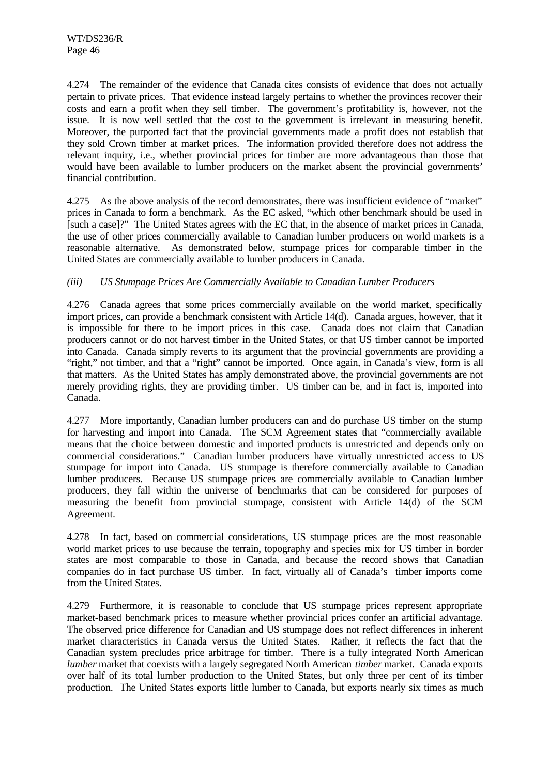4.274 The remainder of the evidence that Canada cites consists of evidence that does not actually pertain to private prices. That evidence instead largely pertains to whether the provinces recover their costs and earn a profit when they sell timber. The government's profitability is, however, not the issue. It is now well settled that the cost to the government is irrelevant in measuring benefit. Moreover, the purported fact that the provincial governments made a profit does not establish that they sold Crown timber at market prices. The information provided therefore does not address the relevant inquiry, i.e., whether provincial prices for timber are more advantageous than those that would have been available to lumber producers on the market absent the provincial governments' financial contribution.

4.275 As the above analysis of the record demonstrates, there was insufficient evidence of "market" prices in Canada to form a benchmark. As the EC asked, "which other benchmark should be used in [such a case]?" The United States agrees with the EC that, in the absence of market prices in Canada, the use of other prices commercially available to Canadian lumber producers on world markets is a reasonable alternative. As demonstrated below, stumpage prices for comparable timber in the United States are commercially available to lumber producers in Canada.

## *(iii) US Stumpage Prices Are Commercially Available to Canadian Lumber Producers*

4.276 Canada agrees that some prices commercially available on the world market, specifically import prices, can provide a benchmark consistent with Article 14(d). Canada argues, however, that it is impossible for there to be import prices in this case. Canada does not claim that Canadian producers cannot or do not harvest timber in the United States, or that US timber cannot be imported into Canada. Canada simply reverts to its argument that the provincial governments are providing a "right," not timber, and that a "right" cannot be imported. Once again, in Canada's view, form is all that matters. As the United States has amply demonstrated above, the provincial governments are not merely providing rights, they are providing timber. US timber can be, and in fact is, imported into Canada.

4.277 More importantly, Canadian lumber producers can and do purchase US timber on the stump for harvesting and import into Canada. The SCM Agreement states that "commercially available means that the choice between domestic and imported products is unrestricted and depends only on commercial considerations." Canadian lumber producers have virtually unrestricted access to US stumpage for import into Canada. US stumpage is therefore commercially available to Canadian lumber producers. Because US stumpage prices are commercially available to Canadian lumber producers, they fall within the universe of benchmarks that can be considered for purposes of measuring the benefit from provincial stumpage, consistent with Article 14(d) of the SCM Agreement.

4.278 In fact, based on commercial considerations, US stumpage prices are the most reasonable world market prices to use because the terrain, topography and species mix for US timber in border states are most comparable to those in Canada, and because the record shows that Canadian companies do in fact purchase US timber. In fact, virtually all of Canada's timber imports come from the United States.

4.279 Furthermore, it is reasonable to conclude that US stumpage prices represent appropriate market-based benchmark prices to measure whether provincial prices confer an artificial advantage. The observed price difference for Canadian and US stumpage does not reflect differences in inherent market characteristics in Canada versus the United States. Rather, it reflects the fact that the Canadian system precludes price arbitrage for timber. There is a fully integrated North American *lumber* market that coexists with a largely segregated North American *timber* market. Canada exports over half of its total lumber production to the United States, but only three per cent of its timber production. The United States exports little lumber to Canada, but exports nearly six times as much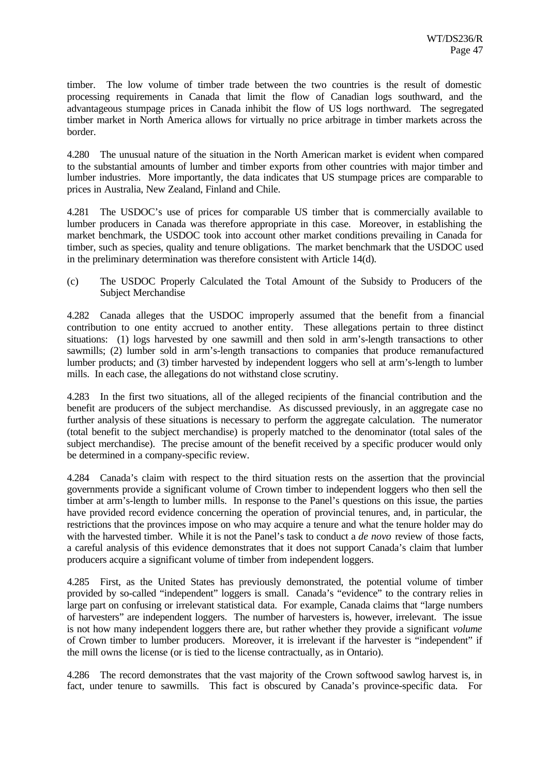timber. The low volume of timber trade between the two countries is the result of domestic processing requirements in Canada that limit the flow of Canadian logs southward, and the advantageous stumpage prices in Canada inhibit the flow of US logs northward. The segregated timber market in North America allows for virtually no price arbitrage in timber markets across the border.

4.280 The unusual nature of the situation in the North American market is evident when compared to the substantial amounts of lumber and timber exports from other countries with major timber and lumber industries. More importantly, the data indicates that US stumpage prices are comparable to prices in Australia, New Zealand, Finland and Chile.

4.281 The USDOC's use of prices for comparable US timber that is commercially available to lumber producers in Canada was therefore appropriate in this case. Moreover, in establishing the market benchmark, the USDOC took into account other market conditions prevailing in Canada for timber, such as species, quality and tenure obligations. The market benchmark that the USDOC used in the preliminary determination was therefore consistent with Article 14(d).

(c) The USDOC Properly Calculated the Total Amount of the Subsidy to Producers of the Subject Merchandise

4.282 Canada alleges that the USDOC improperly assumed that the benefit from a financial contribution to one entity accrued to another entity. These allegations pertain to three distinct situations: (1) logs harvested by one sawmill and then sold in arm's-length transactions to other sawmills; (2) lumber sold in arm's-length transactions to companies that produce remanufactured lumber products; and (3) timber harvested by independent loggers who sell at arm's-length to lumber mills. In each case, the allegations do not withstand close scrutiny.

4.283 In the first two situations, all of the alleged recipients of the financial contribution and the benefit are producers of the subject merchandise. As discussed previously, in an aggregate case no further analysis of these situations is necessary to perform the aggregate calculation. The numerator (total benefit to the subject merchandise) is properly matched to the denominator (total sales of the subject merchandise). The precise amount of the benefit received by a specific producer would only be determined in a company-specific review.

4.284 Canada's claim with respect to the third situation rests on the assertion that the provincial governments provide a significant volume of Crown timber to independent loggers who then sell the timber at arm's-length to lumber mills. In response to the Panel's questions on this issue, the parties have provided record evidence concerning the operation of provincial tenures, and, in particular, the restrictions that the provinces impose on who may acquire a tenure and what the tenure holder may do with the harvested timber. While it is not the Panel's task to conduct a *de novo* review of those facts, a careful analysis of this evidence demonstrates that it does not support Canada's claim that lumber producers acquire a significant volume of timber from independent loggers.

4.285 First, as the United States has previously demonstrated, the potential volume of timber provided by so-called "independent" loggers is small. Canada's "evidence" to the contrary relies in large part on confusing or irrelevant statistical data. For example, Canada claims that "large numbers of harvesters" are independent loggers. The number of harvesters is, however, irrelevant. The issue is not how many independent loggers there are, but rather whether they provide a significant *volume* of Crown timber to lumber producers. Moreover, it is irrelevant if the harvester is "independent" if the mill owns the license (or is tied to the license contractually, as in Ontario).

4.286 The record demonstrates that the vast majority of the Crown softwood sawlog harvest is, in fact, under tenure to sawmills. This fact is obscured by Canada's province-specific data. For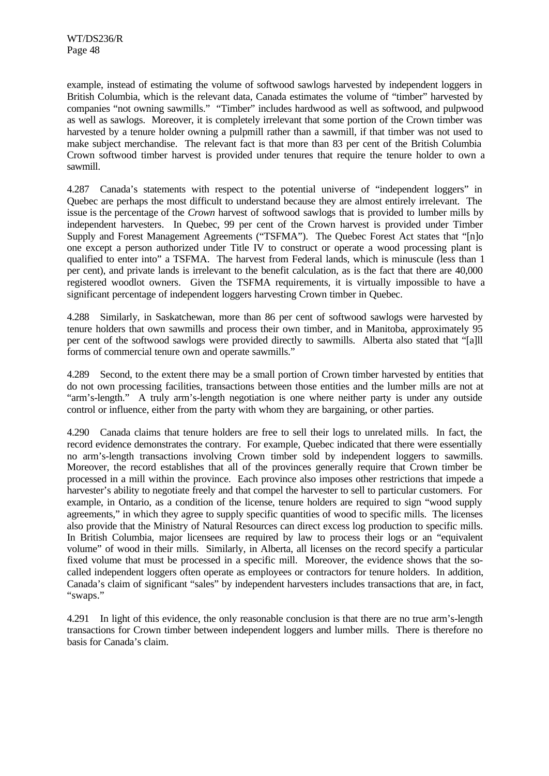example, instead of estimating the volume of softwood sawlogs harvested by independent loggers in British Columbia, which is the relevant data, Canada estimates the volume of "timber" harvested by companies "not owning sawmills." "Timber" includes hardwood as well as softwood, and pulpwood as well as sawlogs. Moreover, it is completely irrelevant that some portion of the Crown timber was harvested by a tenure holder owning a pulpmill rather than a sawmill, if that timber was not used to make subject merchandise. The relevant fact is that more than 83 per cent of the British Columbia Crown softwood timber harvest is provided under tenures that require the tenure holder to own a sawmill.

4.287 Canada's statements with respect to the potential universe of "independent loggers" in Quebec are perhaps the most difficult to understand because they are almost entirely irrelevant. The issue is the percentage of the *Crown* harvest of softwood sawlogs that is provided to lumber mills by independent harvesters. In Quebec, 99 per cent of the Crown harvest is provided under Timber Supply and Forest Management Agreements ("TSFMA"). The Quebec Forest Act states that "[n]o one except a person authorized under Title IV to construct or operate a wood processing plant is qualified to enter into" a TSFMA. The harvest from Federal lands, which is minuscule (less than 1 per cent), and private lands is irrelevant to the benefit calculation, as is the fact that there are 40,000 registered woodlot owners. Given the TSFMA requirements, it is virtually impossible to have a significant percentage of independent loggers harvesting Crown timber in Quebec.

4.288 Similarly, in Saskatchewan, more than 86 per cent of softwood sawlogs were harvested by tenure holders that own sawmills and process their own timber, and in Manitoba, approximately 95 per cent of the softwood sawlogs were provided directly to sawmills. Alberta also stated that "[a]ll forms of commercial tenure own and operate sawmills."

4.289 Second, to the extent there may be a small portion of Crown timber harvested by entities that do not own processing facilities, transactions between those entities and the lumber mills are not at "arm's-length." A truly arm's-length negotiation is one where neither party is under any outside control or influence, either from the party with whom they are bargaining, or other parties.

4.290 Canada claims that tenure holders are free to sell their logs to unrelated mills. In fact, the record evidence demonstrates the contrary. For example, Quebec indicated that there were essentially no arm's-length transactions involving Crown timber sold by independent loggers to sawmills. Moreover, the record establishes that all of the provinces generally require that Crown timber be processed in a mill within the province. Each province also imposes other restrictions that impede a harvester's ability to negotiate freely and that compel the harvester to sell to particular customers. For example, in Ontario, as a condition of the license, tenure holders are required to sign "wood supply agreements," in which they agree to supply specific quantities of wood to specific mills. The licenses also provide that the Ministry of Natural Resources can direct excess log production to specific mills. In British Columbia, major licensees are required by law to process their logs or an "equivalent volume" of wood in their mills. Similarly, in Alberta, all licenses on the record specify a particular fixed volume that must be processed in a specific mill. Moreover, the evidence shows that the socalled independent loggers often operate as employees or contractors for tenure holders. In addition, Canada's claim of significant "sales" by independent harvesters includes transactions that are, in fact, "swaps."

4.291 In light of this evidence, the only reasonable conclusion is that there are no true arm's-length transactions for Crown timber between independent loggers and lumber mills. There is therefore no basis for Canada's claim.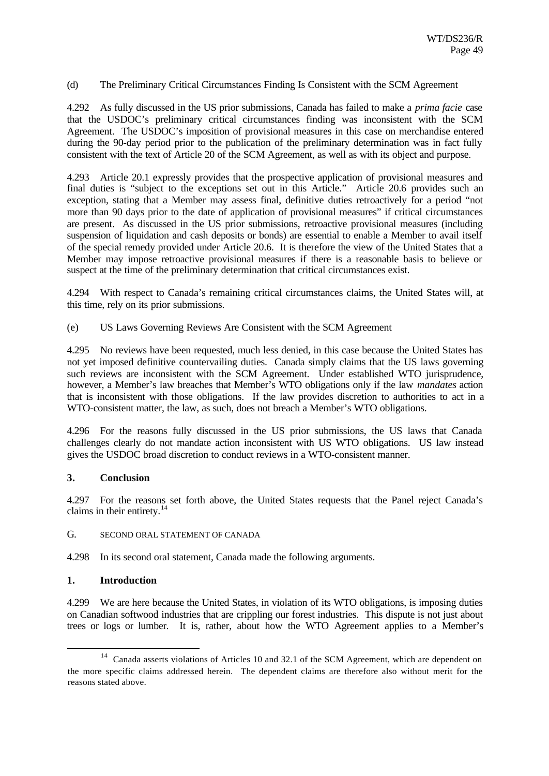### (d) The Preliminary Critical Circumstances Finding Is Consistent with the SCM Agreement

4.292 As fully discussed in the US prior submissions, Canada has failed to make a *prima facie* case that the USDOC's preliminary critical circumstances finding was inconsistent with the SCM Agreement. The USDOC's imposition of provisional measures in this case on merchandise entered during the 90-day period prior to the publication of the preliminary determination was in fact fully consistent with the text of Article 20 of the SCM Agreement, as well as with its object and purpose.

4.293 Article 20.1 expressly provides that the prospective application of provisional measures and final duties is "subject to the exceptions set out in this Article." Article 20.6 provides such an exception, stating that a Member may assess final, definitive duties retroactively for a period "not more than 90 days prior to the date of application of provisional measures" if critical circumstances are present. As discussed in the US prior submissions, retroactive provisional measures (including suspension of liquidation and cash deposits or bonds) are essential to enable a Member to avail itself of the special remedy provided under Article 20.6. It is therefore the view of the United States that a Member may impose retroactive provisional measures if there is a reasonable basis to believe or suspect at the time of the preliminary determination that critical circumstances exist.

4.294 With respect to Canada's remaining critical circumstances claims, the United States will, at this time, rely on its prior submissions.

(e) US Laws Governing Reviews Are Consistent with the SCM Agreement

4.295 No reviews have been requested, much less denied, in this case because the United States has not yet imposed definitive countervailing duties. Canada simply claims that the US laws governing such reviews are inconsistent with the SCM Agreement. Under established WTO jurisprudence, however, a Member's law breaches that Member's WTO obligations only if the law *mandates* action that is inconsistent with those obligations. If the law provides discretion to authorities to act in a WTO-consistent matter, the law, as such, does not breach a Member's WTO obligations.

4.296 For the reasons fully discussed in the US prior submissions, the US laws that Canada challenges clearly do not mandate action inconsistent with US WTO obligations. US law instead gives the USDOC broad discretion to conduct reviews in a WTO-consistent manner.

### **3. Conclusion**

4.297 For the reasons set forth above, the United States requests that the Panel reject Canada's claims in their entirety.<sup>14</sup>

G. SECOND ORAL STATEMENT OF CANADA

4.298 In its second oral statement, Canada made the following arguments.

### **1. Introduction**

l

4.299 We are here because the United States, in violation of its WTO obligations, is imposing duties on Canadian softwood industries that are crippling our forest industries. This dispute is not just about trees or logs or lumber*.* It is, rather, about how the WTO Agreement applies to a Member's

<sup>&</sup>lt;sup>14</sup> Canada asserts violations of Articles 10 and 32.1 of the SCM Agreement, which are dependent on the more specific claims addressed herein. The dependent claims are therefore also without merit for the reasons stated above.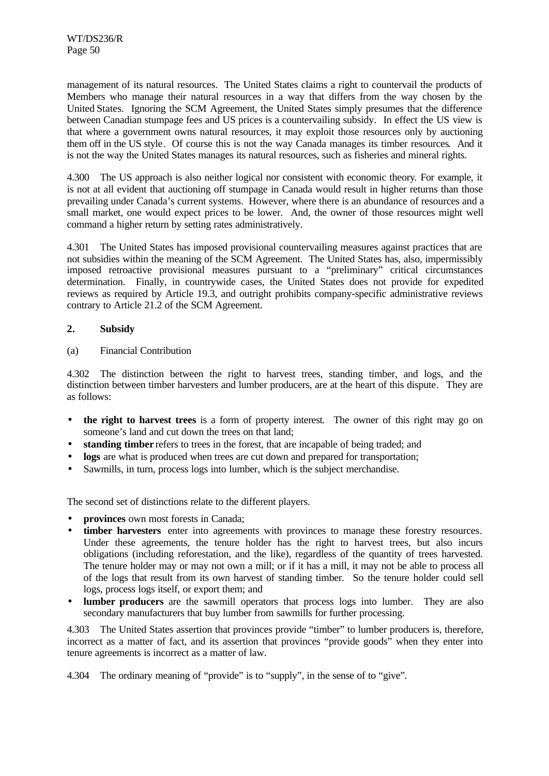management of its natural resources. The United States claims a right to countervail the products of Members who manage their natural resources in a way that differs from the way chosen by the United States*.* Ignoring the SCM Agreement, the United States simply presumes that the difference between Canadian stumpage fees and US prices is a countervailing subsidy. In effect the US view is that where a government owns natural resources, it may exploit those resources only by auctioning them off in the US style*.* Of course this is not the way Canada manages its timber resources*.* And it is not the way the United States manages its natural resources, such as fisheries and mineral rights.

4.300 The US approach is also neither logical nor consistent with economic theory*.* For example, it is not at all evident that auctioning off stumpage in Canada would result in higher returns than those prevailing under Canada's current systems. However, where there is an abundance of resources and a small market, one would expect prices to be lower. And, the owner of those resources might well command a higher return by setting rates administratively.

4.301 The United States has imposed provisional countervailing measures against practices that are not subsidies within the meaning of the SCM Agreement. The United States has, also, impermissibly imposed retroactive provisional measures pursuant to a "preliminary" critical circumstances determination. Finally, in countrywide cases, the United States does not provide for expedited reviews as required by Article 19.3, and outright prohibits company-specific administrative reviews contrary to Article 21.2 of the SCM Agreement.

# **2. Subsidy**

(a) Financial Contribution

4.302 The distinction between the right to harvest trees, standing timber, and logs, and the distinction between timber harvesters and lumber producers, are at the heart of this dispute*.* They are as follows:

- **the right to harvest trees** is a form of property interest*.* The owner of this right may go on someone's land and cut down the trees on that land;
- **standing timber** refers to trees in the forest, that are incapable of being traded; and
- **logs** are what is produced when trees are cut down and prepared for transportation;
- Sawmills, in turn, process logs into lumber, which is the subject merchandise.

The second set of distinctions relate to the different players.

- **provinces** own most forests in Canada;
- **timber harvesters** enter into agreements with provinces to manage these forestry resources*.* Under these agreements, the tenure holder has the right to harvest trees, but also incurs obligations (including reforestation, and the like), regardless of the quantity of trees harvested. The tenure holder may or may not own a mill; or if it has a mill, it may not be able to process all of the logs that result from its own harvest of standing timber*.* So the tenure holder could sell logs, process logs itself, or export them; and
- **lumber producers** are the sawmill operators that process logs into lumber. They are also secondary manufacturers that buy lumber from sawmills for further processing.

4.303 The United States assertion that provinces provide "timber" to lumber producers is, therefore, incorrect as a matter of fact, and its assertion that provinces "provide goods" when they enter into tenure agreements is incorrect as a matter of law.

4.304 The ordinary meaning of "provide" is to "supply", in the sense of to "give"*.*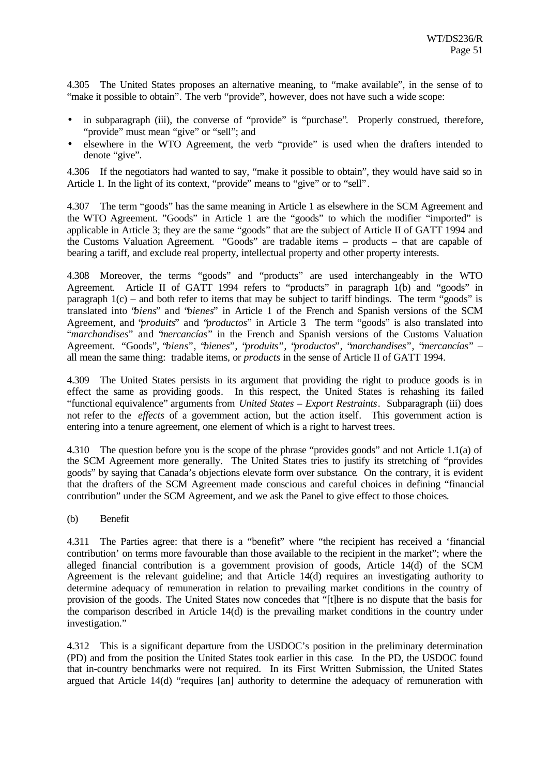4.305 The United States proposes an alternative meaning, to "make available", in the sense of to "make it possible to obtain". The verb "provide", however, does not have such a wide scope:

- in subparagraph (iii), the converse of "provide" is "purchase"*.* Properly construed, therefore, "provide" must mean "give" or "sell"; and
- elsewhere in the WTO Agreement, the verb "provide" is used when the drafters intended to denote "give"*.*

4.306 If the negotiators had wanted to say, "make it possible to obtain", they would have said so in Article 1. In the light of its context, "provide" means to "give" or to "sell" *.*

4.307 The term "goods" has the same meaning in Article 1 as elsewhere in the SCM Agreement and the WTO Agreement*.* "Goods" in Article 1 are the "goods" to which the modifier "imported" is applicable in Article 3; they are the same "goods" that are the subject of Article II of GATT 1994 and the Customs Valuation Agreement*.* "Goods" are tradable items – products – that are capable of bearing a tariff, and exclude real property, intellectual property and other property interests.

4.308 Moreover, the terms "goods" and "products" are used interchangeably in the WTO Agreement*.* Article II of GATT 1994 refers to "products" in paragraph 1(b) and "goods" in paragraph  $1(c)$  – and both refer to items that may be subject to tariff bindings. The term "goods" is translated into "*biens*" and "*bienes*" in Article 1 of the French and Spanish versions of the SCM Agreement, and "*produits*" and "*productos*" in Article 3*.* The term "goods" is also translated into "*marchandises*" and "*mercancías*" in the French and Spanish versions of the Customs Valuation Agreement*.* "Goods", "*biens*", "*bienes*", "*produits*", "*productos*", "*marchandises*", "*mercancías*" – all mean the same thing: tradable items, or *products* in the sense of Article II of GATT 1994.

4.309 The United States persists in its argument that providing the right to produce goods is in effect the same as providing goods*.* In this respect, the United States is rehashing its failed "functional equivalence" arguments from *United States – Export Restraints*.Subparagraph (iii) does not refer to the *effects* of a government action, but the action itself*.* This government action is entering into a tenure agreement, one element of which is a right to harvest trees*.*

4.310 The question before you is the scope of the phrase "provides goods" and not Article 1.1(a) of the SCM Agreement more generally. The United States tries to justify its stretching of "provides goods" by saying that Canada's objections elevate form over substance*.* On the contrary, it is evident that the drafters of the SCM Agreement made conscious and careful choices in defining "financial contribution" under the SCM Agreement, and we ask the Panel to give effect to those choices*.*

(b) Benefit

4.311 The Parties agree: that there is a "benefit" where "the recipient has received a 'financial contribution' on terms more favourable than those available to the recipient in the market"; where the alleged financial contribution is a government provision of goods, Article 14(d) of the SCM Agreement is the relevant guideline; and that Article 14(d) requires an investigating authority to determine adequacy of remuneration in relation to prevailing market conditions in the country of provision of the goods*.* The United States now concedes that "[t]here is no dispute that the basis for the comparison described in Article 14(d) is the prevailing market conditions in the country under investigation."

4.312 This is a significant departure from the USDOC's position in the preliminary determination (PD) and from the position the United States took earlier in this case*.* In the PD, the USDOC found that in-country benchmarks were not required.In its First Written Submission, the United States argued that Article 14(d) "requires [an] authority to determine the adequacy of remuneration with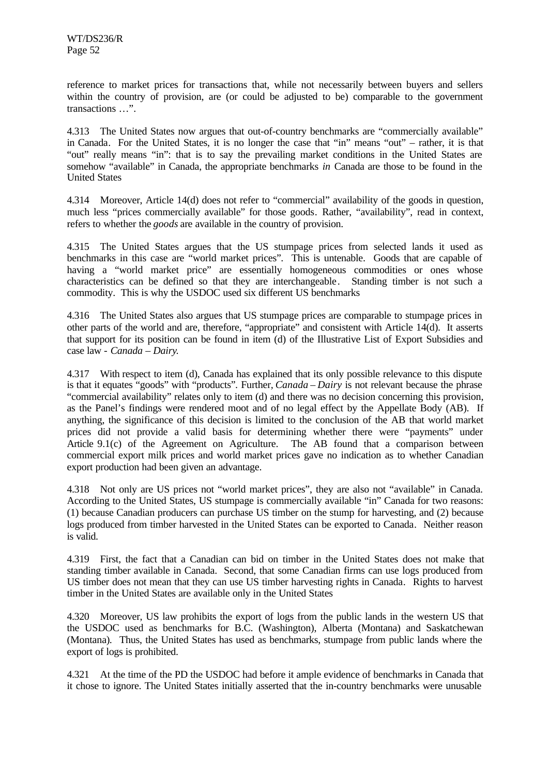reference to market prices for transactions that, while not necessarily between buyers and sellers within the country of provision, are (or could be adjusted to be) comparable to the government transactions …".

4.313 The United States now argues that out-of-country benchmarks are "commercially available" in Canada*.* For the United States, it is no longer the case that "in" means "out" – rather, it is that "out" really means "in": that is to say the prevailing market conditions in the United States are somehow "available" in Canada, the appropriate benchmarks *in* Canada are those to be found in the United States

4.314 Moreover, Article 14(d) does not refer to "commercial" availability of the goods in question, much less "prices commercially available" for those goods*.* Rather, "availability", read in context, refers to whether the *goods* are available in the country of provision.

4.315 The United States argues that the US stumpage prices from selected lands it used as benchmarks in this case are "world market prices"*.* This is untenable. Goods that are capable of having a "world market price" are essentially homogeneous commodities or ones whose characteristics can be defined so that they are interchangeable *.* Standing timber is not such a commodity. This is why the USDOC used six different US benchmarks

4.316 The United States also argues that US stumpage prices are comparable to stumpage prices in other parts of the world and are, therefore, "appropriate" and consistent with Article 14(d). It asserts that support for its position can be found in item (d) of the Illustrative List of Export Subsidies and case law - *Canada – Dairy*.

4.317 With respect to item (d), Canada has explained that its only possible relevance to this dispute is that it equates "goods" with "products"*.* Further*, Canada – Dairy* is not relevant because the phrase "commercial availability" relates only to item (d) and there was no decision concerning this provision, as the Panel's findings were rendered moot and of no legal effect by the Appellate Body (AB). If anything, the significance of this decision is limited to the conclusion of the AB that world market prices did not provide a valid basis for determining whether there were "payments" under Article 9.1(c) of the Agreement on Agriculture. The AB found that a comparison between commercial export milk prices and world market prices gave no indication as to whether Canadian export production had been given an advantage.

4.318 Not only are US prices not "world market prices", they are also not "available" in Canada. According to the United States, US stumpage is commercially available "in" Canada for two reasons: (1) because Canadian producers can purchase US timber on the stump for harvesting, and (2) because logs produced from timber harvested in the United States can be exported to Canada*.* Neither reason is valid.

4.319 First, the fact that a Canadian can bid on timber in the United States does not make that standing timber available in Canada. Second, that some Canadian firms can use logs produced from US timber does not mean that they can use US timber harvesting rights in Canada*.* Rights to harvest timber in the United States are available only in the United States

4.320 Moreover, US law prohibits the export of logs from the public lands in the western US that the USDOC used as benchmarks for B.C. (Washington), Alberta (Montana) and Saskatchewan (Montana)*.* Thus, the United States has used as benchmarks, stumpage from public lands where the export of logs is prohibited.

4.321 At the time of the PD the USDOC had before it ample evidence of benchmarks in Canada that it chose to ignore. The United States initially asserted that the in-country benchmarks were unusable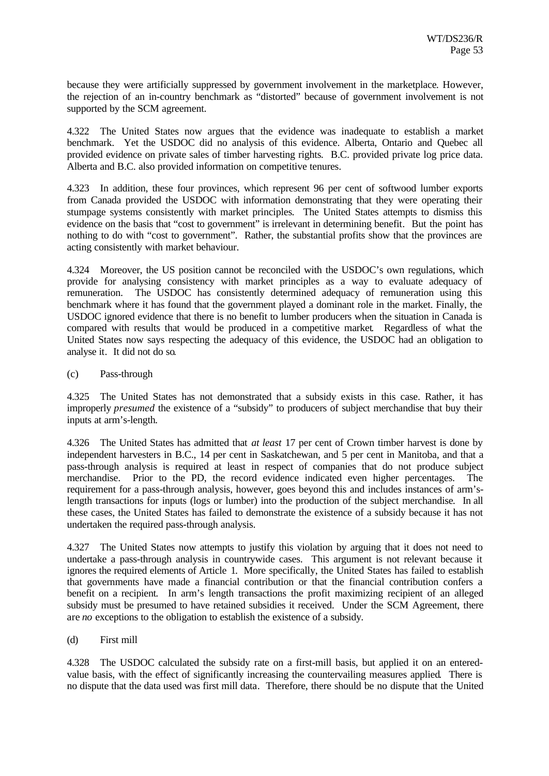because they were artificially suppressed by government involvement in the marketplace*.* However, the rejection of an in-country benchmark as "distorted" because of government involvement is not supported by the SCM agreement.

4.322 The United States now argues that the evidence was inadequate to establish a market benchmark. Yet the USDOC did no analysis of this evidence. Alberta, Ontario and Quebec all provided evidence on private sales of timber harvesting rights*.* B.C. provided private log price data. Alberta and B.C. also provided information on competitive tenures.

4.323 In addition, these four provinces, which represent 96 per cent of softwood lumber exports from Canada provided the USDOC with information demonstrating that they were operating their stumpage systems consistently with market principles*.* The United States attempts to dismiss this evidence on the basis that "cost to government" is irrelevant in determining benefit*.* But the point has nothing to do with "cost to government". Rather, the substantial profits show that the provinces are acting consistently with market behaviour.

4.324 Moreover, the US position cannot be reconciled with the USDOC's own regulations, which provide for analysing consistency with market principles as a way to evaluate adequacy of remuneration. The USDOC has consistently determined adequacy of remuneration using this benchmark where it has found that the government played a dominant role in the market. Finally, the USDOC ignored evidence that there is no benefit to lumber producers when the situation in Canada is compared with results that would be produced in a competitive market*.* Regardless of what the United States now says respecting the adequacy of this evidence, the USDOC had an obligation to analyse it*.* It did not do so*.*

(c) Pass-through

4.325 The United States has not demonstrated that a subsidy exists in this case. Rather, it has improperly *presumed* the existence of a "subsidy" to producers of subject merchandise that buy their inputs at arm's-length*.*

4.326 The United States has admitted that *at least* 17 per cent of Crown timber harvest is done by independent harvesters in B.C., 14 per cent in Saskatchewan, and 5 per cent in Manitoba, and that a pass-through analysis is required at least in respect of companies that do not produce subject merchandise. Prior to the PD, the record evidence indicated even higher percentages. The requirement for a pass-through analysis, however, goes beyond this and includes instances of arm'slength transactions for inputs (logs or lumber) into the production of the subject merchandise*.* In all these cases, the United States has failed to demonstrate the existence of a subsidy because it has not undertaken the required pass-through analysis.

4.327 The United States now attempts to justify this violation by arguing that it does not need to undertake a pass-through analysis in countrywide cases. This argument is not relevant because it ignores the required elements of Article 1*.* More specifically, the United States has failed to establish that governments have made a financial contribution or that the financial contribution confers a benefit on a recipient*.* In arm's length transactions the profit maximizing recipient of an alleged subsidy must be presumed to have retained subsidies it received.Under the SCM Agreement, there are *no* exceptions to the obligation to establish the existence of a subsidy*.*

(d) First mill

4.328 The USDOC calculated the subsidy rate on a first-mill basis, but applied it on an enteredvalue basis, with the effect of significantly increasing the countervailing measures applied*.* There is no dispute that the data used was first mill data*.* Therefore, there should be no dispute that the United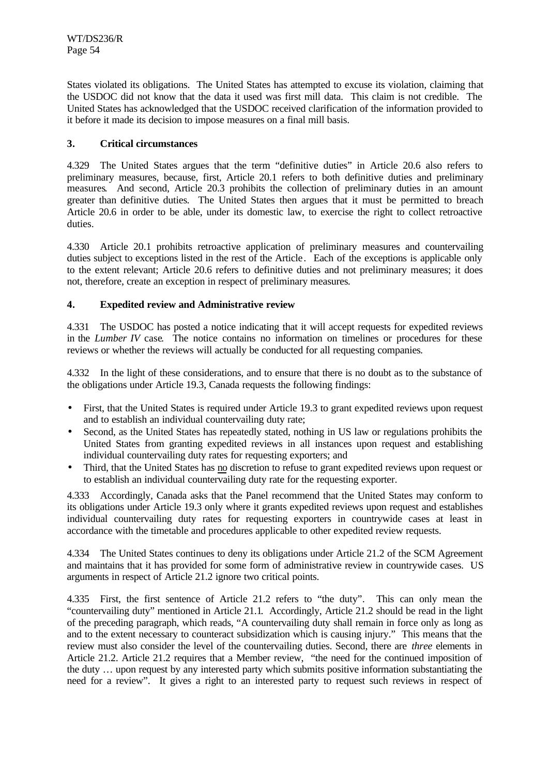States violated its obligations. The United States has attempted to excuse its violation, claiming that the USDOC did not know that the data it used was first mill data. This claim is not credible. The United States has acknowledged that the USDOC received clarification of the information provided to it before it made its decision to impose measures on a final mill basis.

# **3. Critical circumstances**

4.329 The United States argues that the term "definitive duties" in Article 20.6 also refers to preliminary measures, because, first, Article 20.1 refers to both definitive duties and preliminary measures*.* And second, Article 20.3 prohibits the collection of preliminary duties in an amount greater than definitive duties*.* The United States then argues that it must be permitted to breach Article 20.6 in order to be able, under its domestic law, to exercise the right to collect retroactive duties.

4.330 Article 20.1 prohibits retroactive application of preliminary measures and countervailing duties subject to exceptions listed in the rest of the Article. Each of the exceptions is applicable only to the extent relevant; Article 20.6 refers to definitive duties and not preliminary measures; it does not, therefore, create an exception in respect of preliminary measures*.*

# **4. Expedited review and Administrative review**

4.331 The USDOC has posted a notice indicating that it will accept requests for expedited reviews in the *Lumber IV* case*.* The notice contains no information on timelines or procedures for these reviews or whether the reviews will actually be conducted for all requesting companies*.*

4.332 In the light of these considerations, and to ensure that there is no doubt as to the substance of the obligations under Article 19.3, Canada requests the following findings:

- First, that the United States is required under Article 19.3 to grant expedited reviews upon request and to establish an individual countervailing duty rate;
- Second, as the United States has repeatedly stated, nothing in US law or regulations prohibits the United States from granting expedited reviews in all instances upon request and establishing individual countervailing duty rates for requesting exporters; and
- Third, that the United States has no discretion to refuse to grant expedited reviews upon request or to establish an individual countervailing duty rate for the requesting exporter.

4.333 Accordingly, Canada asks that the Panel recommend that the United States may conform to its obligations under Article 19.3 only where it grants expedited reviews upon request and establishes individual countervailing duty rates for requesting exporters in countrywide cases at least in accordance with the timetable and procedures applicable to other expedited review requests.

4.334 The United States continues to deny its obligations under Article 21.2 of the SCM Agreement and maintains that it has provided for some form of administrative review in countrywide cases*.* US arguments in respect of Article 21.2 ignore two critical points.

4.335 First, the first sentence of Article 21.2 refers to "the duty"*.* This can only mean the "countervailing duty" mentioned in Article 21.1*.* Accordingly, Article 21.2 should be read in the light of the preceding paragraph, which reads, "A countervailing duty shall remain in force only as long as and to the extent necessary to counteract subsidization which is causing injury." This means that the review must also consider the level of the countervailing duties. Second, there are *three* elements in Article 21.2. Article 21.2 requires that a Member review, "the need for the continued imposition of the duty … upon request by any interested party which submits positive information substantiating the need for a review". It gives a right to an interested party to request such reviews in respect of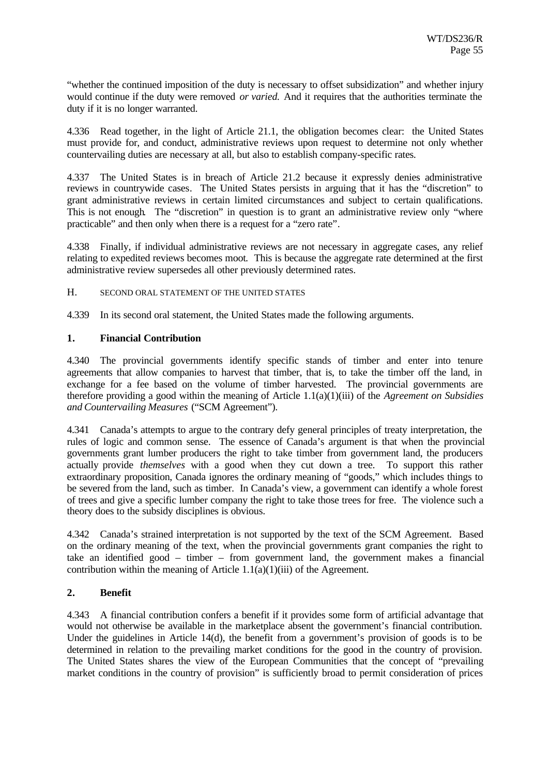"whether the continued imposition of the duty is necessary to offset subsidization" and whether injury would continue if the duty were removed *or varied.* And it requires that the authorities terminate the duty if it is no longer warranted.

4.336 Read together, in the light of Article 21.1, the obligation becomes clear: the United States must provide for, and conduct, administrative reviews upon request to determine not only whether countervailing duties are necessary at all, but also to establish company-specific rates*.*

4.337 The United States is in breach of Article 21.2 because it expressly denies administrative reviews in countrywide cases*.* The United States persists in arguing that it has the "discretion" to grant administrative reviews in certain limited circumstances and subject to certain qualifications. This is not enough The "discretion" in question is to grant an administrative review only "where practicable" and then only when there is a request for a "zero rate"*.*

4.338 Finally, if individual administrative reviews are not necessary in aggregate cases, any relief relating to expedited reviews becomes moot*.* This is because the aggregate rate determined at the first administrative review supersedes all other previously determined rates.

### H. SECOND ORAL STATEMENT OF THE UNITED STATES

4.339 In its second oral statement, the United States made the following arguments.

## **1. Financial Contribution**

4.340 The provincial governments identify specific stands of timber and enter into tenure agreements that allow companies to harvest that timber, that is, to take the timber off the land, in exchange for a fee based on the volume of timber harvested. The provincial governments are therefore providing a good within the meaning of Article 1.1(a)(1)(iii) of the *Agreement on Subsidies and Countervailing Measures* ("SCM Agreement").

4.341 Canada's attempts to argue to the contrary defy general principles of treaty interpretation, the rules of logic and common sense. The essence of Canada's argument is that when the provincial governments grant lumber producers the right to take timber from government land, the producers actually provide *themselves* with a good when they cut down a tree. To support this rather extraordinary proposition, Canada ignores the ordinary meaning of "goods," which includes things to be severed from the land, such as timber. In Canada's view, a government can identify a whole forest of trees and give a specific lumber company the right to take those trees for free. The violence such a theory does to the subsidy disciplines is obvious.

4.342 Canada's strained interpretation is not supported by the text of the SCM Agreement. Based on the ordinary meaning of the text, when the provincial governments grant companies the right to take an identified good – timber – from government land, the government makes a financial contribution within the meaning of Article  $1.1(a)(1)(iii)$  of the Agreement.

### **2. Benefit**

4.343 A financial contribution confers a benefit if it provides some form of artificial advantage that would not otherwise be available in the marketplace absent the government's financial contribution. Under the guidelines in Article 14(d), the benefit from a government's provision of goods is to be determined in relation to the prevailing market conditions for the good in the country of provision. The United States shares the view of the European Communities that the concept of "prevailing market conditions in the country of provision" is sufficiently broad to permit consideration of prices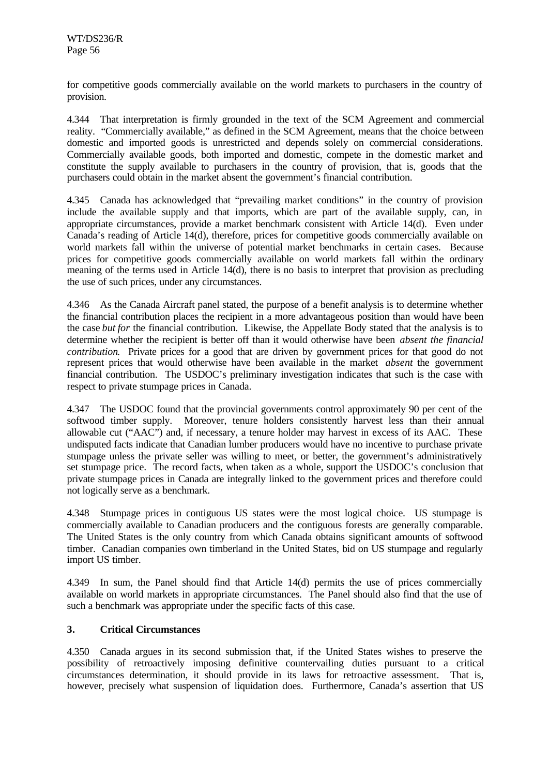for competitive goods commercially available on the world markets to purchasers in the country of provision.

4.344 That interpretation is firmly grounded in the text of the SCM Agreement and commercial reality. "Commercially available," as defined in the SCM Agreement, means that the choice between domestic and imported goods is unrestricted and depends solely on commercial considerations. Commercially available goods, both imported and domestic, compete in the domestic market and constitute the supply available to purchasers in the country of provision, that is, goods that the purchasers could obtain in the market absent the government's financial contribution.

4.345 Canada has acknowledged that "prevailing market conditions" in the country of provision include the available supply and that imports, which are part of the available supply, can, in appropriate circumstances, provide a market benchmark consistent with Article 14(d). Even under Canada's reading of Article 14(d), therefore, prices for competitive goods commercially available on world markets fall within the universe of potential market benchmarks in certain cases. Because prices for competitive goods commercially available on world markets fall within the ordinary meaning of the terms used in Article 14(d), there is no basis to interpret that provision as precluding the use of such prices, under any circumstances.

4.346 As the Canada Aircraft panel stated, the purpose of a benefit analysis is to determine whether the financial contribution places the recipient in a more advantageous position than would have been the case *but for* the financial contribution. Likewise, the Appellate Body stated that the analysis is to determine whether the recipient is better off than it would otherwise have been *absent the financial contribution*. Private prices for a good that are driven by government prices for that good do not represent prices that would otherwise have been available in the market *absent* the government financial contribution. The USDOC's preliminary investigation indicates that such is the case with respect to private stumpage prices in Canada.

4.347 The USDOC found that the provincial governments control approximately 90 per cent of the softwood timber supply. Moreover, tenure holders consistently harvest less than their annual allowable cut ("AAC") and, if necessary, a tenure holder may harvest in excess of its AAC. These undisputed facts indicate that Canadian lumber producers would have no incentive to purchase private stumpage unless the private seller was willing to meet, or better, the government's administratively set stumpage price. The record facts, when taken as a whole, support the USDOC's conclusion that private stumpage prices in Canada are integrally linked to the government prices and therefore could not logically serve as a benchmark.

4.348 Stumpage prices in contiguous US states were the most logical choice. US stumpage is commercially available to Canadian producers and the contiguous forests are generally comparable. The United States is the only country from which Canada obtains significant amounts of softwood timber. Canadian companies own timberland in the United States, bid on US stumpage and regularly import US timber.

4.349 In sum, the Panel should find that Article 14(d) permits the use of prices commercially available on world markets in appropriate circumstances. The Panel should also find that the use of such a benchmark was appropriate under the specific facts of this case.

# **3. Critical Circumstances**

4.350 Canada argues in its second submission that, if the United States wishes to preserve the possibility of retroactively imposing definitive countervailing duties pursuant to a critical circumstances determination, it should provide in its laws for retroactive assessment. That is, however, precisely what suspension of liquidation does. Furthermore, Canada's assertion that US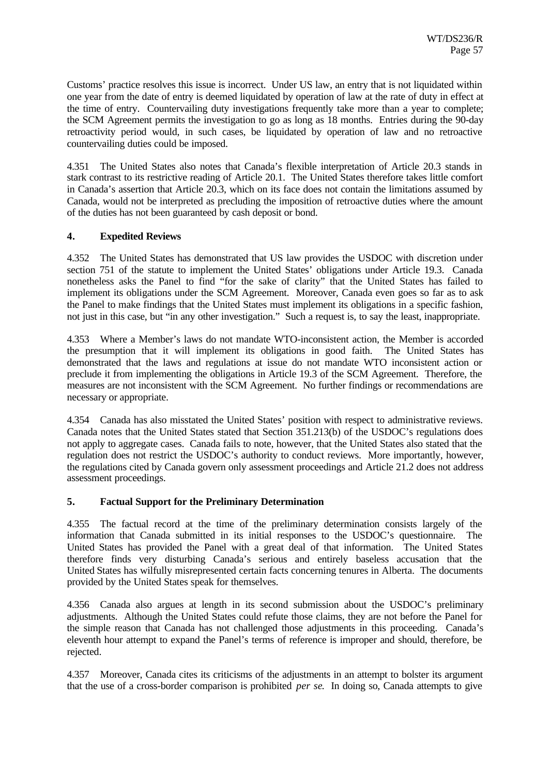Customs' practice resolves this issue is incorrect. Under US law, an entry that is not liquidated within one year from the date of entry is deemed liquidated by operation of law at the rate of duty in effect at the time of entry. Countervailing duty investigations frequently take more than a year to complete; the SCM Agreement permits the investigation to go as long as 18 months. Entries during the 90-day retroactivity period would, in such cases, be liquidated by operation of law and no retroactive countervailing duties could be imposed.

4.351 The United States also notes that Canada's flexible interpretation of Article 20.3 stands in stark contrast to its restrictive reading of Article 20.1. The United States therefore takes little comfort in Canada's assertion that Article 20.3, which on its face does not contain the limitations assumed by Canada, would not be interpreted as precluding the imposition of retroactive duties where the amount of the duties has not been guaranteed by cash deposit or bond.

### **4. Expedited Reviews**

4.352 The United States has demonstrated that US law provides the USDOC with discretion under section 751 of the statute to implement the United States' obligations under Article 19.3. Canada nonetheless asks the Panel to find "for the sake of clarity" that the United States has failed to implement its obligations under the SCM Agreement. Moreover, Canada even goes so far as to ask the Panel to make findings that the United States must implement its obligations in a specific fashion, not just in this case, but "in any other investigation." Such a request is, to say the least, inappropriate.

4.353 Where a Member's laws do not mandate WTO-inconsistent action, the Member is accorded the presumption that it will implement its obligations in good faith. The United States has demonstrated that the laws and regulations at issue do not mandate WTO inconsistent action or preclude it from implementing the obligations in Article 19.3 of the SCM Agreement. Therefore, the measures are not inconsistent with the SCM Agreement. No further findings or recommendations are necessary or appropriate.

4.354 Canada has also misstated the United States' position with respect to administrative reviews. Canada notes that the United States stated that Section 351.213(b) of the USDOC's regulations does not apply to aggregate cases. Canada fails to note, however, that the United States also stated that the regulation does not restrict the USDOC's authority to conduct reviews. More importantly, however, the regulations cited by Canada govern only assessment proceedings and Article 21.2 does not address assessment proceedings.

# **5. Factual Support for the Preliminary Determination**

4.355 The factual record at the time of the preliminary determination consists largely of the information that Canada submitted in its initial responses to the USDOC's questionnaire. The United States has provided the Panel with a great deal of that information. The United States therefore finds very disturbing Canada's serious and entirely baseless accusation that the United States has wilfully misrepresented certain facts concerning tenures in Alberta. The documents provided by the United States speak for themselves.

4.356 Canada also argues at length in its second submission about the USDOC's preliminary adjustments. Although the United States could refute those claims, they are not before the Panel for the simple reason that Canada has not challenged those adjustments in this proceeding. Canada's eleventh hour attempt to expand the Panel's terms of reference is improper and should, therefore, be rejected.

4.357 Moreover, Canada cites its criticisms of the adjustments in an attempt to bolster its argument that the use of a cross-border comparison is prohibited *per se*. In doing so, Canada attempts to give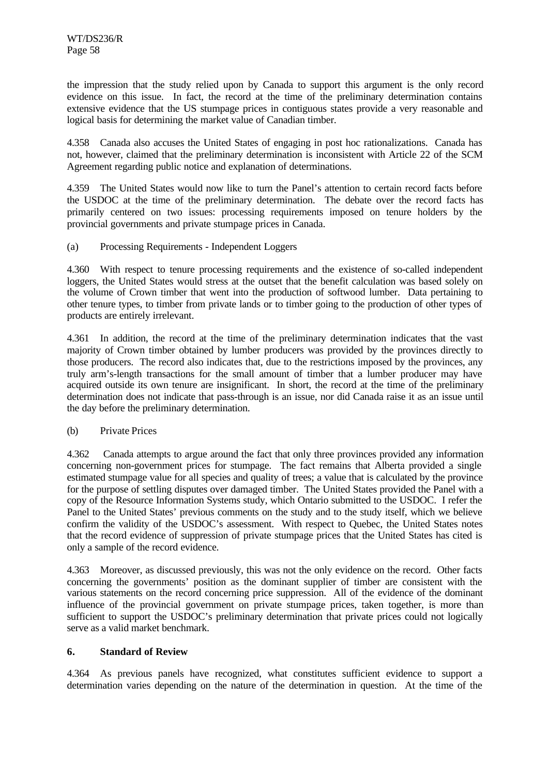the impression that the study relied upon by Canada to support this argument is the only record evidence on this issue. In fact, the record at the time of the preliminary determination contains extensive evidence that the US stumpage prices in contiguous states provide a very reasonable and logical basis for determining the market value of Canadian timber.

4.358 Canada also accuses the United States of engaging in post hoc rationalizations. Canada has not, however, claimed that the preliminary determination is inconsistent with Article 22 of the SCM Agreement regarding public notice and explanation of determinations.

4.359 The United States would now like to turn the Panel's attention to certain record facts before the USDOC at the time of the preliminary determination. The debate over the record facts has primarily centered on two issues: processing requirements imposed on tenure holders by the provincial governments and private stumpage prices in Canada.

## (a) Processing Requirements - Independent Loggers

4.360 With respect to tenure processing requirements and the existence of so-called independent loggers, the United States would stress at the outset that the benefit calculation was based solely on the volume of Crown timber that went into the production of softwood lumber. Data pertaining to other tenure types, to timber from private lands or to timber going to the production of other types of products are entirely irrelevant.

4.361 In addition, the record at the time of the preliminary determination indicates that the vast majority of Crown timber obtained by lumber producers was provided by the provinces directly to those producers. The record also indicates that, due to the restrictions imposed by the provinces, any truly arm's-length transactions for the small amount of timber that a lumber producer may have acquired outside its own tenure are insignificant. In short, the record at the time of the preliminary determination does not indicate that pass-through is an issue, nor did Canada raise it as an issue until the day before the preliminary determination.

(b) Private Prices

4.362 Canada attempts to argue around the fact that only three provinces provided any information concerning non-government prices for stumpage. The fact remains that Alberta provided a single estimated stumpage value for all species and quality of trees; a value that is calculated by the province for the purpose of settling disputes over damaged timber. The United States provided the Panel with a copy of the Resource Information Systems study, which Ontario submitted to the USDOC. I refer the Panel to the United States' previous comments on the study and to the study itself, which we believe confirm the validity of the USDOC's assessment. With respect to Quebec, the United States notes that the record evidence of suppression of private stumpage prices that the United States has cited is only a sample of the record evidence.

4.363 Moreover, as discussed previously, this was not the only evidence on the record. Other facts concerning the governments' position as the dominant supplier of timber are consistent with the various statements on the record concerning price suppression. All of the evidence of the dominant influence of the provincial government on private stumpage prices, taken together, is more than sufficient to support the USDOC's preliminary determination that private prices could not logically serve as a valid market benchmark.

# **6. Standard of Review**

4.364 As previous panels have recognized, what constitutes sufficient evidence to support a determination varies depending on the nature of the determination in question. At the time of the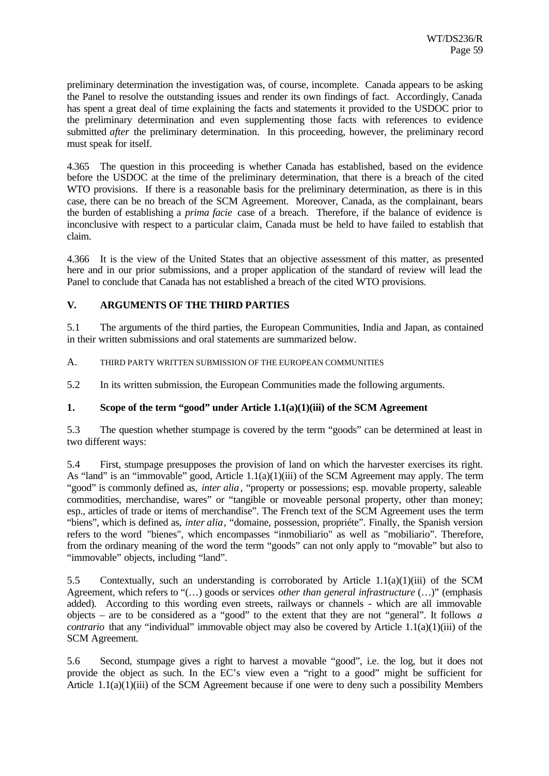preliminary determination the investigation was, of course, incomplete. Canada appears to be asking the Panel to resolve the outstanding issues and render its own findings of fact. Accordingly, Canada has spent a great deal of time explaining the facts and statements it provided to the USDOC prior to the preliminary determination and even supplementing those facts with references to evidence submitted *after* the preliminary determination. In this proceeding, however, the preliminary record must speak for itself.

4.365 The question in this proceeding is whether Canada has established, based on the evidence before the USDOC at the time of the preliminary determination, that there is a breach of the cited WTO provisions. If there is a reasonable basis for the preliminary determination, as there is in this case, there can be no breach of the SCM Agreement. Moreover, Canada, as the complainant, bears the burden of establishing a *prima facie* case of a breach. Therefore, if the balance of evidence is inconclusive with respect to a particular claim, Canada must be held to have failed to establish that claim.

4.366 It is the view of the United States that an objective assessment of this matter, as presented here and in our prior submissions, and a proper application of the standard of review will lead the Panel to conclude that Canada has not established a breach of the cited WTO provisions.

# **V. ARGUMENTS OF THE THIRD PARTIES**

5.1 The arguments of the third parties, the European Communities, India and Japan, as contained in their written submissions and oral statements are summarized below.

#### A. THIRD PARTY WRITTEN SUBMISSION OF THE EUROPEAN COMMUNITIES

5.2 In its written submission, the European Communities made the following arguments.

### **1. Scope of the term "good" under Article 1.1(a)(1)(iii) of the SCM Agreement**

5.3 The question whether stumpage is covered by the term "goods" can be determined at least in two different ways:

5.4 First, stumpage presupposes the provision of land on which the harvester exercises its right. As "land" is an "immovable" good, Article 1.1(a)(1)(iii) of the SCM Agreement may apply. The term "good" is commonly defined as, *inter alia*, "property or possessions; esp. movable property, saleable commodities, merchandise, wares" or "tangible or moveable personal property, other than money; esp., articles of trade or items of merchandise". The French text of the SCM Agreement uses the term "biens", which is defined as, *inter alia*, "domaine, possession, propriéte". Finally, the Spanish version refers to the word "bienes", which encompasses "inmobiliario" as well as "mobiliario". Therefore, from the ordinary meaning of the word the term "goods" can not only apply to "movable" but also to "immovable" objects, including "land".

5.5 Contextually, such an understanding is corroborated by Article 1.1(a)(1)(iii) of the SCM Agreement*,* which refers to "(…) goods or services *other than general infrastructure* (…)" (emphasis added). According to this wording even streets, railways or channels - which are all immovable objects – are to be considered as a "good" to the extent that they are not "general". It follows *a contrario* that any "individual" immovable object may also be covered by Article 1.1(a)(1)(iii) of the SCM Agreement*.*

5.6 Second, stumpage gives a right to harvest a movable "good", i.e. the log, but it does not provide the object as such. In the EC's view even a "right to a good" might be sufficient for Article 1.1(a)(1)(iii) of the SCM Agreement because if one were to deny such a possibility Members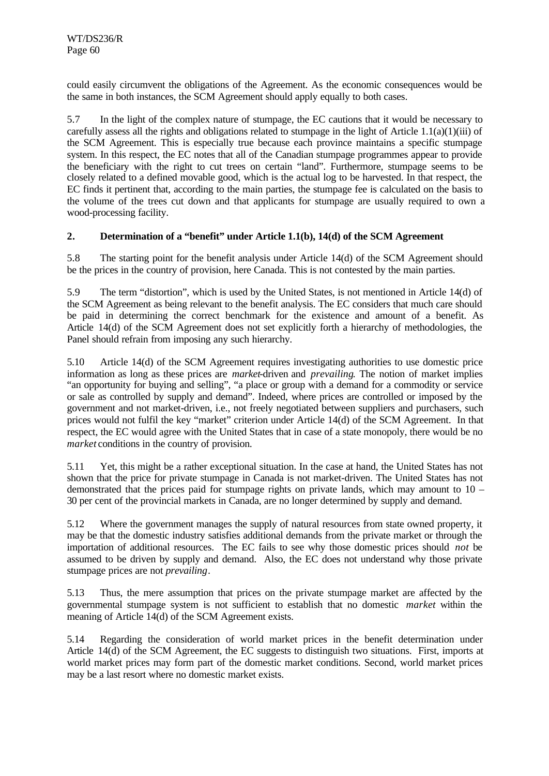could easily circumvent the obligations of the Agreement. As the economic consequences would be the same in both instances, the SCM Agreement should apply equally to both cases.

5.7 In the light of the complex nature of stumpage, the EC cautions that it would be necessary to carefully assess all the rights and obligations related to stumpage in the light of Article 1.1(a)(1)(iii) of the SCM Agreement. This is especially true because each province maintains a specific stumpage system. In this respect, the EC notes that all of the Canadian stumpage programmes appear to provide the beneficiary with the right to cut trees on certain "land". Furthermore, stumpage seems to be closely related to a defined movable good, which is the actual log to be harvested. In that respect, the EC finds it pertinent that, according to the main parties, the stumpage fee is calculated on the basis to the volume of the trees cut down and that applicants for stumpage are usually required to own a wood-processing facility.

## **2. Determination of a "benefit" under Article 1.1(b), 14(d) of the SCM Agreement**

5.8 The starting point for the benefit analysis under Article 14(d) of the SCM Agreement should be the prices in the country of provision, here Canada. This is not contested by the main parties.

5.9 The term "distortion", which is used by the United States, is not mentioned in Article 14(d) of the SCM Agreement as being relevant to the benefit analysis. The EC considers that much care should be paid in determining the correct benchmark for the existence and amount of a benefit. As Article 14(d) of the SCM Agreement does not set explicitly forth a hierarchy of methodologies, the Panel should refrain from imposing any such hierarchy.

5.10 Article 14(d) of the SCM Agreement requires investigating authorities to use domestic price information as long as these prices are *market*-driven and *prevailing*. The notion of market implies "an opportunity for buying and selling", "a place or group with a demand for a commodity or service or sale as controlled by supply and demand". Indeed, where prices are controlled or imposed by the government and not market-driven, i.e., not freely negotiated between suppliers and purchasers, such prices would not fulfil the key "market" criterion under Article 14(d) of the SCM Agreement. In that respect, the EC would agree with the United States that in case of a state monopoly, there would be no *market* conditions in the country of provision.

5.11 Yet, this might be a rather exceptional situation. In the case at hand, the United States has not shown that the price for private stumpage in Canada is not market-driven. The United States has not demonstrated that the prices paid for stumpage rights on private lands, which may amount to 10 – 30 per cent of the provincial markets in Canada, are no longer determined by supply and demand.

5.12 Where the government manages the supply of natural resources from state owned property, it may be that the domestic industry satisfies additional demands from the private market or through the importation of additional resources. The EC fails to see why those domestic prices should *not* be assumed to be driven by supply and demand. Also, the EC does not understand why those private stumpage prices are not *prevailing*.

5.13 Thus, the mere assumption that prices on the private stumpage market are affected by the governmental stumpage system is not sufficient to establish that no domestic *market* within the meaning of Article 14(d) of the SCM Agreement exists.

5.14 Regarding the consideration of world market prices in the benefit determination under Article 14(d) of the SCM Agreement, the EC suggests to distinguish two situations. First, imports at world market prices may form part of the domestic market conditions. Second, world market prices may be a last resort where no domestic market exists.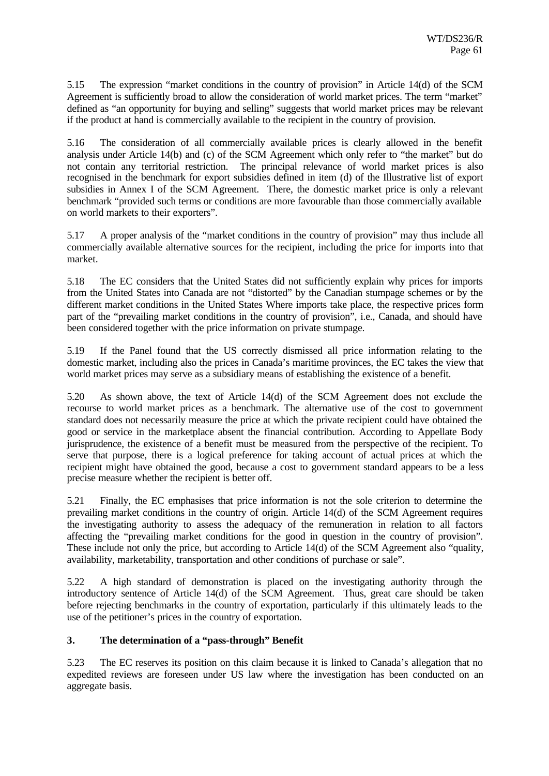5.15 The expression "market conditions in the country of provision" in Article 14(d) of the SCM Agreement is sufficiently broad to allow the consideration of world market prices. The term "market" defined as "an opportunity for buying and selling" suggests that world market prices may be relevant if the product at hand is commercially available to the recipient in the country of provision.

5.16 The consideration of all commercially available prices is clearly allowed in the benefit analysis under Article 14(b) and (c) of the SCM Agreement which only refer to "the market" but do not contain any territorial restriction. The principal relevance of world market prices is also recognised in the benchmark for export subsidies defined in item (d) of the Illustrative list of export subsidies in Annex I of the SCM Agreement. There, the domestic market price is only a relevant benchmark "provided such terms or conditions are more favourable than those commercially available on world markets to their exporters".

5.17 A proper analysis of the "market conditions in the country of provision" may thus include all commercially available alternative sources for the recipient, including the price for imports into that market.

5.18 The EC considers that the United States did not sufficiently explain why prices for imports from the United States into Canada are not "distorted" by the Canadian stumpage schemes or by the different market conditions in the United States Where imports take place, the respective prices form part of the "prevailing market conditions in the country of provision", i.e., Canada, and should have been considered together with the price information on private stumpage.

5.19 If the Panel found that the US correctly dismissed all price information relating to the domestic market, including also the prices in Canada's maritime provinces, the EC takes the view that world market prices may serve as a subsidiary means of establishing the existence of a benefit.

5.20 As shown above, the text of Article 14(d) of the SCM Agreement does not exclude the recourse to world market prices as a benchmark. The alternative use of the cost to government standard does not necessarily measure the price at which the private recipient could have obtained the good or service in the marketplace absent the financial contribution. According to Appellate Body jurisprudence, the existence of a benefit must be measured from the perspective of the recipient. To serve that purpose, there is a logical preference for taking account of actual prices at which the recipient might have obtained the good, because a cost to government standard appears to be a less precise measure whether the recipient is better off.

5.21 Finally, the EC emphasises that price information is not the sole criterion to determine the prevailing market conditions in the country of origin. Article 14(d) of the SCM Agreement requires the investigating authority to assess the adequacy of the remuneration in relation to all factors affecting the "prevailing market conditions for the good in question in the country of provision". These include not only the price, but according to Article 14(d) of the SCM Agreement also "quality, availability, marketability, transportation and other conditions of purchase or sale".

5.22 A high standard of demonstration is placed on the investigating authority through the introductory sentence of Article 14(d) of the SCM Agreement. Thus, great care should be taken before rejecting benchmarks in the country of exportation, particularly if this ultimately leads to the use of the petitioner's prices in the country of exportation.

# **3. The determination of a "pass-through" Benefit**

5.23 The EC reserves its position on this claim because it is linked to Canada's allegation that no expedited reviews are foreseen under US law where the investigation has been conducted on an aggregate basis.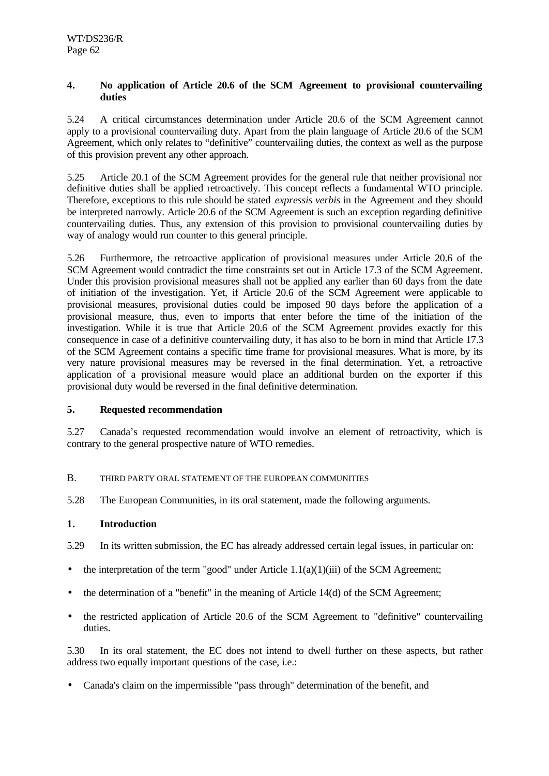## **4. No application of Article 20.6 of the SCM Agreement to provisional countervailing duties**

5.24 A critical circumstances determination under Article 20.6 of the SCM Agreement cannot apply to a provisional countervailing duty. Apart from the plain language of Article 20.6 of the SCM Agreement, which only relates to "definitive" countervailing duties, the context as well as the purpose of this provision prevent any other approach.

5.25 Article 20.1 of the SCM Agreement provides for the general rule that neither provisional nor definitive duties shall be applied retroactively. This concept reflects a fundamental WTO principle. Therefore, exceptions to this rule should be stated *expressis verbis* in the Agreement and they should be interpreted narrowly. Article 20.6 of the SCM Agreement is such an exception regarding definitive countervailing duties. Thus, any extension of this provision to provisional countervailing duties by way of analogy would run counter to this general principle.

5.26 Furthermore, the retroactive application of provisional measures under Article 20.6 of the SCM Agreement would contradict the time constraints set out in Article 17.3 of the SCM Agreement. Under this provision provisional measures shall not be applied any earlier than 60 days from the date of initiation of the investigation. Yet, if Article 20.6 of the SCM Agreement were applicable to provisional measures, provisional duties could be imposed 90 days before the application of a provisional measure, thus, even to imports that enter before the time of the initiation of the investigation. While it is true that Article 20.6 of the SCM Agreement provides exactly for this consequence in case of a definitive countervailing duty, it has also to be born in mind that Article 17.3 of the SCM Agreement contains a specific time frame for provisional measures. What is more, by its very nature provisional measures may be reversed in the final determination. Yet, a retroactive application of a provisional measure would place an additional burden on the exporter if this provisional duty would be reversed in the final definitive determination.

# **5. Requested recommendation**

5.27 Canada's requested recommendation would involve an element of retroactivity, which is contrary to the general prospective nature of WTO remedies.

### B. THIRD PARTY ORAL STATEMENT OF THE EUROPEAN COMMUNITIES

5.28 The European Communities, in its oral statement, made the following arguments.

# **1. Introduction**

- 5.29 In its written submission, the EC has already addressed certain legal issues, in particular on:
- the interpretation of the term "good" under Article  $1.1(a)(1)(iii)$  of the SCM Agreement;
- the determination of a "benefit" in the meaning of Article 14(d) of the SCM Agreement;
- the restricted application of Article 20.6 of the SCM Agreement to "definitive" countervailing duties.

5.30 In its oral statement, the EC does not intend to dwell further on these aspects, but rather address two equally important questions of the case, i.e.:

• Canada's claim on the impermissible "pass through" determination of the benefit, and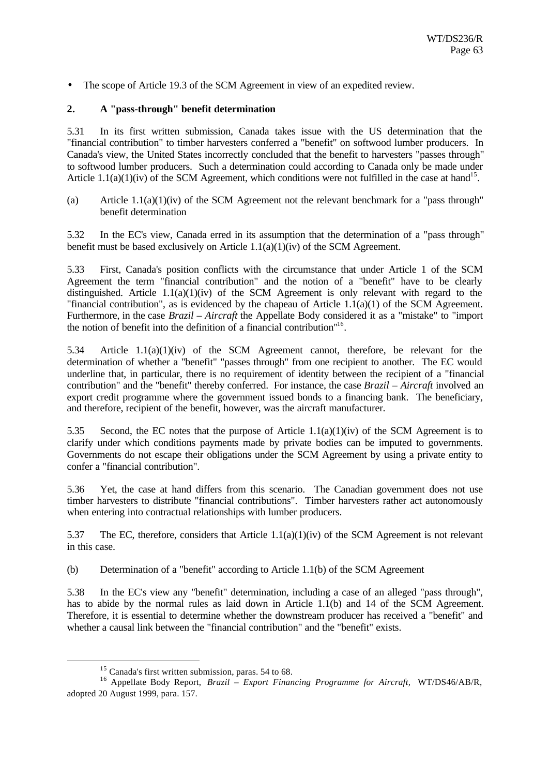• The scope of Article 19.3 of the SCM Agreement in view of an expedited review.

# **2. A "pass-through" benefit determination**

5.31 In its first written submission, Canada takes issue with the US determination that the "financial contribution" to timber harvesters conferred a "benefit" on softwood lumber producers. In Canada's view, the United States incorrectly concluded that the benefit to harvesters "passes through" to softwood lumber producers. Such a determination could according to Canada only be made under Article 1.1(a)(1)(iv) of the SCM Agreement, which conditions were not fulfilled in the case at hand<sup>15</sup>.

(a) Article 1.1(a)(1)(iv) of the SCM Agreement not the relevant benchmark for a "pass through" benefit determination

5.32 In the EC's view, Canada erred in its assumption that the determination of a "pass through" benefit must be based exclusively on Article 1.1(a)(1)(iv) of the SCM Agreement.

5.33 First, Canada's position conflicts with the circumstance that under Article 1 of the SCM Agreement the term "financial contribution" and the notion of a "benefit" have to be clearly distinguished. Article 1.1(a)(1)(iv) of the SCM Agreement is only relevant with regard to the "financial contribution", as is evidenced by the chapeau of Article 1.1(a)(1) of the SCM Agreement. Furthermore, in the case *Brazil – Aircraft* the Appellate Body considered it as a "mistake" to "import the notion of benefit into the definition of a financial contribution"<sup>16</sup>.

5.34 Article 1.1(a)(1)(iv) of the SCM Agreement cannot, therefore, be relevant for the determination of whether a "benefit" "passes through" from one recipient to another. The EC would underline that, in particular, there is no requirement of identity between the recipient of a "financial contribution" and the "benefit" thereby conferred. For instance, the case *Brazil – Aircraft* involved an export credit programme where the government issued bonds to a financing bank. The beneficiary, and therefore, recipient of the benefit, however, was the aircraft manufacturer.

5.35 Second, the EC notes that the purpose of Article  $1.1(a)(1)(iv)$  of the SCM Agreement is to clarify under which conditions payments made by private bodies can be imputed to governments. Governments do not escape their obligations under the SCM Agreement by using a private entity to confer a "financial contribution".

5.36 Yet, the case at hand differs from this scenario. The Canadian government does not use timber harvesters to distribute "financial contributions". Timber harvesters rather act autonomously when entering into contractual relationships with lumber producers.

5.37 The EC, therefore, considers that Article  $1.1(a)(1)(iv)$  of the SCM Agreement is not relevant in this case.

(b) Determination of a "benefit" according to Article 1.1(b) of the SCM Agreement

5.38 In the EC's view any "benefit" determination, including a case of an alleged "pass through", has to abide by the normal rules as laid down in Article 1.1(b) and 14 of the SCM Agreement. Therefore, it is essential to determine whether the downstream producer has received a "benefit" and whether a causal link between the "financial contribution" and the "benefit" exists.

<sup>&</sup>lt;sup>15</sup> Canada's first written submission, paras. 54 to 68.

<sup>16</sup> Appellate Body Report, *Brazil – Export Financing Programme for Aircraft,* WT/DS46/AB/R, adopted 20 August 1999, para. 157.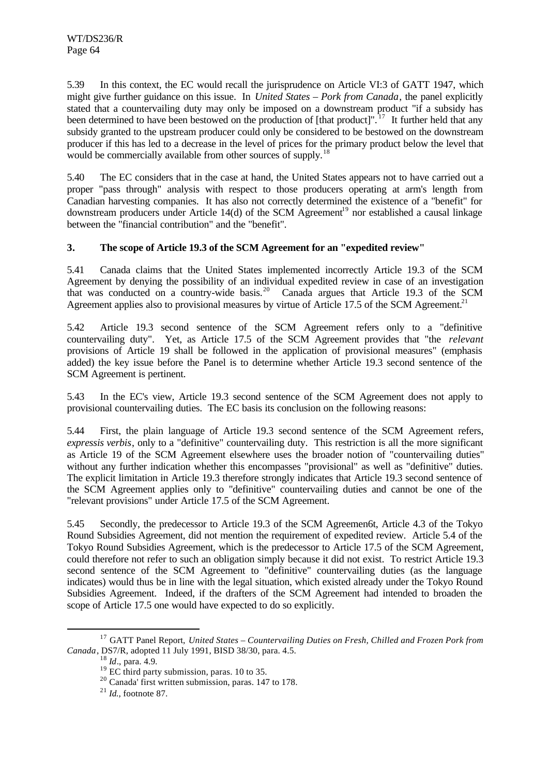5.39 In this context, the EC would recall the jurisprudence on Article VI:3 of GATT 1947, which might give further guidance on this issue. In *United States – Pork from Canada*, the panel explicitly stated that a countervailing duty may only be imposed on a downstream product "if a subsidy has been determined to have been bestowed on the production of [that product]". <sup>17</sup> It further held that any subsidy granted to the upstream producer could only be considered to be bestowed on the downstream producer if this has led to a decrease in the level of prices for the primary product below the level that would be commercially available from other sources of supply.<sup>18</sup>

5.40 The EC considers that in the case at hand, the United States appears not to have carried out a proper "pass through" analysis with respect to those producers operating at arm's length from Canadian harvesting companies. It has also not correctly determined the existence of a "benefit" for downstream producers under Article 14(d) of the SCM Agreement<sup>19</sup> nor established a causal linkage between the "financial contribution" and the "benefit".

# **3. The scope of Article 19.3 of the SCM Agreement for an "expedited review"**

5.41 Canada claims that the United States implemented incorrectly Article 19.3 of the SCM Agreement by denying the possibility of an individual expedited review in case of an investigation that was conducted on a country-wide basis.<sup>20</sup> Canada argues that Article 19.3 of the SCM Agreement applies also to provisional measures by virtue of Article 17.5 of the SCM Agreement.<sup>21</sup>

5.42 Article 19.3 second sentence of the SCM Agreement refers only to a "definitive countervailing duty". Yet, as Article 17.5 of the SCM Agreement provides that "the *relevant* provisions of Article 19 shall be followed in the application of provisional measures" (emphasis added) the key issue before the Panel is to determine whether Article 19.3 second sentence of the SCM Agreement is pertinent.

5.43 In the EC's view, Article 19.3 second sentence of the SCM Agreement does not apply to provisional countervailing duties. The EC basis its conclusion on the following reasons:

5.44 First, the plain language of Article 19.3 second sentence of the SCM Agreement refers, *expressis verbis*, only to a "definitive" countervailing duty. This restriction is all the more significant as Article 19 of the SCM Agreement elsewhere uses the broader notion of "countervailing duties" without any further indication whether this encompasses "provisional" as well as "definitive" duties. The explicit limitation in Article 19.3 therefore strongly indicates that Article 19.3 second sentence of the SCM Agreement applies only to "definitive" countervailing duties and cannot be one of the "relevant provisions" under Article 17.5 of the SCM Agreement.

5.45 Secondly, the predecessor to Article 19.3 of the SCM Agreemen6t, Article 4.3 of the Tokyo Round Subsidies Agreement, did not mention the requirement of expedited review. Article 5.4 of the Tokyo Round Subsidies Agreement, which is the predecessor to Article 17.5 of the SCM Agreement, could therefore not refer to such an obligation simply because it did not exist. To restrict Article 19.3 second sentence of the SCM Agreement to "definitive" countervailing duties (as the language indicates) would thus be in line with the legal situation, which existed already under the Tokyo Round Subsidies Agreement. Indeed, if the drafters of the SCM Agreement had intended to broaden the scope of Article 17.5 one would have expected to do so explicitly.

<sup>17</sup> GATT Panel Report, *United States – Countervailing Duties on Fresh, Chilled and Frozen Pork from Canada*, DS7/R, adopted 11 July 1991, BISD 38/30, para. 4.5.

<sup>18</sup> *Id*., para. 4.9.

 $19$  EC third party submission, paras. 10 to 35.

<sup>&</sup>lt;sup>20</sup> Canada' first written submission, paras. 147 to 178.

<sup>21</sup> *Id.,* footnote 87.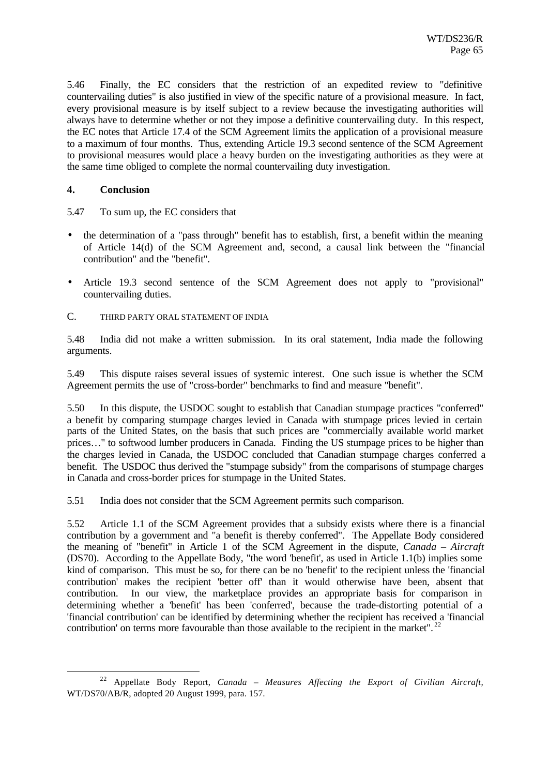5.46 Finally, the EC considers that the restriction of an expedited review to "definitive countervailing duties" is also justified in view of the specific nature of a provisional measure. In fact, every provisional measure is by itself subject to a review because the investigating authorities will always have to determine whether or not they impose a definitive countervailing duty. In this respect, the EC notes that Article 17.4 of the SCM Agreement limits the application of a provisional measure to a maximum of four months. Thus, extending Article 19.3 second sentence of the SCM Agreement to provisional measures would place a heavy burden on the investigating authorities as they were at the same time obliged to complete the normal countervailing duty investigation.

### **4. Conclusion**

l

- 5.47 To sum up, the EC considers that
- the determination of a "pass through" benefit has to establish, first, a benefit within the meaning of Article 14(d) of the SCM Agreement and, second, a causal link between the "financial contribution" and the "benefit".
- Article 19.3 second sentence of the SCM Agreement does not apply to "provisional" countervailing duties.
- C. THIRD PARTY ORAL STATEMENT OF INDIA

5.48 India did not make a written submission. In its oral statement, India made the following arguments.

5.49 This dispute raises several issues of systemic interest. One such issue is whether the SCM Agreement permits the use of "cross-border" benchmarks to find and measure "benefit".

5.50 In this dispute, the USDOC sought to establish that Canadian stumpage practices "conferred" a benefit by comparing stumpage charges levied in Canada with stumpage prices levied in certain parts of the United States, on the basis that such prices are "commercially available world market prices…" to softwood lumber producers in Canada. Finding the US stumpage prices to be higher than the charges levied in Canada, the USDOC concluded that Canadian stumpage charges conferred a benefit. The USDOC thus derived the "stumpage subsidy" from the comparisons of stumpage charges in Canada and cross-border prices for stumpage in the United States.

5.51 India does not consider that the SCM Agreement permits such comparison.

5.52 Article 1.1 of the SCM Agreement provides that a subsidy exists where there is a financial contribution by a government and "a benefit is thereby conferred". The Appellate Body considered the meaning of "benefit" in Article 1 of the SCM Agreement in the dispute, *Canada – Aircraft* (DS70). According to the Appellate Body, "the word 'benefit', as used in Article 1.1(b) implies some kind of comparison. This must be so, for there can be no 'benefit' to the recipient unless the 'financial contribution' makes the recipient 'better off' than it would otherwise have been, absent that contribution. In our view, the marketplace provides an appropriate basis for comparison in determining whether a 'benefit' has been 'conferred', because the trade-distorting potential of a 'financial contribution' can be identified by determining whether the recipient has received a 'financial contribution' on terms more favourable than those available to the recipient in the market".<sup>22</sup>

<sup>22</sup> Appellate Body Report, *Canada – Measures Affecting the Export of Civilian Aircraft,* WT/DS70/AB/R, adopted 20 August 1999, para. 157.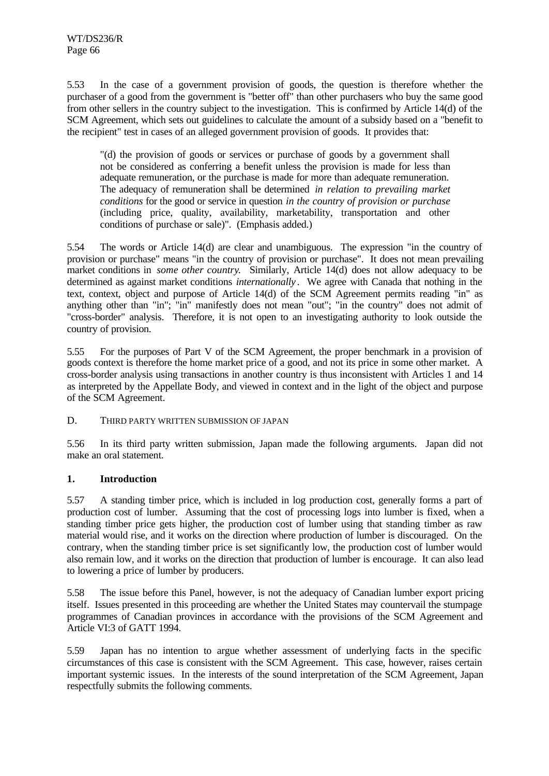5.53 In the case of a government provision of goods, the question is therefore whether the purchaser of a good from the government is "better off" than other purchasers who buy the same good from other sellers in the country subject to the investigation. This is confirmed by Article 14(d) of the SCM Agreement, which sets out guidelines to calculate the amount of a subsidy based on a "benefit to the recipient" test in cases of an alleged government provision of goods. It provides that:

"(d) the provision of goods or services or purchase of goods by a government shall not be considered as conferring a benefit unless the provision is made for less than adequate remuneration, or the purchase is made for more than adequate remuneration. The adequacy of remuneration shall be determined *in relation to prevailing market conditions* for the good or service in question *in the country of provision or purchase* (including price, quality, availability, marketability, transportation and other conditions of purchase or sale)". (Emphasis added.)

5.54 The words or Article 14(d) are clear and unambiguous. The expression "in the country of provision or purchase" means "in the country of provision or purchase". It does not mean prevailing market conditions in *some other country*. Similarly, Article 14(d) does not allow adequacy to be determined as against market conditions *internationally* . We agree with Canada that nothing in the text, context, object and purpose of Article 14(d) of the SCM Agreement permits reading "in" as anything other than "in"; "in" manifestly does not mean "out"; "in the country" does not admit of "cross-border" analysis. Therefore, it is not open to an investigating authority to look outside the country of provision.

5.55 For the purposes of Part V of the SCM Agreement, the proper benchmark in a provision of goods context is therefore the home market price of a good, and not its price in some other market. A cross-border analysis using transactions in another country is thus inconsistent with Articles 1 and 14 as interpreted by the Appellate Body, and viewed in context and in the light of the object and purpose of the SCM Agreement.

D. THIRD PARTY WRITTEN SUBMISSION OF JAPAN

5.56 In its third party written submission, Japan made the following arguments. Japan did not make an oral statement.

# **1. Introduction**

5.57 A standing timber price, which is included in log production cost, generally forms a part of production cost of lumber. Assuming that the cost of processing logs into lumber is fixed, when a standing timber price gets higher, the production cost of lumber using that standing timber as raw material would rise, and it works on the direction where production of lumber is discouraged. On the contrary, when the standing timber price is set significantly low, the production cost of lumber would also remain low, and it works on the direction that production of lumber is encourage. It can also lead to lowering a price of lumber by producers.

5.58 The issue before this Panel, however, is not the adequacy of Canadian lumber export pricing itself. Issues presented in this proceeding are whether the United States may countervail the stumpage programmes of Canadian provinces in accordance with the provisions of the SCM Agreement and Article VI:3 of GATT 1994.

5.59 Japan has no intention to argue whether assessment of underlying facts in the specific circumstances of this case is consistent with the SCM Agreement. This case, however, raises certain important systemic issues. In the interests of the sound interpretation of the SCM Agreement, Japan respectfully submits the following comments.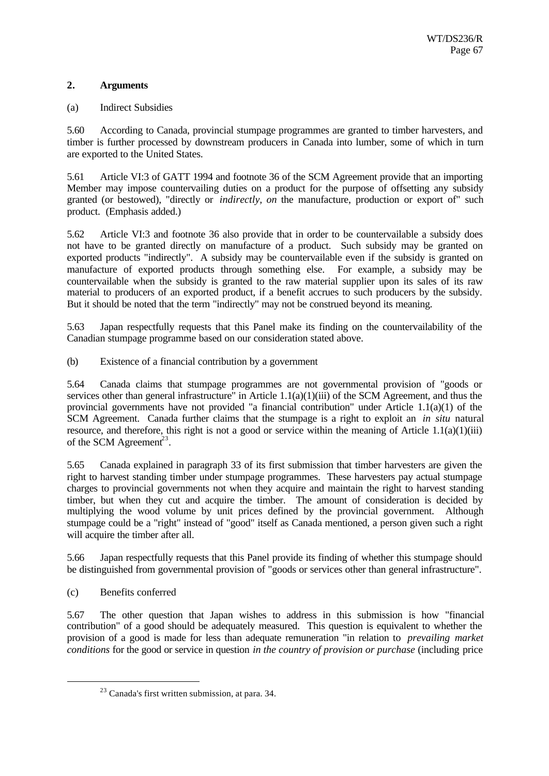# **2. Arguments**

#### (a) Indirect Subsidies

5.60 According to Canada, provincial stumpage programmes are granted to timber harvesters, and timber is further processed by downstream producers in Canada into lumber, some of which in turn are exported to the United States.

5.61 Article VI:3 of GATT 1994 and footnote 36 of the SCM Agreement provide that an importing Member may impose countervailing duties on a product for the purpose of offsetting any subsidy granted (or bestowed), "directly or *indirectly, on* the manufacture, production or export of" such product. (Emphasis added.)

5.62 Article VI:3 and footnote 36 also provide that in order to be countervailable a subsidy does not have to be granted directly on manufacture of a product. Such subsidy may be granted on exported products "indirectly". A subsidy may be countervailable even if the subsidy is granted on manufacture of exported products through something else. For example, a subsidy may be countervailable when the subsidy is granted to the raw material supplier upon its sales of its raw material to producers of an exported product, if a benefit accrues to such producers by the subsidy. But it should be noted that the term "indirectly" may not be construed beyond its meaning.

5.63 Japan respectfully requests that this Panel make its finding on the countervailability of the Canadian stumpage programme based on our consideration stated above.

(b) Existence of a financial contribution by a government

5.64 Canada claims that stumpage programmes are not governmental provision of "goods or services other than general infrastructure" in Article  $1.1(a)(1)(iii)$  of the SCM Agreement, and thus the provincial governments have not provided "a financial contribution" under Article  $1.1(a)(1)$  of the SCM Agreement. Canada further claims that the stumpage is a right to exploit an *in situ* natural resource, and therefore, this right is not a good or service within the meaning of Article  $1.1(a)(1)(iii)$ of the SCM Agreement<sup>23</sup>.

5.65 Canada explained in paragraph 33 of its first submission that timber harvesters are given the right to harvest standing timber under stumpage programmes. These harvesters pay actual stumpage charges to provincial governments not when they acquire and maintain the right to harvest standing timber, but when they cut and acquire the timber. The amount of consideration is decided by multiplying the wood volume by unit prices defined by the provincial government. Although stumpage could be a "right" instead of "good" itself as Canada mentioned, a person given such a right will acquire the timber after all.

5.66 Japan respectfully requests that this Panel provide its finding of whether this stumpage should be distinguished from governmental provision of "goods or services other than general infrastructure".

(c) Benefits conferred

l

5.67 The other question that Japan wishes to address in this submission is how "financial contribution" of a good should be adequately measured. This question is equivalent to whether the provision of a good is made for less than adequate remuneration "in relation to *prevailing market conditions* for the good or service in question *in the country of provision or purchase* (including price

 $23$  Canada's first written submission, at para. 34.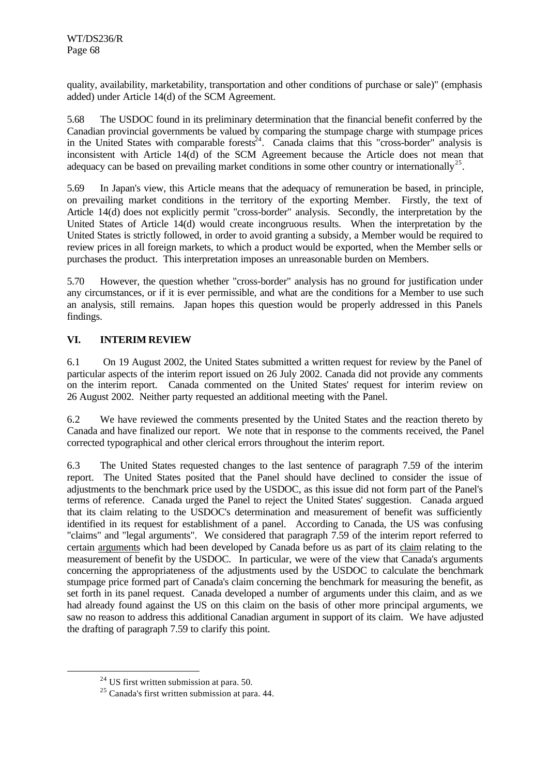quality, availability, marketability, transportation and other conditions of purchase or sale)" (emphasis added) under Article 14(d) of the SCM Agreement.

5.68 The USDOC found in its preliminary determination that the financial benefit conferred by the Canadian provincial governments be valued by comparing the stumpage charge with stumpage prices in the United States with comparable forests<sup> $24$ </sup>. Canada claims that this "cross-border" analysis is inconsistent with Article 14(d) of the SCM Agreement because the Article does not mean that adequacy can be based on prevailing market conditions in some other country or internationally<sup>25</sup>.

5.69 In Japan's view, this Article means that the adequacy of remuneration be based, in principle, on prevailing market conditions in the territory of the exporting Member. Firstly, the text of Article 14(d) does not explicitly permit "cross-border" analysis. Secondly, the interpretation by the United States of Article 14(d) would create incongruous results. When the interpretation by the United States is strictly followed, in order to avoid granting a subsidy, a Member would be required to review prices in all foreign markets, to which a product would be exported, when the Member sells or purchases the product. This interpretation imposes an unreasonable burden on Members.

5.70 However, the question whether "cross-border" analysis has no ground for justification under any circumstances, or if it is ever permissible, and what are the conditions for a Member to use such an analysis, still remains. Japan hopes this question would be properly addressed in this Panels findings.

# **VI. INTERIM REVIEW**

6.1 On 19 August 2002, the United States submitted a written request for review by the Panel of particular aspects of the interim report issued on 26 July 2002. Canada did not provide any comments on the interim report. Canada commented on the United States' request for interim review on 26 August 2002. Neither party requested an additional meeting with the Panel.

6.2 We have reviewed the comments presented by the United States and the reaction thereto by Canada and have finalized our report. We note that in response to the comments received, the Panel corrected typographical and other clerical errors throughout the interim report.

6.3 The United States requested changes to the last sentence of paragraph 7.59 of the interim report. The United States posited that the Panel should have declined to consider the issue of adjustments to the benchmark price used by the USDOC, as this issue did not form part of the Panel's terms of reference. Canada urged the Panel to reject the United States' suggestion. Canada argued that its claim relating to the USDOC's determination and measurement of benefit was sufficiently identified in its request for establishment of a panel. According to Canada, the US was confusing "claims" and "legal arguments". We considered that paragraph 7.59 of the interim report referred to certain arguments which had been developed by Canada before us as part of its claim relating to the measurement of benefit by the USDOC. In particular, we were of the view that Canada's arguments concerning the appropriateness of the adjustments used by the USDOC to calculate the benchmark stumpage price formed part of Canada's claim concerning the benchmark for measuring the benefit, as set forth in its panel request. Canada developed a number of arguments under this claim, and as we had already found against the US on this claim on the basis of other more principal arguments, we saw no reason to address this additional Canadian argument in support of its claim. We have adjusted the drafting of paragraph 7.59 to clarify this point.

 $24$  US first written submission at para. 50.

<sup>25</sup> Canada's first written submission at para. 44.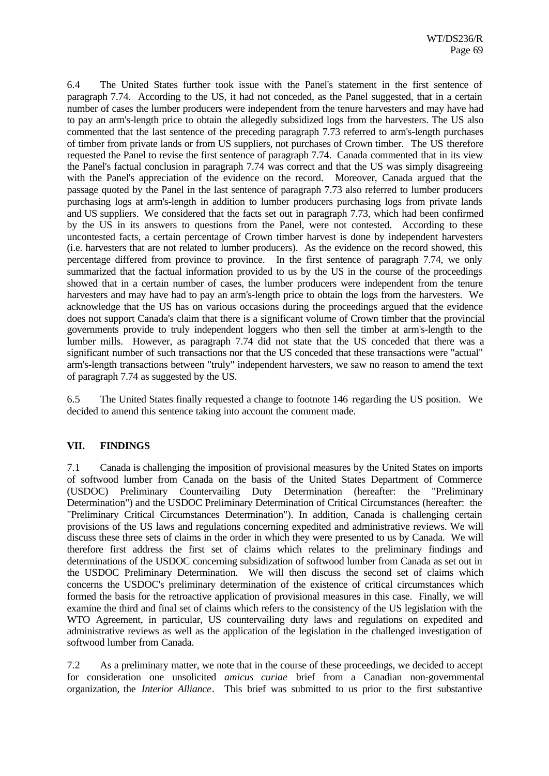6.4 The United States further took issue with the Panel's statement in the first sentence of paragraph 7.74. According to the US, it had not conceded, as the Panel suggested, that in a certain number of cases the lumber producers were independent from the tenure harvesters and may have had to pay an arm's-length price to obtain the allegedly subsidized logs from the harvesters. The US also commented that the last sentence of the preceding paragraph 7.73 referred to arm's-length purchases of timber from private lands or from US suppliers, not purchases of Crown timber. The US therefore requested the Panel to revise the first sentence of paragraph 7.74. Canada commented that in its view the Panel's factual conclusion in paragraph 7.74 was correct and that the US was simply disagreeing with the Panel's appreciation of the evidence on the record. Moreover, Canada argued that the passage quoted by the Panel in the last sentence of paragraph 7.73 also referred to lumber producers purchasing logs at arm's-length in addition to lumber producers purchasing logs from private lands and US suppliers. We considered that the facts set out in paragraph 7.73, which had been confirmed by the US in its answers to questions from the Panel, were not contested. According to these uncontested facts, a certain percentage of Crown timber harvest is done by independent harvesters (i.e. harvesters that are not related to lumber producers). As the evidence on the record showed, this percentage differed from province to province. In the first sentence of paragraph 7.74, we only summarized that the factual information provided to us by the US in the course of the proceedings showed that in a certain number of cases, the lumber producers were independent from the tenure harvesters and may have had to pay an arm's-length price to obtain the logs from the harvesters. We acknowledge that the US has on various occasions during the proceedings argued that the evidence does not support Canada's claim that there is a significant volume of Crown timber that the provincial governments provide to truly independent loggers who then sell the timber at arm's-length to the lumber mills. However, as paragraph 7.74 did not state that the US conceded that there was a significant number of such transactions nor that the US conceded that these transactions were "actual" arm's-length transactions between "truly" independent harvesters, we saw no reason to amend the text of paragraph 7.74 as suggested by the US.

6.5 The United States finally requested a change to footnote 146 regarding the US position. We decided to amend this sentence taking into account the comment made.

# **VII. FINDINGS**

7.1 Canada is challenging the imposition of provisional measures by the United States on imports of softwood lumber from Canada on the basis of the United States Department of Commerce (USDOC) Preliminary Countervailing Duty Determination (hereafter: the "Preliminary Determination") and the USDOC Preliminary Determination of Critical Circumstances (hereafter: the "Preliminary Critical Circumstances Determination"). In addition, Canada is challenging certain provisions of the US laws and regulations concerning expedited and administrative reviews. We will discuss these three sets of claims in the order in which they were presented to us by Canada. We will therefore first address the first set of claims which relates to the preliminary findings and determinations of the USDOC concerning subsidization of softwood lumber from Canada as set out in the USDOC Preliminary Determination. We will then discuss the second set of claims which concerns the USDOC's preliminary determination of the existence of critical circumstances which formed the basis for the retroactive application of provisional measures in this case. Finally, we will examine the third and final set of claims which refers to the consistency of the US legislation with the WTO Agreement, in particular, US countervailing duty laws and regulations on expedited and administrative reviews as well as the application of the legislation in the challenged investigation of softwood lumber from Canada.

7.2 As a preliminary matter, we note that in the course of these proceedings, we decided to accept for consideration one unsolicited *amicus curiae* brief from a Canadian non-governmental organization, the *Interior Alliance*. This brief was submitted to us prior to the first substantive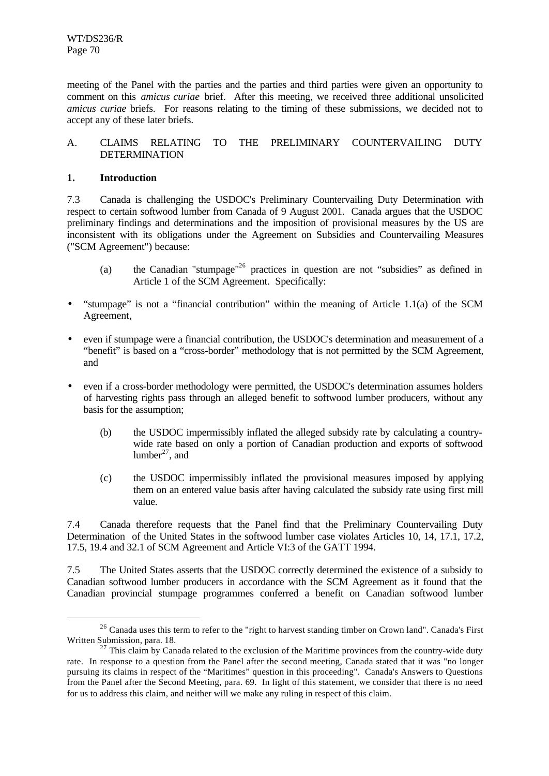WT/DS236/R Page 70

meeting of the Panel with the parties and the parties and third parties were given an opportunity to comment on this *amicus curiae* brief. After this meeting, we received three additional unsolicited *amicus curiae* briefs. For reasons relating to the timing of these submissions, we decided not to accept any of these later briefs.

# A. CLAIMS RELATING TO THE PRELIMINARY COUNTERVAILING DUTY DETERMINATION

### **1. Introduction**

l

7.3 Canada is challenging the USDOC's Preliminary Countervailing Duty Determination with respect to certain softwood lumber from Canada of 9 August 2001. Canada argues that the USDOC preliminary findings and determinations and the imposition of provisional measures by the US are inconsistent with its obligations under the Agreement on Subsidies and Countervailing Measures ("SCM Agreement") because:

- (a) the Canadian "stumpage"<sup>26</sup> practices in question are not "subsidies" as defined in Article 1 of the SCM Agreement. Specifically:
- "stumpage" is not a "financial contribution" within the meaning of Article 1.1(a) of the SCM Agreement*,*
- even if stumpage were a financial contribution, the USDOC's determination and measurement of a "benefit" is based on a "cross-border" methodology that is not permitted by the SCM Agreement, and
- even if a cross-border methodology were permitted, the USDOC's determination assumes holders of harvesting rights pass through an alleged benefit to softwood lumber producers, without any basis for the assumption;
	- (b) the USDOC impermissibly inflated the alleged subsidy rate by calculating a countrywide rate based on only a portion of Canadian production and exports of softwood lumber<sup>27</sup>, and
	- (c) the USDOC impermissibly inflated the provisional measures imposed by applying them on an entered value basis after having calculated the subsidy rate using first mill value.

7.4 Canada therefore requests that the Panel find that the Preliminary Countervailing Duty Determination of the United States in the softwood lumber case violates Articles 10, 14, 17.1, 17.2, 17.5, 19.4 and 32.1 of SCM Agreement and Article VI:3 of the GATT 1994.

7.5 The United States asserts that the USDOC correctly determined the existence of a subsidy to Canadian softwood lumber producers in accordance with the SCM Agreement as it found that the Canadian provincial stumpage programmes conferred a benefit on Canadian softwood lumber

<sup>&</sup>lt;sup>26</sup> Canada uses this term to refer to the "right to harvest standing timber on Crown land". Canada's First Written Submission, para. 18.

 $^{27}$  This claim by Canada related to the exclusion of the Maritime provinces from the country-wide duty rate. In response to a question from the Panel after the second meeting, Canada stated that it was "no longer pursuing its claims in respect of the "Maritimes" question in this proceeding". Canada's Answers to Questions from the Panel after the Second Meeting, para. 69. In light of this statement, we consider that there is no need for us to address this claim, and neither will we make any ruling in respect of this claim.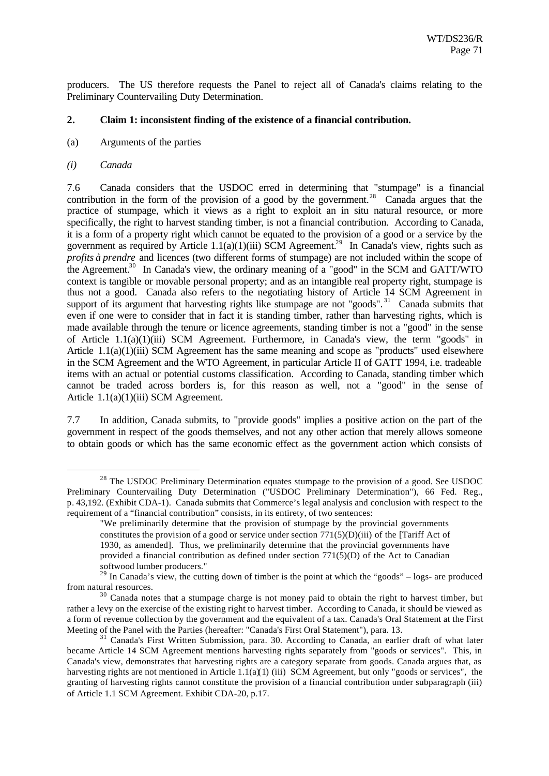producers. The US therefore requests the Panel to reject all of Canada's claims relating to the Preliminary Countervailing Duty Determination.

### **2. Claim 1: inconsistent finding of the existence of a financial contribution.**

(a) Arguments of the parties

#### *(i) Canada*

l

7.6 Canada considers that the USDOC erred in determining that "stumpage" is a financial contribution in the form of the provision of a good by the government.<sup>28</sup> Canada argues that the practice of stumpage, which it views as a right to exploit an in situ natural resource, or more specifically, the right to harvest standing timber, is not a financial contribution. According to Canada, it is a form of a property right which cannot be equated to the provision of a good or a service by the government as required by Article 1.1(a)(1)(iii) SCM Agreement.<sup>29</sup> In Canada's view, rights such as *profits à prendre* and licences (two different forms of stumpage) are not included within the scope of the Agreement.<sup>30</sup> In Canada's view, the ordinary meaning of a "good" in the SCM and GATT/WTO context is tangible or movable personal property; and as an intangible real property right, stumpage is thus not a good. Canada also refers to the negotiating history of Article 14 SCM Agreement in support of its argument that harvesting rights like stumpage are not "goods".<sup>31</sup> Canada submits that even if one were to consider that in fact it is standing timber, rather than harvesting rights, which is made available through the tenure or licence agreements, standing timber is not a "good" in the sense of Article 1.1(a)(1)(iii) SCM Agreement. Furthermore, in Canada's view, the term "goods" in Article  $1.1(a)(1)(iii)$  SCM Agreement has the same meaning and scope as "products" used elsewhere in the SCM Agreement and the WTO Agreement, in particular Article II of GATT 1994, i.e. tradeable items with an actual or potential customs classification. According to Canada, standing timber which cannot be traded across borders is, for this reason as well, not a "good" in the sense of Article 1.1(a)(1)(iii) SCM Agreement.

7.7 In addition, Canada submits, to "provide goods" implies a positive action on the part of the government in respect of the goods themselves, and not any other action that merely allows someone to obtain goods or which has the same economic effect as the government action which consists of

<sup>&</sup>lt;sup>28</sup> The USDOC Preliminary Determination equates stumpage to the provision of a good. See USDOC Preliminary Countervailing Duty Determination ("USDOC Preliminary Determination"), 66 Fed. Reg., p. 43,192. (Exhibit CDA-1). Canada submits that Commerce's legal analysis and conclusion with respect to the requirement of a "financial contribution" consists, in its entirety, of two sentences:

<sup>&</sup>quot;We preliminarily determine that the provision of stumpage by the provincial governments constitutes the provision of a good or service under section  $771(5)(D)(iii)$  of the [Tariff Act of 1930, as amended]. Thus, we preliminarily determine that the provincial governments have provided a financial contribution as defined under section  $771(5)(D)$  of the Act to Canadian softwood lumber producers."

 $^{29}$  In Canada's view, the cutting down of timber is the point at which the "goods" – logs- are produced from natural resources.

 $30$  Canada notes that a stumpage charge is not money paid to obtain the right to harvest timber, but rather a levy on the exercise of the existing right to harvest timber. According to Canada, it should be viewed as a form of revenue collection by the government and the equivalent of a tax. Canada's Oral Statement at the First Meeting of the Panel with the Parties (hereafter: "Canada's First Oral Statement"), para. 13.

<sup>&</sup>lt;sup>31</sup> Canada's First Written Submission, para. 30. According to Canada, an earlier draft of what later became Article 14 SCM Agreement mentions harvesting rights separately from "goods or services". This, in Canada's view, demonstrates that harvesting rights are a category separate from goods. Canada argues that, as harvesting rights are not mentioned in Article 1.1(a)(1) (iii) SCM Agreement, but only "goods or services", the granting of harvesting rights cannot constitute the provision of a financial contribution under subparagraph (iii) of Article 1.1 SCM Agreement. Exhibit CDA-20, p.17.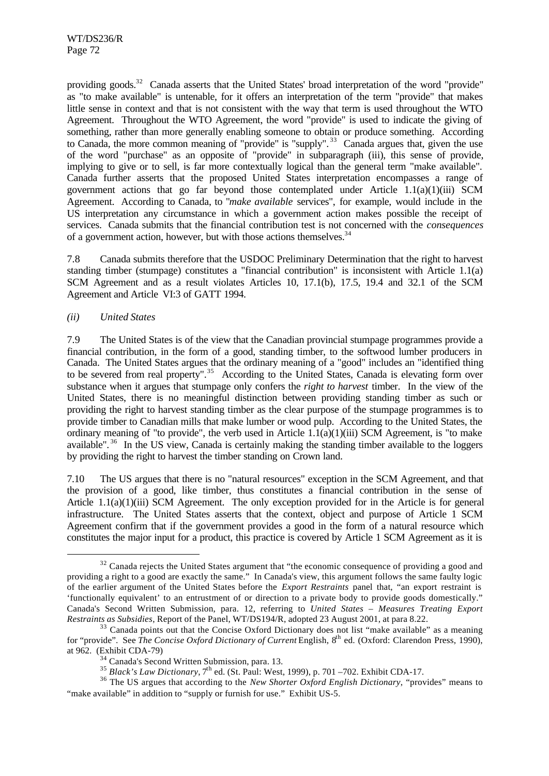providing goods.<sup>32</sup> Canada asserts that the United States' broad interpretation of the word "provide" as "to make available" is untenable, for it offers an interpretation of the term "provide" that makes little sense in context and that is not consistent with the way that term is used throughout the WTO Agreement. Throughout the WTO Agreement, the word "provide" is used to indicate the giving of something, rather than more generally enabling someone to obtain or produce something. According to Canada, the more common meaning of "provide" is "supply".<sup>33</sup> Canada argues that, given the use of the word "purchase" as an opposite of "provide" in subparagraph (iii), this sense of provide, implying to give or to sell, is far more contextually logical than the general term "make available". Canada further asserts that the proposed United States interpretation encompasses a range of government actions that go far beyond those contemplated under Article 1.1(a)(1)(iii) SCM Agreement. According to Canada, to "*make available* services", for example, would include in the US interpretation any circumstance in which a government action makes possible the receipt of services. Canada submits that the financial contribution test is not concerned with the *consequences* of a government action, however, but with those actions themselves.<sup>34</sup>

7.8 Canada submits therefore that the USDOC Preliminary Determination that the right to harvest standing timber (stumpage) constitutes a "financial contribution" is inconsistent with Article 1.1(a) SCM Agreement and as a result violates Articles 10, 17.1(b), 17.5, 19.4 and 32.1 of the SCM Agreement and Article VI:3 of GATT 1994.

# *(ii) United States*

l

7.9 The United States is of the view that the Canadian provincial stumpage programmes provide a financial contribution, in the form of a good, standing timber, to the softwood lumber producers in Canada. The United States argues that the ordinary meaning of a "good" includes an "identified thing to be severed from real property".<sup>35</sup> According to the United States, Canada is elevating form over substance when it argues that stumpage only confers the *right to harvest* timber. In the view of the United States, there is no meaningful distinction between providing standing timber as such or providing the right to harvest standing timber as the clear purpose of the stumpage programmes is to provide timber to Canadian mills that make lumber or wood pulp. According to the United States, the ordinary meaning of "to provide", the verb used in Article  $1.1(a)(1)(iii)$  SCM Agreement, is "to make available". <sup>36</sup> In the US view, Canada is certainly making the standing timber available to the loggers by providing the right to harvest the timber standing on Crown land.

7.10 The US argues that there is no "natural resources" exception in the SCM Agreement, and that the provision of a good, like timber, thus constitutes a financial contribution in the sense of Article 1.1(a)(1)(iii) SCM Agreement. The only exception provided for in the Article is for general infrastructure. The United States asserts that the context, object and purpose of Article 1 SCM Agreement confirm that if the government provides a good in the form of a natural resource which constitutes the major input for a product, this practice is covered by Article 1 SCM Agreement as it is

 $32$  Canada rejects the United States argument that "the economic consequence of providing a good and providing a right to a good are exactly the same." In Canada's view, this argument follows the same faulty logic of the earlier argument of the United States before the *Export Restraints* panel that, "an export restraint is 'functionally equivalent' to an entrustment of or direction to a private body to provide goods domestically." Canada's Second Written Submission, para. 12, referring to *United States – Measures Treating Export Restraints as Subsidies*, Report of the Panel, WT/DS194/R, adopted 23 August 2001, at para 8.22.

 $33$  Canada points out that the Concise Oxford Dictionary does not list "make available" as a meaning for "provide". See *The Concise Oxford Dictionary of Current* English, 8<sup>th</sup> ed. (Oxford: Clarendon Press, 1990), at 962. (Exhibit CDA-79)

<sup>34</sup> Canada's Second Written Submission, para. 13.

<sup>35</sup> *Black's Law Dictionary*, 7th ed. (St. Paul: West, 1999), p. 701 –702. Exhibit CDA-17.

<sup>&</sup>lt;sup>36</sup> The US argues that according to the *New Shorter Oxford English Dictionary*, "provides" means to "make available" in addition to "supply or furnish for use." Exhibit US-5.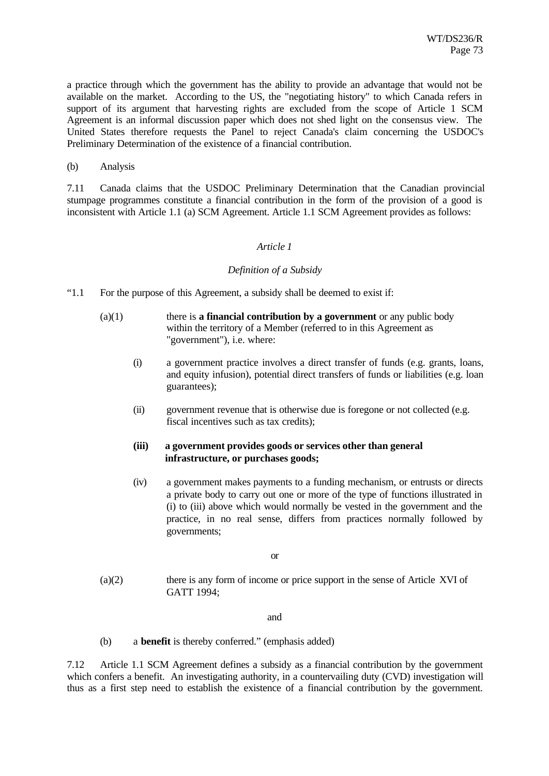a practice through which the government has the ability to provide an advantage that would not be available on the market. According to the US, the "negotiating history" to which Canada refers in support of its argument that harvesting rights are excluded from the scope of Article 1 SCM Agreement is an informal discussion paper which does not shed light on the consensus view. The United States therefore requests the Panel to reject Canada's claim concerning the USDOC's Preliminary Determination of the existence of a financial contribution.

(b) Analysis

7.11 Canada claims that the USDOC Preliminary Determination that the Canadian provincial stumpage programmes constitute a financial contribution in the form of the provision of a good is inconsistent with Article 1.1 (a) SCM Agreement. Article 1.1 SCM Agreement provides as follows:

### *Article 1*

#### *Definition of a Subsidy*

- "1.1 For the purpose of this Agreement, a subsidy shall be deemed to exist if:
	- (a)(1) there is **a financial contribution by a government** or any public body within the territory of a Member (referred to in this Agreement as "government"), i.e. where:
		- (i) a government practice involves a direct transfer of funds (e.g. grants, loans, and equity infusion), potential direct transfers of funds or liabilities (e.g. loan guarantees);
		- (ii) government revenue that is otherwise due is foregone or not collected (e.g. fiscal incentives such as tax credits);

# **(iii) a government provides goods or services other than general infrastructure, or purchases goods;**

(iv) a government makes payments to a funding mechanism, or entrusts or directs a private body to carry out one or more of the type of functions illustrated in (i) to (iii) above which would normally be vested in the government and the practice, in no real sense, differs from practices normally followed by governments;

or

(a)(2) there is any form of income or price support in the sense of Article XVI of GATT 1994;

and

(b) a **benefit** is thereby conferred." (emphasis added)

7.12 Article 1.1 SCM Agreement defines a subsidy as a financial contribution by the government which confers a benefit. An investigating authority, in a countervailing duty (CVD) investigation will thus as a first step need to establish the existence of a financial contribution by the government.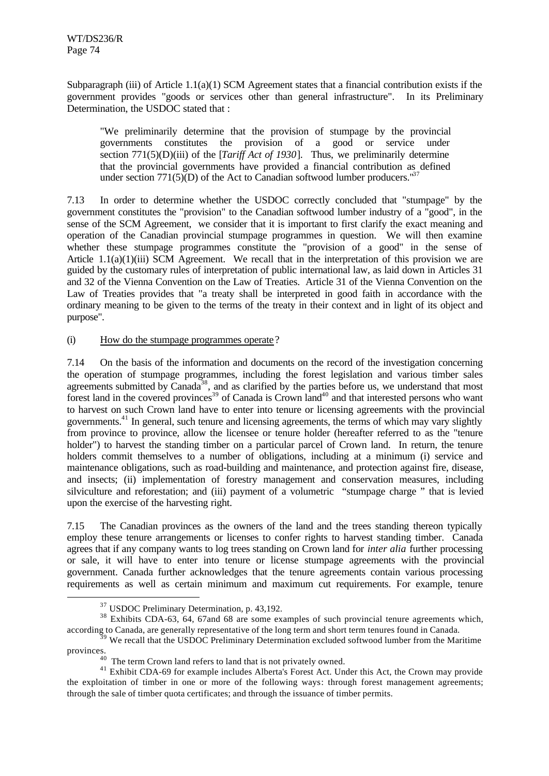Subparagraph (iii) of Article  $1.1(a)(1)$  SCM Agreement states that a financial contribution exists if the government provides "goods or services other than general infrastructure". In its Preliminary Determination, the USDOC stated that :

"We preliminarily determine that the provision of stumpage by the provincial governments constitutes the provision of a good or service under section 771(5)(D)(iii) of the [*Tariff Act of 1930*]. Thus, we preliminarily determine that the provincial governments have provided a financial contribution as defined under section  $771(5)(D)$  of the Act to Canadian softwood lumber producers.<sup>137</sup>

7.13 In order to determine whether the USDOC correctly concluded that "stumpage" by the government constitutes the "provision" to the Canadian softwood lumber industry of a "good", in the sense of the SCM Agreement, we consider that it is important to first clarify the exact meaning and operation of the Canadian provincial stumpage programmes in question. We will then examine whether these stumpage programmes constitute the "provision of a good" in the sense of Article 1.1(a)(1)(iii) SCM Agreement. We recall that in the interpretation of this provision we are guided by the customary rules of interpretation of public international law, as laid down in Articles 31 and 32 of the Vienna Convention on the Law of Treaties. Article 31 of the Vienna Convention on the Law of Treaties provides that "a treaty shall be interpreted in good faith in accordance with the ordinary meaning to be given to the terms of the treaty in their context and in light of its object and purpose".

# (i) How do the stumpage programmes operate ?

7.14 On the basis of the information and documents on the record of the investigation concerning the operation of stumpage programmes, including the forest legislation and various timber sales agreements submitted by Canada<sup>38</sup>, and as clarified by the parties before us, we understand that most forest land in the covered provinces<sup>39</sup> of Canada is Crown land<sup>40</sup> and that interested persons who want to harvest on such Crown land have to enter into tenure or licensing agreements with the provincial governments.<sup>41</sup> In general, such tenure and licensing agreements, the terms of which may vary slightly from province to province, allow the licensee or tenure holder (hereafter referred to as the "tenure holder") to harvest the standing timber on a particular parcel of Crown land. In return, the tenure holders commit themselves to a number of obligations, including at a minimum (i) service and maintenance obligations, such as road-building and maintenance, and protection against fire, disease, and insects; (ii) implementation of forestry management and conservation measures, including silviculture and reforestation; and (iii) payment of a volumetric "stumpage charge" that is levied upon the exercise of the harvesting right.

7.15 The Canadian provinces as the owners of the land and the trees standing thereon typically employ these tenure arrangements or licenses to confer rights to harvest standing timber. Canada agrees that if any company wants to log trees standing on Crown land for *inter alia* further processing or sale, it will have to enter into tenure or license stumpage agreements with the provincial government. Canada further acknowledges that the tenure agreements contain various processing requirements as well as certain minimum and maximum cut requirements. For example, tenure

provinces.

<sup>37</sup> USDOC Preliminary Determination, p. 43,192.

<sup>&</sup>lt;sup>38</sup> Exhibits CDA-63, 64, 67and 68 are some examples of such provincial tenure agreements which, according to Canada, are generally representative of the long term and short term tenures found in Canada.

 $39\,$  We recall that the USDOC Preliminary Determination excluded softwood lumber from the Maritime

 $40$  The term Crown land refers to land that is not privately owned.

<sup>41</sup> Exhibit CDA-69 for example includes Alberta's Forest Act. Under this Act, the Crown may provide the exploitation of timber in one or more of the following ways: through forest management agreements; through the sale of timber quota certificates; and through the issuance of timber permits.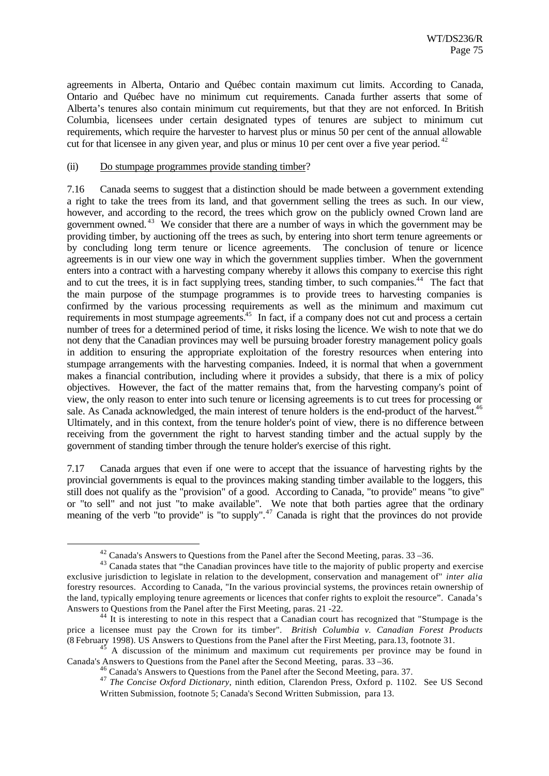agreements in Alberta, Ontario and Québec contain maximum cut limits. According to Canada, Ontario and Québec have no minimum cut requirements. Canada further asserts that some of Alberta's tenures also contain minimum cut requirements, but that they are not enforced. In British Columbia, licensees under certain designated types of tenures are subject to minimum cut requirements, which require the harvester to harvest plus or minus 50 per cent of the annual allowable cut for that licensee in any given year, and plus or minus 10 per cent over a five year period.<sup>42</sup>

#### (ii) Do stumpage programmes provide standing timber?

l

7.16 Canada seems to suggest that a distinction should be made between a government extending a right to take the trees from its land, and that government selling the trees as such. In our view, however, and according to the record, the trees which grow on the publicly owned Crown land are government owned.<sup>43</sup> We consider that there are a number of ways in which the government may be providing timber, by auctioning off the trees as such, by entering into short term tenure agreements or by concluding long term tenure or licence agreements. The conclusion of tenure or licence agreements is in our view one way in which the government supplies timber. When the government enters into a contract with a harvesting company whereby it allows this company to exercise this right and to cut the trees, it is in fact supplying trees, standing timber, to such companies.<sup>44</sup> The fact that the main purpose of the stumpage programmes is to provide trees to harvesting companies is confirmed by the various processing requirements as well as the minimum and maximum cut requirements in most stumpage agreements.<sup>45</sup> In fact, if a company does not cut and process a certain number of trees for a determined period of time, it risks losing the licence. We wish to note that we do not deny that the Canadian provinces may well be pursuing broader forestry management policy goals in addition to ensuring the appropriate exploitation of the forestry resources when entering into stumpage arrangements with the harvesting companies. Indeed, it is normal that when a government makes a financial contribution, including where it provides a subsidy, that there is a mix of policy objectives. However, the fact of the matter remains that, from the harvesting company's point of view, the only reason to enter into such tenure or licensing agreements is to cut trees for processing or sale. As Canada acknowledged, the main interest of tenure holders is the end-product of the harvest.<sup>46</sup> Ultimately, and in this context, from the tenure holder's point of view, there is no difference between receiving from the government the right to harvest standing timber and the actual supply by the government of standing timber through the tenure holder's exercise of this right.

7.17 Canada argues that even if one were to accept that the issuance of harvesting rights by the provincial governments is equal to the provinces making standing timber available to the loggers, this still does not qualify as the "provision" of a good. According to Canada, "to provide" means "to give" or "to sell" and not just "to make available". We note that both parties agree that the ordinary meaning of the verb "to provide" is "to supply".<sup>47</sup> Canada is right that the provinces do not provide meaning of the verb "to provide" is "to supply".<sup>47</sup> Canada is right that the provinces do not provide

 $42$  Canada's Answers to Questions from the Panel after the Second Meeting, paras. 33 – 36.

<sup>&</sup>lt;sup>43</sup> Canada states that "the Canadian provinces have title to the majority of public property and exercise exclusive jurisdiction to legislate in relation to the development, conservation and management of" *inter alia* forestry resources. According to Canada, "In the various provincial systems, the provinces retain ownership of the land, typically employing tenure agreements or licences that confer rights to exploit the resource". Canada's Answers to Questions from the Panel after the First Meeting, paras. 21 -22.

<sup>&</sup>lt;sup>44</sup> It is interesting to note in this respect that a Canadian court has recognized that "Stumpage is the price a licensee must pay the Crown for its timber". *British Columbia v. Canadian Forest Products* (8 February 1998). US Answers to Questions from the Panel after the First Meeting, para.13, footnote 31.

 $45$  A discussion of the minimum and maximum cut requirements per province may be found in Canada's Answers to Questions from the Panel after the Second Meeting, paras. 33 –36.

<sup>46</sup> Canada's Answers to Questions from the Panel after the Second Meeting, para. 37.

<sup>47</sup> *The Concise Oxford Dictionary*, ninth edition, Clarendon Press, Oxford p. 1102. See US Second Written Submission, footnote 5; Canada's Second Written Submission, para 13.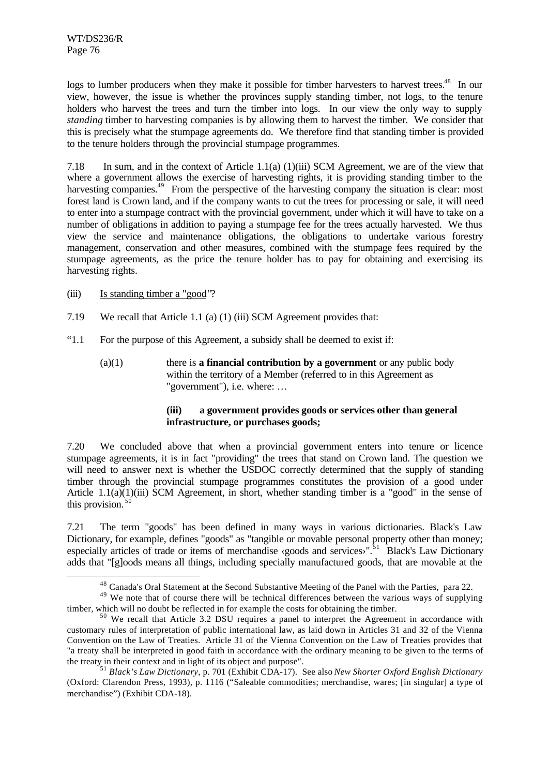logs to lumber producers when they make it possible for timber harvesters to harvest trees.<sup>48</sup> In our view, however, the issue is whether the provinces supply standing timber, not logs, to the tenure holders who harvest the trees and turn the timber into logs. In our view the only way to supply *standing* timber to harvesting companies is by allowing them to harvest the timber. We consider that this is precisely what the stumpage agreements do. We therefore find that standing timber is provided to the tenure holders through the provincial stumpage programmes.

7.18 In sum, and in the context of Article 1.1(a) (1)(iii) SCM Agreement, we are of the view that where a government allows the exercise of harvesting rights, it is providing standing timber to the harvesting companies.<sup>49</sup> From the perspective of the harvesting company the situation is clear: most forest land is Crown land, and if the company wants to cut the trees for processing or sale, it will need to enter into a stumpage contract with the provincial government, under which it will have to take on a number of obligations in addition to paying a stumpage fee for the trees actually harvested. We thus view the service and maintenance obligations, the obligations to undertake various forestry management, conservation and other measures, combined with the stumpage fees required by the stumpage agreements, as the price the tenure holder has to pay for obtaining and exercising its harvesting rights.

### (iii) Is standing timber a "good"?

l

- 7.19 We recall that Article 1.1 (a) (1) (iii) SCM Agreement provides that:
- "1.1 For the purpose of this Agreement, a subsidy shall be deemed to exist if:
	- (a)(1) there is **a financial contribution by a government** or any public body within the territory of a Member (referred to in this Agreement as "government"), i.e. where: …

# **(iii) a government provides goods or services other than general infrastructure, or purchases goods;**

7.20 We concluded above that when a provincial government enters into tenure or licence stumpage agreements, it is in fact "providing" the trees that stand on Crown land. The question we will need to answer next is whether the USDOC correctly determined that the supply of standing timber through the provincial stumpage programmes constitutes the provision of a good under Article 1.1(a)(1)(iii) SCM Agreement, in short, whether standing timber is a "good" in the sense of this provision.  $50$ 

7.21 The term "goods" has been defined in many ways in various dictionaries. Black's Law Dictionary, for example, defines "goods" as "tangible or movable personal property other than money; especially articles of trade or items of merchandise «goods and services»".<sup>51</sup> Black's Law Dictionary adds that "[g]oods means all things, including specially manufactured goods, that are movable at the

<sup>48</sup> Canada's Oral Statement at the Second Substantive Meeting of the Panel with the Parties, para 22.

<sup>&</sup>lt;sup>49</sup> We note that of course there will be technical differences between the various ways of supplying timber, which will no doubt be reflected in for example the costs for obtaining the timber.

 $50$  We recall that Article 3.2 DSU requires a panel to interpret the Agreement in accordance with customary rules of interpretation of public international law, as laid down in Articles 31 and 32 of the Vienna Convention on the Law of Treaties. Article 31 of the Vienna Convention on the Law of Treaties provides that "a treaty shall be interpreted in good faith in accordance with the ordinary meaning to be given to the terms of the treaty in their context and in light of its object and purpose".

<sup>51</sup> *Black's Law Dictionary*, p. 701 (Exhibit CDA-17). See also *New Shorter Oxford English Dictionary* (Oxford: Clarendon Press, 1993), p. 1116 ("Saleable commodities; merchandise, wares; [in singular] a type of merchandise") (Exhibit CDA-18).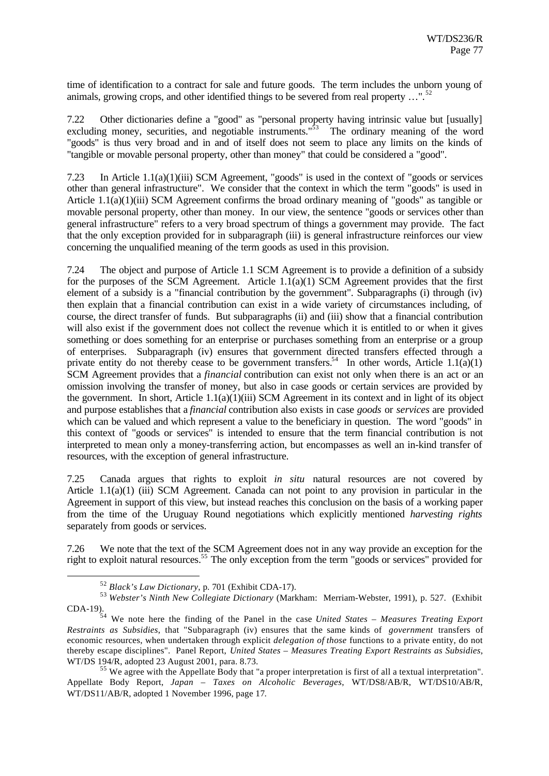time of identification to a contract for sale and future goods. The term includes the unborn young of animals, growing crops, and other identified things to be severed from real property  $\dots$ <sup>52</sup>

7.22 Other dictionaries define a "good" as "personal property having intrinsic value but [usually] excluding money, securities, and negotiable instruments."<sup>53</sup> The ordinary meaning of the word "goods" is thus very broad and in and of itself does not seem to place any limits on the kinds of "tangible or movable personal property, other than money" that could be considered a "good".

7.23 In Article 1.1(a)(1)(iii) SCM Agreement, "goods" is used in the context of "goods or services other than general infrastructure". We consider that the context in which the term "goods" is used in Article 1.1(a)(1)(iii) SCM Agreement confirms the broad ordinary meaning of "goods" as tangible or movable personal property, other than money. In our view, the sentence "goods or services other than general infrastructure" refers to a very broad spectrum of things a government may provide. The fact that the only exception provided for in subparagraph (iii) is general infrastructure reinforces our view concerning the unqualified meaning of the term goods as used in this provision.

7.24 The object and purpose of Article 1.1 SCM Agreement is to provide a definition of a subsidy for the purposes of the SCM Agreement. Article  $1.1(a)(1)$  SCM Agreement provides that the first element of a subsidy is a "financial contribution by the government". Subparagraphs (i) through (iv) then explain that a financial contribution can exist in a wide variety of circumstances including, of course, the direct transfer of funds. But subparagraphs (ii) and (iii) show that a financial contribution will also exist if the government does not collect the revenue which it is entitled to or when it gives something or does something for an enterprise or purchases something from an enterprise or a group of enterprises. Subparagraph (iv) ensures that government directed transfers effected through a private entity do not thereby cease to be government transfers.<sup>54</sup> In other words, Article  $1.1(a)(1)$ SCM Agreement provides that a *financial* contribution can exist not only when there is an act or an omission involving the transfer of money, but also in case goods or certain services are provided by the government. In short, Article 1.1(a)(1)(iii) SCM Agreement in its context and in light of its object and purpose establishes that a *financial* contribution also exists in case *goods* or *services* are provided which can be valued and which represent a value to the beneficiary in question. The word "goods" in this context of "goods or services" is intended to ensure that the term financial contribution is not interpreted to mean only a money-transferring action, but encompasses as well an in-kind transfer of resources, with the exception of general infrastructure.

7.25 Canada argues that rights to exploit *in situ* natural resources are not covered by Article 1.1(a)(1) (iii) SCM Agreement. Canada can not point to any provision in particular in the Agreement in support of this view, but instead reaches this conclusion on the basis of a working paper from the time of the Uruguay Round negotiations which explicitly mentioned *harvesting rights* separately from goods or services.

7.26 We note that the text of the SCM Agreement does not in any way provide an exception for the right to exploit natural resources.<sup>55</sup> The only exception from the term "goods or services" provided for

<sup>52</sup> *Black's Law Dictionary*, p. 701 (Exhibit CDA-17).

<sup>53</sup> *Webster's Ninth New Collegiate Dictionary* (Markham: Merriam-Webster, 1991), p. 527. (Exhibit CDA-19).

<sup>54</sup> We note here the finding of the Panel in the case *United States – Measures Treating Export Restraints as Subsidies*, that "Subparagraph (iv) ensures that the same kinds of *government* transfers of economic resources, when undertaken through explicit *delegation of those* functions to a private entity, do not thereby escape disciplines". Panel Report, *United States – Measures Treating Export Restraints as Subsidies*, WT/DS 194/R, adopted 23 August 2001, para. 8.73.

 $^{55}$  We agree with the Appellate Body that "a proper interpretation is first of all a textual interpretation". Appellate Body Report, *Japan – Taxes on Alcoholic Beverages*, WT/DS8/AB/R, WT/DS10/AB/R, WT/DS11/AB/R, adopted 1 November 1996, page 17.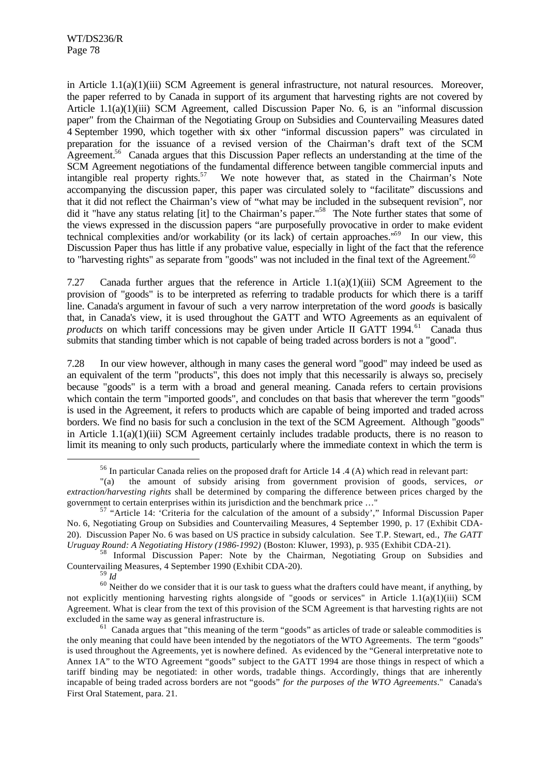in Article 1.1(a)(1)(iii) SCM Agreement is general infrastructure, not natural resources. Moreover, the paper referred to by Canada in support of its argument that harvesting rights are not covered by Article 1.1(a)(1)(iii) SCM Agreement, called Discussion Paper No. 6, is an "informal discussion paper" from the Chairman of the Negotiating Group on Subsidies and Countervailing Measures dated 4 September 1990, which together with six other "informal discussion papers" was circulated in preparation for the issuance of a revised version of the Chairman's draft text of the SCM Agreement.<sup>56</sup> Canada argues that this Discussion Paper reflects an understanding at the time of the SCM Agreement negotiations of the fundamental difference between tangible commercial inputs and intangible real property rights.<sup>57</sup> We note however that, as stated in the Chairman's Note accompanying the discussion paper, this paper was circulated solely to "facilitate" discussions and that it did not reflect the Chairman's view of "what may be included in the subsequent revision", nor did it "have any status relating [it] to the Chairman's paper."<sup>58</sup> The Note further states that some of the views expressed in the discussion papers "are purposefully provocative in order to make evident technical complexities and/or workability (or its lack) of certain approaches."<sup>59</sup> In our view, this Discussion Paper thus has little if any probative value, especially in light of the fact that the reference to "harvesting rights" as separate from "goods" was not included in the final text of the Agreement.<sup>60</sup>

7.27 Canada further argues that the reference in Article 1.1(a)(1)(iii) SCM Agreement to the provision of "goods" is to be interpreted as referring to tradable products for which there is a tariff line. Canada's argument in favour of such a very narrow interpretation of the word *goods* is basically that, in Canada's view, it is used throughout the GATT and WTO Agreements as an equivalent of *products* on which tariff concessions may be given under Article II GATT 1994.<sup>61</sup> Canada thus submits that standing timber which is not capable of being traded across borders is not a "good".

7.28 In our view however, although in many cases the general word "good" may indeed be used as an equivalent of the term "products", this does not imply that this necessarily is always so, precisely because "goods" is a term with a broad and general meaning. Canada refers to certain provisions which contain the term "imported goods", and concludes on that basis that wherever the term "goods" is used in the Agreement, it refers to products which are capable of being imported and traded across borders. We find no basis for such a conclusion in the text of the SCM Agreement. Although "goods" in Article  $1.1(a)(1)(iii)$  SCM Agreement certainly includes tradable products, there is no reason to limit its meaning to only such products, particularly where the immediate context in which the term is

<sup>56</sup> In particular Canada relies on the proposed draft for Article 14 .4 (A) which read in relevant part:

<sup>&</sup>quot;(a) the amount of subsidy arising from government provision of goods, services, *or extraction/harvesting rights* shall be determined by comparing the difference between prices charged by the government to certain enterprises within its jurisdiction and the benchmark price …"

<sup>&</sup>lt;sup>57</sup> "Article 14: 'Criteria for the calculation of the amount of a subsidy'," Informal Discussion Paper No. 6, Negotiating Group on Subsidies and Countervailing Measures, 4 September 1990, p. 17 (Exhibit CDA-20). Discussion Paper No. 6 was based on US practice in subsidy calculation. See T.P. Stewart, ed., *The GATT Uruguay Round: A Negotiating History (1986-1992)* (Boston: Kluwer, 1993), p. 935 (Exhibit CDA-21).

<sup>58</sup> Informal Discussion Paper: Note by the Chairman, Negotiating Group on Subsidies and Countervailing Measures, 4 September 1990 (Exhibit CDA-20).

<sup>59</sup> *Id*

 $60$  Neither do we consider that it is our task to guess what the drafters could have meant, if anything, by not explicitly mentioning harvesting rights alongside of "goods or services" in Article 1.1(a)(1)(iii) SCM Agreement. What is clear from the text of this provision of the SCM Agreement is that harvesting rights are not excluded in the same way as general infrastructure is.

<sup>&</sup>lt;sup>61</sup> Canada argues that "this meaning of the term "goods" as articles of trade or saleable commodities is the only meaning that could have been intended by the negotiators of the WTO Agreements. The term "goods" is used throughout the Agreements, yet is nowhere defined. As evidenced by the "General interpretative note to Annex 1A" to the WTO Agreement "goods" subject to the GATT 1994 are those things in respect of which a tariff binding may be negotiated: in other words, tradable things. Accordingly, things that are inherently incapable of being traded across borders are not "goods" *for the purposes of the WTO Agreements*." Canada's First Oral Statement, para. 21.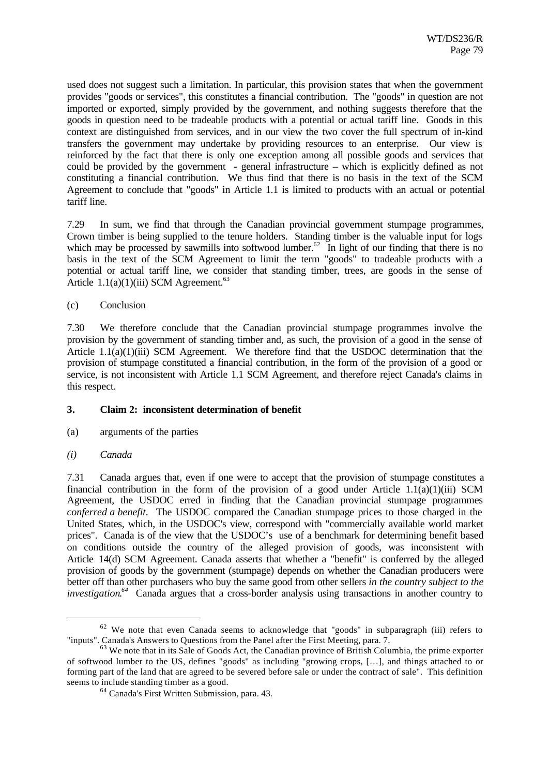used does not suggest such a limitation. In particular, this provision states that when the government provides "goods or services", this constitutes a financial contribution. The "goods" in question are not imported or exported, simply provided by the government, and nothing suggests therefore that the goods in question need to be tradeable products with a potential or actual tariff line. Goods in this context are distinguished from services, and in our view the two cover the full spectrum of in-kind transfers the government may undertake by providing resources to an enterprise. Our view is reinforced by the fact that there is only one exception among all possible goods and services that could be provided by the government - general infrastructure – which is explicitly defined as not constituting a financial contribution. We thus find that there is no basis in the text of the SCM Agreement to conclude that "goods" in Article 1.1 is limited to products with an actual or potential tariff line.

7.29 In sum, we find that through the Canadian provincial government stumpage programmes, Crown timber is being supplied to the tenure holders. Standing timber is the valuable input for logs which may be processed by sawmills into softwood lumber.<sup>62</sup> In light of our finding that there is no basis in the text of the SCM Agreement to limit the term "goods" to tradeable products with a potential or actual tariff line, we consider that standing timber, trees, are goods in the sense of Article  $1.1(a)(1)(iii)$  SCM Agreement.<sup>63</sup>

### (c) Conclusion

7.30 We therefore conclude that the Canadian provincial stumpage programmes involve the provision by the government of standing timber and, as such, the provision of a good in the sense of Article  $1.1(a)(1)(iii)$  SCM Agreement. We therefore find that the USDOC determination that the provision of stumpage constituted a financial contribution, in the form of the provision of a good or service, is not inconsistent with Article 1.1 SCM Agreement, and therefore reject Canada's claims in this respect.

### **3. Claim 2: inconsistent determination of benefit**

- (a) arguments of the parties
- *(i) Canada*

l

7.31 Canada argues that, even if one were to accept that the provision of stumpage constitutes a financial contribution in the form of the provision of a good under Article 1.1(a)(1)(iii) SCM Agreement, the USDOC erred in finding that the Canadian provincial stumpage programmes *conferred a benefit*. The USDOC compared the Canadian stumpage prices to those charged in the United States, which, in the USDOC's view, correspond with "commercially available world market prices". Canada is of the view that the USDOC's use of a benchmark for determining benefit based on conditions outside the country of the alleged provision of goods, was inconsistent with Article 14(d) SCM Agreement. Canada asserts that whether a "benefit" is conferred by the alleged provision of goods by the government (stumpage) depends on whether the Canadian producers were better off than other purchasers who buy the same good from other sellers *in the country subject to the investigation*. *<sup>64</sup>* Canada argues that a cross-border analysis using transactions in another country to

 $62$  We note that even Canada seems to acknowledge that "goods" in subparagraph (iii) refers to "inputs". Canada's Answers to Questions from the Panel after the First Meeting, para. 7.

<sup>&</sup>lt;sup>63</sup> We note that in its Sale of Goods Act, the Canadian province of British Columbia, the prime exporter of softwood lumber to the US, defines "goods" as including "growing crops, […], and things attached to or forming part of the land that are agreed to be severed before sale or under the contract of sale". This definition seems to include standing timber as a good.

<sup>64</sup> Canada's First Written Submission, para. 43.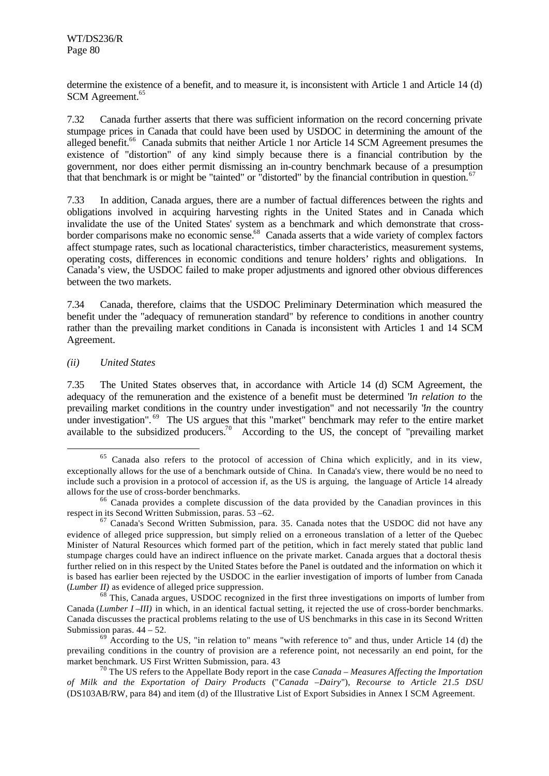determine the existence of a benefit, and to measure it, is inconsistent with Article 1 and Article 14 (d) SCM Agreement.<sup>65</sup>

7.32 Canada further asserts that there was sufficient information on the record concerning private stumpage prices in Canada that could have been used by USDOC in determining the amount of the alleged benefit.<sup>66</sup> Canada submits that neither Article 1 nor Article 14 SCM Agreement presumes the existence of "distortion" of any kind simply because there is a financial contribution by the government, nor does either permit dismissing an in-country benchmark because of a presumption that that benchmark is or might be "tainted" or "distorted" by the financial contribution in question.<sup>6</sup>

7.33 In addition, Canada argues, there are a number of factual differences between the rights and obligations involved in acquiring harvesting rights in the United States and in Canada which invalidate the use of the United States' system as a benchmark and which demonstrate that crossborder comparisons make no economic sense.<sup>68</sup> Canada asserts that a wide variety of complex factors affect stumpage rates, such as locational characteristics, timber characteristics, measurement systems, operating costs, differences in economic conditions and tenure holders' rights and obligations. In Canada's view, the USDOC failed to make proper adjustments and ignored other obvious differences between the two markets.

7.34 Canada, therefore, claims that the USDOC Preliminary Determination which measured the benefit under the "adequacy of remuneration standard" by reference to conditions in another country rather than the prevailing market conditions in Canada is inconsistent with Articles 1 and 14 SCM Agreement.

### *(ii) United States*

l

7.35 The United States observes that, in accordance with Article 14 (d) SCM Agreement, the adequacy of the remuneration and the existence of a benefit must be determined "*in relation to* the prevailing market conditions in the country under investigation" and not necessarily "*in* the country under investigation".<sup>69</sup> The US argues that this "market" benchmark may refer to the entire market available to the subsidized producers.<sup>70</sup> According to the US, the concept of "prevailing market"

<sup>65</sup> Canada also refers to the protocol of accession of China which explicitly, and in its view, exceptionally allows for the use of a benchmark outside of China. In Canada's view, there would be no need to include such a provision in a protocol of accession if, as the US is arguing, the language of Article 14 already allows for the use of cross-border benchmarks.

 $<sup>66</sup>$  Canada provides a complete discussion of the data provided by the Canadian provinces in this</sup> respect in its Second Written Submission, paras. 53 –62.

 $67$  Canada's Second Written Submission, para. 35. Canada notes that the USDOC did not have any evidence of alleged price suppression, but simply relied on a erroneous translation of a letter of the Quebec Minister of Natural Resources which formed part of the petition, which in fact merely stated that public land stumpage charges could have an indirect influence on the private market. Canada argues that a doctoral thesis further relied on in this respect by the United States before the Panel is outdated and the information on which it is based has earlier been rejected by the USDOC in the earlier investigation of imports of lumber from Canada (*Lumber II)* as evidence of alleged price suppression.

<sup>&</sup>lt;sup>68</sup> This. Canada argues, USDOC recognized in the first three investigations on imports of lumber from Canada (*Lumber I –III)* in which, in an identical factual setting, it rejected the use of cross-border benchmarks. Canada discusses the practical problems relating to the use of US benchmarks in this case in its Second Written Submission paras.  $44 - 52$ .

 $69$  According to the US, "in relation to" means "with reference to" and thus, under Article 14 (d) the prevailing conditions in the country of provision are a reference point, not necessarily an end point, for the market benchmark. US First Written Submission, para. 43

<sup>70</sup> The US refers to the Appellate Body report in the case *Canada – Measures Affecting the Importation of Milk and the Exportation of Dairy Products* ("*Canada –Dairy*"), *Recourse to Article 21.5 DSU* (DS103AB/RW, para 84) and item (d) of the Illustrative List of Export Subsidies in Annex I SCM Agreement.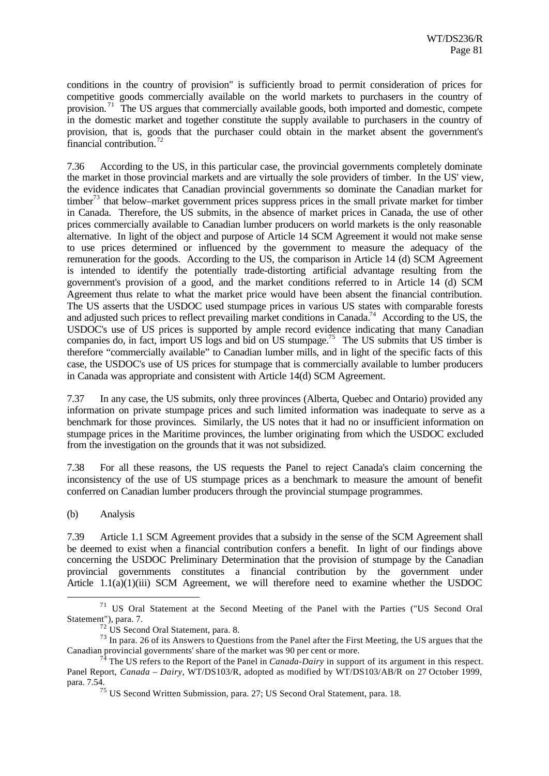conditions in the country of provision" is sufficiently broad to permit consideration of prices for competitive goods commercially available on the world markets to purchasers in the country of provision.<sup>71</sup> The US argues that commercially available goods, both imported and domestic, compete in the domestic market and together constitute the supply available to purchasers in the country of provision, that is, goods that the purchaser could obtain in the market absent the government's financial contribution.<sup>72</sup>

7.36 According to the US, in this particular case, the provincial governments completely dominate the market in those provincial markets and are virtually the sole providers of timber. In the US' view, the evidence indicates that Canadian provincial governments so dominate the Canadian market for timber<sup>73</sup> that below–market government prices suppress prices in the small private market for timber in Canada. Therefore, the US submits, in the absence of market prices in Canada, the use of other prices commercially available to Canadian lumber producers on world markets is the only reasonable alternative. In light of the object and purpose of Article 14 SCM Agreement it would not make sense to use prices determined or influenced by the government to measure the adequacy of the remuneration for the goods. According to the US, the comparison in Article 14 (d) SCM Agreement is intended to identify the potentially trade-distorting artificial advantage resulting from the government's provision of a good, and the market conditions referred to in Article 14 (d) SCM Agreement thus relate to what the market price would have been absent the financial contribution. The US asserts that the USDOC used stumpage prices in various US states with comparable forests and adjusted such prices to reflect prevailing market conditions in Canada.<sup>74</sup> According to the US, the USDOC's use of US prices is supported by ample record evidence indicating that many Canadian companies do, in fact, import US logs and bid on US stumpage.<sup>75</sup> The US submits that US timber is therefore "commercially available" to Canadian lumber mills, and in light of the specific facts of this case, the USDOC's use of US prices for stumpage that is commercially available to lumber producers in Canada was appropriate and consistent with Article 14(d) SCM Agreement.

7.37 In any case, the US submits, only three provinces (Alberta, Quebec and Ontario) provided any information on private stumpage prices and such limited information was inadequate to serve as a benchmark for those provinces. Similarly, the US notes that it had no or insufficient information on stumpage prices in the Maritime provinces, the lumber originating from which the USDOC excluded from the investigation on the grounds that it was not subsidized.

7.38 For all these reasons, the US requests the Panel to reject Canada's claim concerning the inconsistency of the use of US stumpage prices as a benchmark to measure the amount of benefit conferred on Canadian lumber producers through the provincial stumpage programmes.

(b) Analysis

l

7.39 Article 1.1 SCM Agreement provides that a subsidy in the sense of the SCM Agreement shall be deemed to exist when a financial contribution confers a benefit. In light of our findings above concerning the USDOC Preliminary Determination that the provision of stumpage by the Canadian provincial governments constitutes a financial contribution by the government under Article  $1.1(a)(1)(iii)$  SCM Agreement, we will therefore need to examine whether the USDOC

<sup>71</sup> US Oral Statement at the Second Meeting of the Panel with the Parties ("US Second Oral Statement"), para. 7.

<sup>&</sup>lt;sup>72</sup> US Second Oral Statement, para. 8.

<sup>&</sup>lt;sup>73</sup> In para. 26 of its Answers to Questions from the Panel after the First Meeting, the US argues that the Canadian provincial governments' share of the market was 90 per cent or more.

 $7\overline{4}$  The US refers to the Report of the Panel in *Canada-Dairy* in support of its argument in this respect. Panel Report, *Canada – Dairy*, WT/DS103/R, adopted as modified by WT/DS103/AB/R on 27 October 1999, para. 7.54.

 $75$  US Second Written Submission, para. 27; US Second Oral Statement, para. 18.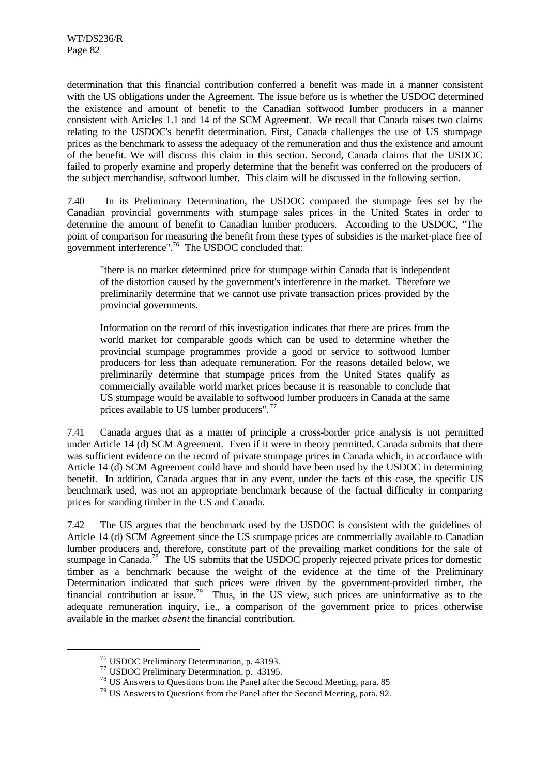determination that this financial contribution conferred a benefit was made in a manner consistent with the US obligations under the Agreement. The issue before us is whether the USDOC determined the existence and amount of benefit to the Canadian softwood lumber producers in a manner consistent with Articles 1.1 and 14 of the SCM Agreement. We recall that Canada raises two claims relating to the USDOC's benefit determination. First, Canada challenges the use of US stumpage prices as the benchmark to assess the adequacy of the remuneration and thus the existence and amount of the benefit. We will discuss this claim in this section. Second, Canada claims that the USDOC failed to properly examine and properly determine that the benefit was conferred on the producers of the subject merchandise, softwood lumber. This claim will be discussed in the following section.

7.40 In its Preliminary Determination, the USDOC compared the stumpage fees set by the Canadian provincial governments with stumpage sales prices in the United States in order to determine the amount of benefit to Canadian lumber producers. According to the USDOC, "The point of comparison for measuring the benefit from these types of subsidies is the market-place free of government interference".<sup>76</sup> The USDOC concluded that:

"there is no market determined price for stumpage within Canada that is independent of the distortion caused by the government's interference in the market. Therefore we preliminarily determine that we cannot use private transaction prices provided by the provincial governments.

Information on the record of this investigation indicates that there are prices from the world market for comparable goods which can be used to determine whether the provincial stumpage programmes provide a good or service to softwood lumber producers for less than adequate remuneration. For the reasons detailed below, we preliminarily determine that stumpage prices from the United States qualify as commercially available world market prices because it is reasonable to conclude that US stumpage would be available to softwood lumber producers in Canada at the same prices available to US lumber producers". <sup>77</sup>

7.41 Canada argues that as a matter of principle a cross-border price analysis is not permitted under Article 14 (d) SCM Agreement. Even if it were in theory permitted, Canada submits that there was sufficient evidence on the record of private stumpage prices in Canada which, in accordance with Article 14 (d) SCM Agreement could have and should have been used by the USDOC in determining benefit. In addition, Canada argues that in any event, under the facts of this case, the specific US benchmark used, was not an appropriate benchmark because of the factual difficulty in comparing prices for standing timber in the US and Canada.

7.42 The US argues that the benchmark used by the USDOC is consistent with the guidelines of Article 14 (d) SCM Agreement since the US stumpage prices are commercially available to Canadian lumber producers and, therefore, constitute part of the prevailing market conditions for the sale of stumpage in Canada.<sup>78</sup> The US submits that the USDOC properly rejected private prices for domestic timber as a benchmark because the weight of the evidence at the time of the Preliminary Determination indicated that such prices were driven by the government-provided timber, the financial contribution at issue.<sup>79</sup> Thus, in the US view, such prices are uninformative as to the adequate remuneration inquiry, i.e., a comparison of the government price to prices otherwise available in the market *absent* the financial contribution.

<sup>76</sup> USDOC Preliminary Determination, p. 43193.

<sup>77</sup> USDOC Preliminary Determination, p. 43195.

<sup>78</sup> US Answers to Questions from the Panel after the Second Meeting, para. 85

 $79$  US Answers to Questions from the Panel after the Second Meeting, para. 92.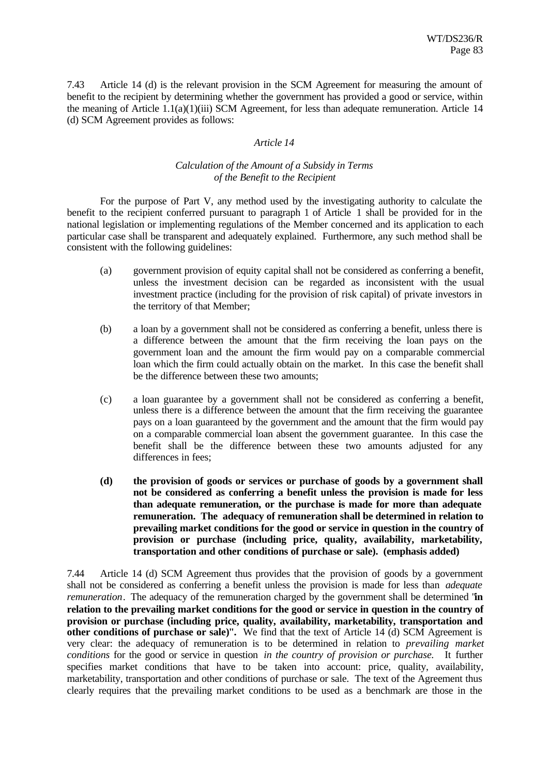7.43 Article 14 (d) is the relevant provision in the SCM Agreement for measuring the amount of benefit to the recipient by determining whether the government has provided a good or service, within the meaning of Article 1.1(a)(1)(iii) SCM Agreement, for less than adequate remuneration. Article 14 (d) SCM Agreement provides as follows:

### *Article 14*

### *Calculation of the Amount of a Subsidy in Terms of the Benefit to the Recipient*

For the purpose of Part V, any method used by the investigating authority to calculate the benefit to the recipient conferred pursuant to paragraph 1 of Article 1 shall be provided for in the national legislation or implementing regulations of the Member concerned and its application to each particular case shall be transparent and adequately explained. Furthermore, any such method shall be consistent with the following guidelines:

- (a) government provision of equity capital shall not be considered as conferring a benefit, unless the investment decision can be regarded as inconsistent with the usual investment practice (including for the provision of risk capital) of private investors in the territory of that Member;
- (b) a loan by a government shall not be considered as conferring a benefit, unless there is a difference between the amount that the firm receiving the loan pays on the government loan and the amount the firm would pay on a comparable commercial loan which the firm could actually obtain on the market. In this case the benefit shall be the difference between these two amounts;
- (c) a loan guarantee by a government shall not be considered as conferring a benefit, unless there is a difference between the amount that the firm receiving the guarantee pays on a loan guaranteed by the government and the amount that the firm would pay on a comparable commercial loan absent the government guarantee. In this case the benefit shall be the difference between these two amounts adjusted for any differences in fees;
- **(d) the provision of goods or services or purchase of goods by a government shall not be considered as conferring a benefit unless the provision is made for less than adequate remuneration, or the purchase is made for more than adequate remuneration. The adequacy of remuneration shall be determined in relation to prevailing market conditions for the good or service in question in the country of provision or purchase (including price, quality, availability, marketability, transportation and other conditions of purchase or sale). (emphasis added)**

7.44 Article 14 (d) SCM Agreement thus provides that the provision of goods by a government shall not be considered as conferring a benefit unless the provision is made for less than *adequate remuneration*. The adequacy of the remuneration charged by the government shall be determined "**in relation to the prevailing market conditions for the good or service in question in the country of provision or purchase (including price, quality, availability, marketability, transportation and other conditions of purchase or sale)".** We find that the text of Article 14 (d) SCM Agreement is very clear: the adequacy of remuneration is to be determined in relation to *prevailing market conditions* for the good or service in question *in the country of provision or purchase.* It further specifies market conditions that have to be taken into account: price, quality, availability, marketability, transportation and other conditions of purchase or sale. The text of the Agreement thus clearly requires that the prevailing market conditions to be used as a benchmark are those in the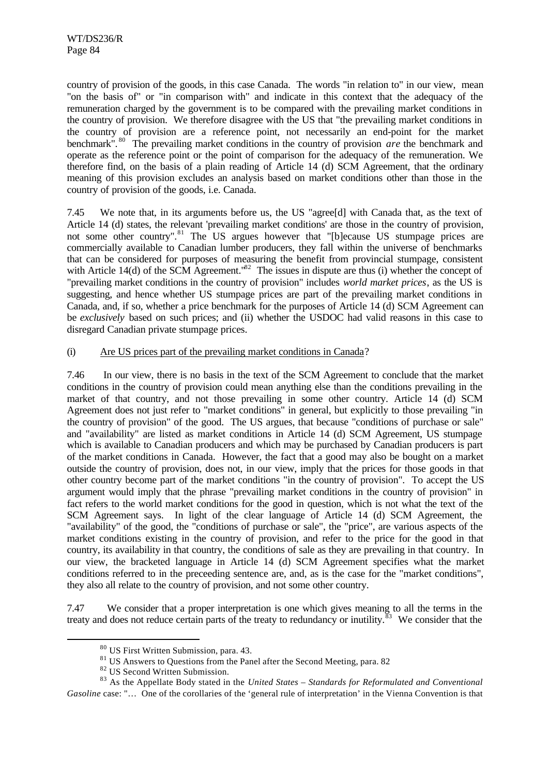country of provision of the goods, in this case Canada. The words "in relation to" in our view, mean "on the basis of" or "in comparison with" and indicate in this context that the adequacy of the remuneration charged by the government is to be compared with the prevailing market conditions in the country of provision. We therefore disagree with the US that "the prevailing market conditions in the country of provision are a reference point, not necessarily an end-point for the market benchmark". <sup>80</sup> The prevailing market conditions in the country of provision *are* the benchmark and operate as the reference point or the point of comparison for the adequacy of the remuneration. We therefore find, on the basis of a plain reading of Article 14 (d) SCM Agreement, that the ordinary meaning of this provision excludes an analysis based on market conditions other than those in the country of provision of the goods, i.e. Canada.

7.45 We note that, in its arguments before us, the US "agree[d] with Canada that, as the text of Article 14 (d) states, the relevant 'prevailing market conditions' are those in the country of provision, not some other country".<sup>81</sup> The US argues however that "[b]ecause US stumpage prices are commercially available to Canadian lumber producers, they fall within the universe of benchmarks that can be considered for purposes of measuring the benefit from provincial stumpage, consistent with Article 14(d) of the SCM Agreement.<sup> $82$ </sup> The issues in dispute are thus (i) whether the concept of "prevailing market conditions in the country of provision" includes *world market prices*, as the US is suggesting, and hence whether US stumpage prices are part of the prevailing market conditions in Canada, and, if so, whether a price benchmark for the purposes of Article 14 (d) SCM Agreement can be *exclusively* based on such prices; and (ii) whether the USDOC had valid reasons in this case to disregard Canadian private stumpage prices.

# (i) Are US prices part of the prevailing market conditions in Canada?

7.46 In our view, there is no basis in the text of the SCM Agreement to conclude that the market conditions in the country of provision could mean anything else than the conditions prevailing in the market of that country, and not those prevailing in some other country. Article 14 (d) SCM Agreement does not just refer to "market conditions" in general, but explicitly to those prevailing "in the country of provision" of the good. The US argues, that because "conditions of purchase or sale" and "availability" are listed as market conditions in Article 14 (d) SCM Agreement, US stumpage which is available to Canadian producers and which may be purchased by Canadian producers is part of the market conditions in Canada. However, the fact that a good may also be bought on a market outside the country of provision, does not, in our view, imply that the prices for those goods in that other country become part of the market conditions "in the country of provision". To accept the US argument would imply that the phrase "prevailing market conditions in the country of provision" in fact refers to the world market conditions for the good in question, which is not what the text of the SCM Agreement says. In light of the clear language of Article 14 (d) SCM Agreement, the "availability" of the good, the "conditions of purchase or sale", the "price", are various aspects of the market conditions existing in the country of provision, and refer to the price for the good in that country, its availability in that country, the conditions of sale as they are prevailing in that country. In our view, the bracketed language in Article 14 (d) SCM Agreement specifies what the market conditions referred to in the preceeding sentence are, and, as is the case for the "market conditions", they also all relate to the country of provision, and not some other country.

7.47 We consider that a proper interpretation is one which gives meaning to all the terms in the treaty and does not reduce certain parts of the treaty to redundancy or inutility. $83$  We consider that the

<sup>80</sup> US First Written Submission, para. 43.

<sup>&</sup>lt;sup>81</sup> US Answers to Questions from the Panel after the Second Meeting, para. 82

<sup>82</sup> US Second Written Submission.

<sup>83</sup> As the Appellate Body stated in the *United States – Standards for Reformulated and Conventional Gasoline* case: "... One of the corollaries of the 'general rule of interpretation' in the Vienna Convention is that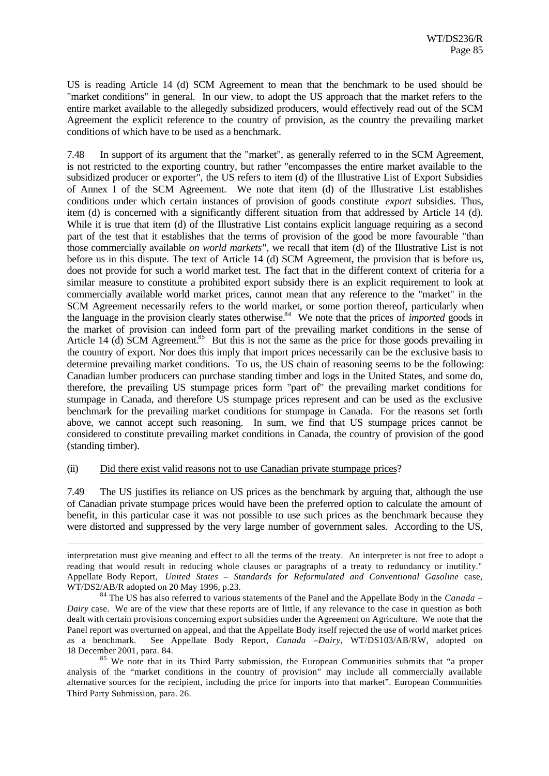US is reading Article 14 (d) SCM Agreement to mean that the benchmark to be used should be "market conditions" in general. In our view, to adopt the US approach that the market refers to the entire market available to the allegedly subsidized producers, would effectively read out of the SCM Agreement the explicit reference to the country of provision, as the country the prevailing market conditions of which have to be used as a benchmark.

7.48 In support of its argument that the "market", as generally referred to in the SCM Agreement, is not restricted to the exporting country, but rather "encompasses the entire market available to the subsidized producer or exporter", the US refers to item (d) of the Illustrative List of Export Subsidies of Annex I of the SCM Agreement. We note that item (d) of the Illustrative List establishes conditions under which certain instances of provision of goods constitute *export* subsidies. Thus, item (d) is concerned with a significantly different situation from that addressed by Article 14 (d). While it is true that item (d) of the Illustrative List contains explicit language requiring as a second part of the test that it establishes that the terms of provision of the good be more favourable "than those commercially available *on world markets*", we recall that item (d) of the Illustrative List is not before us in this dispute. The text of Article 14 (d) SCM Agreement, the provision that is before us, does not provide for such a world market test. The fact that in the different context of criteria for a similar measure to constitute a prohibited export subsidy there is an explicit requirement to look at commercially available world market prices, cannot mean that any reference to the "market" in the SCM Agreement necessarily refers to the world market, or some portion thereof, particularly when the language in the provision clearly states otherwise.<sup>84</sup> We note that the prices of *imported* goods in the market of provision can indeed form part of the prevailing market conditions in the sense of Article 14 (d) SCM Agreement.<sup>85</sup> But this is not the same as the price for those goods prevailing in the country of export. Nor does this imply that import prices necessarily can be the exclusive basis to determine prevailing market conditions. To us, the US chain of reasoning seems to be the following: Canadian lumber producers can purchase standing timber and logs in the United States, and some do, therefore, the prevailing US stumpage prices form "part of" the prevailing market conditions for stumpage in Canada, and therefore US stumpage prices represent and can be used as the exclusive benchmark for the prevailing market conditions for stumpage in Canada. For the reasons set forth above, we cannot accept such reasoning. In sum, we find that US stumpage prices cannot be considered to constitute prevailing market conditions in Canada, the country of provision of the good (standing timber).

### (ii) Did there exist valid reasons not to use Canadian private stumpage prices?

l

7.49 The US justifies its reliance on US prices as the benchmark by arguing that, although the use of Canadian private stumpage prices would have been the preferred option to calculate the amount of benefit, in this particular case it was not possible to use such prices as the benchmark because they were distorted and suppressed by the very large number of government sales. According to the US,

interpretation must give meaning and effect to all the terms of the treaty. An interpreter is not free to adopt a reading that would result in reducing whole clauses or paragraphs of a treaty to redundancy or inutility." Appellate Body Report, *United States – Standards for Reformulated and Conventional Gasoline* case, WT/DS2/AB/R adopted on 20 May 1996, p.23.

<sup>84</sup> The US has also referred to various statements of the Panel and the Appellate Body in the *Canada – Dairy* case. We are of the view that these reports are of little, if any relevance to the case in question as both dealt with certain provisions concerning export subsidies under the Agreement on Agriculture. We note that the Panel report was overturned on appeal, and that the Appellate Body itself rejected the use of world market prices as a benchmark. See Appellate Body Report, *Canada –Dairy*, WT/DS103/AB/RW, adopted on 18 December 2001, para. 84.

<sup>&</sup>lt;sup>85</sup> We note that in its Third Party submission, the European Communities submits that "a proper analysis of the "market conditions in the country of provision" may include all commercially available alternative sources for the recipient, including the price for imports into that market". European Communities Third Party Submission, para. 26.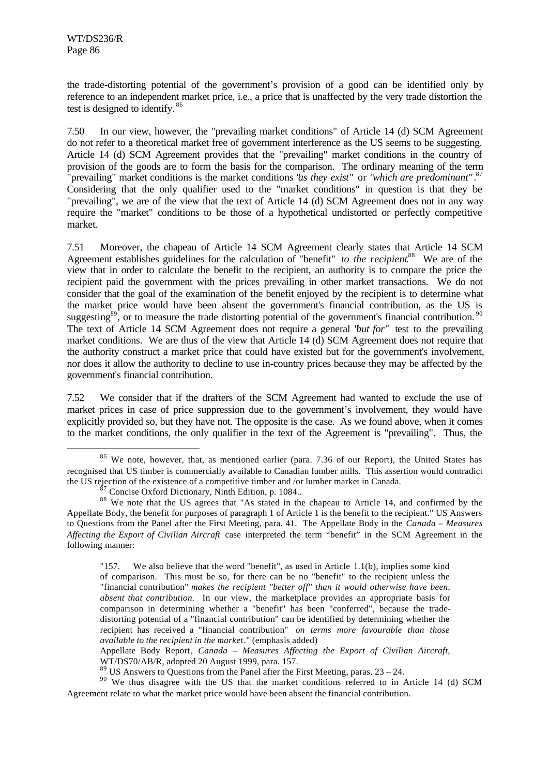l

the trade-distorting potential of the government's provision of a good can be identified only by reference to an independent market price, i.e., a price that is unaffected by the very trade distortion the test is designed to identify. <sup>86</sup>

7.50 In our view, however, the "prevailing market conditions" of Article 14 (d) SCM Agreement do not refer to a theoretical market free of government interference as the US seems to be suggesting. Article 14 (d) SCM Agreement provides that the "prevailing" market conditions in the country of provision of the goods are to form the basis for the comparison. The ordinary meaning of the term "prevailing" market conditions is the market conditions "*as they exist"* or "*which are predominant"* . 87 Considering that the only qualifier used to the "market conditions" in question is that they be "prevailing", we are of the view that the text of Article 14 (d) SCM Agreement does not in any way require the "market" conditions to be those of a hypothetical undistorted or perfectly competitive market.

7.51 Moreover, the chapeau of Article 14 SCM Agreement clearly states that Article 14 SCM Agreement establishes guidelines for the calculation of "benefit" *to the recipient*.<sup>88</sup> We are of the view that in order to calculate the benefit to the recipient, an authority is to compare the price the recipient paid the government with the prices prevailing in other market transactions. We do not consider that the goal of the examination of the benefit enjoyed by the recipient is to determine what the market price would have been absent the government's financial contribution, as the US is suggesting<sup>89</sup>, or to measure the trade distorting potential of the government's financial contribution.<sup>90</sup> The text of Article 14 SCM Agreement does not require a general "*but for"* test to the prevailing market conditions. We are thus of the view that Article 14 (d) SCM Agreement does not require that the authority construct a market price that could have existed but for the government's involvement, nor does it allow the authority to decline to use in-country prices because they may be affected by the government's financial contribution.

7.52 We consider that if the drafters of the SCM Agreement had wanted to exclude the use of market prices in case of price suppression due to the government's involvement, they would have explicitly provided so, but they have not. The opposite is the case. As we found above, when it comes to the market conditions, the only qualifier in the text of the Agreement is "prevailing". Thus, the

"157. We also believe that the word "benefit", as used in Article 1.1(b), implies some kind of comparison. This must be so, for there can be no "benefit" to the recipient unless the "financial contribution" *makes the recipient "better off" than it would otherwise have been, absent that contribution.* In our view, the marketplace provides an appropriate basis for comparison in determining whether a "benefit" has been "conferred", because the tradedistorting potential of a "financial contribution" can be identified by determining whether the recipient has received a "financial contribution" *on terms more favourable than those available to the recipient in the market*." (emphasis added)

Appellate Body Report*, Canada – Measures Affecting the Export of Civilian Aircraft,* WT/DS70/AB/R, adopted 20 August 1999, para. 157.

<sup>90</sup> We thus disagree with the US that the market conditions referred to in Article 14 (d) SCM Agreement relate to what the market price would have been absent the financial contribution.

<sup>&</sup>lt;sup>86</sup> We note, however, that, as mentioned earlier (para. 7.36 of our Report), the United States has recognised that US timber is commercially available to Canadian lumber mills. This assertion would contradict the US rejection of the existence of a competitive timber and /or lumber market in Canada.

Concise Oxford Dictionary, Ninth Edition, p. 1084...

<sup>&</sup>lt;sup>88</sup> We note that the US agrees that "As stated in the chapeau to Article 14, and confirmed by the Appellate Body, the benefit for purposes of paragraph 1 of Article 1 is the benefit to the recipient." US Answers to Questions from the Panel after the First Meeting, para. 41. The Appellate Body in the *Canada – Measures Affecting the Export of Civilian Aircraft* case interpreted the term "benefit" in the SCM Agreement in the following manner:

 $89$  US Answers to Questions from the Panel after the First Meeting, paras. 23 – 24.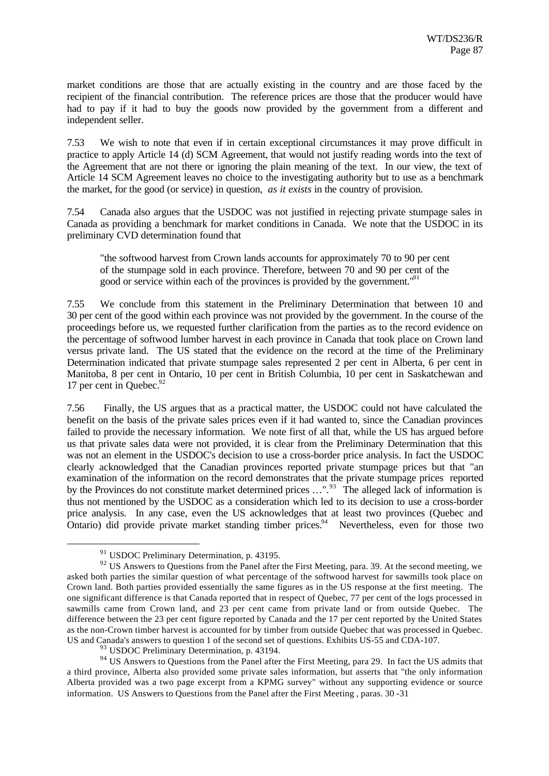market conditions are those that are actually existing in the country and are those faced by the recipient of the financial contribution. The reference prices are those that the producer would have had to pay if it had to buy the goods now provided by the government from a different and independent seller.

7.53 We wish to note that even if in certain exceptional circumstances it may prove difficult in practice to apply Article 14 (d) SCM Agreement, that would not justify reading words into the text of the Agreement that are not there or ignoring the plain meaning of the text. In our view, the text of Article 14 SCM Agreement leaves no choice to the investigating authority but to use as a benchmark the market, for the good (or service) in question, *as it exists* in the country of provision.

7.54 Canada also argues that the USDOC was not justified in rejecting private stumpage sales in Canada as providing a benchmark for market conditions in Canada. We note that the USDOC in its preliminary CVD determination found that

"the softwood harvest from Crown lands accounts for approximately 70 to 90 per cent of the stumpage sold in each province. Therefore, between 70 and 90 per cent of the good or service within each of the provinces is provided by the government. $"$ 

7.55 We conclude from this statement in the Preliminary Determination that between 10 and 30 per cent of the good within each province was not provided by the government. In the course of the proceedings before us, we requested further clarification from the parties as to the record evidence on the percentage of softwood lumber harvest in each province in Canada that took place on Crown land versus private land. The US stated that the evidence on the record at the time of the Preliminary Determination indicated that private stumpage sales represented 2 per cent in Alberta, 6 per cent in Manitoba, 8 per cent in Ontario, 10 per cent in British Columbia, 10 per cent in Saskatchewan and 17 per cent in Quebec. $92$ 

7.56 Finally, the US argues that as a practical matter, the USDOC could not have calculated the benefit on the basis of the private sales prices even if it had wanted to, since the Canadian provinces failed to provide the necessary information. We note first of all that, while the US has argued before us that private sales data were not provided, it is clear from the Preliminary Determination that this was not an element in the USDOC's decision to use a cross-border price analysis. In fact the USDOC clearly acknowledged that the Canadian provinces reported private stumpage prices but that "an examination of the information on the record demonstrates that the private stumpage prices reported by the Provinces do not constitute market determined prices ...".<sup>93</sup> The alleged lack of information is thus not mentioned by the USDOC as a consideration which led to its decision to use a cross-border price analysis. In any case, even the US acknowledges that at least two provinces (Quebec and Ontario) did provide private market standing timber prices.<sup>94</sup> Nevertheless, even for those two

<sup>91</sup> USDOC Preliminary Determination, p. 43195.

<sup>&</sup>lt;sup>92</sup> US Answers to Ouestions from the Panel after the First Meeting, para. 39. At the second meeting, we asked both parties the similar question of what percentage of the softwood harvest for sawmills took place on Crown land. Both parties provided essentially the same figures as in the US response at the first meeting. The one significant difference is that Canada reported that in respect of Quebec, 77 per cent of the logs processed in sawmills came from Crown land, and 23 per cent came from private land or from outside Quebec. The difference between the 23 per cent figure reported by Canada and the 17 per cent reported by the United States as the non-Crown timber harvest is accounted for by timber from outside Quebec that was processed in Quebec. US and Canada's answers to question 1 of the second set of questions. Exhibits US-55 and CDA-107.

<sup>&</sup>lt;sup>93</sup> USDOC Preliminary Determination, p. 43194.

<sup>&</sup>lt;sup>94</sup> US Answers to Questions from the Panel after the First Meeting, para 29. In fact the US admits that a third province, Alberta also provided some private sales information, but asserts that "the only information Alberta provided was a two page excerpt from a KPMG survey" without any supporting evidence or source information. US Answers to Questions from the Panel after the First Meeting , paras. 30 -31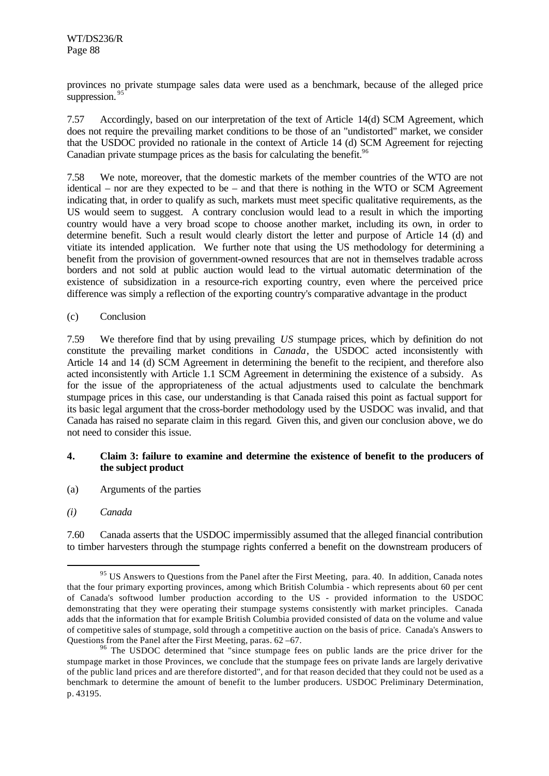provinces no private stumpage sales data were used as a benchmark, because of the alleged price suppression.<sup>95</sup>

7.57 Accordingly, based on our interpretation of the text of Article 14(d) SCM Agreement, which does not require the prevailing market conditions to be those of an "undistorted" market, we consider that the USDOC provided no rationale in the context of Article 14 (d) SCM Agreement for rejecting Canadian private stumpage prices as the basis for calculating the benefit.<sup>96</sup>

7.58 We note, moreover, that the domestic markets of the member countries of the WTO are not identical – nor are they expected to be – and that there is nothing in the WTO or SCM Agreement indicating that, in order to qualify as such, markets must meet specific qualitative requirements, as the US would seem to suggest. A contrary conclusion would lead to a result in which the importing country would have a very broad scope to choose another market, including its own, in order to determine benefit. Such a result would clearly distort the letter and purpose of Article 14 (d) and vitiate its intended application. We further note that using the US methodology for determining a benefit from the provision of government-owned resources that are not in themselves tradable across borders and not sold at public auction would lead to the virtual automatic determination of the existence of subsidization in a resource-rich exporting country, even where the perceived price difference was simply a reflection of the exporting country's comparative advantage in the product

# (c) Conclusion

7.59 We therefore find that by using prevailing *US* stumpage prices, which by definition do not constitute the prevailing market conditions in *Canada*, the USDOC acted inconsistently with Article 14 and 14 (d) SCM Agreement in determining the benefit to the recipient, and therefore also acted inconsistently with Article 1.1 SCM Agreement in determining the existence of a subsidy. As for the issue of the appropriateness of the actual adjustments used to calculate the benchmark stumpage prices in this case, our understanding is that Canada raised this point as factual support for its basic legal argument that the cross-border methodology used by the USDOC was invalid, and that Canada has raised no separate claim in this regard. Given this, and given our conclusion above, we do not need to consider this issue.

# **4. Claim 3: failure to examine and determine the existence of benefit to the producers of the subject product**

- (a) Arguments of the parties
- *(i) Canada*

l

7.60 Canada asserts that the USDOC impermissibly assumed that the alleged financial contribution to timber harvesters through the stumpage rights conferred a benefit on the downstream producers of

<sup>&</sup>lt;sup>95</sup> US Answers to Ouestions from the Panel after the First Meeting, para. 40. In addition, Canada notes that the four primary exporting provinces, among which British Columbia - which represents about 60 per cent of Canada's softwood lumber production according to the US - provided information to the USDOC demonstrating that they were operating their stumpage systems consistently with market principles. Canada adds that the information that for example British Columbia provided consisted of data on the volume and value of competitive sales of stumpage, sold through a competitive auction on the basis of price. Canada's Answers to Questions from the Panel after the First Meeting, paras. 62 –67.

<sup>&</sup>lt;sup>96</sup> The USDOC determined that "since stumpage fees on public lands are the price driver for the stumpage market in those Provinces, we conclude that the stumpage fees on private lands are largely derivative of the public land prices and are therefore distorted", and for that reason decided that they could not be used as a benchmark to determine the amount of benefit to the lumber producers. USDOC Preliminary Determination, p. 43195.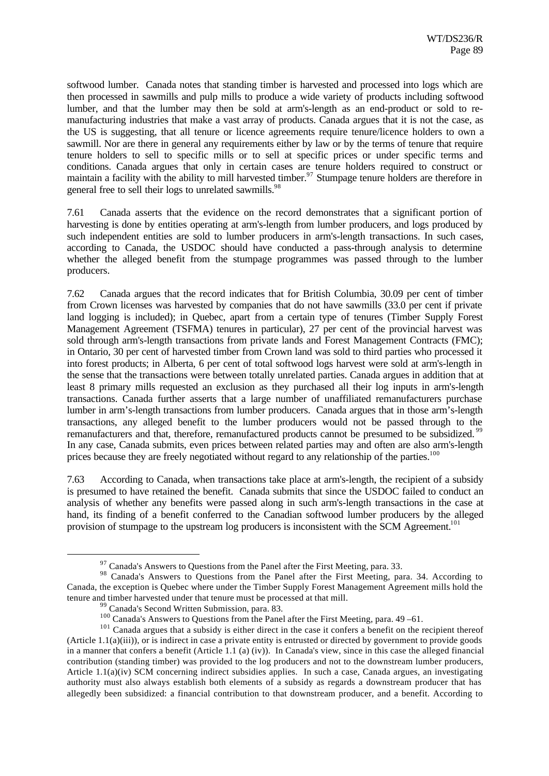softwood lumber. Canada notes that standing timber is harvested and processed into logs which are then processed in sawmills and pulp mills to produce a wide variety of products including softwood lumber, and that the lumber may then be sold at arm's-length as an end-product or sold to remanufacturing industries that make a vast array of products. Canada argues that it is not the case, as the US is suggesting, that all tenure or licence agreements require tenure/licence holders to own a sawmill. Nor are there in general any requirements either by law or by the terms of tenure that require tenure holders to sell to specific mills or to sell at specific prices or under specific terms and conditions. Canada argues that only in certain cases are tenure holders required to construct or maintain a facility with the ability to mill harvested timber.<sup>97</sup> Stumpage tenure holders are therefore in general free to sell their logs to unrelated sawmills.<sup>98</sup>

7.61 Canada asserts that the evidence on the record demonstrates that a significant portion of harvesting is done by entities operating at arm's-length from lumber producers, and logs produced by such independent entities are sold to lumber producers in arm's-length transactions. In such cases, according to Canada, the USDOC should have conducted a pass-through analysis to determine whether the alleged benefit from the stumpage programmes was passed through to the lumber producers.

7.62 Canada argues that the record indicates that for British Columbia, 30.09 per cent of timber from Crown licenses was harvested by companies that do not have sawmills (33.0 per cent if private land logging is included); in Quebec, apart from a certain type of tenures (Timber Supply Forest Management Agreement (TSFMA) tenures in particular), 27 per cent of the provincial harvest was sold through arm's-length transactions from private lands and Forest Management Contracts (FMC); in Ontario, 30 per cent of harvested timber from Crown land was sold to third parties who processed it into forest products; in Alberta, 6 per cent of total softwood logs harvest were sold at arm's-length in the sense that the transactions were between totally unrelated parties. Canada argues in addition that at least 8 primary mills requested an exclusion as they purchased all their log inputs in arm's-length transactions. Canada further asserts that a large number of unaffiliated remanufacturers purchase lumber in arm's-length transactions from lumber producers. Canada argues that in those arm's-length transactions, any alleged benefit to the lumber producers would not be passed through to the remanufacturers and that, therefore, remanufactured products cannot be presumed to be subsidized.<sup>99</sup> In any case, Canada submits, even prices between related parties may and often are also arm's-length prices because they are freely negotiated without regard to any relationship of the parties.<sup>100</sup>

7.63 According to Canada, when transactions take place at arm's-length, the recipient of a subsidy is presumed to have retained the benefit. Canada submits that since the USDOC failed to conduct an analysis of whether any benefits were passed along in such arm's-length transactions in the case at hand, its finding of a benefit conferred to the Canadian softwood lumber producers by the alleged provision of stumpage to the upstream log producers is inconsistent with the SCM Agreement.<sup>101</sup>

 $97$  Canada's Answers to Questions from the Panel after the First Meeting, para. 33.

<sup>98</sup> Canada's Answers to Questions from the Panel after the First Meeting, para. 34. According to Canada, the exception is Quebec where under the Timber Supply Forest Management Agreement mills hold the tenure and timber harvested under that tenure must be processed at that mill.

<sup>&</sup>lt;sup>99</sup> Canada's Second Written Submission, para. 83.

<sup>&</sup>lt;sup>100</sup> Canada's Answers to Questions from the Panel after the First Meeting, para. 49–61.

<sup>&</sup>lt;sup>101</sup> Canada argues that a subsidy is either direct in the case it confers a benefit on the recipient thereof (Article 1.1(a)(iii)), or is indirect in case a private entity is entrusted or directed by government to provide goods in a manner that confers a benefit (Article 1.1 (a) (iv)). In Canada's view, since in this case the alleged financial contribution (standing timber) was provided to the log producers and not to the downstream lumber producers, Article 1.1(a)(iv) SCM concerning indirect subsidies applies. In such a case, Canada argues, an investigating authority must also always establish both elements of a subsidy as regards a downstream producer that has allegedly been subsidized: a financial contribution to that downstream producer, and a benefit. According to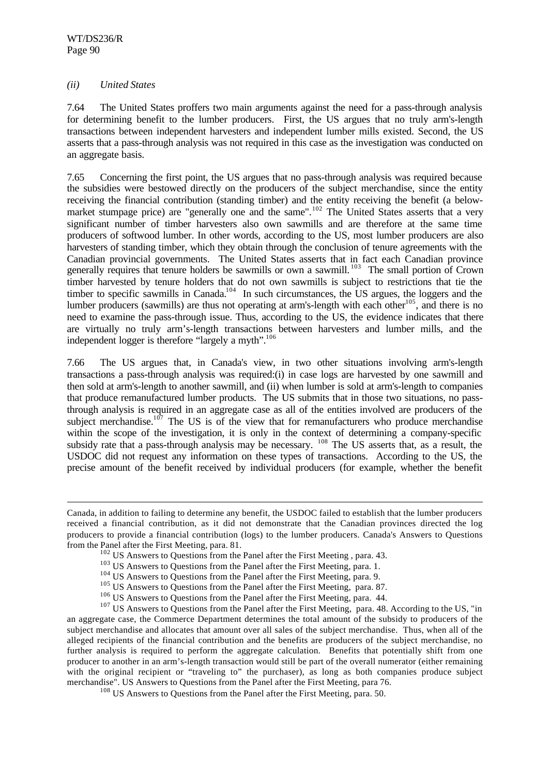l

### *(ii) United States*

7.64 The United States proffers two main arguments against the need for a pass-through analysis for determining benefit to the lumber producers. First, the US argues that no truly arm's-length transactions between independent harvesters and independent lumber mills existed. Second, the US asserts that a pass-through analysis was not required in this case as the investigation was conducted on an aggregate basis.

7.65 Concerning the first point, the US argues that no pass-through analysis was required because the subsidies were bestowed directly on the producers of the subject merchandise, since the entity receiving the financial contribution (standing timber) and the entity receiving the benefit (a belowmarket stumpage price) are "generally one and the same".<sup>102</sup> The United States asserts that a very significant number of timber harvesters also own sawmills and are therefore at the same time producers of softwood lumber. In other words, according to the US, most lumber producers are also harvesters of standing timber, which they obtain through the conclusion of tenure agreements with the Canadian provincial governments. The United States asserts that in fact each Canadian province generally requires that tenure holders be sawmills or own a sawmill.<sup>103</sup> The small portion of Crown timber harvested by tenure holders that do not own sawmills is subject to restrictions that tie the timber to specific sawmills in Canada.<sup>104</sup> In such circumstances, the US argues, the loggers and the lumber producers (sawmills) are thus not operating at arm's-length with each other<sup>105</sup>, and there is no need to examine the pass-through issue. Thus, according to the US, the evidence indicates that there are virtually no truly arm's-length transactions between harvesters and lumber mills, and the independent logger is therefore "largely a myth".<sup>106</sup>

7.66 The US argues that, in Canada's view, in two other situations involving arm's-length transactions a pass-through analysis was required:(i) in case logs are harvested by one sawmill and then sold at arm's-length to another sawmill, and (ii) when lumber is sold at arm's-length to companies that produce remanufactured lumber products. The US submits that in those two situations, no passthrough analysis is required in an aggregate case as all of the entities involved are producers of the subject merchandise.<sup>107</sup> The US is of the view that for remanufacturers who produce merchandise within the scope of the investigation, it is only in the context of determining a company-specific subsidy rate that a pass-through analysis may be necessary.  $^{108}$  The US asserts that, as a result, the USDOC did not request any information on these types of transactions. According to the US, the precise amount of the benefit received by individual producers (for example, whether the benefit

Canada, in addition to failing to determine any benefit, the USDOC failed to establish that the lumber producers received a financial contribution, as it did not demonstrate that the Canadian provinces directed the log producers to provide a financial contribution (logs) to the lumber producers. Canada's Answers to Questions from the Panel after the First Meeting, para. 81.

<sup>&</sup>lt;sup>102</sup> US Answers to Questions from the Panel after the First Meeting, para. 43.

<sup>&</sup>lt;sup>103</sup> US Answers to Questions from the Panel after the First Meeting, para. 1.

<sup>&</sup>lt;sup>104</sup> US Answers to Questions from the Panel after the First Meeting, para. 9.

<sup>&</sup>lt;sup>105</sup> US Answers to Questions from the Panel after the First Meeting, para. 87.

<sup>&</sup>lt;sup>106</sup> US Answers to Questions from the Panel after the First Meeting, para. 44.

<sup>&</sup>lt;sup>107</sup> US Answers to Questions from the Panel after the First Meeting, para. 48. According to the US, "in an aggregate case, the Commerce Department determines the total amount of the subsidy to producers of the subject merchandise and allocates that amount over all sales of the subject merchandise. Thus, when all of the alleged recipients of the financial contribution and the benefits are producers of the subject merchandise, no further analysis is required to perform the aggregate calculation. Benefits that potentially shift from one producer to another in an arm's-length transaction would still be part of the overall numerator (either remaining with the original recipient or "traveling to" the purchaser), as long as both companies produce subject merchandise". US Answers to Questions from the Panel after the First Meeting, para 76.

<sup>&</sup>lt;sup>108</sup> US Answers to Questions from the Panel after the First Meeting, para. 50.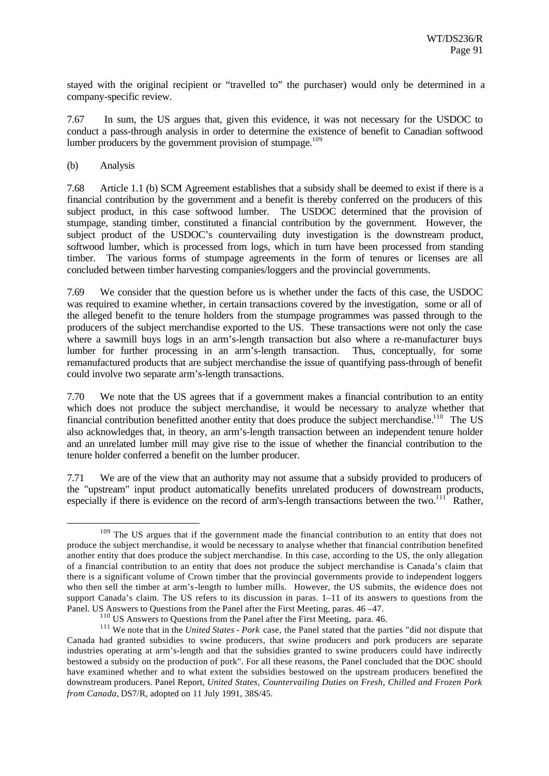stayed with the original recipient or "travelled to" the purchaser) would only be determined in a company-specific review.

7.67 In sum, the US argues that, given this evidence, it was not necessary for the USDOC to conduct a pass-through analysis in order to determine the existence of benefit to Canadian softwood lumber producers by the government provision of stumpage. $109$ 

### (b) Analysis

l

7.68 Article 1.1 (b) SCM Agreement establishes that a subsidy shall be deemed to exist if there is a financial contribution by the government and a benefit is thereby conferred on the producers of this subject product, in this case softwood lumber. The USDOC determined that the provision of stumpage, standing timber, constituted a financial contribution by the government. However, the subject product of the USDOC's countervailing duty investigation is the downstream product, softwood lumber, which is processed from logs, which in turn have been processed from standing timber. The various forms of stumpage agreements in the form of tenures or licenses are all concluded between timber harvesting companies/loggers and the provincial governments.

7.69 We consider that the question before us is whether under the facts of this case, the USDOC was required to examine whether, in certain transactions covered by the investigation, some or all of the alleged benefit to the tenure holders from the stumpage programmes was passed through to the producers of the subject merchandise exported to the US. These transactions were not only the case where a sawmill buys logs in an arm's-length transaction but also where a re-manufacturer buys lumber for further processing in an arm's-length transaction. Thus, conceptually, for some remanufactured products that are subject merchandise the issue of quantifying pass-through of benefit could involve two separate arm's-length transactions.

7.70 We note that the US agrees that if a government makes a financial contribution to an entity which does not produce the subject merchandise, it would be necessary to analyze whether that financial contribution benefitted another entity that does produce the subject merchandise.<sup>110</sup> The US also acknowledges that, in theory, an arm's-length transaction between an independent tenure holder and an unrelated lumber mill may give rise to the issue of whether the financial contribution to the tenure holder conferred a benefit on the lumber producer.

7.71 We are of the view that an authority may not assume that a subsidy provided to producers of the "upstream" input product automatically benefits unrelated producers of downstream products, especially if there is evidence on the record of arm's-length transactions between the two.<sup>111</sup> Rather,

<sup>&</sup>lt;sup>109</sup> The US argues that if the government made the financial contribution to an entity that does not produce the subject merchandise, it would be necessary to analyse whether that financial contribution benefited another entity that does produce the subject merchandise. In this case, according to the US, the only allegation of a financial contribution to an entity that does not produce the subject merchandise is Canada's claim that there is a significant volume of Crown timber that the provincial governments provide to independent loggers who then sell the timber at arm's-length to lumber mills. However, the US submits, the evidence does not support Canada's claim. The US refers to its discussion in paras. 1–11 of its answers to questions from the Panel. US Answers to Questions from the Panel after the First Meeting, paras. 46 –47.

<sup>&</sup>lt;sup>110</sup> US Answers to Questions from the Panel after the First Meeting, para. 46.

<sup>111</sup> We note that in the *United States - Pork* case, the Panel stated that the parties "did not dispute that Canada had granted subsidies to swine producers, that swine producers and pork producers are separate industries operating at arm's-length and that the subsidies granted to swine producers could have indirectly bestowed a subsidy on the production of pork". For all these reasons, the Panel concluded that the DOC should have examined whether and to what extent the subsidies bestowed on the upstream producers benefited the downstream producers. Panel Report, *United States, Countervailing Duties on Fresh, Chilled and Frozen Pork from Canada*, DS7/R, adopted on 11 July 1991, 38S/45.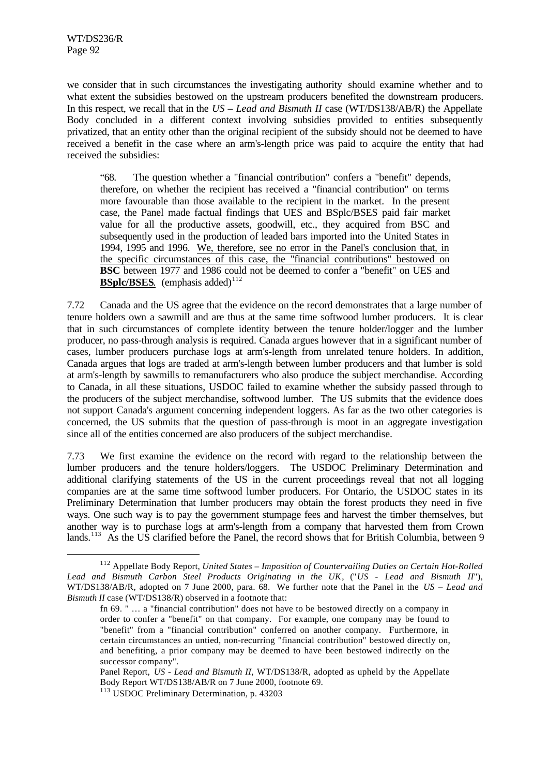l

we consider that in such circumstances the investigating authority should examine whether and to what extent the subsidies bestowed on the upstream producers benefited the downstream producers. In this respect, we recall that in the *US – Lead and Bismuth II* case (WT/DS138/AB/R) the Appellate Body concluded in a different context involving subsidies provided to entities subsequently privatized, that an entity other than the original recipient of the subsidy should not be deemed to have received a benefit in the case where an arm's-length price was paid to acquire the entity that had received the subsidies:

"68. The question whether a "financial contribution" confers a "benefit" depends, therefore, on whether the recipient has received a "financial contribution" on terms more favourable than those available to the recipient in the market. In the present case, the Panel made factual findings that UES and BSplc/BSES paid fair market value for all the productive assets, goodwill, etc., they acquired from BSC and subsequently used in the production of leaded bars imported into the United States in 1994, 1995 and 1996. We, therefore, see no error in the Panel's conclusion that, in the specific circumstances of this case, the "financial contributions" bestowed on **BSC** between 1977 and 1986 could not be deemed to confer a "benefit" on UES and **BSplc/BSES.** (emphasis added)<sup>112</sup>

7.72 Canada and the US agree that the evidence on the record demonstrates that a large number of tenure holders own a sawmill and are thus at the same time softwood lumber producers. It is clear that in such circumstances of complete identity between the tenure holder/logger and the lumber producer, no pass-through analysis is required. Canada argues however that in a significant number of cases, lumber producers purchase logs at arm's-length from unrelated tenure holders. In addition, Canada argues that logs are traded at arm's-length between lumber producers and that lumber is sold at arm's-length by sawmills to remanufacturers who also produce the subject merchandise. According to Canada, in all these situations, USDOC failed to examine whether the subsidy passed through to the producers of the subject merchandise, softwood lumber. The US submits that the evidence does not support Canada's argument concerning independent loggers. As far as the two other categories is concerned, the US submits that the question of pass-through is moot in an aggregate investigation since all of the entities concerned are also producers of the subject merchandise.

7.73 We first examine the evidence on the record with regard to the relationship between the lumber producers and the tenure holders/loggers. The USDOC Preliminary Determination and additional clarifying statements of the US in the current proceedings reveal that not all logging companies are at the same time softwood lumber producers. For Ontario, the USDOC states in its Preliminary Determination that lumber producers may obtain the forest products they need in five ways. One such way is to pay the government stumpage fees and harvest the timber themselves, but another way is to purchase logs at arm's-length from a company that harvested them from Crown lands.<sup>113</sup> As the US clarified before the Panel, the record shows that for British Columbia, between 9

<sup>112</sup> Appellate Body Report, *United States – Imposition of Countervailing Duties on Certain Hot-Rolled Lead and Bismuth Carbon Steel Products Originating in the UK*, ("*US - Lead and Bismuth II*"), WT/DS138/AB/R, adopted on 7 June 2000, para. 68. We further note that the Panel in the *US – Lead and Bismuth II* case (WT/DS138/R) observed in a footnote that:

fn 69. " … a "financial contribution" does not have to be bestowed directly on a company in order to confer a "benefit" on that company. For example, one company may be found to "benefit" from a "financial contribution" conferred on another company. Furthermore, in certain circumstances an untied, non-recurring "financial contribution" bestowed directly on, and benefiting, a prior company may be deemed to have been bestowed indirectly on the successor company".

Panel Report, *US - Lead and Bismuth II*, WT/DS138/R, adopted as upheld by the Appellate Body Report WT/DS138/AB/R on 7 June 2000, footnote 69.

<sup>113</sup> USDOC Preliminary Determination, p. 43203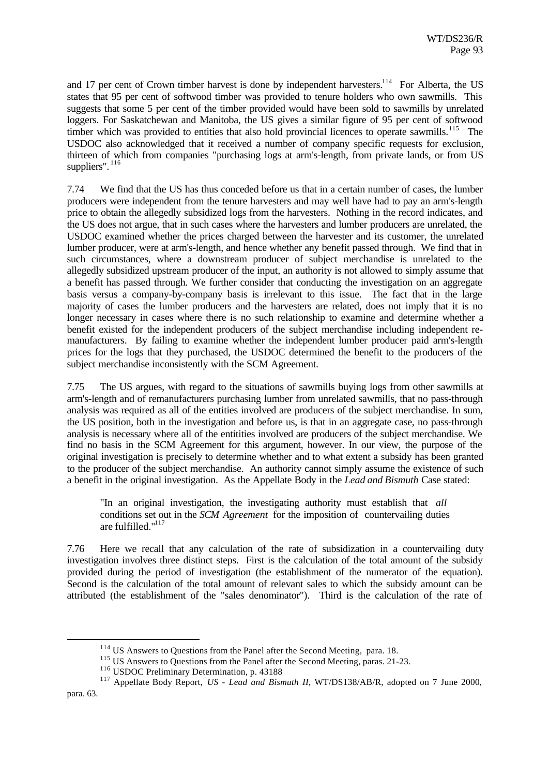and 17 per cent of Crown timber harvest is done by independent harvesters.<sup>114</sup> For Alberta, the US states that 95 per cent of softwood timber was provided to tenure holders who own sawmills. This suggests that some 5 per cent of the timber provided would have been sold to sawmills by unrelated loggers. For Saskatchewan and Manitoba, the US gives a similar figure of 95 per cent of softwood timber which was provided to entities that also hold provincial licences to operate sawmills.<sup>115</sup> The USDOC also acknowledged that it received a number of company specific requests for exclusion, thirteen of which from companies "purchasing logs at arm's-length, from private lands, or from US suppliers".  $116$ 

7.74 We find that the US has thus conceded before us that in a certain number of cases, the lumber producers were independent from the tenure harvesters and may well have had to pay an arm's-length price to obtain the allegedly subsidized logs from the harvesters. Nothing in the record indicates, and the US does not argue, that in such cases where the harvesters and lumber producers are unrelated, the USDOC examined whether the prices charged between the harvester and its customer, the unrelated lumber producer, were at arm's-length, and hence whether any benefit passed through. We find that in such circumstances, where a downstream producer of subject merchandise is unrelated to the allegedly subsidized upstream producer of the input, an authority is not allowed to simply assume that a benefit has passed through. We further consider that conducting the investigation on an aggregate basis versus a company-by-company basis is irrelevant to this issue. The fact that in the large majority of cases the lumber producers and the harvesters are related, does not imply that it is no longer necessary in cases where there is no such relationship to examine and determine whether a benefit existed for the independent producers of the subject merchandise including independent remanufacturers. By failing to examine whether the independent lumber producer paid arm's-length prices for the logs that they purchased, the USDOC determined the benefit to the producers of the subject merchandise inconsistently with the SCM Agreement.

7.75 The US argues, with regard to the situations of sawmills buying logs from other sawmills at arm's-length and of remanufacturers purchasing lumber from unrelated sawmills, that no pass-through analysis was required as all of the entities involved are producers of the subject merchandise. In sum, the US position, both in the investigation and before us, is that in an aggregate case, no pass-through analysis is necessary where all of the entitities involved are producers of the subject merchandise. We find no basis in the SCM Agreement for this argument, however. In our view, the purpose of the original investigation is precisely to determine whether and to what extent a subsidy has been granted to the producer of the subject merchandise. An authority cannot simply assume the existence of such a benefit in the original investigation. As the Appellate Body in the *Lead and Bismuth* Case stated:

"In an original investigation, the investigating authority must establish that *all* conditions set out in the *SCM Agreement* for the imposition of countervailing duties are fulfilled."<sup>117</sup>

7.76 Here we recall that any calculation of the rate of subsidization in a countervailing duty investigation involves three distinct steps. First is the calculation of the total amount of the subsidy provided during the period of investigation (the establishment of the numerator of the equation). Second is the calculation of the total amount of relevant sales to which the subsidy amount can be attributed (the establishment of the "sales denominator"). Third is the calculation of the rate of

<sup>&</sup>lt;sup>114</sup> US Answers to Questions from the Panel after the Second Meeting, para. 18.

<sup>&</sup>lt;sup>115</sup> US Answers to Questions from the Panel after the Second Meeting, paras. 21-23.

<sup>116</sup> USDOC Preliminary Determination, p. 43188

<sup>&</sup>lt;sup>117</sup> Appellate Body Report, *US - Lead and Bismuth II*, WT/DS138/AB/R, adopted on 7 June 2000, para. 63.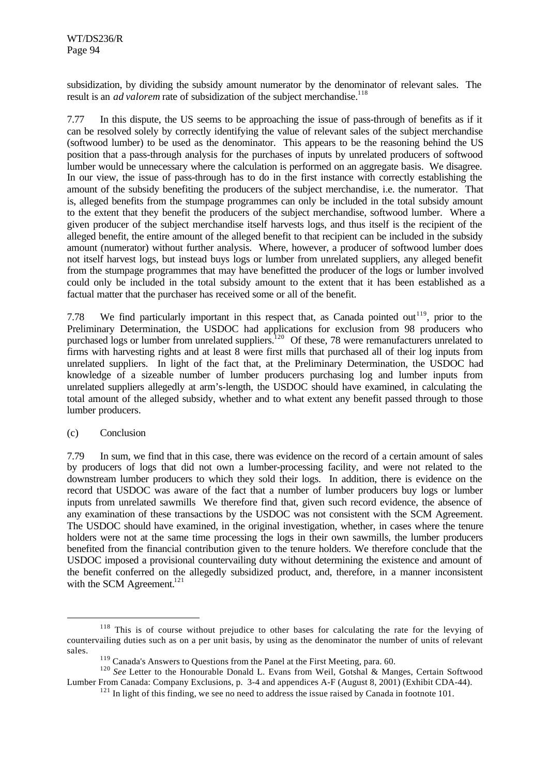subsidization, by dividing the subsidy amount numerator by the denominator of relevant sales. The result is an *ad valorem* rate of subsidization of the subject merchandise.<sup>118</sup>

7.77 In this dispute, the US seems to be approaching the issue of pass-through of benefits as if it can be resolved solely by correctly identifying the value of relevant sales of the subject merchandise (softwood lumber) to be used as the denominator. This appears to be the reasoning behind the US position that a pass-through analysis for the purchases of inputs by unrelated producers of softwood lumber would be unnecessary where the calculation is performed on an aggregate basis. We disagree. In our view, the issue of pass-through has to do in the first instance with correctly establishing the amount of the subsidy benefiting the producers of the subject merchandise, i.e. the numerator. That is, alleged benefits from the stumpage programmes can only be included in the total subsidy amount to the extent that they benefit the producers of the subject merchandise, softwood lumber. Where a given producer of the subject merchandise itself harvests logs, and thus itself is the recipient of the alleged benefit, the entire amount of the alleged benefit to that recipient can be included in the subsidy amount (numerator) without further analysis. Where, however, a producer of softwood lumber does not itself harvest logs, but instead buys logs or lumber from unrelated suppliers, any alleged benefit from the stumpage programmes that may have benefitted the producer of the logs or lumber involved could only be included in the total subsidy amount to the extent that it has been established as a factual matter that the purchaser has received some or all of the benefit.

7.78 We find particularly important in this respect that, as Canada pointed out<sup>119</sup>, prior to the Preliminary Determination, the USDOC had applications for exclusion from 98 producers who purchased logs or lumber from unrelated suppliers.<sup>120</sup> Of these, 78 were remanufacturers unrelated to firms with harvesting rights and at least 8 were first mills that purchased all of their log inputs from unrelated suppliers. In light of the fact that, at the Preliminary Determination, the USDOC had knowledge of a sizeable number of lumber producers purchasing log and lumber inputs from unrelated suppliers allegedly at arm's-length, the USDOC should have examined, in calculating the total amount of the alleged subsidy, whether and to what extent any benefit passed through to those lumber producers.

### (c) Conclusion

l

7.79 In sum, we find that in this case, there was evidence on the record of a certain amount of sales by producers of logs that did not own a lumber-processing facility, and were not related to the downstream lumber producers to which they sold their logs. In addition, there is evidence on the record that USDOC was aware of the fact that a number of lumber producers buy logs or lumber inputs from unrelated sawmills We therefore find that, given such record evidence, the absence of any examination of these transactions by the USDOC was not consistent with the SCM Agreement. The USDOC should have examined, in the original investigation, whether, in cases where the tenure holders were not at the same time processing the logs in their own sawmills, the lumber producers benefited from the financial contribution given to the tenure holders. We therefore conclude that the USDOC imposed a provisional countervailing duty without determining the existence and amount of the benefit conferred on the allegedly subsidized product, and, therefore, in a manner inconsistent with the SCM Agreement. $121$ 

<sup>&</sup>lt;sup>118</sup> This is of course without prejudice to other bases for calculating the rate for the levying of countervailing duties such as on a per unit basis, by using as the denominator the number of units of relevant sales.

<sup>&</sup>lt;sup>119</sup> Canada's Answers to Ouestions from the Panel at the First Meeting, para. 60.

<sup>&</sup>lt;sup>120</sup> See Letter to the Honourable Donald L. Evans from Weil, Gotshal & Manges, Certain Softwood Lumber From Canada: Company Exclusions, p. 3-4 and appendices A-F (August 8, 2001) (Exhibit CDA-44).

<sup>&</sup>lt;sup>121</sup> In light of this finding, we see no need to address the issue raised by Canada in footnote 101.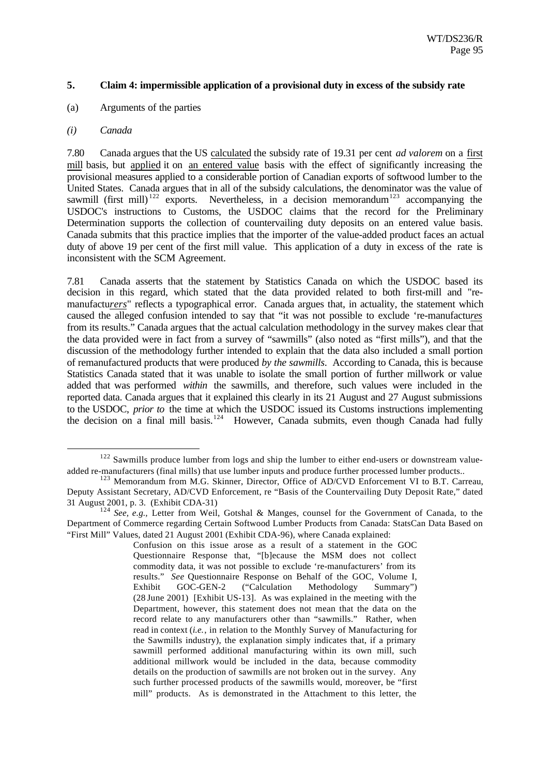# **5. Claim 4: impermissible application of a provisional duty in excess of the subsidy rate**

(a) Arguments of the parties

#### *(i) Canada*

l

7.80 Canada argues that the US calculated the subsidy rate of 19.31 per cent *ad valorem* on a first mill basis, but applied it on an entered value basis with the effect of significantly increasing the provisional measures applied to a considerable portion of Canadian exports of softwood lumber to the United States. Canada argues that in all of the subsidy calculations, the denominator was the value of sawmill (first mill)<sup>122</sup> exports. Nevertheless, in a decision memorandum<sup>123</sup> accompanying the USDOC's instructions to Customs, the USDOC claims that the record for the Preliminary Determination supports the collection of countervailing duty deposits on an entered value basis. Canada submits that this practice implies that the importer of the value-added product faces an actual duty of above 19 per cent of the first mill value. This application of a duty in excess of the rate is inconsistent with the SCM Agreement.

7.81 Canada asserts that the statement by Statistics Canada on which the USDOC based its decision in this regard, which stated that the data provided related to both first-mill and "remanufactu*rers*" reflects a typographical error. Canada argues that, in actuality, the statement which caused the alleged confusion intended to say that "it was not possible to exclude 're-manufactu*res* from its results." Canada argues that the actual calculation methodology in the survey makes clear that the data provided were in fact from a survey of "sawmills" (also noted as "first mills"), and that the discussion of the methodology further intended to explain that the data also included a small portion of remanufactured products that were produced *by the sawmills*. According to Canada, this is because Statistics Canada stated that it was unable to isolate the small portion of further millwork or value added that was performed *within* the sawmills, and therefore, such values were included in the reported data. Canada argues that it explained this clearly in its 21 August and 27 August submissions to the USDOC, *prior to* the time at which the USDOC issued its Customs instructions implementing the decision on a final mill basis.<sup>124</sup> However, Canada submits, even though Canada had fully

<sup>&</sup>lt;sup>122</sup> Sawmills produce lumber from logs and ship the lumber to either end-users or downstream valueadded re-manufacturers (final mills) that use lumber inputs and produce further processed lumber products..

<sup>&</sup>lt;sup>123</sup> Memorandum from M.G. Skinner, Director, Office of AD/CVD Enforcement VI to B.T. Carreau, Deputy Assistant Secretary, AD/CVD Enforcement, re "Basis of the Countervailing Duty Deposit Rate," dated 31 August 2001, p. 3. (Exhibit CDA-31)

<sup>&</sup>lt;sup>124</sup> *See, e.g.,* Letter from Weil, Gotshal & Manges, counsel for the Government of Canada, to the Department of Commerce regarding Certain Softwood Lumber Products from Canada: StatsCan Data Based on "First Mill" Values, dated 21 August 2001 (Exhibit CDA-96), where Canada explained:

Confusion on this issue arose as a result of a statement in the GOC Questionnaire Response that, "[b]ecause the MSM does not collect commodity data, it was not possible to exclude 're-manufacturers' from its results." *See* Questionnaire Response on Behalf of the GOC, Volume I, Exhibit GOC-GEN-2 ("Calculation Methodology Summary") (28 June 2001) [Exhibit US-13]. As was explained in the meeting with the Department, however, this statement does not mean that the data on the record relate to any manufacturers other than "sawmills." Rather, when read in context (*i.e.*, in relation to the Monthly Survey of Manufacturing for the Sawmills industry), the explanation simply indicates that, if a primary sawmill performed additional manufacturing within its own mill, such additional millwork would be included in the data, because commodity details on the production of sawmills are not broken out in the survey. Any such further processed products of the sawmills would, moreover, be "first mill" products. As is demonstrated in the Attachment to this letter, the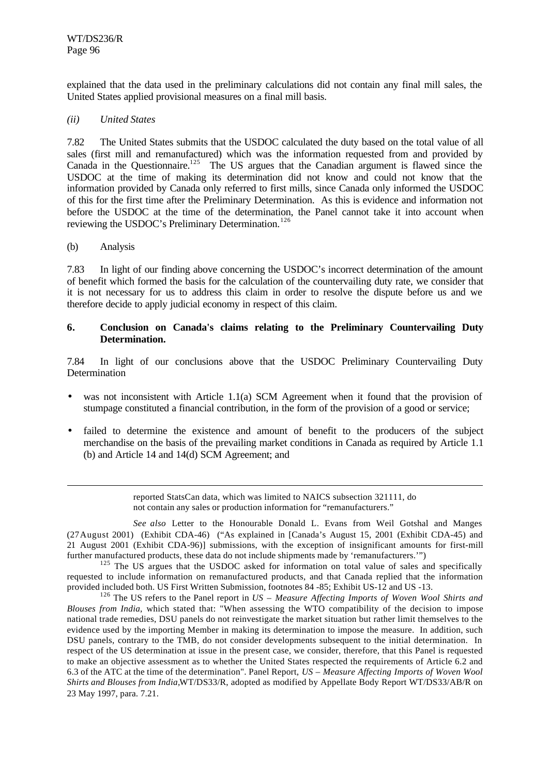explained that the data used in the preliminary calculations did not contain any final mill sales, the United States applied provisional measures on a final mill basis.

### *(ii) United States*

7.82 The United States submits that the USDOC calculated the duty based on the total value of all sales (first mill and remanufactured) which was the information requested from and provided by Canada in the Questionnaire.<sup>125</sup> The US argues that the Canadian argument is flawed since the USDOC at the time of making its determination did not know and could not know that the information provided by Canada only referred to first mills, since Canada only informed the USDOC of this for the first time after the Preliminary Determination. As this is evidence and information not before the USDOC at the time of the determination, the Panel cannot take it into account when reviewing the USDOC's Preliminary Determination.<sup>126</sup>

#### (b) Analysis

l

7.83 In light of our finding above concerning the USDOC's incorrect determination of the amount of benefit which formed the basis for the calculation of the countervailing duty rate, we consider that it is not necessary for us to address this claim in order to resolve the dispute before us and we therefore decide to apply judicial economy in respect of this claim.

# **6. Conclusion on Canada's claims relating to the Preliminary Countervailing Duty Determination.**

7.84 In light of our conclusions above that the USDOC Preliminary Countervailing Duty Determination

- was not inconsistent with Article 1.1(a) SCM Agreement when it found that the provision of stumpage constituted a financial contribution, in the form of the provision of a good or service;
- failed to determine the existence and amount of benefit to the producers of the subject merchandise on the basis of the prevailing market conditions in Canada as required by Article 1.1 (b) and Article 14 and 14(d) SCM Agreement; and

reported StatsCan data, which was limited to NAICS subsection 321111, do not contain any sales or production information for "remanufacturers."

*See also* Letter to the Honourable Donald L. Evans from Weil Gotshal and Manges (27 August 2001) (Exhibit CDA-46) ("As explained in [Canada's August 15, 2001 (Exhibit CDA-45) and 21 August 2001 (Exhibit CDA-96)] submissions, with the exception of insignificant amounts for first-mill further manufactured products, these data do not include shipments made by 'remanufacturers.'")

 $125$  The US argues that the USDOC asked for information on total value of sales and specifically requested to include information on remanufactured products, and that Canada replied that the information provided included both. US First Written Submission, footnotes 84 -85; Exhibit US-12 and US -13.

<sup>126</sup> The US refers to the Panel report in *US – Measure Affecting Imports of Woven Wool Shirts and Blouses from India*, which stated that: "When assessing the WTO compatibility of the decision to impose national trade remedies, DSU panels do not reinvestigate the market situation but rather limit themselves to the evidence used by the importing Member in making its determination to impose the measure. In addition, such DSU panels, contrary to the TMB, do not consider developments subsequent to the initial determination. In respect of the US determination at issue in the present case, we consider, therefore, that this Panel is requested to make an objective assessment as to whether the United States respected the requirements of Article 6.2 and 6.3 of the ATC at the time of the determination". Panel Report, *US – Measure Affecting Imports of Woven Wool Shirts and Blouses from India,*WT/DS33/R, adopted as modified by Appellate Body Report WT/DS33/AB/R on 23 May 1997, para. 7.21.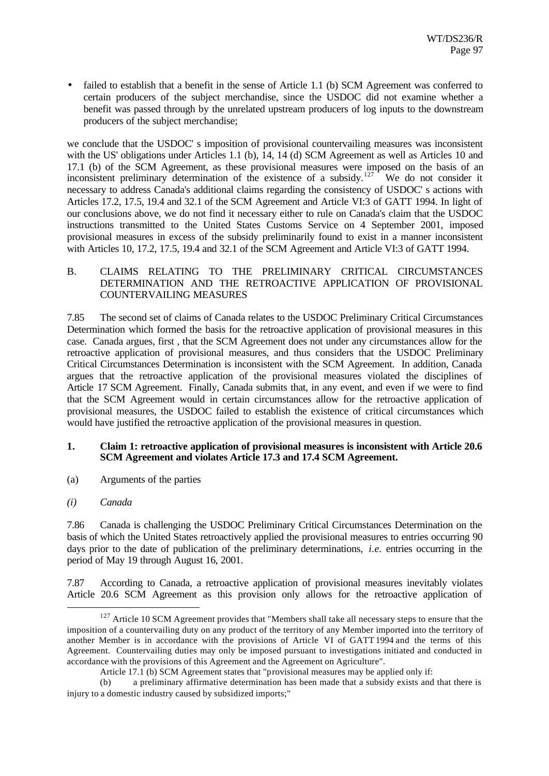• failed to establish that a benefit in the sense of Article 1.1 (b) SCM Agreement was conferred to certain producers of the subject merchandise, since the USDOC did not examine whether a benefit was passed through by the unrelated upstream producers of log inputs to the downstream producers of the subject merchandise;

we conclude that the USDOC' s imposition of provisional countervailing measures was inconsistent with the US' obligations under Articles 1.1 (b), 14, 14 (d) SCM Agreement as well as Articles 10 and 17.1 (b) of the SCM Agreement, as these provisional measures were imposed on the basis of an inconsistent preliminary determination of the existence of a subsidy.<sup>127</sup> We do not consider it necessary to address Canada's additional claims regarding the consistency of USDOC' s actions with Articles 17.2, 17.5, 19.4 and 32.1 of the SCM Agreement and Article VI:3 of GATT 1994. In light of our conclusions above, we do not find it necessary either to rule on Canada's claim that the USDOC instructions transmitted to the United States Customs Service on 4 September 2001, imposed provisional measures in excess of the subsidy preliminarily found to exist in a manner inconsistent with Articles 10, 17.2, 17.5, 19.4 and 32.1 of the SCM Agreement and Article VI:3 of GATT 1994.

# B. CLAIMS RELATING TO THE PRELIMINARY CRITICAL CIRCUMSTANCES DETERMINATION AND THE RETROACTIVE APPLICATION OF PROVISIONAL COUNTERVAILING MEASURES

7.85 The second set of claims of Canada relates to the USDOC Preliminary Critical Circumstances Determination which formed the basis for the retroactive application of provisional measures in this case. Canada argues, first , that the SCM Agreement does not under any circumstances allow for the retroactive application of provisional measures, and thus considers that the USDOC Preliminary Critical Circumstances Determination is inconsistent with the SCM Agreement. In addition, Canada argues that the retroactive application of the provisional measures violated the disciplines of Article 17 SCM Agreement. Finally, Canada submits that, in any event, and even if we were to find that the SCM Agreement would in certain circumstances allow for the retroactive application of provisional measures, the USDOC failed to establish the existence of critical circumstances which would have justified the retroactive application of the provisional measures in question.

# **1. Claim 1: retroactive application of provisional measures is inconsistent with Article 20.6 SCM Agreement and violates Article 17.3 and 17.4 SCM Agreement.**

- (a) Arguments of the parties
- *(i) Canada*

l

7.86 Canada is challenging the USDOC Preliminary Critical Circumstances Determination on the basis of which the United States retroactively applied the provisional measures to entries occurring 90 days prior to the date of publication of the preliminary determinations, *i.e.* entries occurring in the period of May 19 through August 16, 2001.

7.87 According to Canada, a retroactive application of provisional measures inevitably violates Article 20.6 SCM Agreement as this provision only allows for the retroactive application of

<sup>&</sup>lt;sup>127</sup> Article 10 SCM Agreement provides that "Members shall take all necessary steps to ensure that the imposition of a countervailing duty on any product of the territory of any Member imported into the territory of another Member is in accordance with the provisions of Article VI of GATT 1994 and the terms of this Agreement. Countervailing duties may only be imposed pursuant to investigations initiated and conducted in accordance with the provisions of this Agreement and the Agreement on Agriculture".

Article 17.1 (b) SCM Agreement states that "provisional measures may be applied only if:

<sup>(</sup>b) a preliminary affirmative determination has been made that a subsidy exists and that there is injury to a domestic industry caused by subsidized imports;"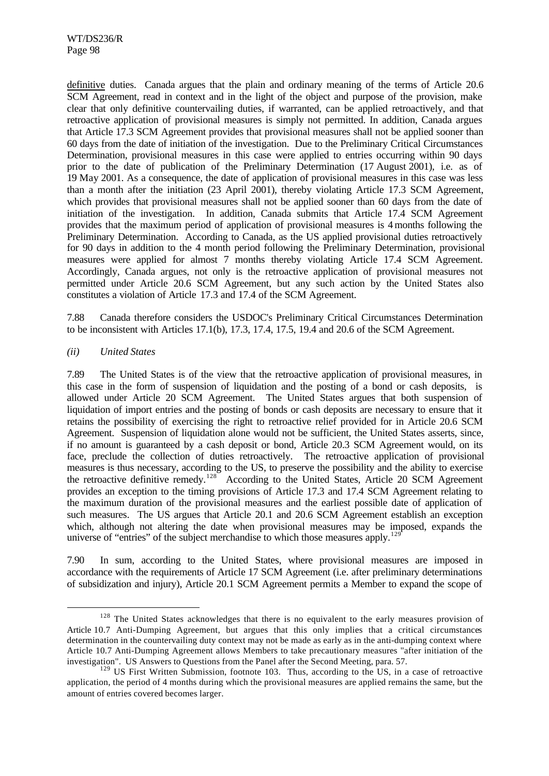definitive duties. Canada argues that the plain and ordinary meaning of the terms of Article 20.6 SCM Agreement, read in context and in the light of the object and purpose of the provision, make clear that only definitive countervailing duties, if warranted, can be applied retroactively, and that retroactive application of provisional measures is simply not permitted. In addition, Canada argues that Article 17.3 SCM Agreement provides that provisional measures shall not be applied sooner than 60 days from the date of initiation of the investigation. Due to the Preliminary Critical Circumstances Determination, provisional measures in this case were applied to entries occurring within 90 days prior to the date of publication of the Preliminary Determination (17 August 2001), i.e. as of 19 May 2001. As a consequence, the date of application of provisional measures in this case was less than a month after the initiation (23 April 2001), thereby violating Article 17.3 SCM Agreement, which provides that provisional measures shall not be applied sooner than 60 days from the date of initiation of the investigation. In addition, Canada submits that Article 17.4 SCM Agreement provides that the maximum period of application of provisional measures is 4 months following the Preliminary Determination. According to Canada, as the US applied provisional duties retroactively for 90 days in addition to the 4 month period following the Preliminary Determination, provisional measures were applied for almost 7 months thereby violating Article 17.4 SCM Agreement. Accordingly, Canada argues, not only is the retroactive application of provisional measures not permitted under Article 20.6 SCM Agreement, but any such action by the United States also constitutes a violation of Article 17.3 and 17.4 of the SCM Agreement.

7.88 Canada therefore considers the USDOC's Preliminary Critical Circumstances Determination to be inconsistent with Articles 17.1(b), 17.3, 17.4, 17.5, 19.4 and 20.6 of the SCM Agreement.

# *(ii) United States*

l

7.89 The United States is of the view that the retroactive application of provisional measures, in this case in the form of suspension of liquidation and the posting of a bond or cash deposits, is allowed under Article 20 SCM Agreement. The United States argues that both suspension of liquidation of import entries and the posting of bonds or cash deposits are necessary to ensure that it retains the possibility of exercising the right to retroactive relief provided for in Article 20.6 SCM Agreement. Suspension of liquidation alone would not be sufficient, the United States asserts, since, if no amount is guaranteed by a cash deposit or bond, Article 20.3 SCM Agreement would, on its face, preclude the collection of duties retroactively. The retroactive application of provisional measures is thus necessary, according to the US, to preserve the possibility and the ability to exercise the retroactive definitive remedy.<sup>128</sup> According to the United States, Article 20 SCM Agreement provides an exception to the timing provisions of Article 17.3 and 17.4 SCM Agreement relating to the maximum duration of the provisional measures and the earliest possible date of application of such measures. The US argues that Article 20.1 and 20.6 SCM Agreement establish an exception which, although not altering the date when provisional measures may be imposed, expands the universe of "entries" of the subject merchandise to which those measures apply.<sup>12</sup>

7.90 In sum, according to the United States, where provisional measures are imposed in accordance with the requirements of Article 17 SCM Agreement (i.e. after preliminary determinations of subsidization and injury), Article 20.1 SCM Agreement permits a Member to expand the scope of

<sup>&</sup>lt;sup>128</sup> The United States acknowledges that there is no equivalent to the early measures provision of Article 10.7 Anti-Dumping Agreement, but argues that this only implies that a critical circumstances determination in the countervailing duty context may not be made as early as in the anti-dumping context where Article 10.7 Anti-Dumping Agreement allows Members to take precautionary measures "after initiation of the investigation". US Answers to Questions from the Panel after the Second Meeting, para. 57.

<sup>&</sup>lt;sup>129</sup> US First Written Submission, footnote 103. Thus, according to the US, in a case of retroactive application, the period of 4 months during which the provisional measures are applied remains the same, but the amount of entries covered becomes larger.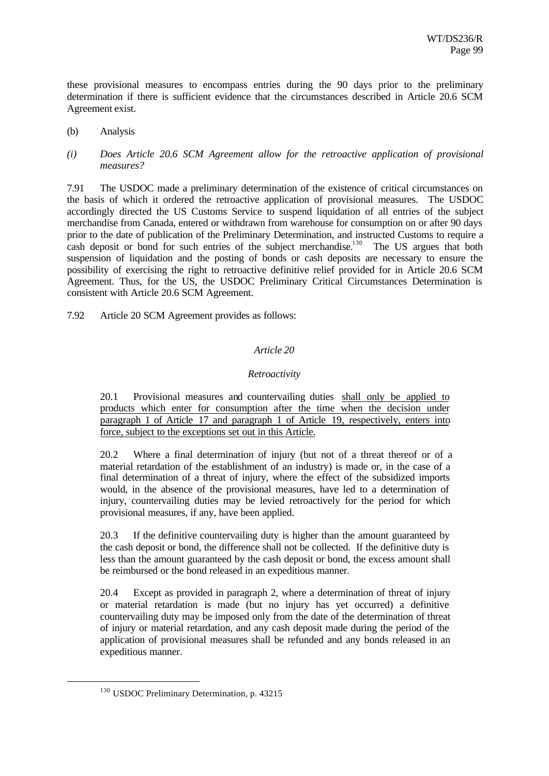these provisional measures to encompass entries during the 90 days prior to the preliminary determination if there is sufficient evidence that the circumstances described in Article 20.6 SCM Agreement exist.

- (b) Analysis
- *(i) Does Article 20.6 SCM Agreement allow for the retroactive application of provisional measures?*

7.91 The USDOC made a preliminary determination of the existence of critical circumstances on the basis of which it ordered the retroactive application of provisional measures. The USDOC accordingly directed the US Customs Service to suspend liquidation of all entries of the subject merchandise from Canada, entered or withdrawn from warehouse for consumption on or after 90 days prior to the date of publication of the Preliminary Determination, and instructed Customs to require a cash deposit or bond for such entries of the subject merchandise.<sup>130</sup> The US argues that both suspension of liquidation and the posting of bonds or cash deposits are necessary to ensure the possibility of exercising the right to retroactive definitive relief provided for in Article 20.6 SCM Agreement. Thus, for the US, the USDOC Preliminary Critical Circumstances Determination is consistent with Article 20.6 SCM Agreement.

7.92 Article 20 SCM Agreement provides as follows:

# *Article 20*

# *Retroactivity*

20.1 Provisional measures and countervailing duties shall only be applied to products which enter for consumption after the time when the decision under paragraph 1 of Article 17 and paragraph 1 of Article 19, respectively, enters into force, subject to the exceptions set out in this Article.

20.2 Where a final determination of injury (but not of a threat thereof or of a material retardation of the establishment of an industry) is made or, in the case of a final determination of a threat of injury, where the effect of the subsidized imports would, in the absence of the provisional measures, have led to a determination of injury, countervailing duties may be levied retroactively for the period for which provisional measures, if any, have been applied.

20.3 If the definitive countervailing duty is higher than the amount guaranteed by the cash deposit or bond, the difference shall not be collected. If the definitive duty is less than the amount guaranteed by the cash deposit or bond, the excess amount shall be reimbursed or the bond released in an expeditious manner.

20.4 Except as provided in paragraph 2, where a determination of threat of injury or material retardation is made (but no injury has yet occurred) a definitive countervailing duty may be imposed only from the date of the determination of threat of injury or material retardation, and any cash deposit made during the period of the application of provisional measures shall be refunded and any bonds released in an expeditious manner.

l

<sup>130</sup> USDOC Preliminary Determination, p. 43215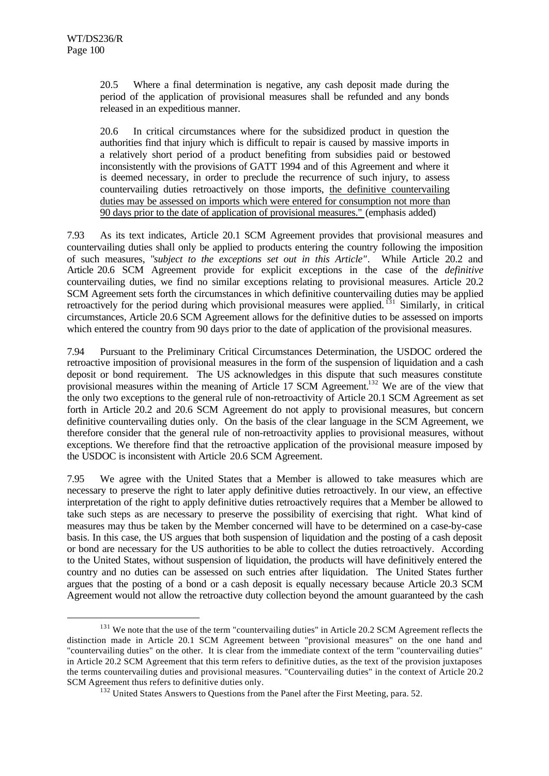20.5 Where a final determination is negative, any cash deposit made during the period of the application of provisional measures shall be refunded and any bonds released in an expeditious manner.

20.6 In critical circumstances where for the subsidized product in question the authorities find that injury which is difficult to repair is caused by massive imports in a relatively short period of a product benefiting from subsidies paid or bestowed inconsistently with the provisions of GATT 1994 and of this Agreement and where it is deemed necessary, in order to preclude the recurrence of such injury, to assess countervailing duties retroactively on those imports, the definitive countervailing duties may be assessed on imports which were entered for consumption not more than 90 days prior to the date of application of provisional measures." (emphasis added)

7.93 As its text indicates, Article 20.1 SCM Agreement provides that provisional measures and countervailing duties shall only be applied to products entering the country following the imposition of such measures, "*subject to the exceptions set out in this Article"*. While Article 20.2 and Article 20.6 SCM Agreement provide for explicit exceptions in the case of the *definitive* countervailing duties, we find no similar exceptions relating to provisional measures. Article 20.2 SCM Agreement sets forth the circumstances in which definitive countervailing duties may be applied retroactively for the period during which provisional measures were applied.<sup>131</sup> Similarly, in critical circumstances, Article 20.6 SCM Agreement allows for the definitive duties to be assessed on imports which entered the country from 90 days prior to the date of application of the provisional measures.

7.94 Pursuant to the Preliminary Critical Circumstances Determination, the USDOC ordered the retroactive imposition of provisional measures in the form of the suspension of liquidation and a cash deposit or bond requirement. The US acknowledges in this dispute that such measures constitute provisional measures within the meaning of Article 17 SCM Agreement.<sup>132</sup> We are of the view that the only two exceptions to the general rule of non-retroactivity of Article 20.1 SCM Agreement as set forth in Article 20.2 and 20.6 SCM Agreement do not apply to provisional measures, but concern definitive countervailing duties only. On the basis of the clear language in the SCM Agreement, we therefore consider that the general rule of non-retroactivity applies to provisional measures, without exceptions. We therefore find that the retroactive application of the provisional measure imposed by the USDOC is inconsistent with Article 20.6 SCM Agreement.

7.95 We agree with the United States that a Member is allowed to take measures which are necessary to preserve the right to later apply definitive duties retroactively. In our view, an effective interpretation of the right to apply definitive duties retroactively requires that a Member be allowed to take such steps as are necessary to preserve the possibility of exercising that right. What kind of measures may thus be taken by the Member concerned will have to be determined on a case-by-case basis. In this case, the US argues that both suspension of liquidation and the posting of a cash deposit or bond are necessary for the US authorities to be able to collect the duties retroactively. According to the United States, without suspension of liquidation, the products will have definitively entered the country and no duties can be assessed on such entries after liquidation. The United States further argues that the posting of a bond or a cash deposit is equally necessary because Article 20.3 SCM Agreement would not allow the retroactive duty collection beyond the amount guaranteed by the cash

<sup>&</sup>lt;sup>131</sup> We note that the use of the term "countervailing duties" in Article 20.2 SCM Agreement reflects the distinction made in Article 20.1 SCM Agreement between "provisional measures" on the one hand and "countervailing duties" on the other. It is clear from the immediate context of the term "countervailing duties" in Article 20.2 SCM Agreement that this term refers to definitive duties, as the text of the provision juxtaposes the terms countervailing duties and provisional measures. "Countervailing duties" in the context of Article 20.2 SCM Agreement thus refers to definitive duties only.

<sup>&</sup>lt;sup>132</sup> United States Answers to Questions from the Panel after the First Meeting, para. 52.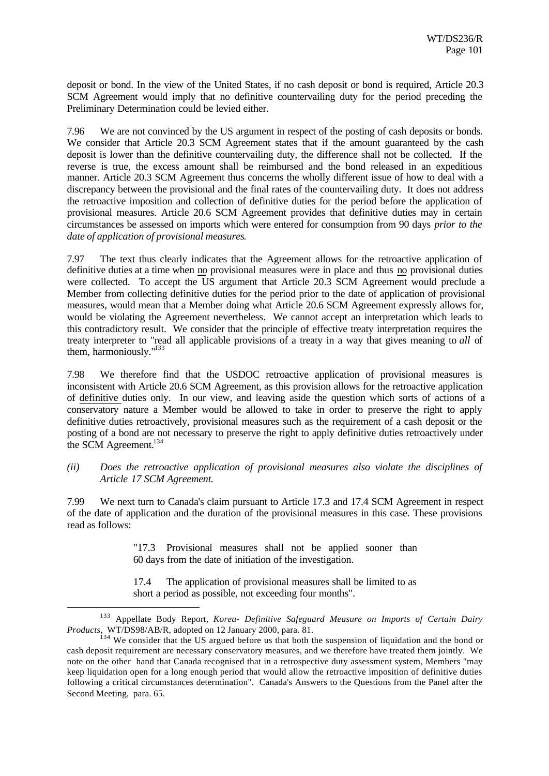deposit or bond. In the view of the United States, if no cash deposit or bond is required, Article 20.3 SCM Agreement would imply that no definitive countervailing duty for the period preceding the Preliminary Determination could be levied either.

7.96 We are not convinced by the US argument in respect of the posting of cash deposits or bonds. We consider that Article 20.3 SCM Agreement states that if the amount guaranteed by the cash deposit is lower than the definitive countervailing duty, the difference shall not be collected. If the reverse is true, the excess amount shall be reimbursed and the bond released in an expeditious manner. Article 20.3 SCM Agreement thus concerns the wholly different issue of how to deal with a discrepancy between the provisional and the final rates of the countervailing duty. It does not address the retroactive imposition and collection of definitive duties for the period before the application of provisional measures. Article 20.6 SCM Agreement provides that definitive duties may in certain circumstances be assessed on imports which were entered for consumption from 90 days *prior to the date of application of provisional measures*.

7.97 The text thus clearly indicates that the Agreement allows for the retroactive application of definitive duties at a time when no provisional measures were in place and thus no provisional duties were collected. To accept the US argument that Article 20.3 SCM Agreement would preclude a Member from collecting definitive duties for the period prior to the date of application of provisional measures, would mean that a Member doing what Article 20.6 SCM Agreement expressly allows for, would be violating the Agreement nevertheless. We cannot accept an interpretation which leads to this contradictory result. We consider that the principle of effective treaty interpretation requires the treaty interpreter to "read all applicable provisions of a treaty in a way that gives meaning to *all* of them, harmoniously."<sup>133</sup>

7.98 We therefore find that the USDOC retroactive application of provisional measures is inconsistent with Article 20.6 SCM Agreement, as this provision allows for the retroactive application of definitive duties only. In our view, and leaving aside the question which sorts of actions of a conservatory nature a Member would be allowed to take in order to preserve the right to apply definitive duties retroactively, provisional measures such as the requirement of a cash deposit or the posting of a bond are not necessary to preserve the right to apply definitive duties retroactively under the SCM Agreement.<sup>134</sup>

*(ii) Does the retroactive application of provisional measures also violate the disciplines of Article 17 SCM Agreement.*

7.99 We next turn to Canada's claim pursuant to Article 17.3 and 17.4 SCM Agreement in respect of the date of application and the duration of the provisional measures in this case. These provisions read as follows:

> "17.3 Provisional measures shall not be applied sooner than 60 days from the date of initiation of the investigation.

> 17.4 The application of provisional measures shall be limited to as short a period as possible, not exceeding four months".

l

<sup>133</sup> Appellate Body Report, *Korea- Definitive Safeguard Measure on Imports of Certain Dairy Products,* WT/DS98/AB/R, adopted on 12 January 2000, para. 81.

<sup>&</sup>lt;sup>134</sup> We consider that the US argued before us that both the suspension of liquidation and the bond or cash deposit requirement are necessary conservatory measures, and we therefore have treated them jointly. We note on the other hand that Canada recognised that in a retrospective duty assessment system, Members "may keep liquidation open for a long enough period that would allow the retroactive imposition of definitive duties following a critical circumstances determination". Canada's Answers to the Questions from the Panel after the Second Meeting, para. 65.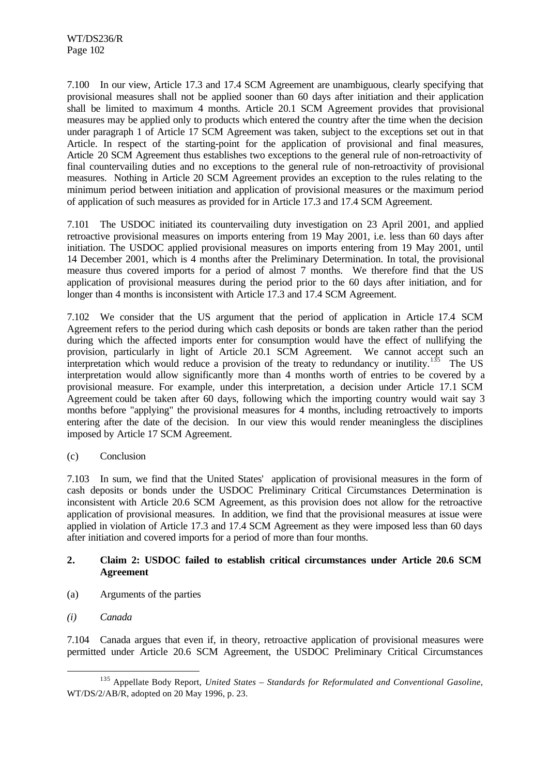7.100 In our view, Article 17.3 and 17.4 SCM Agreement are unambiguous, clearly specifying that provisional measures shall not be applied sooner than 60 days after initiation and their application shall be limited to maximum 4 months. Article 20.1 SCM Agreement provides that provisional measures may be applied only to products which entered the country after the time when the decision under paragraph 1 of Article 17 SCM Agreement was taken, subject to the exceptions set out in that Article. In respect of the starting-point for the application of provisional and final measures, Article 20 SCM Agreement thus establishes two exceptions to the general rule of non-retroactivity of final countervailing duties and no exceptions to the general rule of non-retroactivity of provisional measures. Nothing in Article 20 SCM Agreement provides an exception to the rules relating to the minimum period between initiation and application of provisional measures or the maximum period of application of such measures as provided for in Article 17.3 and 17.4 SCM Agreement.

7.101 The USDOC initiated its countervailing duty investigation on 23 April 2001, and applied retroactive provisional measures on imports entering from 19 May 2001, i.e. less than 60 days after initiation. The USDOC applied provisional measures on imports entering from 19 May 2001, until 14 December 2001, which is 4 months after the Preliminary Determination. In total, the provisional measure thus covered imports for a period of almost 7 months. We therefore find that the US application of provisional measures during the period prior to the 60 days after initiation, and for longer than 4 months is inconsistent with Article 17.3 and 17.4 SCM Agreement.

7.102 We consider that the US argument that the period of application in Article 17.4 SCM Agreement refers to the period during which cash deposits or bonds are taken rather than the period during which the affected imports enter for consumption would have the effect of nullifying the provision, particularly in light of Article 20.1 SCM Agreement. We cannot accept such an interpretation which would reduce a provision of the treaty to redundancy or inutility.<sup>135</sup> The US interpretation would allow significantly more than 4 months worth of entries to be covered by a provisional measure. For example, under this interpretation, a decision under Article 17.1 SCM Agreement could be taken after 60 days, following which the importing country would wait say 3 months before "applying" the provisional measures for 4 months, including retroactively to imports entering after the date of the decision. In our view this would render meaningless the disciplines imposed by Article 17 SCM Agreement.

## (c) Conclusion

7.103 In sum, we find that the United States' application of provisional measures in the form of cash deposits or bonds under the USDOC Preliminary Critical Circumstances Determination is inconsistent with Article 20.6 SCM Agreement, as this provision does not allow for the retroactive application of provisional measures. In addition, we find that the provisional measures at issue were applied in violation of Article 17.3 and 17.4 SCM Agreement as they were imposed less than 60 days after initiation and covered imports for a period of more than four months.

## **2. Claim 2: USDOC failed to establish critical circumstances under Article 20.6 SCM Agreement**

- (a) Arguments of the parties
- *(i) Canada*

l

7.104 Canada argues that even if, in theory, retroactive application of provisional measures were permitted under Article 20.6 SCM Agreement, the USDOC Preliminary Critical Circumstances

<sup>135</sup> Appellate Body Report, *United States – Standards for Reformulated and Conventional Gasoline*, WT/DS/2/AB/R, adopted on 20 May 1996, p. 23.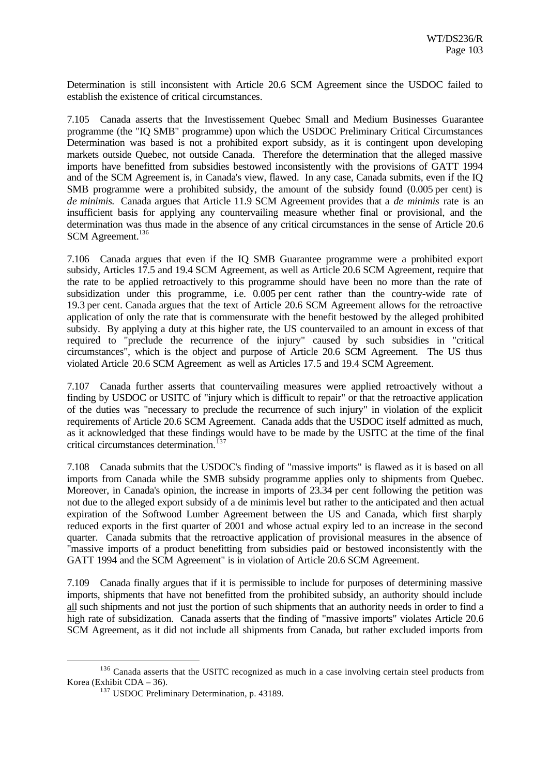Determination is still inconsistent with Article 20.6 SCM Agreement since the USDOC failed to establish the existence of critical circumstances.

7.105 Canada asserts that the Investissement Quebec Small and Medium Businesses Guarantee programme (the "IQ SMB" programme) upon which the USDOC Preliminary Critical Circumstances Determination was based is not a prohibited export subsidy, as it is contingent upon developing markets outside Quebec, not outside Canada. Therefore the determination that the alleged massive imports have benefitted from subsidies bestowed inconsistently with the provisions of GATT 1994 and of the SCM Agreement is, in Canada's view, flawed. In any case, Canada submits, even if the IQ SMB programme were a prohibited subsidy, the amount of the subsidy found (0.005 per cent) is *de minimis.* Canada argues that Article 11.9 SCM Agreement provides that a *de minimis* rate is an insufficient basis for applying any countervailing measure whether final or provisional, and the determination was thus made in the absence of any critical circumstances in the sense of Article 20.6 SCM Agreement.<sup>136</sup>

7.106 Canada argues that even if the IQ SMB Guarantee programme were a prohibited export subsidy, Articles 17.5 and 19.4 SCM Agreement, as well as Article 20.6 SCM Agreement, require that the rate to be applied retroactively to this programme should have been no more than the rate of subsidization under this programme, i.e. 0.005 per cent rather than the country-wide rate of 19.3 per cent. Canada argues that the text of Article 20.6 SCM Agreement allows for the retroactive application of only the rate that is commensurate with the benefit bestowed by the alleged prohibited subsidy. By applying a duty at this higher rate, the US countervailed to an amount in excess of that required to "preclude the recurrence of the injury" caused by such subsidies in "critical circumstances", which is the object and purpose of Article 20.6 SCM Agreement. The US thus violated Article 20.6 SCM Agreement as well as Articles 17.5 and 19.4 SCM Agreement.

7.107 Canada further asserts that countervailing measures were applied retroactively without a finding by USDOC or USITC of "injury which is difficult to repair" or that the retroactive application of the duties was "necessary to preclude the recurrence of such injury" in violation of the explicit requirements of Article 20.6 SCM Agreement. Canada adds that the USDOC itself admitted as much, as it acknowledged that these findings would have to be made by the USITC at the time of the final critical circumstances determination.<sup>137</sup>

7.108 Canada submits that the USDOC's finding of "massive imports" is flawed as it is based on all imports from Canada while the SMB subsidy programme applies only to shipments from Quebec. Moreover, in Canada's opinion, the increase in imports of 23.34 per cent following the petition was not due to the alleged export subsidy of a de minimis level but rather to the anticipated and then actual expiration of the Softwood Lumber Agreement between the US and Canada, which first sharply reduced exports in the first quarter of 2001 and whose actual expiry led to an increase in the second quarter. Canada submits that the retroactive application of provisional measures in the absence of "massive imports of a product benefitting from subsidies paid or bestowed inconsistently with the GATT 1994 and the SCM Agreement" is in violation of Article 20.6 SCM Agreement.

7.109 Canada finally argues that if it is permissible to include for purposes of determining massive imports, shipments that have not benefitted from the prohibited subsidy, an authority should include all such shipments and not just the portion of such shipments that an authority needs in order to find a high rate of subsidization. Canada asserts that the finding of "massive imports" violates Article 20.6 SCM Agreement, as it did not include all shipments from Canada, but rather excluded imports from

l

<sup>&</sup>lt;sup>136</sup> Canada asserts that the USITC recognized as much in a case involving certain steel products from Korea (Exhibit CDA – 36).

<sup>&</sup>lt;sup>137</sup> USDOC Preliminary Determination, p. 43189.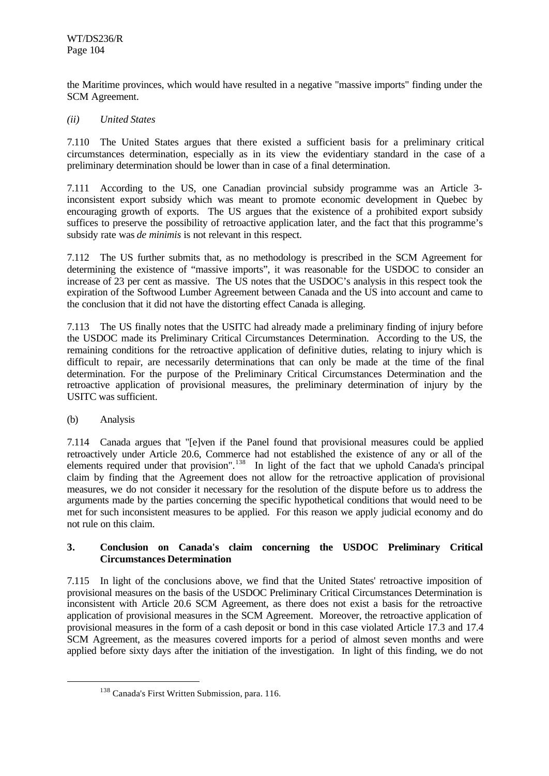the Maritime provinces, which would have resulted in a negative "massive imports" finding under the SCM Agreement.

## *(ii) United States*

7.110 The United States argues that there existed a sufficient basis for a preliminary critical circumstances determination, especially as in its view the evidentiary standard in the case of a preliminary determination should be lower than in case of a final determination.

7.111 According to the US, one Canadian provincial subsidy programme was an Article 3 inconsistent export subsidy which was meant to promote economic development in Quebec by encouraging growth of exports. The US argues that the existence of a prohibited export subsidy suffices to preserve the possibility of retroactive application later, and the fact that this programme's subsidy rate was *de minimis* is not relevant in this respect.

7.112 The US further submits that, as no methodology is prescribed in the SCM Agreement for determining the existence of "massive imports", it was reasonable for the USDOC to consider an increase of 23 per cent as massive. The US notes that the USDOC's analysis in this respect took the expiration of the Softwood Lumber Agreement between Canada and the US into account and came to the conclusion that it did not have the distorting effect Canada is alleging.

7.113 The US finally notes that the USITC had already made a preliminary finding of injury before the USDOC made its Preliminary Critical Circumstances Determination. According to the US, the remaining conditions for the retroactive application of definitive duties, relating to injury which is difficult to repair, are necessarily determinations that can only be made at the time of the final determination. For the purpose of the Preliminary Critical Circumstances Determination and the retroactive application of provisional measures, the preliminary determination of injury by the USITC was sufficient.

# (b) Analysis

l

7.114 Canada argues that "[e]ven if the Panel found that provisional measures could be applied retroactively under Article 20.6, Commerce had not established the existence of any or all of the elements required under that provision".<sup>138</sup> In light of the fact that we uphold Canada's principal claim by finding that the Agreement does not allow for the retroactive application of provisional measures, we do not consider it necessary for the resolution of the dispute before us to address the arguments made by the parties concerning the specific hypothetical conditions that would need to be met for such inconsistent measures to be applied. For this reason we apply judicial economy and do not rule on this claim.

## **3. Conclusion on Canada's claim concerning the USDOC Preliminary Critical Circumstances Determination**

7.115 In light of the conclusions above, we find that the United States' retroactive imposition of provisional measures on the basis of the USDOC Preliminary Critical Circumstances Determination is inconsistent with Article 20.6 SCM Agreement, as there does not exist a basis for the retroactive application of provisional measures in the SCM Agreement. Moreover, the retroactive application of provisional measures in the form of a cash deposit or bond in this case violated Article 17.3 and 17.4 SCM Agreement, as the measures covered imports for a period of almost seven months and were applied before sixty days after the initiation of the investigation. In light of this finding, we do not

<sup>&</sup>lt;sup>138</sup> Canada's First Written Submission, para. 116.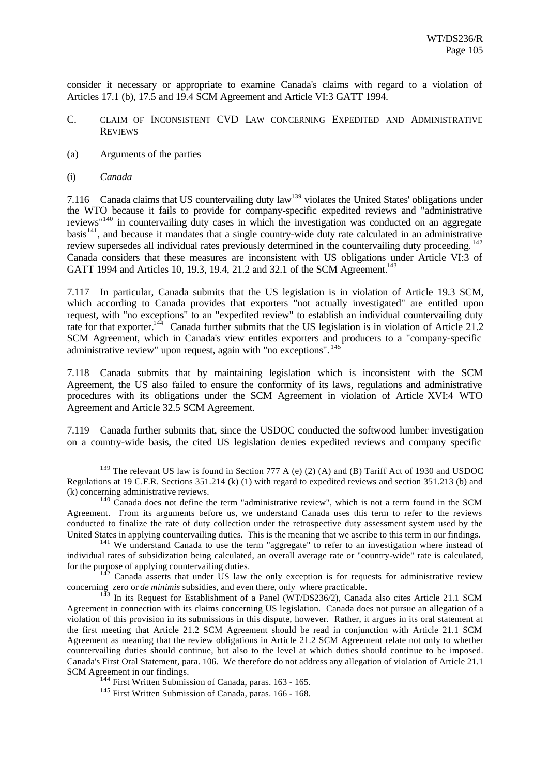consider it necessary or appropriate to examine Canada's claims with regard to a violation of Articles 17.1 (b), 17.5 and 19.4 SCM Agreement and Article VI:3 GATT 1994.

- C. CLAIM OF INCONSISTENT CVD LAW CONCERNING EXPEDITED AND ADMINISTRATIVE **REVIEWS**
- (a) Arguments of the parties
- (i) *Canada*

l

7.116 Canada claims that US countervailing duty law<sup>139</sup> violates the United States' obligations under the WTO because it fails to provide for company-specific expedited reviews and "administrative reviews"<sup>140</sup> in countervailing duty cases in which the investigation was conducted on an aggregate basis<sup>141</sup>, and because it mandates that a single country-wide duty rate calculated in an administrative review supersedes all individual rates previously determined in the countervailing duty proceeding. <sup>142</sup> Canada considers that these measures are inconsistent with US obligations under Article VI:3 of GATT 1994 and Articles 10, 19.3, 19.4, 21.2 and 32.1 of the SCM Agreement.<sup>143</sup>

7.117 In particular, Canada submits that the US legislation is in violation of Article 19.3 SCM, which according to Canada provides that exporters "not actually investigated" are entitled upon request, with "no exceptions" to an "expedited review" to establish an individual countervailing duty rate for that exporter.<sup>144</sup> Canada further submits that the US legislation is in violation of Article 21.2 SCM Agreement, which in Canada's view entitles exporters and producers to a "company-specific administrative review" upon request, again with "no exceptions". <sup>145</sup>

7.118 Canada submits that by maintaining legislation which is inconsistent with the SCM Agreement, the US also failed to ensure the conformity of its laws, regulations and administrative procedures with its obligations under the SCM Agreement in violation of Article XVI:4 WTO Agreement and Article 32.5 SCM Agreement.

7.119 Canada further submits that, since the USDOC conducted the softwood lumber investigation on a country-wide basis, the cited US legislation denies expedited reviews and company specific

<sup>&</sup>lt;sup>139</sup> The relevant US law is found in Section 777 A (e) (2) (A) and (B) Tariff Act of 1930 and USDOC Regulations at 19 C.F.R. Sections 351.214 (k) (1) with regard to expedited reviews and section 351.213 (b) and (k) concerning administrative reviews.

<sup>&</sup>lt;sup>140</sup> Canada does not define the term "administrative review", which is not a term found in the SCM Agreement. From its arguments before us, we understand Canada uses this term to refer to the reviews conducted to finalize the rate of duty collection under the retrospective duty assessment system used by the United States in applying countervailing duties. This is the meaning that we ascribe to this term in our findings.

<sup>&</sup>lt;sup>141</sup> We understand Canada to use the term "aggregate" to refer to an investigation where instead of individual rates of subsidization being calculated, an overall average rate or "country-wide" rate is calculated, for the purpose of applying countervailing duties.

 $142$  Canada asserts that under US law the only exception is for requests for administrative review concerning zero or *de minimis* subsidies, and even there, only where practicable.

<sup>&</sup>lt;sup>143</sup> In its Request for Establishment of a Panel (WT/DS236/2), Canada also cites Article 21.1 SCM Agreement in connection with its claims concerning US legislation. Canada does not pursue an allegation of a violation of this provision in its submissions in this dispute, however. Rather, it argues in its oral statement at the first meeting that Article 21.2 SCM Agreement should be read in conjunction with Article 21.1 SCM Agreement as meaning that the review obligations in Article 21.2 SCM Agreement relate not only to whether countervailing duties should continue, but also to the level at which duties should continue to be imposed. Canada's First Oral Statement, para. 106. We therefore do not address any allegation of violation of Article 21.1 SCM Agreement in our findings.

<sup>&</sup>lt;sup>144</sup> First Written Submission of Canada, paras. 163 - 165.

<sup>&</sup>lt;sup>145</sup> First Written Submission of Canada, paras. 166 - 168.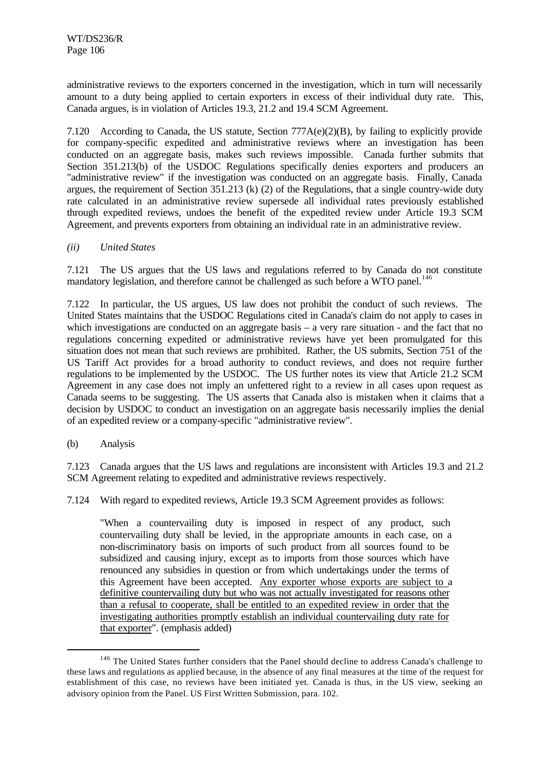administrative reviews to the exporters concerned in the investigation, which in turn will necessarily amount to a duty being applied to certain exporters in excess of their individual duty rate. This, Canada argues, is in violation of Articles 19.3, 21.2 and 19.4 SCM Agreement.

7.120 According to Canada, the US statute, Section 777A(e)(2)(B), by failing to explicitly provide for company-specific expedited and administrative reviews where an investigation has been conducted on an aggregate basis, makes such reviews impossible. Canada further submits that Section 351.213(b) of the USDOC Regulations specifically denies exporters and producers an "administrative review" if the investigation was conducted on an aggregate basis. Finally, Canada argues, the requirement of Section 351.213 (k) (2) of the Regulations, that a single country-wide duty rate calculated in an administrative review supersede all individual rates previously established through expedited reviews, undoes the benefit of the expedited review under Article 19.3 SCM Agreement, and prevents exporters from obtaining an individual rate in an administrative review.

*(ii) United States*

7.121 The US argues that the US laws and regulations referred to by Canada do not constitute mandatory legislation, and therefore cannot be challenged as such before a WTO panel.<sup>146</sup>

7.122 In particular, the US argues, US law does not prohibit the conduct of such reviews. The United States maintains that the USDOC Regulations cited in Canada's claim do not apply to cases in which investigations are conducted on an aggregate basis – a very rare situation - and the fact that no regulations concerning expedited or administrative reviews have yet been promulgated for this situation does not mean that such reviews are prohibited. Rather, the US submits, Section 751 of the US Tariff Act provides for a broad authority to conduct reviews, and does not require further regulations to be implemented by the USDOC. The US further notes its view that Article 21.2 SCM Agreement in any case does not imply an unfettered right to a review in all cases upon request as Canada seems to be suggesting. The US asserts that Canada also is mistaken when it claims that a decision by USDOC to conduct an investigation on an aggregate basis necessarily implies the denial of an expedited review or a company-specific "administrative review".

(b) Analysis

l

7.123 Canada argues that the US laws and regulations are inconsistent with Articles 19.3 and 21.2 SCM Agreement relating to expedited and administrative reviews respectively.

7.124 With regard to expedited reviews, Article 19.3 SCM Agreement provides as follows:

"When a countervailing duty is imposed in respect of any product, such countervailing duty shall be levied, in the appropriate amounts in each case, on a non-discriminatory basis on imports of such product from all sources found to be subsidized and causing injury, except as to imports from those sources which have renounced any subsidies in question or from which undertakings under the terms of this Agreement have been accepted. Any exporter whose exports are subject to a definitive countervailing duty but who was not actually investigated for reasons other than a refusal to cooperate, shall be entitled to an expedited review in order that the investigating authorities promptly establish an individual countervailing duty rate for that exporter". (emphasis added)

<sup>&</sup>lt;sup>146</sup> The United States further considers that the Panel should decline to address Canada's challenge to these laws and regulations as applied because, in the absence of any final measures at the time of the request for establishment of this case, no reviews have been initiated yet. Canada is thus, in the US view, seeking an advisory opinion from the Panel. US First Written Submission, para. 102.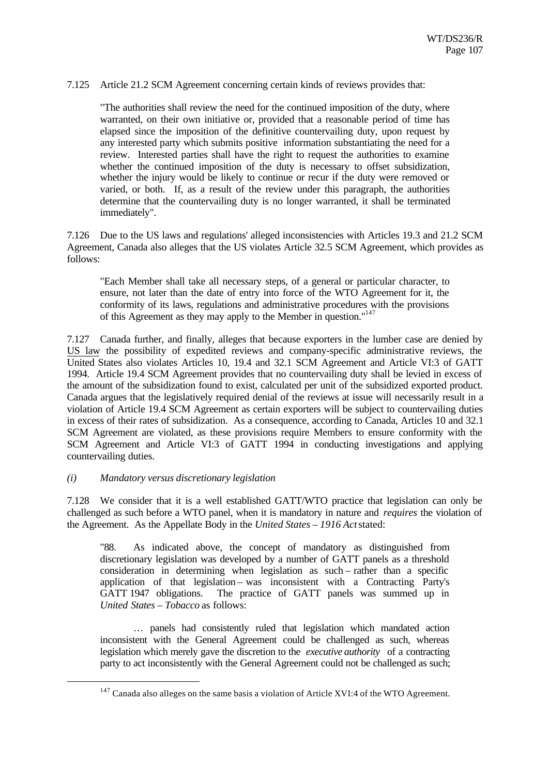7.125 Article 21.2 SCM Agreement concerning certain kinds of reviews provides that:

"The authorities shall review the need for the continued imposition of the duty, where warranted, on their own initiative or, provided that a reasonable period of time has elapsed since the imposition of the definitive countervailing duty, upon request by any interested party which submits positive information substantiating the need for a review. Interested parties shall have the right to request the authorities to examine whether the continued imposition of the duty is necessary to offset subsidization, whether the injury would be likely to continue or recur if the duty were removed or varied, or both. If, as a result of the review under this paragraph, the authorities determine that the countervailing duty is no longer warranted, it shall be terminated immediately".

7.126 Due to the US laws and regulations' alleged inconsistencies with Articles 19.3 and 21.2 SCM Agreement, Canada also alleges that the US violates Article 32.5 SCM Agreement, which provides as follows:

"Each Member shall take all necessary steps, of a general or particular character, to ensure, not later than the date of entry into force of the WTO Agreement for it, the conformity of its laws, regulations and administrative procedures with the provisions of this Agreement as they may apply to the Member in question."<sup>147</sup>

7.127 Canada further, and finally, alleges that because exporters in the lumber case are denied by US law the possibility of expedited reviews and company-specific administrative reviews, the United States also violates Articles 10, 19.4 and 32.1 SCM Agreement and Article VI:3 of GATT 1994. Article 19.4 SCM Agreement provides that no countervailing duty shall be levied in excess of the amount of the subsidization found to exist, calculated per unit of the subsidized exported product. Canada argues that the legislatively required denial of the reviews at issue will necessarily result in a violation of Article 19.4 SCM Agreement as certain exporters will be subject to countervailing duties in excess of their rates of subsidization. As a consequence, according to Canada, Articles 10 and 32.1 SCM Agreement are violated, as these provisions require Members to ensure conformity with the SCM Agreement and Article VI:3 of GATT 1994 in conducting investigations and applying countervailing duties.

## *(i) Mandatory versus discretionary legislation*

l

7.128 We consider that it is a well established GATT/WTO practice that legislation can only be challenged as such before a WTO panel, when it is mandatory in nature and *requires* the violation of the Agreement. As the Appellate Body in the *United States – 1916 Act* stated:

"88. As indicated above, the concept of mandatory as distinguished from discretionary legislation was developed by a number of GATT panels as a threshold consideration in determining when legislation as such – rather than a specific application of that legislation – was inconsistent with a Contracting Party's GATT 1947 obligations. The practice of GATT panels was summed up in *United States – Tobacco* as follows:

… panels had consistently ruled that legislation which mandated action inconsistent with the General Agreement could be challenged as such, whereas legislation which merely gave the discretion to the *executive authority* of a contracting party to act inconsistently with the General Agreement could not be challenged as such;

<sup>&</sup>lt;sup>147</sup> Canada also alleges on the same basis a violation of Article XVI:4 of the WTO Agreement.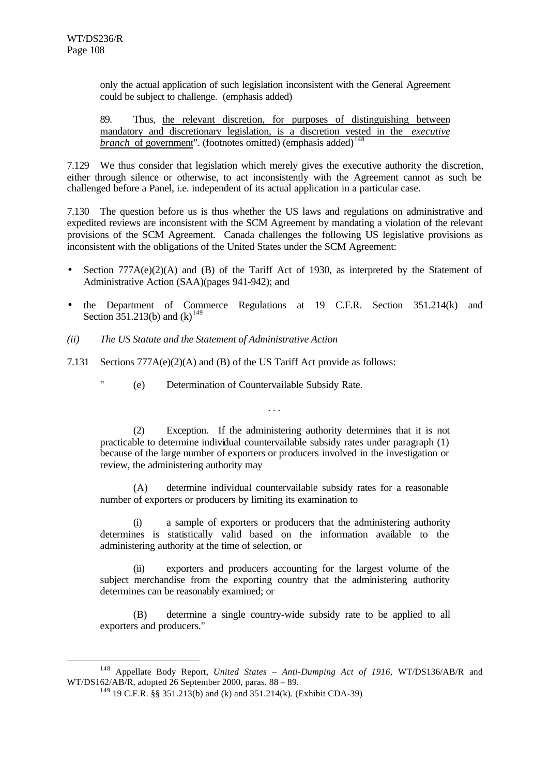only the actual application of such legislation inconsistent with the General Agreement could be subject to challenge. (emphasis added)

89. Thus, the relevant discretion, for purposes of distinguishing between mandatory and discretionary legislation, is a discretion vested in the *executive branch* of government". (footnotes omitted) (emphasis added)<sup>148</sup>

7.129 We thus consider that legislation which merely gives the executive authority the discretion, either through silence or otherwise, to act inconsistently with the Agreement cannot as such be challenged before a Panel, i.e. independent of its actual application in a particular case.

7.130 The question before us is thus whether the US laws and regulations on administrative and expedited reviews are inconsistent with the SCM Agreement by mandating a violation of the relevant provisions of the SCM Agreement. Canada challenges the following US legislative provisions as inconsistent with the obligations of the United States under the SCM Agreement:

- Section  $777A(e)(2)(A)$  and (B) of the Tariff Act of 1930, as interpreted by the Statement of Administrative Action (SAA)(pages 941-942); and
- the Department of Commerce Regulations at 19 C.F.R. Section 351.214(k) and Section  $351.213(b)$  and  $(k)$ <sup>149</sup>
- *(ii) The US Statute and the Statement of Administrative Action*
- 7.131 Sections 777A(e)(2)(A) and (B) of the US Tariff Act provide as follows:
	- " (e) Determination of Countervailable Subsidy Rate.

(2) Exception. If the administering authority determines that it is not practicable to determine individual countervailable subsidy rates under paragraph (1) because of the large number of exporters or producers involved in the investigation or review, the administering authority may

. . .

(A) determine individual countervailable subsidy rates for a reasonable number of exporters or producers by limiting its examination to

(i) a sample of exporters or producers that the administering authority determines is statistically valid based on the information available to the administering authority at the time of selection, or

(ii) exporters and producers accounting for the largest volume of the subject merchandise from the exporting country that the administering authority determines can be reasonably examined; or

(B) determine a single country-wide subsidy rate to be applied to all exporters and producers."

<sup>148</sup> Appellate Body Report, *United States – Anti-Dumping Act of 1916*, WT/DS136/AB/R and WT/DS162/AB/R, adopted 26 September 2000, paras. 88 – 89.

<sup>149</sup> 19 C.F.R. §§ 351.213(b) and (k) and 351.214(k). (Exhibit CDA-39)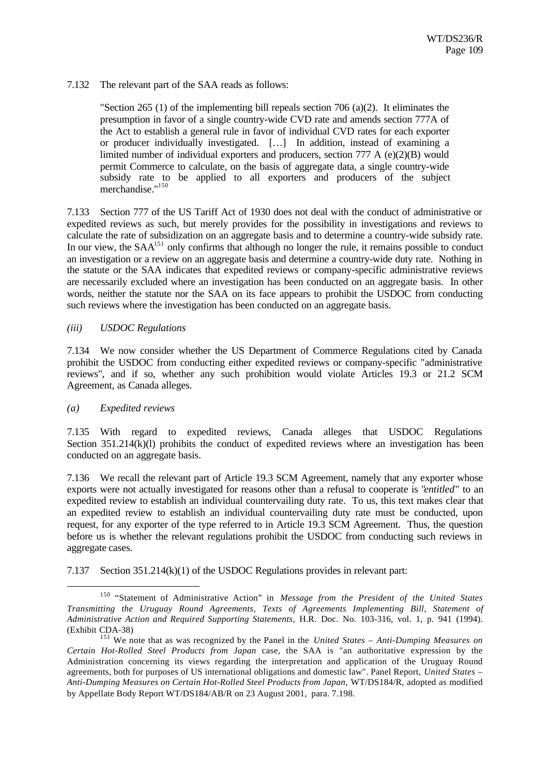7.132 The relevant part of the SAA reads as follows:

"Section 265 (1) of the implementing bill repeals section 706 (a)(2). It eliminates the presumption in favor of a single country-wide CVD rate and amends section 777A of the Act to establish a general rule in favor of individual CVD rates for each exporter or producer individually investigated. […] In addition, instead of examining a limited number of individual exporters and producers, section 777 A (e)(2)(B) would permit Commerce to calculate, on the basis of aggregate data, a single country-wide subsidy rate to be applied to all exporters and producers of the subject merchandise."<sup>150</sup>

7.133 Section 777 of the US Tariff Act of 1930 does not deal with the conduct of administrative or expedited reviews as such, but merely provides for the possibility in investigations and reviews to calculate the rate of subsidization on an aggregate basis and to determine a country-wide subsidy rate. In our view, the SAA<sup>151</sup> only confirms that although no longer the rule, it remains possible to conduct an investigation or a review on an aggregate basis and determine a country-wide duty rate. Nothing in the statute or the SAA indicates that expedited reviews or company-specific administrative reviews are necessarily excluded where an investigation has been conducted on an aggregate basis. In other words, neither the statute nor the SAA on its face appears to prohibit the USDOC from conducting such reviews where the investigation has been conducted on an aggregate basis.

## *(iii) USDOC Regulations*

7.134 We now consider whether the US Department of Commerce Regulations cited by Canada prohibit the USDOC from conducting either expedited reviews or company-specific "administrative reviews", and if so, whether any such prohibition would violate Articles 19.3 or 21.2 SCM Agreement, as Canada alleges.

## *(a) Expedited reviews*

l

7.135 With regard to expedited reviews, Canada alleges that USDOC Regulations Section 351.214(k)(l) prohibits the conduct of expedited reviews where an investigation has been conducted on an aggregate basis.

7.136 We recall the relevant part of Article 19.3 SCM Agreement, namely that any exporter whose exports were not actually investigated for reasons other than a refusal to cooperate is "*entitled*" to an expedited review to establish an individual countervailing duty rate. To us, this text makes clear that an expedited review to establish an individual countervailing duty rate must be conducted, upon request, for any exporter of the type referred to in Article 19.3 SCM Agreement. Thus, the question before us is whether the relevant regulations prohibit the USDOC from conducting such reviews in aggregate cases.

7.137 Section 351.214(k)(1) of the USDOC Regulations provides in relevant part:

<sup>150</sup> "Statement of Administrative Action" in *Message from the President of the United States Transmitting the Uruguay Round Agreements, Texts of Agreements Implementing Bill, Statement of Administrative Action and Required Supporting Statements*, H.R. Doc. No. 103-316, vol. 1, p. 941 (1994). (Exhibit CDA-38)

<sup>151</sup> We note that as was recognized by the Panel in the *United States – Anti-Dumping Measures on Certain Hot-Rolled Steel Products from Japan* case, the SAA is "an authoritative expression by the Administration concerning its views regarding the interpretation and application of the Uruguay Round agreements, both for purposes of US international obligations and domestic law". Panel Report, *United States – Anti-Dumping Measures on Certain Hot-Rolled Steel Products from Japan,* WT/DS184/R, adopted as modified by Appellate Body Report WT/DS184/AB/R on 23 August 2001, para. 7.198.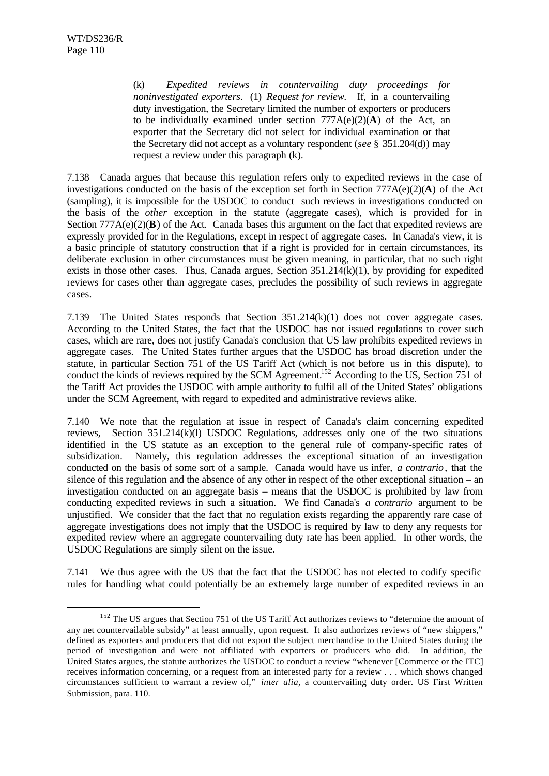(k) *Expedited reviews in countervailing duty proceedings for noninvestigated exporters*. (1) *Request for review.* If, in a countervailing duty investigation, the Secretary limited the number of exporters or producers to be individually examined under section 777A(e)(2)(**A**) of the Act, an exporter that the Secretary did not select for individual examination or that the Secretary did not accept as a voluntary respondent (*see* § 351.204(d)) may request a review under this paragraph (k).

7.138 Canada argues that because this regulation refers only to expedited reviews in the case of investigations conducted on the basis of the exception set forth in Section  $777A(e)(2)(A)$  of the Act (sampling), it is impossible for the USDOC to conduct such reviews in investigations conducted on the basis of the *other* exception in the statute (aggregate cases), which is provided for in Section  $777A(e)(2)(B)$  of the Act. Canada bases this argument on the fact that expedited reviews are expressly provided for in the Regulations, except in respect of aggregate cases. In Canada's view, it is a basic principle of statutory construction that if a right is provided for in certain circumstances, its deliberate exclusion in other circumstances must be given meaning, in particular, that no such right exists in those other cases. Thus, Canada argues, Section  $351.214(k)(1)$ , by providing for expedited reviews for cases other than aggregate cases, precludes the possibility of such reviews in aggregate cases.

7.139 The United States responds that Section 351.214(k)(1) does not cover aggregate cases. According to the United States, the fact that the USDOC has not issued regulations to cover such cases, which are rare, does not justify Canada's conclusion that US law prohibits expedited reviews in aggregate cases. The United States further argues that the USDOC has broad discretion under the statute, in particular Section 751 of the US Tariff Act (which is not before us in this dispute), to conduct the kinds of reviews required by the SCM Agreement.<sup>152</sup> According to the US, Section 751 of the Tariff Act provides the USDOC with ample authority to fulfil all of the United States' obligations under the SCM Agreement, with regard to expedited and administrative reviews alike.

7.140 We note that the regulation at issue in respect of Canada's claim concerning expedited reviews, Section 351.214(k)(l) USDOC Regulations, addresses only one of the two situations identified in the US statute as an exception to the general rule of company-specific rates of subsidization. Namely, this regulation addresses the exceptional situation of an investigation conducted on the basis of some sort of a sample. Canada would have us infer, *a contrario*, that the silence of this regulation and the absence of any other in respect of the other exceptional situation – an investigation conducted on an aggregate basis – means that the USDOC is prohibited by law from conducting expedited reviews in such a situation. We find Canada's *a contrario* argument to be unjustified. We consider that the fact that no regulation exists regarding the apparently rare case of aggregate investigations does not imply that the USDOC is required by law to deny any requests for expedited review where an aggregate countervailing duty rate has been applied. In other words, the USDOC Regulations are simply silent on the issue.

7.141 We thus agree with the US that the fact that the USDOC has not elected to codify specific rules for handling what could potentially be an extremely large number of expedited reviews in an

<sup>&</sup>lt;sup>152</sup> The US argues that Section 751 of the US Tariff Act authorizes reviews to "determine the amount of any net countervailable subsidy" at least annually, upon request. It also authorizes reviews of "new shippers," defined as exporters and producers that did not export the subject merchandise to the United States during the period of investigation and were not affiliated with exporters or producers who did. In addition, the United States argues, the statute authorizes the USDOC to conduct a review "whenever [Commerce or the ITC] receives information concerning, or a request from an interested party for a review . . . which shows changed circumstances sufficient to warrant a review of," *inter alia*, a countervailing duty order. US First Written Submission, para. 110.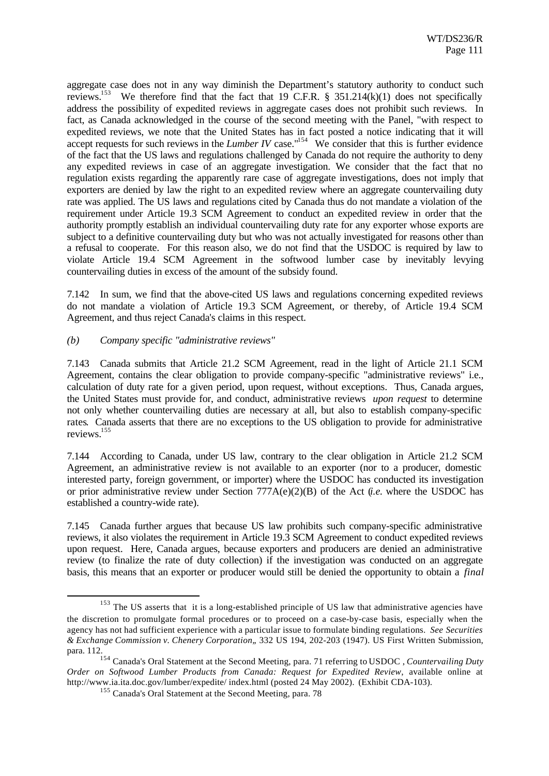aggregate case does not in any way diminish the Department's statutory authority to conduct such reviews.<sup>153</sup> We therefore find that the fact that 19 C.F.R. § 351.214(k)(1) does not specifically address the possibility of expedited reviews in aggregate cases does not prohibit such reviews. In fact, as Canada acknowledged in the course of the second meeting with the Panel, "with respect to expedited reviews, we note that the United States has in fact posted a notice indicating that it will accept requests for such reviews in the *Lumber IV* case.<sup>"154</sup> We consider that this is further evidence of the fact that the US laws and regulations challenged by Canada do not require the authority to deny any expedited reviews in case of an aggregate investigation. We consider that the fact that no regulation exists regarding the apparently rare case of aggregate investigations, does not imply that exporters are denied by law the right to an expedited review where an aggregate countervailing duty rate was applied. The US laws and regulations cited by Canada thus do not mandate a violation of the requirement under Article 19.3 SCM Agreement to conduct an expedited review in order that the authority promptly establish an individual countervailing duty rate for any exporter whose exports are subject to a definitive countervailing duty but who was not actually investigated for reasons other than a refusal to cooperate. For this reason also, we do not find that the USDOC is required by law to violate Article 19.4 SCM Agreement in the softwood lumber case by inevitably levying countervailing duties in excess of the amount of the subsidy found.

7.142 In sum, we find that the above-cited US laws and regulations concerning expedited reviews do not mandate a violation of Article 19.3 SCM Agreement, or thereby, of Article 19.4 SCM Agreement, and thus reject Canada's claims in this respect.

## *(b) Company specific "administrative reviews"*

l

7.143 Canada submits that Article 21.2 SCM Agreement, read in the light of Article 21.1 SCM Agreement, contains the clear obligation to provide company-specific "administrative reviews" i.e., calculation of duty rate for a given period, upon request, without exceptions. Thus, Canada argues, the United States must provide for, and conduct, administrative reviews *upon request* to determine not only whether countervailing duties are necessary at all, but also to establish company-specific rates*.* Canada asserts that there are no exceptions to the US obligation to provide for administrative reviews.<sup>155</sup>

7.144 According to Canada, under US law, contrary to the clear obligation in Article 21.2 SCM Agreement, an administrative review is not available to an exporter (nor to a producer, domestic interested party, foreign government, or importer) where the USDOC has conducted its investigation or prior administrative review under Section 777A(e)(2)(B) of the Act (*i.e.* where the USDOC has established a country-wide rate).

7.145 Canada further argues that because US law prohibits such company-specific administrative reviews, it also violates the requirement in Article 19.3 SCM Agreement to conduct expedited reviews upon request. Here, Canada argues, because exporters and producers are denied an administrative review (to finalize the rate of duty collection) if the investigation was conducted on an aggregate basis, this means that an exporter or producer would still be denied the opportunity to obtain a *final*

<sup>&</sup>lt;sup>153</sup> The US asserts that it is a long-established principle of US law that administrative agencies have the discretion to promulgate formal procedures or to proceed on a case-by-case basis, especially when the agency has not had sufficient experience with a particular issue to formulate binding regulations. *See Securities & Exchange Commission v. Chenery Corporation,*, 332 US 194, 202-203 (1947). US First Written Submission, para. 112.

<sup>154</sup> Canada's Oral Statement at the Second Meeting, para. 71 referring to USDOC , *Countervailing Duty Order on Softwood Lumber Products from Canada: Request for Expedited Review*, available online at http://www.ia.ita.doc.gov/lumber/expedite/ index.html (posted 24 May 2002). (Exhibit CDA-103).

<sup>&</sup>lt;sup>155</sup> Canada's Oral Statement at the Second Meeting, para. 78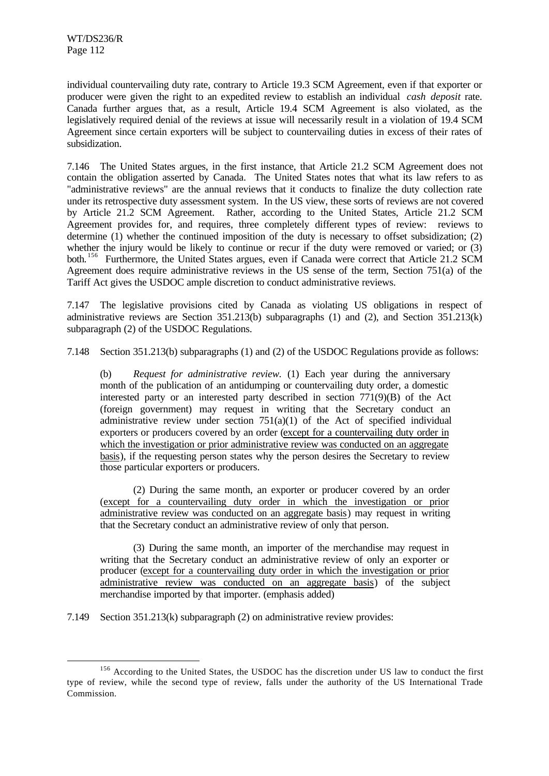individual countervailing duty rate, contrary to Article 19.3 SCM Agreement, even if that exporter or producer were given the right to an expedited review to establish an individual *cash deposit* rate. Canada further argues that, as a result, Article 19.4 SCM Agreement is also violated, as the legislatively required denial of the reviews at issue will necessarily result in a violation of 19.4 SCM Agreement since certain exporters will be subject to countervailing duties in excess of their rates of subsidization.

7.146 The United States argues, in the first instance, that Article 21.2 SCM Agreement does not contain the obligation asserted by Canada. The United States notes that what its law refers to as "administrative reviews" are the annual reviews that it conducts to finalize the duty collection rate under its retrospective duty assessment system. In the US view, these sorts of reviews are not covered by Article 21.2 SCM Agreement. Rather, according to the United States, Article 21.2 SCM Agreement provides for, and requires, three completely different types of review: reviews to determine (1) whether the continued imposition of the duty is necessary to offset subsidization; (2) whether the injury would be likely to continue or recur if the duty were removed or varied; or (3) both.<sup>156</sup> Furthermore, the United States argues, even if Canada were correct that Article 21.2 SCM Agreement does require administrative reviews in the US sense of the term, Section 751(a) of the Tariff Act gives the USDOC ample discretion to conduct administrative reviews.

7.147 The legislative provisions cited by Canada as violating US obligations in respect of administrative reviews are Section 351.213(b) subparagraphs (1) and (2), and Section 351.213(k) subparagraph (2) of the USDOC Regulations.

7.148 Section 351.213(b) subparagraphs (1) and (2) of the USDOC Regulations provide as follows:

(b) *Request for administrative review.* (1) Each year during the anniversary month of the publication of an antidumping or countervailing duty order, a domestic interested party or an interested party described in section 771(9)(B) of the Act (foreign government) may request in writing that the Secretary conduct an administrative review under section  $751(a)(1)$  of the Act of specified individual exporters or producers covered by an order (except for a countervailing duty order in which the investigation or prior administrative review was conducted on an aggregate basis), if the requesting person states why the person desires the Secretary to review those particular exporters or producers.

(2) During the same month, an exporter or producer covered by an order (except for a countervailing duty order in which the investigation or prior administrative review was conducted on an aggregate basis) may request in writing that the Secretary conduct an administrative review of only that person.

(3) During the same month, an importer of the merchandise may request in writing that the Secretary conduct an administrative review of only an exporter or producer (except for a countervailing duty order in which the investigation or prior administrative review was conducted on an aggregate basis) of the subject merchandise imported by that importer. (emphasis added)

7.149 Section 351.213(k) subparagraph (2) on administrative review provides:

<sup>&</sup>lt;sup>156</sup> According to the United States, the USDOC has the discretion under US law to conduct the first type of review, while the second type of review, falls under the authority of the US International Trade Commission.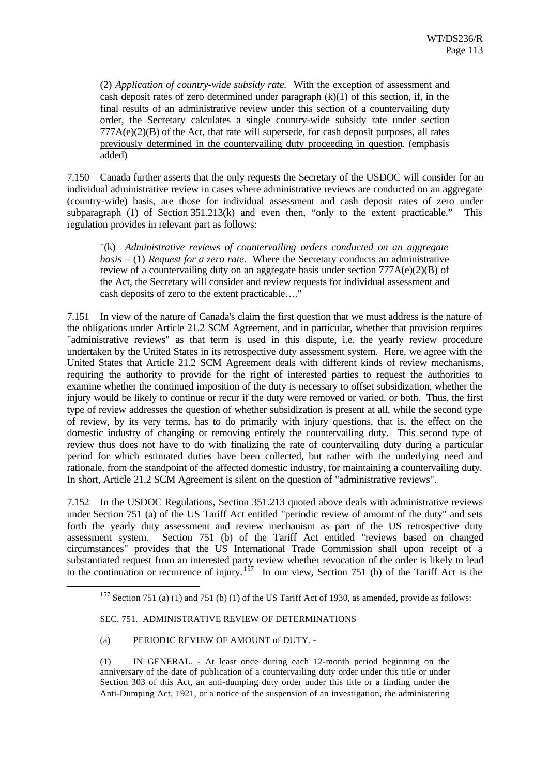(2) *Application of country-wide subsidy rate.* With the exception of assessment and cash deposit rates of zero determined under paragraph  $(k)(1)$  of this section, if, in the final results of an administrative review under this section of a countervailing duty order, the Secretary calculates a single country-wide subsidy rate under section  $777A(e)(2)(B)$  of the Act, that rate will supersede, for cash deposit purposes, all rates previously determined in the countervailing duty proceeding in question. (emphasis added)

7.150 Canada further asserts that the only requests the Secretary of the USDOC will consider for an individual administrative review in cases where administrative reviews are conducted on an aggregate (country-wide) basis, are those for individual assessment and cash deposit rates of zero under subparagraph (1) of Section 351.213(k) and even then, "only to the extent practicable." This regulation provides in relevant part as follows:

"(k) *Administrative reviews of countervailing orders conducted on an aggregate basis –* (1) *Request for a zero rate.* Where the Secretary conducts an administrative review of a countervailing duty on an aggregate basis under section 777A(e)(2)(B) of the Act, the Secretary will consider and review requests for individual assessment and cash deposits of zero to the extent practicable…."

7.151 In view of the nature of Canada's claim the first question that we must address is the nature of the obligations under Article 21.2 SCM Agreement, and in particular, whether that provision requires "administrative reviews" as that term is used in this dispute, i.e. the yearly review procedure undertaken by the United States in its retrospective duty assessment system. Here, we agree with the United States that Article 21.2 SCM Agreement deals with different kinds of review mechanisms, requiring the authority to provide for the right of interested parties to request the authorities to examine whether the continued imposition of the duty is necessary to offset subsidization, whether the injury would be likely to continue or recur if the duty were removed or varied, or both. Thus, the first type of review addresses the question of whether subsidization is present at all, while the second type of review, by its very terms, has to do primarily with injury questions, that is, the effect on the domestic industry of changing or removing entirely the countervailing duty. This second type of review thus does not have to do with finalizing the rate of countervailing duty during a particular period for which estimated duties have been collected, but rather with the underlying need and rationale, from the standpoint of the affected domestic industry, for maintaining a countervailing duty. In short, Article 21.2 SCM Agreement is silent on the question of "administrative reviews".

7.152 In the USDOC Regulations, Section 351.213 quoted above deals with administrative reviews under Section 751 (a) of the US Tariff Act entitled "periodic review of amount of the duty" and sets forth the yearly duty assessment and review mechanism as part of the US retrospective duty assessment system. Section 751 (b) of the Tariff Act entitled "reviews based on changed circumstances" provides that the US International Trade Commission shall upon receipt of a substantiated request from an interested party review whether revocation of the order is likely to lead to the continuation or recurrence of injury.<sup>157</sup> In our view, Section 751 (b) of the Tariff Act is the

SEC. 751. ADMINISTRATIVE REVIEW OF DETERMINATIONS

(a) PERIODIC REVIEW OF AMOUNT of DUTY. -

l

(1) IN GENERAL. - At least once during each 12-month period beginning on the anniversary of the date of publication of a countervailing duty order under this title or under Section 303 of this Act, an anti-dumping duty order under this title or a finding under the Anti-Dumping Act, 1921, or a notice of the suspension of an investigation, the administering

<sup>&</sup>lt;sup>157</sup> Section 751 (a) (1) and 751 (b) (1) of the US Tariff Act of 1930, as amended, provide as follows: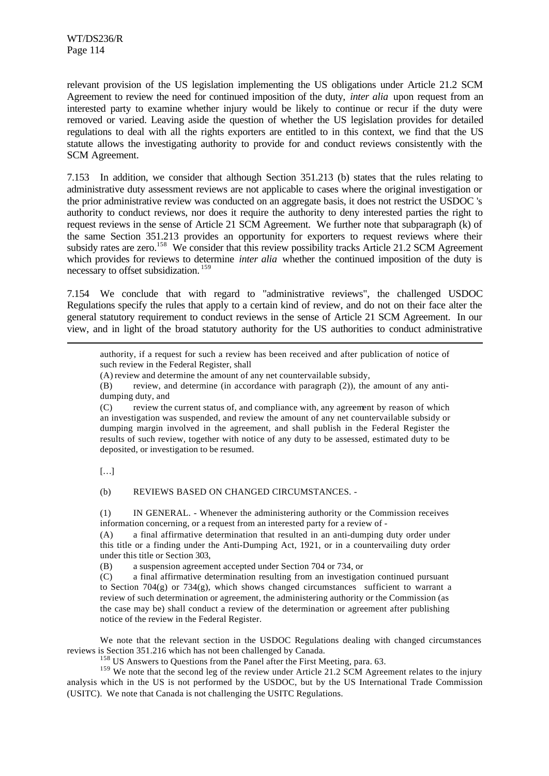relevant provision of the US legislation implementing the US obligations under Article 21.2 SCM Agreement to review the need for continued imposition of the duty, *inter alia* upon request from an interested party to examine whether injury would be likely to continue or recur if the duty were removed or varied. Leaving aside the question of whether the US legislation provides for detailed regulations to deal with all the rights exporters are entitled to in this context, we find that the US statute allows the investigating authority to provide for and conduct reviews consistently with the SCM Agreement.

7.153 In addition, we consider that although Section 351.213 (b) states that the rules relating to administrative duty assessment reviews are not applicable to cases where the original investigation or the prior administrative review was conducted on an aggregate basis, it does not restrict the USDOC 's authority to conduct reviews, nor does it require the authority to deny interested parties the right to request reviews in the sense of Article 21 SCM Agreement. We further note that subparagraph (k) of the same Section 351.213 provides an opportunity for exporters to request reviews where their subsidy rates are zero.<sup>158</sup> We consider that this review possibility tracks Article 21.2 SCM Agreement which provides for reviews to determine *inter alia* whether the continued imposition of the duty is necessary to offset subsidization. <sup>159</sup>

7.154 We conclude that with regard to "administrative reviews", the challenged USDOC Regulations specify the rules that apply to a certain kind of review, and do not on their face alter the general statutory requirement to conduct reviews in the sense of Article 21 SCM Agreement. In our view, and in light of the broad statutory authority for the US authorities to conduct administrative

authority, if a request for such a review has been received and after publication of notice of such review in the Federal Register, shall

(A) review and determine the amount of any net countervailable subsidy,

(B) review, and determine (in accordance with paragraph (2)), the amount of any antidumping duty, and

(C) review the current status of, and compliance with, any agreement by reason of which an investigation was suspended, and review the amount of any net countervailable subsidy or dumping margin involved in the agreement, and shall publish in the Federal Register the results of such review, together with notice of any duty to be assessed, estimated duty to be deposited, or investigation to be resumed.

[…]

l

(b) REVIEWS BASED ON CHANGED CIRCUMSTANCES. -

(1) IN GENERAL. - Whenever the administering authority or the Commission receives information concerning, or a request from an interested party for a review of -

(A) a final affirmative determination that resulted in an anti-dumping duty order under this title or a finding under the Anti-Dumping Act, 1921, or in a countervailing duty order under this title or Section 303,

(B) a suspension agreement accepted under Section 704 or 734, or

(C) a final affirmative determination resulting from an investigation continued pursuant to Section  $704(g)$  or  $734(g)$ , which shows changed circumstances sufficient to warrant a review of such determination or agreement, the administering authority or the Commission (as the case may be) shall conduct a review of the determination or agreement after publishing notice of the review in the Federal Register.

We note that the relevant section in the USDOC Regulations dealing with changed circumstances reviews is Section 351.216 which has not been challenged by Canada.

<sup>158</sup> US Answers to Questions from the Panel after the First Meeting, para. 63.

<sup>159</sup> We note that the second leg of the review under Article 21.2 SCM Agreement relates to the injury analysis which in the US is not performed by the USDOC, but by the US International Trade Commission (USITC). We note that Canada is not challenging the USITC Regulations.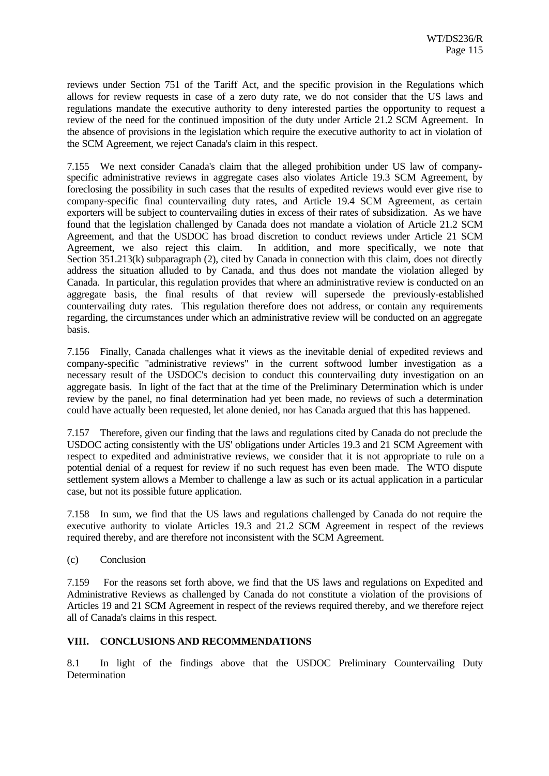reviews under Section 751 of the Tariff Act, and the specific provision in the Regulations which allows for review requests in case of a zero duty rate, we do not consider that the US laws and regulations mandate the executive authority to deny interested parties the opportunity to request a review of the need for the continued imposition of the duty under Article 21.2 SCM Agreement. In the absence of provisions in the legislation which require the executive authority to act in violation of the SCM Agreement, we reject Canada's claim in this respect.

7.155 We next consider Canada's claim that the alleged prohibition under US law of companyspecific administrative reviews in aggregate cases also violates Article 19.3 SCM Agreement, by foreclosing the possibility in such cases that the results of expedited reviews would ever give rise to company-specific final countervailing duty rates, and Article 19.4 SCM Agreement, as certain exporters will be subject to countervailing duties in excess of their rates of subsidization. As we have found that the legislation challenged by Canada does not mandate a violation of Article 21.2 SCM Agreement, and that the USDOC has broad discretion to conduct reviews under Article 21 SCM Agreement, we also reject this claim. In addition, and more specifically, we note that Section 351.213(k) subparagraph (2), cited by Canada in connection with this claim, does not directly address the situation alluded to by Canada, and thus does not mandate the violation alleged by Canada. In particular, this regulation provides that where an administrative review is conducted on an aggregate basis, the final results of that review will supersede the previously-established countervailing duty rates. This regulation therefore does not address, or contain any requirements regarding, the circumstances under which an administrative review will be conducted on an aggregate basis.

7.156 Finally, Canada challenges what it views as the inevitable denial of expedited reviews and company-specific "administrative reviews" in the current softwood lumber investigation as a necessary result of the USDOC's decision to conduct this countervailing duty investigation on an aggregate basis. In light of the fact that at the time of the Preliminary Determination which is under review by the panel, no final determination had yet been made, no reviews of such a determination could have actually been requested, let alone denied, nor has Canada argued that this has happened.

7.157 Therefore, given our finding that the laws and regulations cited by Canada do not preclude the USDOC acting consistently with the US' obligations under Articles 19.3 and 21 SCM Agreement with respect to expedited and administrative reviews, we consider that it is not appropriate to rule on a potential denial of a request for review if no such request has even been made. The WTO dispute settlement system allows a Member to challenge a law as such or its actual application in a particular case, but not its possible future application.

7.158 In sum, we find that the US laws and regulations challenged by Canada do not require the executive authority to violate Articles 19.3 and 21.2 SCM Agreement in respect of the reviews required thereby, and are therefore not inconsistent with the SCM Agreement.

## (c) Conclusion

7.159 For the reasons set forth above, we find that the US laws and regulations on Expedited and Administrative Reviews as challenged by Canada do not constitute a violation of the provisions of Articles 19 and 21 SCM Agreement in respect of the reviews required thereby, and we therefore reject all of Canada's claims in this respect.

## **VIII. CONCLUSIONS AND RECOMMENDATIONS**

8.1 In light of the findings above that the USDOC Preliminary Countervailing Duty **Determination**